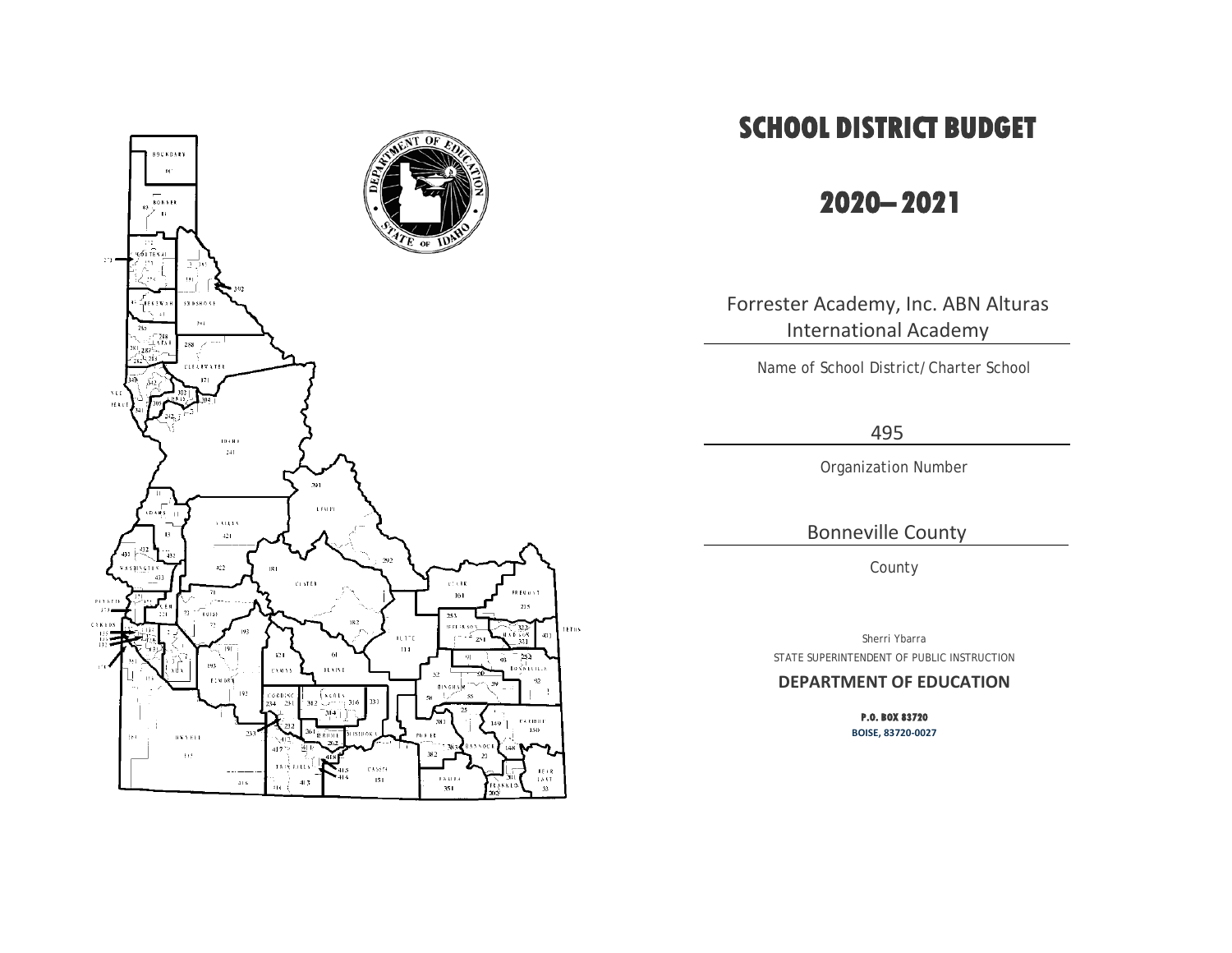

# **SCHOOL DISTRICT BUDGET**

## **2020– 2021**

Forrester Academy, Inc. ABN Alturas International Academy

Name of School District/Charter School

495

Organization Number

Bonneville County

County

Sherri Ybarra STATE SUPERINTENDENT OF PUBLIC INSTRUCTION

#### **DEPARTMENT OF EDUCATION**

**P.O. BOX 83720 BOISE, 83720-0027**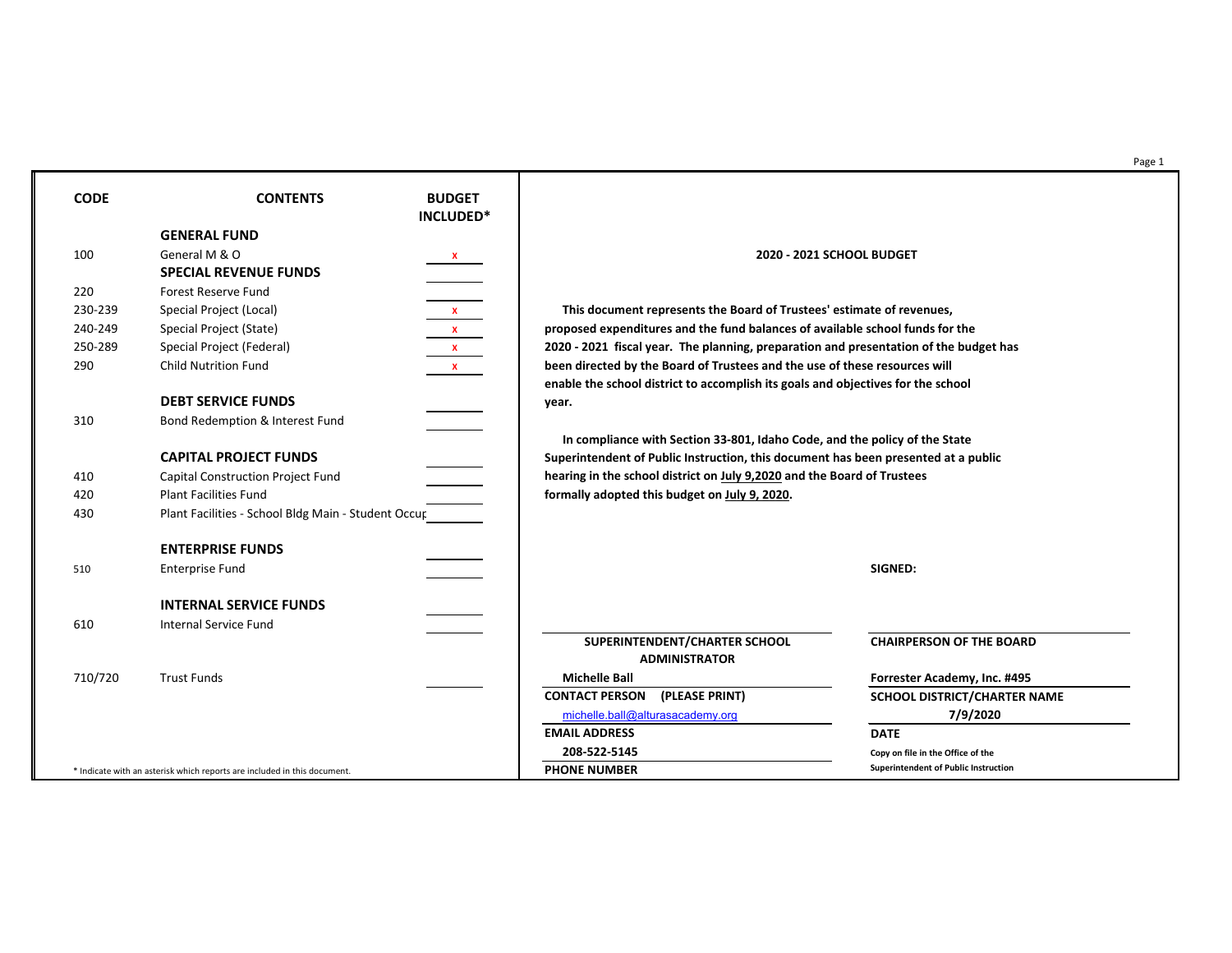Page 1

230-239 Special Project (Local) **X This document represents the Board of Trustees' estimate of revenues,** 240-249 Special Project (State) **X proposed expenditures and the fund balances of available school funds for the** 250-289 Special Project (Federal) **X 2020 - 2021 fiscal year. The planning, preparation and presentation of the budget has** 290 Child Nutrition Fund **X been directed by the Board of Trustees and the use of these resources will accomplish its goals and objectives for the school** 

In 33-801, Idaho Code, and the policy of the State **ruction, this document has been presented at a public** on **July 9,2020** and the Board of Trustees t on <u>July 9, 2020</u>.

| <b>CODE</b>       | <b>CONTENTS</b>                                                                                                                                                                            | <b>BUDGET</b>                |                                                                                                                                                                                                                                                                  |                 |
|-------------------|--------------------------------------------------------------------------------------------------------------------------------------------------------------------------------------------|------------------------------|------------------------------------------------------------------------------------------------------------------------------------------------------------------------------------------------------------------------------------------------------------------|-----------------|
|                   | <b>GENERAL FUND</b>                                                                                                                                                                        | INCLUDED*                    |                                                                                                                                                                                                                                                                  |                 |
| 100               | General M & O<br><b>SPECIAL REVENUE FUNDS</b>                                                                                                                                              | $\mathbf{x}$                 | 2020 - 2021 SCHOOL BUDGET                                                                                                                                                                                                                                        |                 |
| 220               | <b>Forest Reserve Fund</b>                                                                                                                                                                 |                              |                                                                                                                                                                                                                                                                  |                 |
| 230-239           | Special Project (Local)                                                                                                                                                                    |                              | This document represents the Board of Trustees' estimate of rev                                                                                                                                                                                                  |                 |
| 240-249           | Special Project (State)                                                                                                                                                                    | $\mathbf{x}$<br>$\mathbf{x}$ | proposed expenditures and the fund balances of available school fu                                                                                                                                                                                               |                 |
| 250-289           | Special Project (Federal)                                                                                                                                                                  | $\mathbf{x}$                 | 2020 - 2021 fiscal year. The planning, preparation and presentation                                                                                                                                                                                              |                 |
| 290               | <b>Child Nutrition Fund</b>                                                                                                                                                                | $\mathbf{X}$                 | been directed by the Board of Trustees and the use of these resourd<br>enable the school district to accomplish its goals and objectives for                                                                                                                     |                 |
|                   | <b>DEBT SERVICE FUNDS</b>                                                                                                                                                                  |                              | year.                                                                                                                                                                                                                                                            |                 |
| 310               | Bond Redemption & Interest Fund                                                                                                                                                            |                              |                                                                                                                                                                                                                                                                  |                 |
| 410<br>420<br>430 | <b>CAPITAL PROJECT FUNDS</b><br><b>Capital Construction Project Fund</b><br><b>Plant Facilities Fund</b><br>Plant Facilities - School Bldg Main - Student Occur<br><b>ENTERPRISE FUNDS</b> |                              | In compliance with Section 33-801, Idaho Code, and the policy of<br>Superintendent of Public Instruction, this document has been prese<br>hearing in the school district on July 9,2020 and the Board of Truste<br>formally adopted this budget on July 9, 2020. |                 |
| 510               | <b>Enterprise Fund</b>                                                                                                                                                                     |                              |                                                                                                                                                                                                                                                                  | <b>SIGNED:</b>  |
|                   | <b>INTERNAL SERVICE FUNDS</b>                                                                                                                                                              |                              |                                                                                                                                                                                                                                                                  |                 |
| 610               | <b>Internal Service Fund</b>                                                                                                                                                               |                              | SUPERINTENDENT/CHARTER SCHOOL<br><b>ADMINISTRATOR</b>                                                                                                                                                                                                            | <b>CHAIRPI</b>  |
| 710/720           | <b>Trust Funds</b>                                                                                                                                                                         |                              | <b>Michelle Ball</b>                                                                                                                                                                                                                                             | <b>Forreste</b> |
|                   |                                                                                                                                                                                            |                              | <b>CONTACT PERSON</b><br>(PLEASE PRINT)                                                                                                                                                                                                                          | <b>SCHOOL</b>   |
|                   |                                                                                                                                                                                            |                              | michelle.ball@alturasacademy.org                                                                                                                                                                                                                                 |                 |
|                   |                                                                                                                                                                                            |                              | <b>EMAIL ADDRESS</b>                                                                                                                                                                                                                                             | <b>DATE</b>     |
|                   |                                                                                                                                                                                            |                              | 208-522-5145                                                                                                                                                                                                                                                     | Copy on file    |
|                   | * Indicate with an asterisk which reports are included in this document.                                                                                                                   |                              | <b>PHONE NUMBER</b>                                                                                                                                                                                                                                              | Superinten      |

**Forrester Academy, Inc. #495 CONTACT BEACH PERSON (PLEASE PRINT)** SCHOOL DISTRICT/CHARTER NAME [michelle.ball@alturasacademy.org](mailto:michelle.ball@alturasacademy.org) **7/9/2020**

**208-522-5145 Copy on file in the Office of the**  $Superintendent of Public Instruction$ 

### **CHAIRPERSON OF THE BOARD**

|                                      | SUPERINTENDENT/CHARTER SCHOOL<br><b>ADMINISTRATOR</b> |              |  |  |  |  |  |  |  |
|--------------------------------------|-------------------------------------------------------|--------------|--|--|--|--|--|--|--|
| <b>Michelle Ball</b>                 |                                                       | <b>Forre</b> |  |  |  |  |  |  |  |
| <b>CONTACT PERSON (PLEASE PRINT)</b> | <b>SCHO</b>                                           |              |  |  |  |  |  |  |  |
| michelle.ball@alturasacademy.org     |                                                       |              |  |  |  |  |  |  |  |
| <b>EMAIL ADDRESS</b>                 |                                                       | <b>DATE</b>  |  |  |  |  |  |  |  |
| 208-522-5145                         |                                                       | Copy or      |  |  |  |  |  |  |  |
|                                      |                                                       |              |  |  |  |  |  |  |  |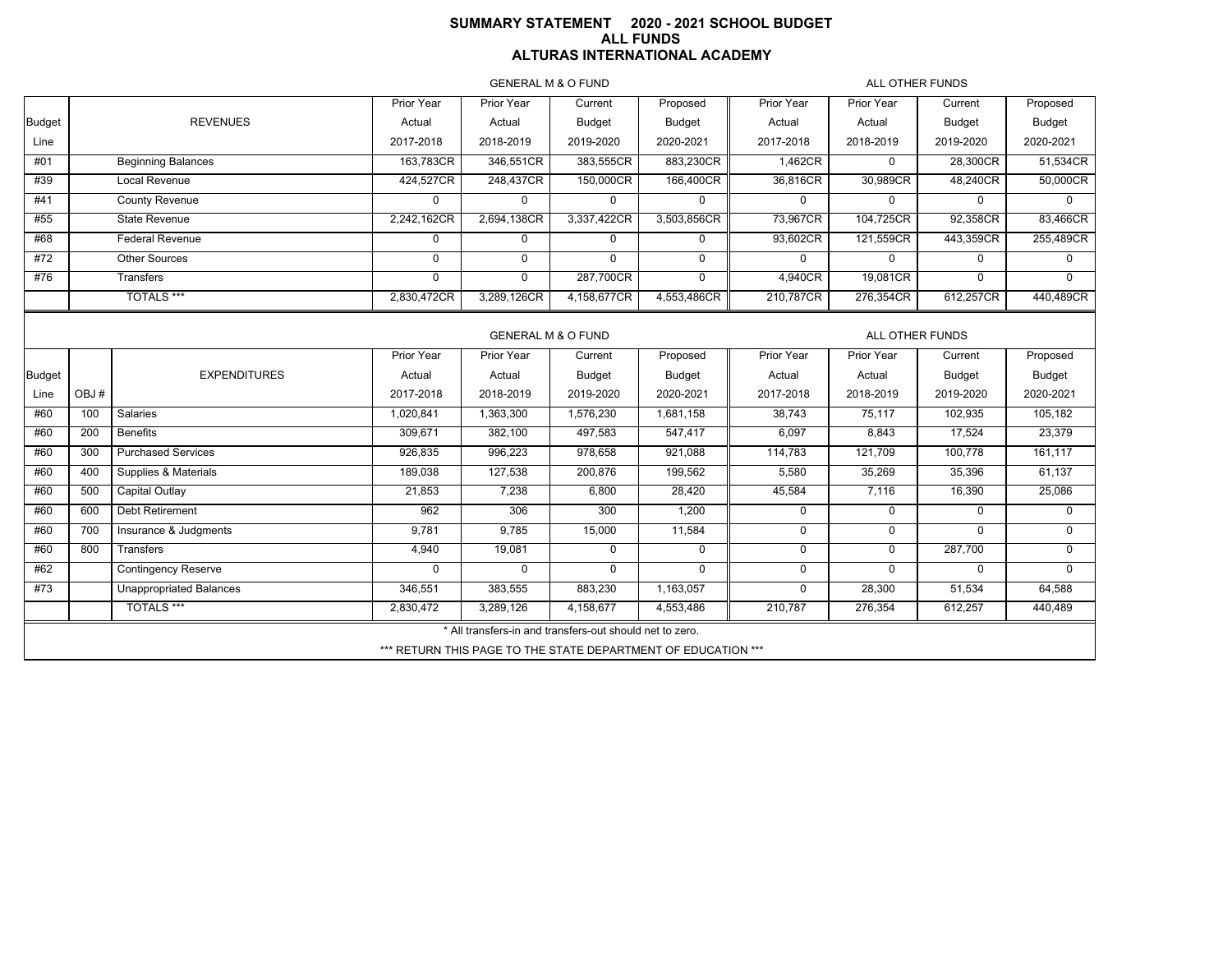### **SUMMARY STATEMENT 2020 - 2021 SCHOOL BUDGET ALL FUNDS ALTURAS INTERNATIONAL ACADEMY**

GENERAL M & O FUND

ALL OTHER FUNDS

|                                                  |                                | Prior Year  | Prior Year  | Current       | Proposed      | Prior Year                                               | <b>Prior Year</b>                                             | Current      | Proposed      |  |  |
|--------------------------------------------------|--------------------------------|-------------|-------------|---------------|---------------|----------------------------------------------------------|---------------------------------------------------------------|--------------|---------------|--|--|
|                                                  | <b>REVENUES</b>                | Actual      | Actual      | Budget        | <b>Budget</b> | Actual                                                   | Actual                                                        | Budget       | Budget        |  |  |
|                                                  |                                | 2017-2018   | 2018-2019   | 2019-2020     | 2020-2021     | 2017-2018                                                | 2018-2019                                                     | 2019-2020    | 2020-2021     |  |  |
|                                                  | <b>Beginning Balances</b>      | 163,783CR   | 346,551CR   | 383,555CR     | 883,230CR     | 1,462CR                                                  | $\Omega$                                                      | 28,300CR     | 51,534CR      |  |  |
|                                                  | Local Revenue                  | 424,527CR   | 248,437CR   | 150,000CR     | 166,400CR     | 36,816CR                                                 | 30,989CR                                                      | 48,240CR     | 50,000CR      |  |  |
|                                                  | <b>County Revenue</b>          | $\Omega$    | $\Omega$    | $\Omega$      | $\mathbf 0$   | $\mathbf 0$                                              | $\mathbf{0}$                                                  | $\Omega$     | $\Omega$      |  |  |
|                                                  | <b>State Revenue</b>           | 2,242,162CR | 2,694,138CR | 3,337,422CR   | 3,503,856CR   | 73,967CR                                                 | 104,725CR                                                     | 92,358CR     | 83,466CR      |  |  |
|                                                  | <b>Federal Revenue</b>         | $\mathbf 0$ | $\mathbf 0$ | $\mathbf 0$   | $\mathbf 0$   | 93,602CR                                                 | 121,559CR                                                     | 443,359CR    | 255,489CR     |  |  |
|                                                  | Other Sources                  | $\Omega$    | $\mathbf 0$ | $\mathbf 0$   | $\mathbf 0$   | 0                                                        | $\mathbf 0$                                                   | $\mathbf 0$  | 0             |  |  |
|                                                  | Transfers                      | $\Omega$    | $\mathbf 0$ | 287,700CR     | $\mathbf 0$   | 4,940CR                                                  | 19,081CR                                                      | $\Omega$     | $\Omega$      |  |  |
|                                                  | <b>TOTALS ***</b>              | 2,830,472CR | 3,289,126CR | 4,158,677CR   | 4,553,486CR   | 210,787CR                                                | 276,354CR                                                     | 612,257CR    | 440,489CR     |  |  |
|                                                  |                                |             |             |               |               |                                                          |                                                               |              |               |  |  |
| <b>GENERAL M &amp; O FUND</b><br>ALL OTHER FUNDS |                                |             |             |               |               |                                                          |                                                               |              |               |  |  |
|                                                  |                                | Prior Year  | Prior Year  | Current       | Proposed      | Prior Year                                               | Prior Year                                                    | Current      | Proposed      |  |  |
|                                                  | <b>EXPENDITURES</b>            | Actual      | Actual      | <b>Budget</b> | <b>Budget</b> | Actual                                                   | Actual                                                        | Budget       | <b>Budget</b> |  |  |
| OBJ#                                             |                                | 2017-2018   | 2018-2019   | 2019-2020     | 2020-2021     | 2017-2018                                                | 2018-2019                                                     | 2019-2020    | 2020-2021     |  |  |
| 100                                              | <b>Salaries</b>                | 1,020,841   | 1,363,300   | 1,576,230     | 1,681,158     | 38,743                                                   | 75,117                                                        | 102,935      | 105,182       |  |  |
| 200                                              | <b>Benefits</b>                | 309,671     | 382,100     | 497,583       | 547,417       | 6,097                                                    | 8,843                                                         | 17,524       | 23,379        |  |  |
| 300                                              | <b>Purchased Services</b>      | 926,835     | 996,223     | 978,658       | 921,088       | 114,783                                                  | 121,709                                                       | 100,778      | 161,117       |  |  |
| 400                                              | Supplies & Materials           | 189,038     | 127,538     | 200,876       | 199,562       | 5,580                                                    | 35,269                                                        | 35,396       | 61,137        |  |  |
| 500                                              | Capital Outlay                 | 21,853      | 7,238       | 6,800         | 28,420        | 45,584                                                   | 7,116                                                         | 16,390       | 25,086        |  |  |
| 600                                              | Debt Retirement                | 962         | 306         | 300           | 1,200         | $\mathbf 0$                                              | $\mathbf 0$                                                   | $\Omega$     | $\Omega$      |  |  |
| 700                                              | Insurance & Judgments          | 9,781       | 9,785       | 15,000        | 11,584        | $\mathbf 0$                                              | $\mathbf 0$                                                   | $\mathbf{0}$ | $\mathbf 0$   |  |  |
| 800                                              | Transfers                      | 4,940       | 19,081      | $\mathbf 0$   | $\mathbf 0$   | $\mathbf 0$                                              | $\mathbf 0$                                                   | 287,700      | $\mathbf 0$   |  |  |
|                                                  | <b>Contingency Reserve</b>     | $\Omega$    | $\Omega$    | $\Omega$      | $\Omega$      | 0                                                        | $\Omega$                                                      | $\mathbf{0}$ | $\Omega$      |  |  |
|                                                  | <b>Unappropriated Balances</b> | 346,551     | 383,555     | 883,230       | 1,163,057     | 0                                                        | 28,300                                                        | 51,534       | 64,588        |  |  |
|                                                  | <b>TOTALS ***</b>              | 2,830,472   | 3,289,126   | 4,158,677     | 4,553,486     | 210,787                                                  | 276,354                                                       | 612,257      | 440,489       |  |  |
|                                                  |                                |             |             |               |               |                                                          |                                                               |              |               |  |  |
|                                                  |                                |             |             |               |               |                                                          |                                                               |              |               |  |  |
|                                                  |                                |             |             |               |               | * All transfers-in and transfers-out should net to zero. | *** RETURN THIS PAGE TO THE STATE DEPARTMENT OF EDUCATION *** |              |               |  |  |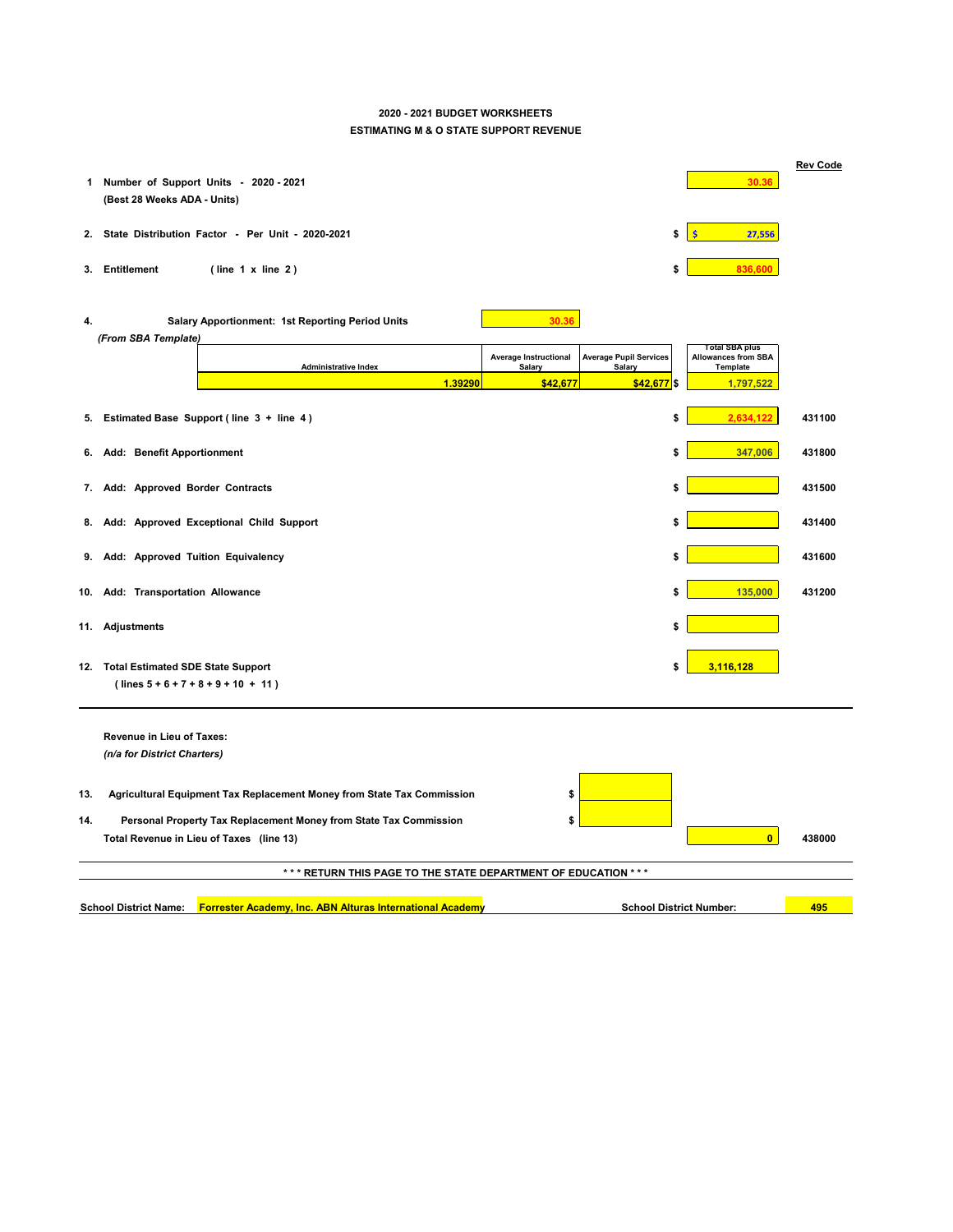# **2020 - 2021 BUDGET WORKSHEETS ESTIMATING M & O STATE SUPPORT REVENUE**

| 1  | Number of Support Units - 2020 - 2021<br>(Best 28 Weeks ADA - Units)                                                           |              | 30.36                                                           | <b>Rev Code</b> |
|----|--------------------------------------------------------------------------------------------------------------------------------|--------------|-----------------------------------------------------------------|-----------------|
| 2. | State Distribution Factor - Per Unit - 2020-2021                                                                               | \$           | 27,556                                                          |                 |
| 3. | <b>Entitlement</b><br>(line 1 x line 2)                                                                                        | \$           | 836,600                                                         |                 |
| 4. | <b>Salary Apportionment: 1st Reporting Period Units</b><br>30.36<br>(From SBA Template)                                        |              |                                                                 |                 |
|    | <b>Average Pupil Services</b><br><b>Average Instructional</b><br><b>Administrative Index</b><br><b>Salary</b><br><b>Salary</b> |              | Total SBA plus<br><b>Allowances from SBA</b><br><b>Template</b> |                 |
|    | 1.39290<br>\$42,677                                                                                                            | $$42,677$ \$ | 1,797,522                                                       |                 |
| 5. | Estimated Base Support (line 3 + line 4)                                                                                       | \$           | 2,634,122                                                       | 431100          |
| 6. | <b>Add: Benefit Apportionment</b>                                                                                              | \$           | 347,006                                                         | 431800          |
|    | 7. Add: Approved Border Contracts                                                                                              | \$           |                                                                 | 431500          |
|    | 8. Add: Approved Exceptional Child Support                                                                                     | \$           |                                                                 | 431400          |
|    | 9. Add: Approved Tuition Equivalency                                                                                           | \$           |                                                                 | 431600          |
|    | 10. Add: Transportation Allowance                                                                                              | \$           | 135,000                                                         | 431200          |
|    | 11. Adjustments                                                                                                                | \$           |                                                                 |                 |

**12. Total Estimated SDE State Support \$ 3,116,128**

 **( lines 5 + 6 + 7 + 8 + 9 + 10 + 11 )**

**Revenue in Lieu of Taxes:**  *(n/a for District Charters)*

- **13. Agricultural Equipment Tax Replacement Money from State Tax Commission \$**
- **14. Personal Property Tax Replacement Money from State Tax Commission \$ Total Revenue in Lieu of Taxes (line 13) 0 438000**



## **\* \* \* RETURN THIS PAGE TO THE STATE DEPARTMENT OF EDUCATION \* \* \***

|--|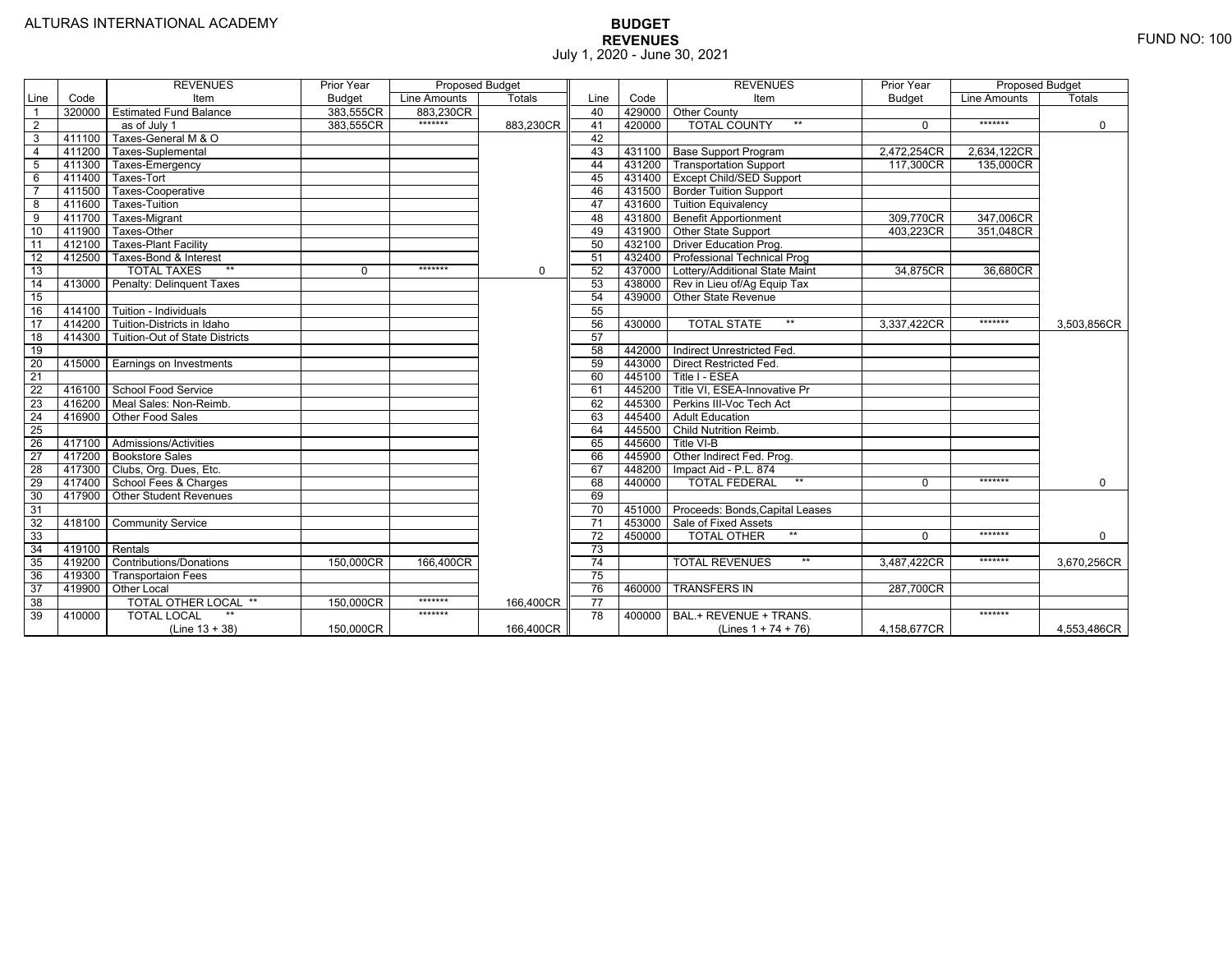|                 |        | <b>REVENUES</b>                       | Prior Year    | <b>Proposed Budget</b> |               |                 |        | <b>REVENUES</b>                        | Prior Year    | <b>Proposed Budget</b> |             |
|-----------------|--------|---------------------------------------|---------------|------------------------|---------------|-----------------|--------|----------------------------------------|---------------|------------------------|-------------|
| Line            | Code   | Item                                  | <b>Budget</b> | Line Amounts           | <b>Totals</b> | Line            | Code   | Item                                   | <b>Budget</b> | Line Amounts           | Totals      |
| 1               | 320000 | <b>Estimated Fund Balance</b>         | 383,555CR     | 883.230CR              |               | 40              |        | 429000 Other County                    |               |                        |             |
| $\overline{2}$  |        | as of July 1                          | 383.555CR     | *******                | 883.230CR     | 41              | 420000 | <b>TOTAL COUNTY</b><br>$***$           | $\Omega$      | *******                | $\Omega$    |
| 3               | 411100 | Taxes-General M & O                   |               |                        |               | 42              |        |                                        |               |                        |             |
| $\overline{4}$  | 411200 | Taxes-Suplemental                     |               |                        |               | 43              |        | 431100 Base Support Program            | 2,472,254CR   | 2,634,122CR            |             |
| 5               | 411300 | Taxes-Emergency                       |               |                        |               | 44              |        | 431200   Transportation Support        | 117,300CR     | 135,000CR              |             |
| 6               | 411400 | Taxes-Tort                            |               |                        |               | 45              |        | 431400 Except Child/SED Support        |               |                        |             |
|                 | 411500 | Taxes-Cooperative                     |               |                        |               | 46              |        | 431500 Border Tuition Support          |               |                        |             |
| 8               | 411600 | Taxes-Tuition                         |               |                        |               | 47              |        | 431600   Tuition Equivalency           |               |                        |             |
| $\overline{9}$  | 411700 | Taxes-Migrant                         |               |                        |               | 48              |        | 431800 Benefit Apportionment           | 309,770CR     | 347,006CR              |             |
| 10              | 411900 | Taxes-Other                           |               |                        |               | 49              |        | 431900 Other State Support             | 403.223CR     | 351,048CR              |             |
| 11              | 412100 | <b>Taxes-Plant Facility</b>           |               |                        |               | 50              |        | 432100 Driver Education Prog.          |               |                        |             |
| 12              | 412500 | Taxes-Bond & Interest                 |               |                        |               | 51              |        | 432400   Professional Technical Prog   |               |                        |             |
| 13              |        | <b>TOTAL TAXES</b><br>$**$            | $\Omega$      | *******                | $\mathbf 0$   | 52              | 437000 | Lottery/Additional State Maint         | 34,875CR      | 36,680CR               |             |
| 14              | 413000 | Penalty: Delinguent Taxes             |               |                        |               | 53              |        | 438000 Rev in Lieu of/Ag Equip Tax     |               |                        |             |
| 15              |        |                                       |               |                        |               | 54              | 439000 | <b>Other State Revenue</b>             |               |                        |             |
| 16              | 414100 | Tuition - Individuals                 |               |                        |               | 55              |        |                                        |               |                        |             |
| 17              | 414200 | Tuition-Districts in Idaho            |               |                        |               | 56              | 430000 | $***$<br><b>TOTAL STATE</b>            | 3,337,422CR   | *******                | 3,503,856CR |
| $\overline{18}$ | 414300 | <b>Tuition-Out of State Districts</b> |               |                        |               | 57              |        |                                        |               |                        |             |
| 19              |        |                                       |               |                        |               | 58              |        | 442000   Indirect Unrestricted Fed.    |               |                        |             |
| $\overline{20}$ |        | 415000 Earnings on Investments        |               |                        |               | 59              |        | 443000 Direct Restricted Fed.          |               |                        |             |
| 21              |        |                                       |               |                        |               | 60              | 445100 | Title I - ESEA                         |               |                        |             |
| 22              | 416100 | <b>School Food Service</b>            |               |                        |               | 61              | 445200 | Title VI, ESEA-Innovative Pr           |               |                        |             |
| 23              | 416200 | Meal Sales: Non-Reimb.                |               |                        |               | 62              |        | 445300 Perkins III-Voc Tech Act        |               |                        |             |
| $\overline{24}$ | 416900 | Other Food Sales                      |               |                        |               | 63              | 445400 | <b>Adult Education</b>                 |               |                        |             |
| 25              |        |                                       |               |                        |               | 64              | 445500 | <b>Child Nutrition Reimb.</b>          |               |                        |             |
| 26              | 417100 | Admissions/Activities                 |               |                        |               | 65              | 445600 | Title VI-B                             |               |                        |             |
| 27              | 417200 | <b>Bookstore Sales</b>                |               |                        |               | 66              | 445900 | Other Indirect Fed. Prog.              |               |                        |             |
| $\overline{28}$ | 417300 | Clubs, Org. Dues, Etc.                |               |                        |               | 67              | 448200 | Impact Aid - P.L. 874                  |               |                        |             |
| 29              | 417400 | School Fees & Charges                 |               |                        |               | 68              | 440000 | $\star\star$<br><b>TOTAL FEDERAL</b>   | $\Omega$      | *******                | $\mathbf 0$ |
| 30              | 417900 | <b>Other Student Revenues</b>         |               |                        |               | 69              |        |                                        |               |                        |             |
| 31              |        |                                       |               |                        |               | $\overline{70}$ |        | 451000 Proceeds: Bonds, Capital Leases |               |                        |             |
| 32              | 418100 | <b>Community Service</b>              |               |                        |               | $\overline{71}$ |        | 453000 Sale of Fixed Assets            |               |                        |             |
| 33              |        |                                       |               |                        |               | 72              | 450000 | <b>TOTAL OTHER</b><br>$***$            | $\Omega$      | *******                | $\mathbf 0$ |
| 34              | 419100 | Rentals                               |               |                        |               | 73              |        |                                        |               |                        |             |
| 35              | 419200 | <b>Contributions/Donations</b>        | 150,000CR     | 166,400CR              |               | 74              |        | <b>TOTAL REVENUES</b>                  | 3,487,422CR   | *******                | 3,670,256CR |
| 36              | 419300 | <b>Transportaion Fees</b>             |               |                        |               | 75              |        |                                        |               |                        |             |
| 37              | 419900 | <b>Other Local</b>                    |               |                        |               | 76              | 460000 | <b>TRANSFERS IN</b>                    | 287,700CR     |                        |             |
| 38              |        | TOTAL OTHER LOCAL **                  | 150,000CR     | *******                | 166,400CR     | $\overline{77}$ |        |                                        |               |                        |             |
| 39              | 410000 | <b>TOTAL LOCAL</b>                    |               | *******                |               | 78              | 400000 | BAL.+ REVENUE + TRANS.                 |               | *******                |             |
|                 |        | $(Line 13 + 38)$                      | 150,000CR     |                        | 166,400CR     |                 |        | (Lines $1 + 74 + 76$ )                 | 4.158.677CR   |                        | 4.553.486CR |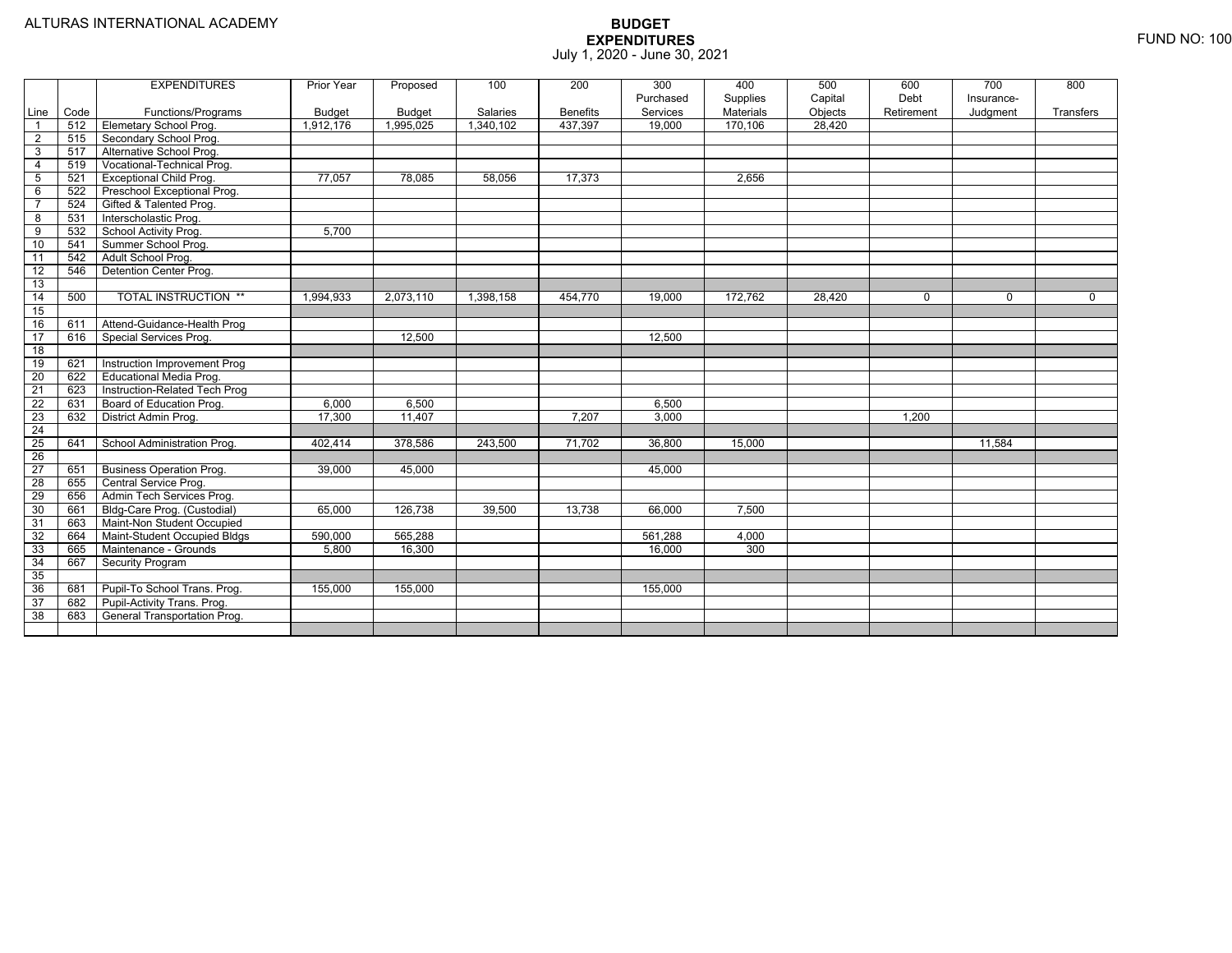|                 |      | <b>EXPENDITURES</b>             | Prior Year    | Proposed      | 100       | 200             | 300       | 400       | 500     | 600        | 700         | 800         |
|-----------------|------|---------------------------------|---------------|---------------|-----------|-----------------|-----------|-----------|---------|------------|-------------|-------------|
|                 |      |                                 |               |               |           |                 | Purchased | Supplies  | Capital | Debt       | Insurance-  |             |
| Line            | Code | Functions/Programs              | <b>Budget</b> | <b>Budget</b> | Salaries  | <b>Benefits</b> | Services  | Materials | Objects | Retirement | Judgment    | Transfers   |
| $\overline{1}$  | 512  | Elemetary School Prog.          | 1,912,176     | 1,995,025     | 1,340,102 | 437,397         | 19,000    | 170,106   | 28.420  |            |             |             |
| $\overline{2}$  | 515  | Secondary School Prog.          |               |               |           |                 |           |           |         |            |             |             |
| 3               | 517  | Alternative School Prog.        |               |               |           |                 |           |           |         |            |             |             |
| $\overline{4}$  | 519  | Vocational-Technical Prog.      |               |               |           |                 |           |           |         |            |             |             |
| $\overline{5}$  | 521  | Exceptional Child Prog.         | 77,057        | 78,085        | 58,056    | 17,373          |           | 2,656     |         |            |             |             |
| 6               | 522  | Preschool Exceptional Prog.     |               |               |           |                 |           |           |         |            |             |             |
| $\overline{7}$  | 524  | Gifted & Talented Prog.         |               |               |           |                 |           |           |         |            |             |             |
| 8               | 531  | Interscholastic Prog.           |               |               |           |                 |           |           |         |            |             |             |
| 9               | 532  | School Activity Prog.           | 5.700         |               |           |                 |           |           |         |            |             |             |
| 10              | 541  | Summer School Prog.             |               |               |           |                 |           |           |         |            |             |             |
| 11              | 542  | Adult School Prog.              |               |               |           |                 |           |           |         |            |             |             |
| 12              | 546  | Detention Center Prog.          |               |               |           |                 |           |           |         |            |             |             |
| 13              |      |                                 |               |               |           |                 |           |           |         |            |             |             |
| 14              | 500  | <b>TOTAL INSTRUCTION **</b>     | 1,994,933     | 2,073,110     | 1,398,158 | 454,770         | 19,000    | 172,762   | 28,420  | $\Omega$   | $\mathbf 0$ | $\mathbf 0$ |
| 15              |      |                                 |               |               |           |                 |           |           |         |            |             |             |
| 16              | 611  | Attend-Guidance-Health Prog     |               |               |           |                 |           |           |         |            |             |             |
| 17              | 616  | Special Services Prog.          |               | 12,500        |           |                 | 12,500    |           |         |            |             |             |
| $\overline{18}$ |      |                                 |               |               |           |                 |           |           |         |            |             |             |
| 19              | 621  | Instruction Improvement Prog    |               |               |           |                 |           |           |         |            |             |             |
| $\overline{20}$ | 622  | <b>Educational Media Prog</b>   |               |               |           |                 |           |           |         |            |             |             |
| $\overline{21}$ | 623  | Instruction-Related Tech Prog   |               |               |           |                 |           |           |         |            |             |             |
| 22              | 631  | Board of Education Prog.        | 6,000         | 6,500         |           |                 | 6,500     |           |         |            |             |             |
| $\overline{23}$ | 632  | District Admin Prog.            | 17,300        | 11,407        |           | 7,207           | 3,000     |           |         | 1,200      |             |             |
| 24              |      |                                 |               |               |           |                 |           |           |         |            |             |             |
| 25              | 641  | School Administration Prog.     | 402,414       | 378,586       | 243,500   | 71,702          | 36,800    | 15,000    |         |            | 11,584      |             |
| 26              |      |                                 |               |               |           |                 |           |           |         |            |             |             |
| 27              | 651  | <b>Business Operation Prog.</b> | 39,000        | 45,000        |           |                 | 45,000    |           |         |            |             |             |
| 28              | 655  | Central Service Prog.           |               |               |           |                 |           |           |         |            |             |             |
| 29              | 656  | Admin Tech Services Prog.       |               |               |           |                 |           |           |         |            |             |             |
| 30              | 661  | Bldg-Care Prog. (Custodial)     | 65,000        | 126,738       | 39.500    | 13,738          | 66,000    | 7.500     |         |            |             |             |
| 31              | 663  | Maint-Non Student Occupied      |               |               |           |                 |           |           |         |            |             |             |
| 32              | 664  | Maint-Student Occupied Bldgs    | 590.000       | 565.288       |           |                 | 561.288   | 4,000     |         |            |             |             |
| 33              | 665  | Maintenance - Grounds           | 5,800         | 16,300        |           |                 | 16,000    | 300       |         |            |             |             |
| 34              | 667  | Security Program                |               |               |           |                 |           |           |         |            |             |             |
| 35              |      |                                 |               |               |           |                 |           |           |         |            |             |             |
| 36              | 681  | Pupil-To School Trans. Prog.    | 155,000       | 155,000       |           |                 | 155,000   |           |         |            |             |             |
| $\overline{37}$ | 682  | Pupil-Activity Trans. Prog.     |               |               |           |                 |           |           |         |            |             |             |
| 38              | 683  | General Transportation Prog.    |               |               |           |                 |           |           |         |            |             |             |
|                 |      |                                 |               |               |           |                 |           |           |         |            |             |             |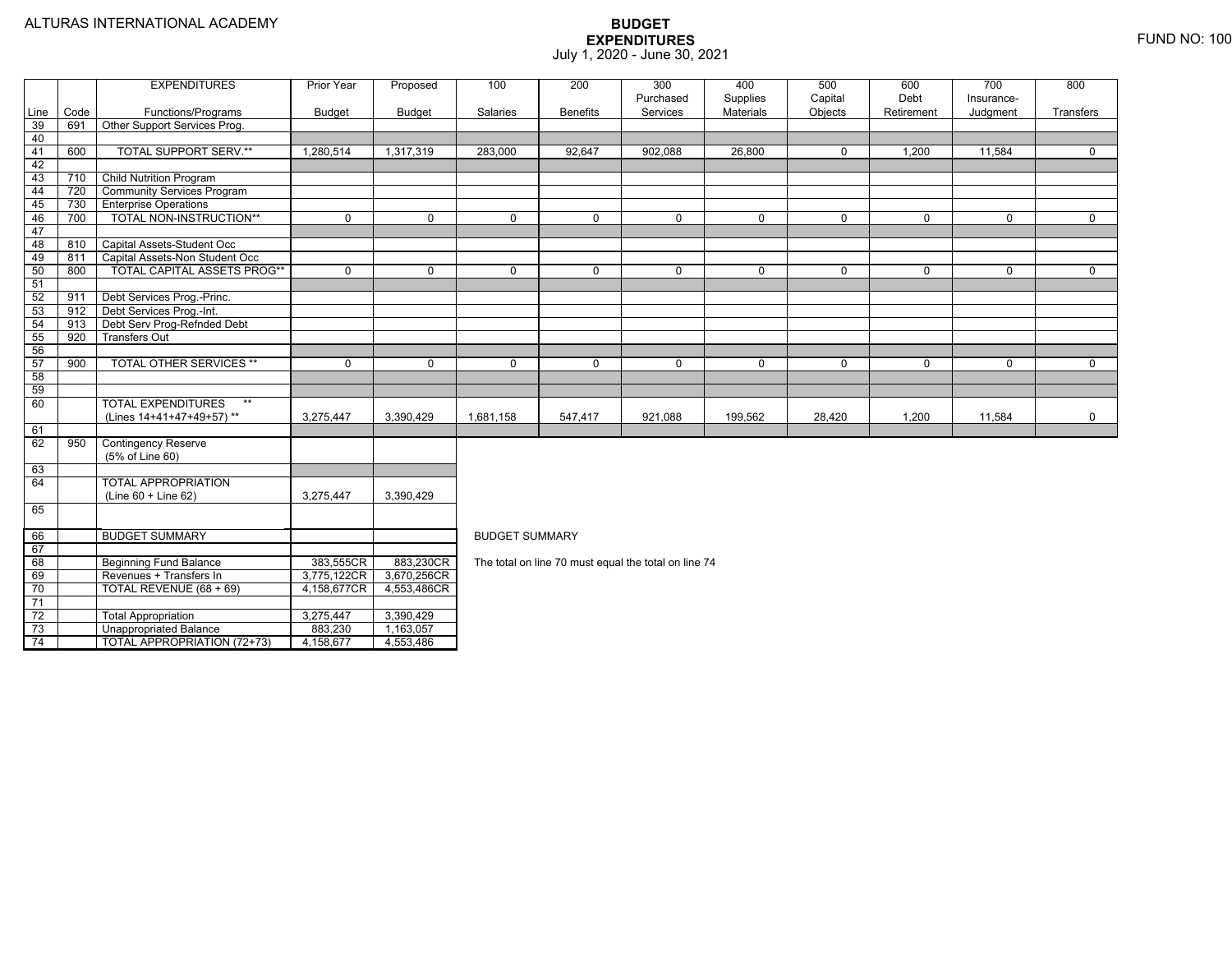TOTAL APPROPRIATION (72+73) 4,158,677 4,553,486

|      |      | <b>EXPENDITURES</b>               | Prior Year    | Proposed    | 100                   | 200             | 300                                                  | 400         | 500         | 600         | 700         | 800         |  |  |
|------|------|-----------------------------------|---------------|-------------|-----------------------|-----------------|------------------------------------------------------|-------------|-------------|-------------|-------------|-------------|--|--|
|      |      |                                   |               |             |                       |                 | Purchased                                            | Supplies    | Capital     | Debt        | Insurance-  |             |  |  |
| Line | Code | Functions/Programs                | <b>Budget</b> | Budget      | Salaries              | <b>Benefits</b> | Services                                             | Materials   | Objects     | Retirement  | Judgment    | Transfers   |  |  |
| 39   | 691  | Other Support Services Prog.      |               |             |                       |                 |                                                      |             |             |             |             |             |  |  |
| 40   |      |                                   |               |             |                       |                 |                                                      |             |             |             |             |             |  |  |
| 41   | 600  | <b>TOTAL SUPPORT SERV.**</b>      | 1,280,514     | 1,317,319   | 283,000               | 92,647          | 902,088                                              | 26,800      | $\mathbf 0$ | 1,200       | 11,584      | $\Omega$    |  |  |
| 42   |      |                                   |               |             |                       |                 |                                                      |             |             |             |             |             |  |  |
| 43   | 710  | <b>Child Nutrition Program</b>    |               |             |                       |                 |                                                      |             |             |             |             |             |  |  |
| 44   | 720  | <b>Community Services Program</b> |               |             |                       |                 |                                                      |             |             |             |             |             |  |  |
| 45   | 730  | <b>Enterprise Operations</b>      |               |             |                       |                 |                                                      |             |             |             |             |             |  |  |
| 46   | 700  | TOTAL NON-INSTRUCTION**           | $\Omega$      | $\Omega$    | $\mathbf 0$           | $\Omega$        | $\mathbf 0$                                          | $\mathbf 0$ | $\mathbf 0$ | $\mathbf 0$ | $\Omega$    | $\mathbf 0$ |  |  |
| 47   |      |                                   |               |             |                       |                 |                                                      |             |             |             |             |             |  |  |
| 48   | 810  | Capital Assets-Student Occ        |               |             |                       |                 |                                                      |             |             |             |             |             |  |  |
| 49   | 811  | Capital Assets-Non Student Occ    |               |             |                       |                 |                                                      |             |             |             |             |             |  |  |
| 50   | 800  | TOTAL CAPITAL ASSETS PROG**       | $\mathbf 0$   | $\mathbf 0$ | $\mathbf 0$           | $\mathbf 0$     | $\mathbf 0$                                          | 0           | $\mathbf 0$ | $\mathbf 0$ | 0           | $\mathbf 0$ |  |  |
| 51   |      |                                   |               |             |                       |                 |                                                      |             |             |             |             |             |  |  |
| 52   | 911  | Debt Services Prog.-Princ.        |               |             |                       |                 |                                                      |             |             |             |             |             |  |  |
| 53   | 912  | Debt Services Prog.-Int.          |               |             |                       |                 |                                                      |             |             |             |             |             |  |  |
| 54   | 913  | Debt Serv Prog-Refnded Debt       |               |             |                       |                 |                                                      |             |             |             |             |             |  |  |
| 55   | 920  | <b>Transfers Out</b>              |               |             |                       |                 |                                                      |             |             |             |             |             |  |  |
| 56   |      |                                   |               |             |                       |                 |                                                      |             |             |             |             |             |  |  |
| 57   | 900  | TOTAL OTHER SERVICES **           | $\mathbf 0$   | $\mathbf 0$ | $\mathbf 0$           | $\mathbf 0$     | $\mathbf 0$                                          | $\mathbf 0$ | $\mathbf 0$ | $\mathbf 0$ | $\mathbf 0$ | $\mathbf 0$ |  |  |
| 58   |      |                                   |               |             |                       |                 |                                                      |             |             |             |             |             |  |  |
| 59   |      |                                   |               |             |                       |                 |                                                      |             |             |             |             |             |  |  |
| 60   |      | <b>TOTAL EXPENDITURES</b><br>$**$ |               |             |                       |                 |                                                      |             |             |             |             |             |  |  |
|      |      | (Lines 14+41+47+49+57)**          | 3,275,447     | 3,390,429   | 1,681,158             | 547,417         | 921,088                                              | 199,562     | 28,420      | 1,200       | 11,584      | $\mathbf 0$ |  |  |
| 61   |      |                                   |               |             |                       |                 |                                                      |             |             |             |             |             |  |  |
| 62   | 950  | <b>Contingency Reserve</b>        |               |             |                       |                 |                                                      |             |             |             |             |             |  |  |
|      |      | (5% of Line 60)                   |               |             |                       |                 |                                                      |             |             |             |             |             |  |  |
| 63   |      |                                   |               |             |                       |                 |                                                      |             |             |             |             |             |  |  |
| 64   |      | TOTAL APPROPRIATION               |               |             |                       |                 |                                                      |             |             |             |             |             |  |  |
|      |      | $(Line 60 + Line 62)$             | 3,275,447     | 3,390,429   |                       |                 |                                                      |             |             |             |             |             |  |  |
| 65   |      |                                   |               |             |                       |                 |                                                      |             |             |             |             |             |  |  |
| 66   |      | <b>BUDGET SUMMARY</b>             |               |             | <b>BUDGET SUMMARY</b> |                 |                                                      |             |             |             |             |             |  |  |
| 67   |      |                                   |               |             |                       |                 |                                                      |             |             |             |             |             |  |  |
| 68   |      | <b>Beginning Fund Balance</b>     | 383,555CR     | 883,230CR   |                       |                 | The total on line 70 must equal the total on line 74 |             |             |             |             |             |  |  |
| 69   |      | Revenues + Transfers In           | 3,775,122CR   | 3,670,256CR |                       |                 |                                                      |             |             |             |             |             |  |  |
| 70   |      | TOTAL REVENUE (68 + 69)           | 4,158,677CR   | 4,553,486CR |                       |                 |                                                      |             |             |             |             |             |  |  |
| 71   |      |                                   |               |             |                       |                 |                                                      |             |             |             |             |             |  |  |
| 72   |      | <b>Total Appropriation</b>        | 3,275,447     | 3,390,429   |                       |                 |                                                      |             |             |             |             |             |  |  |
| 73   |      | <b>Unappropriated Balance</b>     | 883,230       | 1,163,057   |                       |                 |                                                      |             |             |             |             |             |  |  |
| 71   |      | TOTAL ADDDODDIATION (72+73)       | 458677        | 1552196     |                       |                 |                                                      |             |             |             |             |             |  |  |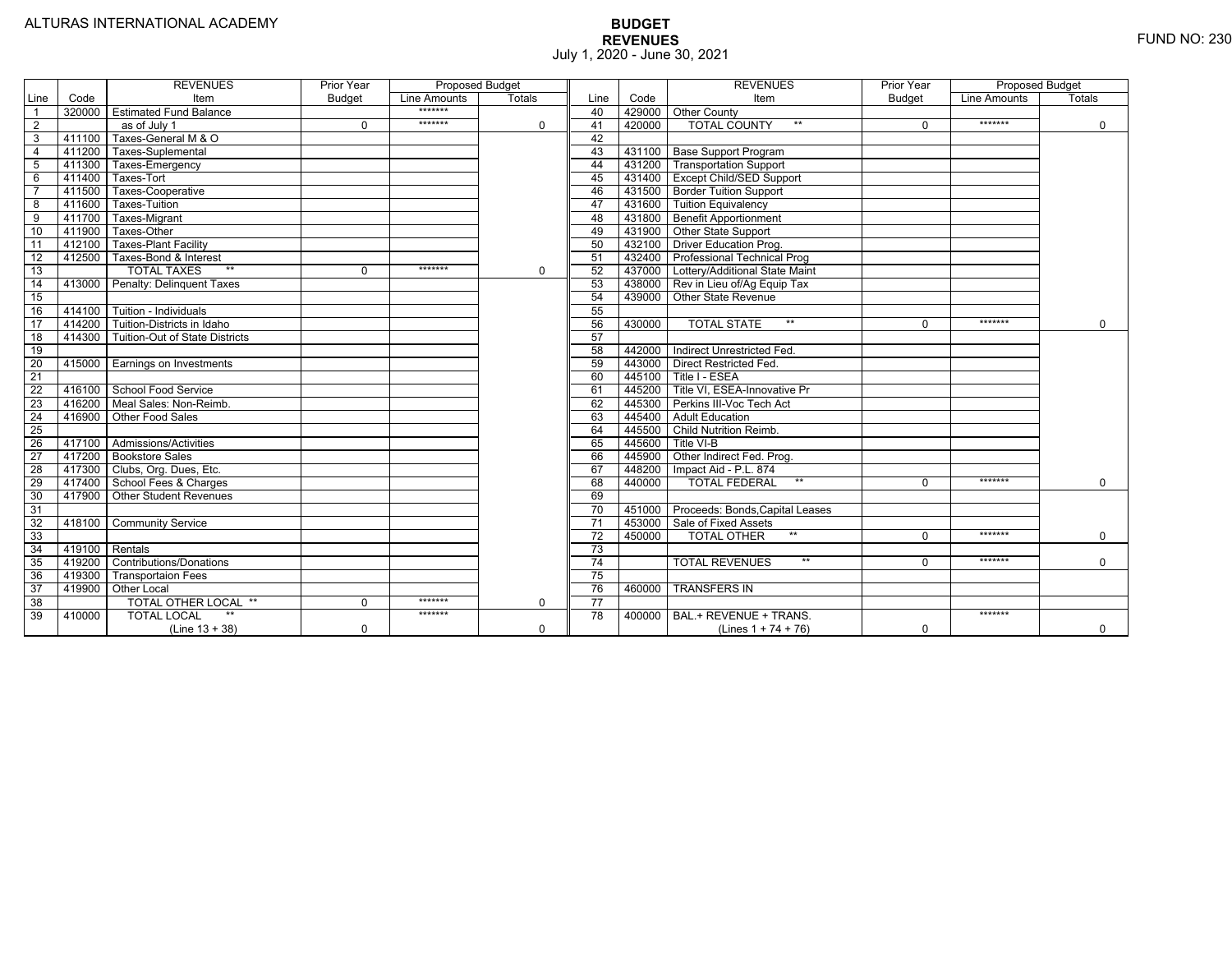|                 |        | <b>REVENUES</b>                   | Prior Year    | <b>Proposed Budget</b> |               |                 |        | <b>REVENUES</b>                    | Prior Year    | <b>Proposed Budget</b> |               |
|-----------------|--------|-----------------------------------|---------------|------------------------|---------------|-----------------|--------|------------------------------------|---------------|------------------------|---------------|
| Line            | Code   | Item                              | <b>Budget</b> | Line Amounts           | <b>Totals</b> | Line            | Code   | Item                               | <b>Budget</b> | Line Amounts           | <b>Totals</b> |
|                 | 320000 | <b>Estimated Fund Balance</b>     |               | *******                |               | 40              |        | 429000 Other County                |               |                        |               |
| 2               |        | as of July 1                      | $\Omega$      | *******                | 0             | 41              | 420000 | <b>TOTAL COUNTY</b>                | $\Omega$      | *******                | 0             |
| 3               | 411100 | Taxes-General M & O               |               |                        |               | 42              |        |                                    |               |                        |               |
| $\overline{4}$  | 411200 | Taxes-Suplemental                 |               |                        |               | 43              |        | 431100 Base Support Program        |               |                        |               |
| 5               | 411300 | Taxes-Emergency                   |               |                        |               | 44              |        | 431200 Transportation Support      |               |                        |               |
| 6               | 411400 | Taxes-Tort                        |               |                        |               | 45              |        | 431400 Except Child/SED Support    |               |                        |               |
|                 | 411500 | Taxes-Cooperative                 |               |                        |               | 46              |        | 431500   Border Tuition Support    |               |                        |               |
| 8               | 411600 | Taxes-Tuition                     |               |                        |               | 47              |        | 431600 Tuition Equivalency         |               |                        |               |
| $\overline{9}$  | 411700 | Taxes-Migrant                     |               |                        |               | 48              |        | 431800 Benefit Apportionment       |               |                        |               |
| 10              | 411900 | Taxes-Other                       |               |                        |               | 49              | 431900 | Other State Support                |               |                        |               |
| 11              | 412100 | <b>Taxes-Plant Facility</b>       |               |                        |               | 50              | 432100 | Driver Education Prog.             |               |                        |               |
| $\overline{12}$ | 412500 | Taxes-Bond & Interest             |               |                        |               | 51              | 432400 | <b>Professional Technical Prog</b> |               |                        |               |
| 13              |        | $**$<br><b>TOTAL TAXES</b>        | 0             | *******                | 0             | 52              | 437000 | Lottery/Additional State Maint     |               |                        |               |
| 14              | 413000 | Penalty: Delinguent Taxes         |               |                        |               | 53              | 438000 | Rev in Lieu of/Ag Equip Tax        |               |                        |               |
| 15              |        |                                   |               |                        |               | 54              | 439000 | Other State Revenue                |               |                        |               |
| 16              | 414100 | Tuition - Individuals             |               |                        |               | 55              |        |                                    |               |                        |               |
| $\overline{17}$ |        | 414200 Tuition-Districts in Idaho |               |                        |               | 56              | 430000 | $**$<br><b>TOTAL STATE</b>         | $\Omega$      | *******                | $\Omega$      |
| 18              | 414300 | Tuition-Out of State Districts    |               |                        |               | 57              |        |                                    |               |                        |               |
| 19              |        |                                   |               |                        |               | 58              | 442000 | Indirect Unrestricted Fed.         |               |                        |               |
| 20              | 415000 | <b>Earnings on Investments</b>    |               |                        |               | 59              | 443000 | <b>Direct Restricted Fed.</b>      |               |                        |               |
| $\overline{21}$ |        |                                   |               |                        |               | 60              | 445100 | Title I - ESEA                     |               |                        |               |
| 22              | 416100 | School Food Service               |               |                        |               | 61              | 445200 | Title VI, ESEA-Innovative Pr       |               |                        |               |
| 23              | 416200 | Meal Sales: Non-Reimb.            |               |                        |               | 62              | 445300 | Perkins III-Voc Tech Act           |               |                        |               |
| $\overline{24}$ | 416900 | Other Food Sales                  |               |                        |               | 63              | 445400 | <b>Adult Education</b>             |               |                        |               |
| 25              |        |                                   |               |                        |               | 64              | 445500 | <b>Child Nutrition Reimb.</b>      |               |                        |               |
| 26              |        | 417100 Admissions/Activities      |               |                        |               | 65              | 445600 | Title VI-B                         |               |                        |               |
| $\overline{27}$ | 417200 | <b>Bookstore Sales</b>            |               |                        |               | 66              | 445900 | Other Indirect Fed. Prog.          |               |                        |               |
| $\overline{28}$ | 417300 | Clubs, Org. Dues, Etc.            |               |                        |               | 67              | 448200 | Impact Aid - P.L. 874              |               |                        |               |
| 29              | 417400 | School Fees & Charges             |               |                        |               | 68              | 440000 | $**$<br><b>TOTAL FEDERAL</b>       | $\Omega$      | *******                | 0             |
| 30              | 417900 | Other Student Revenues            |               |                        |               | 69              |        |                                    |               |                        |               |
| 31              |        |                                   |               |                        |               | 70              | 451000 | Proceeds: Bonds, Capital Leases    |               |                        |               |
| $\overline{32}$ | 418100 | <b>Community Service</b>          |               |                        |               | $\overline{71}$ | 453000 | Sale of Fixed Assets               |               |                        |               |
| 33              |        |                                   |               |                        |               | $\overline{72}$ | 450000 | <b>TOTAL OTHER</b><br>$***$        | $\Omega$      | *******                | 0             |
| 34              | 419100 | Rentals                           |               |                        |               | 73              |        |                                    |               |                        |               |
| 35              | 419200 | Contributions/Donations           |               |                        |               | 74              |        | <b>TOTAL REVENUES</b><br>$***$     | U             | *******                | $\Omega$      |
| 36              | 419300 | <b>Transportaion Fees</b>         |               |                        |               | 75              |        |                                    |               |                        |               |
| 37              | 419900 | <b>Other Local</b>                |               |                        |               | 76              | 460000 | <b>TRANSFERS IN</b>                |               |                        |               |
| $\overline{38}$ |        | <b>TOTAL OTHER LOCAL **</b>       | $\Omega$      | *******                | 0             | $\overline{77}$ |        |                                    |               |                        |               |
| 39              | 410000 | <b>TOTAL LOCAL</b>                |               | *******                |               | $\overline{78}$ | 400000 | BAL.+ REVENUE + TRANS.             |               | *******                |               |
|                 |        | $(Line 13 + 38)$                  | $\Omega$      |                        | 0             |                 |        | (Lines $1 + 74 + 76$ )             | $\Omega$      |                        | 0             |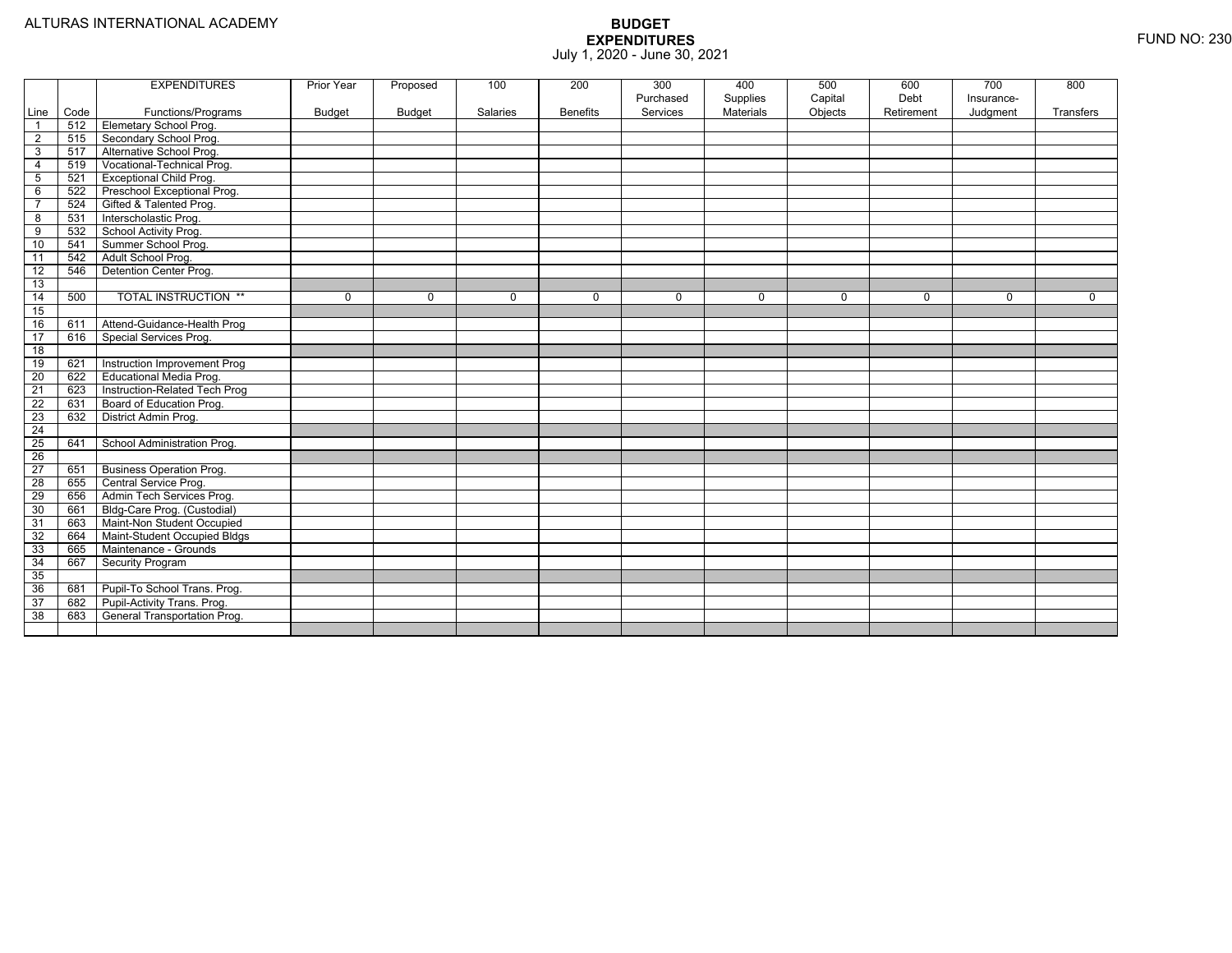|                        |             | <b>EXPENDITURES</b>                                 | Prior Year    | Proposed      | 100      | 200             | 300                   | 400                          | 500     | 600        | 700        | 800       |
|------------------------|-------------|-----------------------------------------------------|---------------|---------------|----------|-----------------|-----------------------|------------------------------|---------|------------|------------|-----------|
|                        |             |                                                     |               |               |          |                 | Purchased<br>Services | Supplies<br><b>Materials</b> | Capital | Debt       | Insurance- |           |
| Line<br>$\overline{1}$ | Code<br>512 | Functions/Programs<br><b>Elemetary School Prog.</b> | <b>Budget</b> | <b>Budget</b> | Salaries | <b>Benefits</b> |                       |                              | Objects | Retirement | Judgment   | Transfers |
|                        | 515         |                                                     |               |               |          |                 |                       |                              |         |            |            |           |
| $\overline{2}$         |             | Secondary School Prog.                              |               |               |          |                 |                       |                              |         |            |            |           |
| 3                      | 517         | Alternative School Prog.                            |               |               |          |                 |                       |                              |         |            |            |           |
| $\overline{4}$         | 519         | Vocational-Technical Prog.                          |               |               |          |                 |                       |                              |         |            |            |           |
| 5                      | 521         | <b>Exceptional Child Prog.</b>                      |               |               |          |                 |                       |                              |         |            |            |           |
| 6                      | 522         | Preschool Exceptional Prog.                         |               |               |          |                 |                       |                              |         |            |            |           |
| $\overline{7}$         | 524         | Gifted & Talented Prog.                             |               |               |          |                 |                       |                              |         |            |            |           |
| 8                      | 531         | Interscholastic Prog.                               |               |               |          |                 |                       |                              |         |            |            |           |
| 9                      | 532         | School Activity Prog.                               |               |               |          |                 |                       |                              |         |            |            |           |
| 10                     | 541         | Summer School Prog.                                 |               |               |          |                 |                       |                              |         |            |            |           |
| 11                     | 542         | Adult School Prog.                                  |               |               |          |                 |                       |                              |         |            |            |           |
| 12                     | 546         | Detention Center Prog.                              |               |               |          |                 |                       |                              |         |            |            |           |
| 13                     |             |                                                     |               |               |          |                 |                       |                              |         |            |            |           |
| 14                     | 500         | <b>TOTAL INSTRUCTION **</b>                         | 0             | $\Omega$      | $\Omega$ | $\Omega$        | $\Omega$              | 0                            | 0       | $\Omega$   | $\Omega$   | $\Omega$  |
| 15                     |             |                                                     |               |               |          |                 |                       |                              |         |            |            |           |
| 16                     | 611         | Attend-Guidance-Health Prog                         |               |               |          |                 |                       |                              |         |            |            |           |
| 17                     | 616         | <b>Special Services Prog.</b>                       |               |               |          |                 |                       |                              |         |            |            |           |
| $\overline{18}$        |             |                                                     |               |               |          |                 |                       |                              |         |            |            |           |
| 19                     | 621         | Instruction Improvement Prog                        |               |               |          |                 |                       |                              |         |            |            |           |
| 20                     | 622         | <b>Educational Media Prog.</b>                      |               |               |          |                 |                       |                              |         |            |            |           |
| $\overline{21}$        | 623         | Instruction-Related Tech Prog                       |               |               |          |                 |                       |                              |         |            |            |           |
| 22                     | 631         | Board of Education Prog.                            |               |               |          |                 |                       |                              |         |            |            |           |
| 23                     | 632         | District Admin Prog.                                |               |               |          |                 |                       |                              |         |            |            |           |
| $\overline{24}$        |             |                                                     |               |               |          |                 |                       |                              |         |            |            |           |
| 25                     | 641         | School Administration Prog.                         |               |               |          |                 |                       |                              |         |            |            |           |
| $\overline{26}$        |             |                                                     |               |               |          |                 |                       |                              |         |            |            |           |
| 27                     | 651         | <b>Business Operation Prog.</b>                     |               |               |          |                 |                       |                              |         |            |            |           |
| $\overline{28}$        | 655         | Central Service Prog.                               |               |               |          |                 |                       |                              |         |            |            |           |
| 29                     | 656         | Admin Tech Services Prog.                           |               |               |          |                 |                       |                              |         |            |            |           |
| 30                     | 661         | Bldg-Care Prog. (Custodial)                         |               |               |          |                 |                       |                              |         |            |            |           |
| 31                     | 663         | Maint-Non Student Occupied                          |               |               |          |                 |                       |                              |         |            |            |           |
| 32                     | 664         | Maint-Student Occupied Bldgs                        |               |               |          |                 |                       |                              |         |            |            |           |
| 33                     | 665         | Maintenance - Grounds                               |               |               |          |                 |                       |                              |         |            |            |           |
| 34                     | 667         | Security Program                                    |               |               |          |                 |                       |                              |         |            |            |           |
| 35                     |             |                                                     |               |               |          |                 |                       |                              |         |            |            |           |
| 36                     | 681         | Pupil-To School Trans. Prog.                        |               |               |          |                 |                       |                              |         |            |            |           |
| 37                     | 682         | Pupil-Activity Trans. Prog.                         |               |               |          |                 |                       |                              |         |            |            |           |
| 38                     | 683         | General Transportation Prog.                        |               |               |          |                 |                       |                              |         |            |            |           |
|                        |             |                                                     |               |               |          |                 |                       |                              |         |            |            |           |
|                        |             |                                                     |               |               |          |                 |                       |                              |         |            |            |           |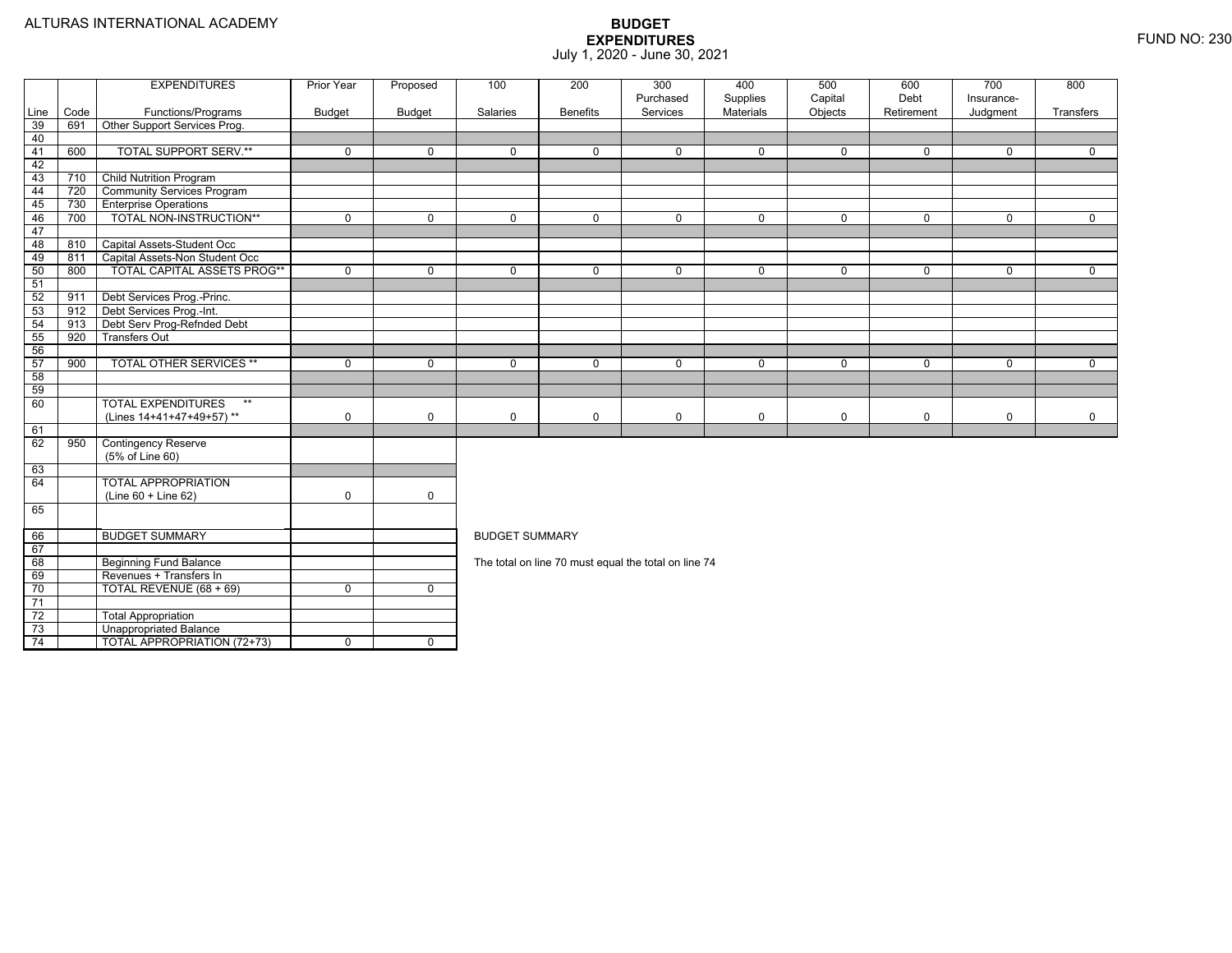|                 |      | <b>EXPENDITURES</b>                | Prior Year     | Proposed       | 100                                                  | 300<br>800<br>200<br>400<br>500<br>600<br>700<br>Purchased<br>Capital<br>Debt<br>Supplies<br>Insurance- |             |             |              |             |             |              |  |  |  |
|-----------------|------|------------------------------------|----------------|----------------|------------------------------------------------------|---------------------------------------------------------------------------------------------------------|-------------|-------------|--------------|-------------|-------------|--------------|--|--|--|
| Line            | Code | Functions/Programs                 | <b>Budget</b>  | <b>Budget</b>  | Salaries                                             | <b>Benefits</b>                                                                                         | Services    | Materials   | Objects      | Retirement  | Judgment    | Transfers    |  |  |  |
| 39              | 691  | Other Support Services Prog.       |                |                |                                                      |                                                                                                         |             |             |              |             |             |              |  |  |  |
| 40              |      |                                    |                |                |                                                      |                                                                                                         |             |             |              |             |             |              |  |  |  |
| 41              | 600  | <b>TOTAL SUPPORT SERV.**</b>       | $\mathbf{0}$   | $\mathbf 0$    | $\Omega$                                             | $\Omega$                                                                                                | $\Omega$    | $\mathbf 0$ | $\mathbf 0$  | $\Omega$    | $\Omega$    | $\Omega$     |  |  |  |
| 42              |      |                                    |                |                |                                                      |                                                                                                         |             |             |              |             |             |              |  |  |  |
| 43              | 710  | <b>Child Nutrition Program</b>     |                |                |                                                      |                                                                                                         |             |             |              |             |             |              |  |  |  |
| 44              | 720  | <b>Community Services Program</b>  |                |                |                                                      |                                                                                                         |             |             |              |             |             |              |  |  |  |
| 45              | 730  | <b>Enterprise Operations</b>       |                |                |                                                      |                                                                                                         |             |             |              |             |             |              |  |  |  |
| 46              | 700  | TOTAL NON-INSTRUCTION**            | $\mathbf{0}$   | $\mathbf 0$    | $\Omega$                                             | $\Omega$                                                                                                | $\Omega$    | $\mathbf 0$ | $\mathbf{0}$ | $\Omega$    | $\Omega$    | $\Omega$     |  |  |  |
| 47              |      |                                    |                |                |                                                      |                                                                                                         |             |             |              |             |             |              |  |  |  |
| 48              | 810  | Capital Assets-Student Occ         |                |                |                                                      |                                                                                                         |             |             |              |             |             |              |  |  |  |
| 49              | 811  | Capital Assets-Non Student Occ     |                |                |                                                      |                                                                                                         |             |             |              |             |             |              |  |  |  |
| 50              | 800  | <b>TOTAL CAPITAL ASSETS PROG**</b> | $\mathbf 0$    | $\mathbf 0$    | $\Omega$                                             | $\mathbf 0$                                                                                             | $\mathbf 0$ | $\mathbf 0$ | $\mathbf 0$  | $\mathbf 0$ | $\mathbf 0$ | $\mathbf 0$  |  |  |  |
| 51              |      |                                    |                |                |                                                      |                                                                                                         |             |             |              |             |             |              |  |  |  |
| 52              | 911  | Debt Services Prog.-Princ.         |                |                |                                                      |                                                                                                         |             |             |              |             |             |              |  |  |  |
| 53              | 912  | Debt Services Prog.-Int.           |                |                |                                                      |                                                                                                         |             |             |              |             |             |              |  |  |  |
| 54              | 913  | Debt Serv Prog-Refnded Debt        |                |                |                                                      |                                                                                                         |             |             |              |             |             |              |  |  |  |
| 55              | 920  | <b>Transfers Out</b>               |                |                |                                                      |                                                                                                         |             |             |              |             |             |              |  |  |  |
| 56              |      |                                    |                |                |                                                      |                                                                                                         |             |             |              |             |             |              |  |  |  |
| 57              | 900  | <b>TOTAL OTHER SERVICES **</b>     | $\mathbf 0$    | $\mathbf 0$    | $\mathbf 0$                                          | $\mathbf 0$                                                                                             | $\mathbf 0$ | $\mathbf 0$ | $\mathbf 0$  | $\mathbf 0$ | $\mathbf 0$ | $\mathbf{0}$ |  |  |  |
| 58              |      |                                    |                |                |                                                      |                                                                                                         |             |             |              |             |             |              |  |  |  |
| 59              |      |                                    |                |                |                                                      |                                                                                                         |             |             |              |             |             |              |  |  |  |
| 60              |      | <b>TOTAL EXPENDITURES</b><br>$**$  |                |                |                                                      |                                                                                                         |             |             |              |             |             |              |  |  |  |
|                 |      | (Lines 14+41+47+49+57)**           | $\mathsf 0$    | 0              | $\Omega$                                             | $\mathbf 0$                                                                                             | $\mathbf 0$ | $\mathsf 0$ | $\mathbf 0$  | $\mathbf 0$ | $\mathbf 0$ | $\mathbf 0$  |  |  |  |
| 61              |      |                                    |                |                |                                                      |                                                                                                         |             |             |              |             |             |              |  |  |  |
| 62              | 950  | <b>Contingency Reserve</b>         |                |                |                                                      |                                                                                                         |             |             |              |             |             |              |  |  |  |
|                 |      | (5% of Line 60)                    |                |                |                                                      |                                                                                                         |             |             |              |             |             |              |  |  |  |
| 63              |      |                                    |                |                |                                                      |                                                                                                         |             |             |              |             |             |              |  |  |  |
| 64              |      | <b>TOTAL APPROPRIATION</b>         |                |                |                                                      |                                                                                                         |             |             |              |             |             |              |  |  |  |
|                 |      | (Line 60 + Line 62)                | $\mathbf 0$    | $\mathbf 0$    |                                                      |                                                                                                         |             |             |              |             |             |              |  |  |  |
| 65              |      |                                    |                |                |                                                      |                                                                                                         |             |             |              |             |             |              |  |  |  |
| 66              |      | <b>BUDGET SUMMARY</b>              |                |                | <b>BUDGET SUMMARY</b>                                |                                                                                                         |             |             |              |             |             |              |  |  |  |
| 67              |      |                                    |                |                |                                                      |                                                                                                         |             |             |              |             |             |              |  |  |  |
| 68              |      | <b>Beginning Fund Balance</b>      |                |                | The total on line 70 must equal the total on line 74 |                                                                                                         |             |             |              |             |             |              |  |  |  |
| 69              |      | Revenues + Transfers In            |                |                |                                                      |                                                                                                         |             |             |              |             |             |              |  |  |  |
| 70              |      | TOTAL REVENUE (68 + 69)            | $\mathbf 0$    | $\mathbf 0$    |                                                      |                                                                                                         |             |             |              |             |             |              |  |  |  |
| $\overline{71}$ |      |                                    |                |                |                                                      |                                                                                                         |             |             |              |             |             |              |  |  |  |
| 72              |      | <b>Total Appropriation</b>         |                |                |                                                      |                                                                                                         |             |             |              |             |             |              |  |  |  |
| 73              |      | <b>Unappropriated Balance</b>      |                |                |                                                      |                                                                                                         |             |             |              |             |             |              |  |  |  |
| 74              |      | <b>TOTAL APPROPRIATION (72+73)</b> | $\overline{0}$ | $\overline{0}$ |                                                      |                                                                                                         |             |             |              |             |             |              |  |  |  |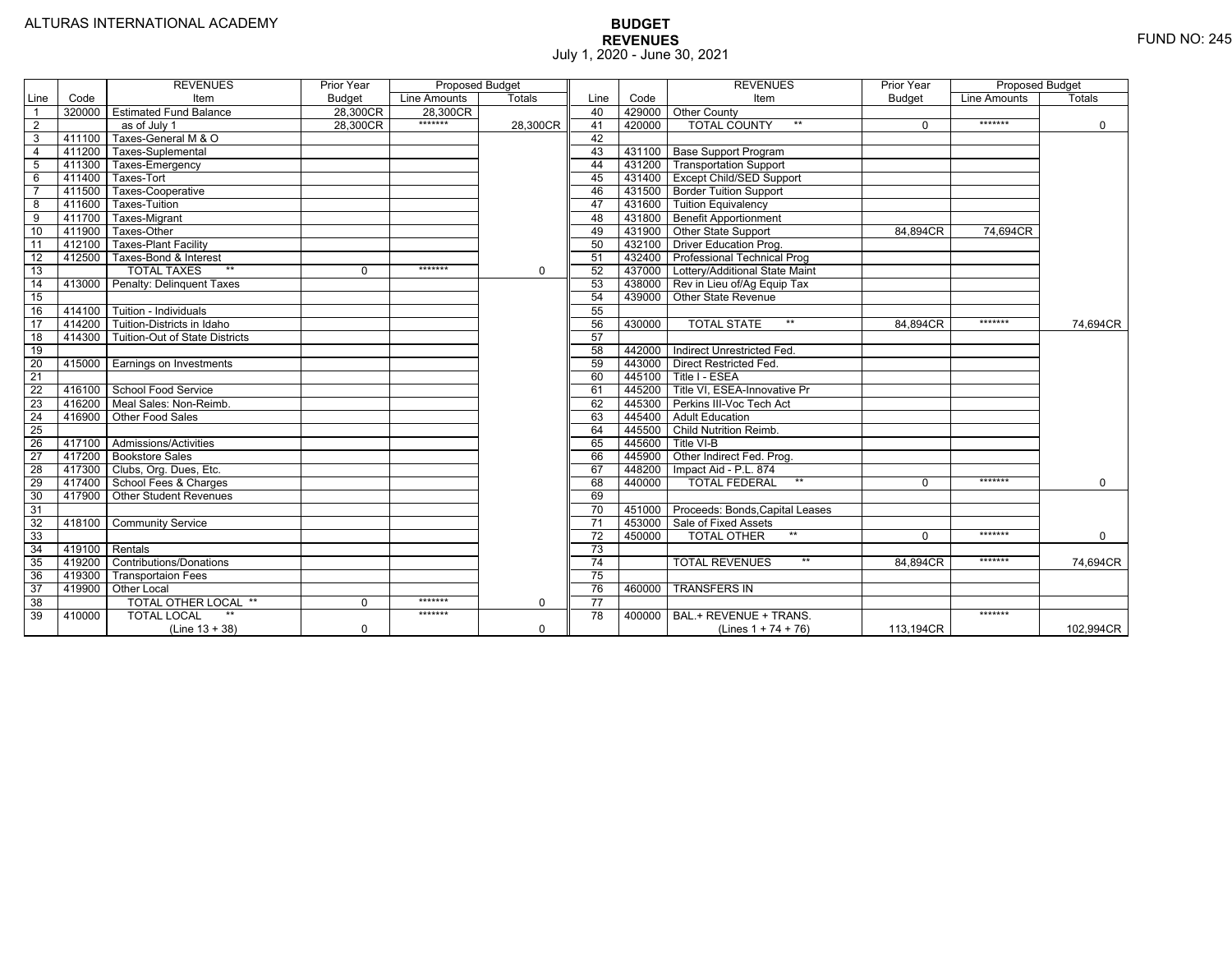|                 |                | <b>REVENUES</b>                   | Prior Year    | Proposed Budget |               |                 |        | <b>REVENUES</b>                        | Prior Year    | <b>Proposed Budget</b> |             |
|-----------------|----------------|-----------------------------------|---------------|-----------------|---------------|-----------------|--------|----------------------------------------|---------------|------------------------|-------------|
| Line            | Code           | Item                              | <b>Budget</b> | Line Amounts    | <b>Totals</b> | Line            | Code   | Item                                   | <b>Budget</b> | Line Amounts           | Totals      |
|                 | 320000         | <b>Estimated Fund Balance</b>     | 28,300CR      | 28,300CR        |               | 40              |        | 429000 Other County                    |               |                        |             |
| $\overline{2}$  |                | as of July 1                      | 28,300CR      | *******         | 28,300CR      | 41              | 420000 | <b>TOTAL COUNTY</b><br>$***$           | $\Omega$      | *******                | $\mathbf 0$ |
| 3               | 411100         | Taxes-General M & O               |               |                 |               | 42              |        |                                        |               |                        |             |
| $\overline{4}$  | 411200         | Taxes-Suplemental                 |               |                 |               | 43              |        | 431100   Base Support Program          |               |                        |             |
| 5               | 411300         | Taxes-Emergency                   |               |                 |               | 44              |        | 431200   Transportation Support        |               |                        |             |
| 6               | 411400         | Taxes-Tort                        |               |                 |               | 45              |        | 431400   Except Child/SED Support      |               |                        |             |
|                 | 411500         | Taxes-Cooperative                 |               |                 |               | 46              |        | 431500 Border Tuition Support          |               |                        |             |
| 8               | 411600         | <b>Taxes-Tuition</b>              |               |                 |               | 47              |        | 431600 Tuition Equivalency             |               |                        |             |
| 9               | 411700         | Taxes-Migrant                     |               |                 |               | 48              |        | 431800 Benefit Apportionment           |               |                        |             |
| 10              | 411900         | Taxes-Other                       |               |                 |               | 49              |        | 431900 Other State Support             | 84.894CR      | 74.694CR               |             |
| 11              | 412100         | <b>Taxes-Plant Facility</b>       |               |                 |               | 50              | 432100 | <b>Driver Education Prog.</b>          |               |                        |             |
| 12              | 412500         | Taxes-Bond & Interest             |               |                 |               | 51              |        | 432400 Professional Technical Prog     |               |                        |             |
| 13              |                | $*$<br><b>TOTAL TAXES</b>         | 0             | *******         | $\mathbf 0$   | 52              |        | 437000 Lottery/Additional State Maint  |               |                        |             |
| 14              | 413000         | Penalty: Delinguent Taxes         |               |                 |               | 53              |        | 438000 Rev in Lieu of/Ag Equip Tax     |               |                        |             |
| 15              |                |                                   |               |                 |               | 54              |        | 439000 Other State Revenue             |               |                        |             |
| 16              |                | 414100 Tuition - Individuals      |               |                 |               | 55              |        |                                        |               |                        |             |
| $\overline{17}$ |                | 414200 Tuition-Districts in Idaho |               |                 |               | 56              | 430000 | $**$<br><b>TOTAL STATE</b>             | 84,894CR      | *******                | 74,694CR    |
| $\overline{18}$ | 414300         | Tuition-Out of State Districts    |               |                 |               | 57              |        |                                        |               |                        |             |
| 19              |                |                                   |               |                 |               | 58              |        | 442000   Indirect Unrestricted Fed.    |               |                        |             |
| 20              |                | 415000 Earnings on Investments    |               |                 |               | 59              |        | 443000 Direct Restricted Fed.          |               |                        |             |
| $\overline{21}$ |                |                                   |               |                 |               | 60              |        | 445100 Title I - ESEA                  |               |                        |             |
| 22              | 416100         | School Food Service               |               |                 |               | 61              | 445200 | Title VI. ESEA-Innovative Pr           |               |                        |             |
| 23              | 416200         | Meal Sales: Non-Reimb.            |               |                 |               | 62              |        | 445300 Perkins III-Voc Tech Act        |               |                        |             |
| 24              | 416900         | Other Food Sales                  |               |                 |               | 63              | 445400 | <b>Adult Education</b>                 |               |                        |             |
| $\overline{25}$ |                |                                   |               |                 |               | 64              | 445500 | <b>Child Nutrition Reimb.</b>          |               |                        |             |
| 26              | 417100         | Admissions/Activities             |               |                 |               | 65              | 445600 | Title VI-B                             |               |                        |             |
| $\overline{27}$ | 417200         | <b>Bookstore Sales</b>            |               |                 |               | 66              | 445900 | Other Indirect Fed. Prog.              |               |                        |             |
| $\overline{28}$ |                | 417300   Clubs, Org. Dues, Etc.   |               |                 |               | 67              | 448200 | Impact Aid - P.L. 874                  |               |                        |             |
| 29              | 417400         | School Fees & Charges             |               |                 |               | 68              | 440000 | $**$<br><b>TOTAL FEDERAL</b>           | $\Omega$      | *******                | $\Omega$    |
| 30              | 417900         | <b>Other Student Revenues</b>     |               |                 |               | 69              |        |                                        |               |                        |             |
| $\overline{31}$ |                |                                   |               |                 |               | $\overline{70}$ |        | 451000 Proceeds: Bonds, Capital Leases |               |                        |             |
| $\overline{32}$ | 418100         | <b>Community Service</b>          |               |                 |               | $\overline{71}$ |        | 453000 Sale of Fixed Assets            |               |                        |             |
| 33              |                |                                   |               |                 |               | $\overline{72}$ | 450000 | $**$<br><b>TOTAL OTHER</b>             | $\Omega$      | *******                | $\mathbf 0$ |
| 34              | 419100 Rentals |                                   |               |                 |               | 73              |        |                                        |               |                        |             |
| 35              | 419200         | <b>Contributions/Donations</b>    |               |                 |               | 74              |        | $**$<br><b>TOTAL REVENUES</b>          | 84.894CR      | *******                | 74,694CR    |
| 36              | 419300         | <b>Transportaion Fees</b>         |               |                 |               | 75              |        |                                        |               |                        |             |
| 37              | 419900         | <b>Other Local</b>                |               |                 |               | 76              | 460000 | <b>TRANSFERS IN</b>                    |               |                        |             |
| 38              |                | TOTAL OTHER LOCAL **              | $\mathbf 0$   | *******         | $\mathbf 0$   | $\overline{77}$ |        |                                        |               |                        |             |
| 39              | 410000         | <b>TOTAL LOCAL</b>                |               | *******         |               | 78              | 400000 | BAL.+ REVENUE + TRANS.                 |               | *******                |             |
|                 |                | $(Line 13 + 38)$                  | 0             |                 | $\Omega$      |                 |        | (Lines $1 + 74 + 76$ )                 | 113.194CR     |                        | 102,994CR   |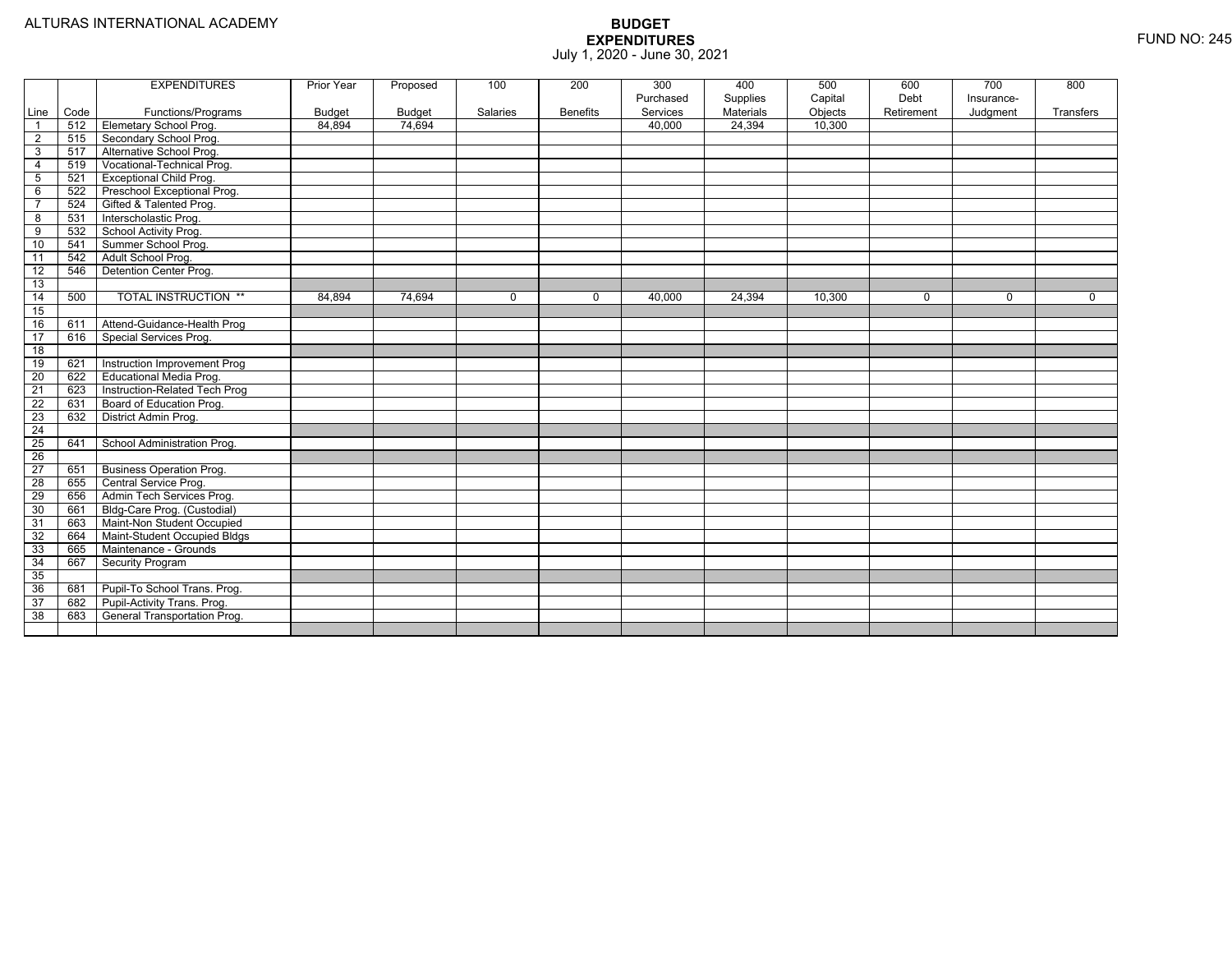| Code<br>Line                   | Functions/Programs              |               |        |          |                 | Purchased | Supplies  | Capital |             |            |             |
|--------------------------------|---------------------------------|---------------|--------|----------|-----------------|-----------|-----------|---------|-------------|------------|-------------|
|                                |                                 |               |        |          |                 |           |           |         | Debt        | Insurance- |             |
|                                |                                 | <b>Budget</b> | Budget | Salaries | <b>Benefits</b> | Services  | Materials | Objects | Retirement  | Judgment   | Transfers   |
| 512<br>$\overline{\mathbf{1}}$ | <b>Elemetary School Prog.</b>   | 84,894        | 74,694 |          |                 | 40,000    | 24,394    | 10,300  |             |            |             |
| $\overline{2}$<br>515          | Secondary School Prog.          |               |        |          |                 |           |           |         |             |            |             |
| 3<br>517                       | Alternative School Prog.        |               |        |          |                 |           |           |         |             |            |             |
| 519<br>4                       | Vocational-Technical Prog.      |               |        |          |                 |           |           |         |             |            |             |
| $5\phantom{.0}$<br>521         | <b>Exceptional Child Prog.</b>  |               |        |          |                 |           |           |         |             |            |             |
| 6<br>522                       | Preschool Exceptional Prog.     |               |        |          |                 |           |           |         |             |            |             |
| $\overline{7}$<br>524          | Gifted & Talented Prog.         |               |        |          |                 |           |           |         |             |            |             |
| 8<br>531                       | Interscholastic Prog.           |               |        |          |                 |           |           |         |             |            |             |
| 9<br>532                       | School Activity Prog.           |               |        |          |                 |           |           |         |             |            |             |
| 10<br>541                      | Summer School Prog.             |               |        |          |                 |           |           |         |             |            |             |
| 11<br>542                      | Adult School Prog.              |               |        |          |                 |           |           |         |             |            |             |
| $\overline{12}$<br>546         | Detention Center Prog.          |               |        |          |                 |           |           |         |             |            |             |
| 13                             |                                 |               |        |          |                 |           |           |         |             |            |             |
| 14<br>500                      | <b>TOTAL INSTRUCTION **</b>     | 84,894        | 74,694 | $\Omega$ | $\mathbf 0$     | 40,000    | 24,394    | 10,300  | $\mathbf 0$ | 0          | $\mathbf 0$ |
| 15                             |                                 |               |        |          |                 |           |           |         |             |            |             |
| 16<br>611                      | Attend-Guidance-Health Prog     |               |        |          |                 |           |           |         |             |            |             |
| 17<br>616                      | Special Services Prog.          |               |        |          |                 |           |           |         |             |            |             |
| 18                             |                                 |               |        |          |                 |           |           |         |             |            |             |
| 19<br>621                      | Instruction Improvement Prog    |               |        |          |                 |           |           |         |             |            |             |
| 20<br>622                      | <b>Educational Media Prog.</b>  |               |        |          |                 |           |           |         |             |            |             |
| $\overline{21}$<br>623         | Instruction-Related Tech Prog   |               |        |          |                 |           |           |         |             |            |             |
| $\overline{22}$<br>631         | Board of Education Prog.        |               |        |          |                 |           |           |         |             |            |             |
| 23<br>632                      | District Admin Prog.            |               |        |          |                 |           |           |         |             |            |             |
| $\overline{24}$                |                                 |               |        |          |                 |           |           |         |             |            |             |
| $\overline{25}$<br>641         | School Administration Prog.     |               |        |          |                 |           |           |         |             |            |             |
| $\overline{26}$                |                                 |               |        |          |                 |           |           |         |             |            |             |
| 27<br>651                      | <b>Business Operation Prog.</b> |               |        |          |                 |           |           |         |             |            |             |
| 28<br>655                      | Central Service Prog.           |               |        |          |                 |           |           |         |             |            |             |
| 29<br>656                      | Admin Tech Services Prog.       |               |        |          |                 |           |           |         |             |            |             |
| 30<br>661                      | Bldg-Care Prog. (Custodial)     |               |        |          |                 |           |           |         |             |            |             |
| 31<br>663                      | Maint-Non Student Occupied      |               |        |          |                 |           |           |         |             |            |             |
| 32<br>664                      | Maint-Student Occupied Bldgs    |               |        |          |                 |           |           |         |             |            |             |
| 33<br>665                      | Maintenance - Grounds           |               |        |          |                 |           |           |         |             |            |             |
| 34<br>667                      | <b>Security Program</b>         |               |        |          |                 |           |           |         |             |            |             |
| 35                             |                                 |               |        |          |                 |           |           |         |             |            |             |
| 36<br>681                      | Pupil-To School Trans. Prog.    |               |        |          |                 |           |           |         |             |            |             |
| 37<br>682                      | Pupil-Activity Trans. Prog.     |               |        |          |                 |           |           |         |             |            |             |
| 38<br>683                      | General Transportation Prog.    |               |        |          |                 |           |           |         |             |            |             |
|                                |                                 |               |        |          |                 |           |           |         |             |            |             |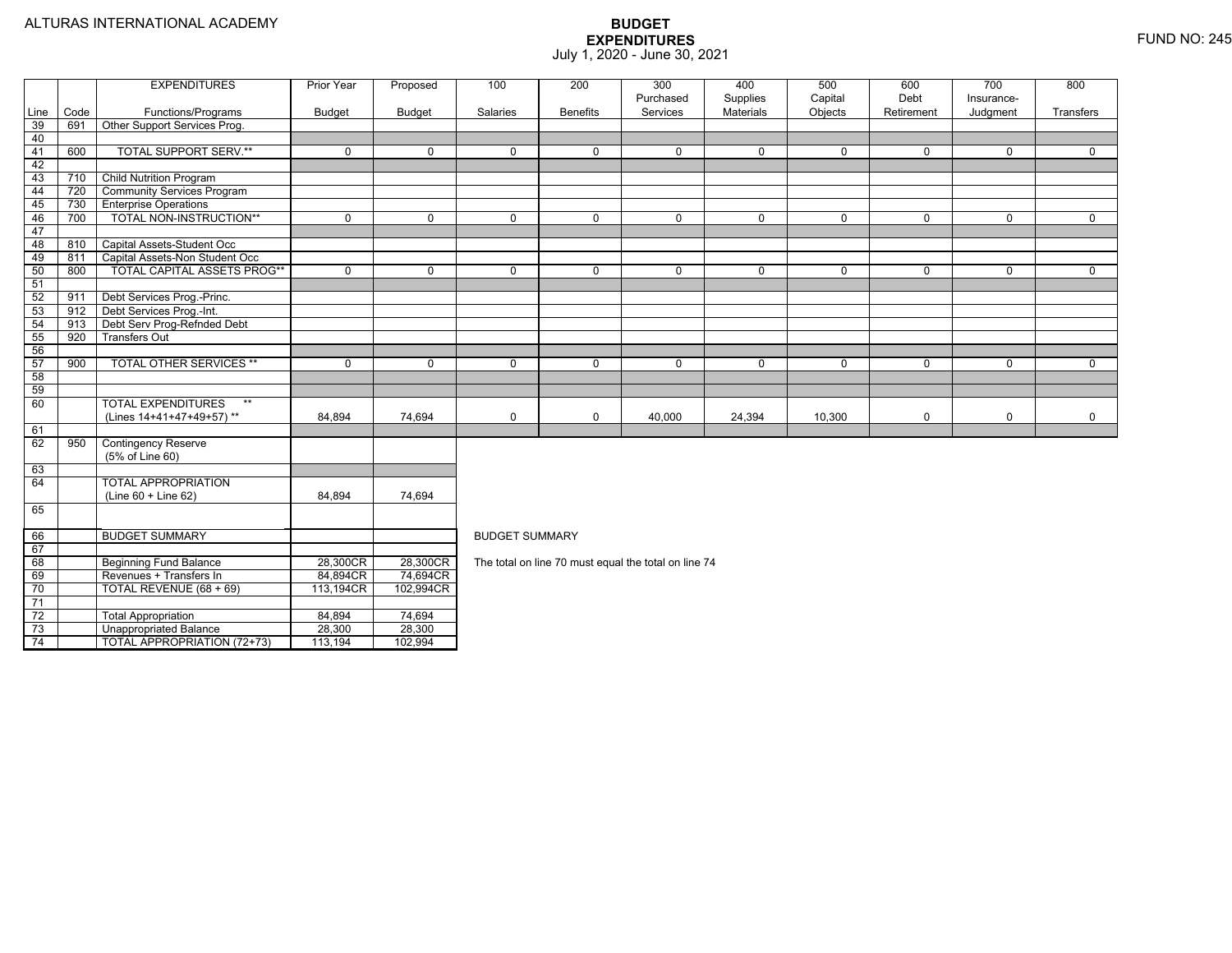TOTAL APPROPRIATION (72+73) 113,194 102,994

|                 |            | <b>EXPENDITURES</b>                                          | Prior Year     | Proposed      | 100                   | 200             | 300                                                  | 400              | 500      | 600         | 700         | 800            |  |  |
|-----------------|------------|--------------------------------------------------------------|----------------|---------------|-----------------------|-----------------|------------------------------------------------------|------------------|----------|-------------|-------------|----------------|--|--|
|                 |            |                                                              |                |               |                       |                 | Purchased                                            | Supplies         | Capital  | Debt        | Insurance-  |                |  |  |
| Line            | Code       | Functions/Programs                                           | <b>Budget</b>  | <b>Budget</b> | Salaries              | <b>Benefits</b> | Services                                             | <b>Materials</b> | Objects  | Retirement  | Judgment    | Transfers      |  |  |
| 39              | 691        | Other Support Services Prog.                                 |                |               |                       |                 |                                                      |                  |          |             |             |                |  |  |
| 40              |            |                                                              |                |               |                       |                 |                                                      |                  |          |             |             |                |  |  |
| 41              | 600        | <b>TOTAL SUPPORT SERV.**</b>                                 | $\Omega$       | $\Omega$      | $\Omega$              | $\Omega$        | $\Omega$                                             | $\mathbf 0$      | $\Omega$ | $\Omega$    | $\Omega$    | $\Omega$       |  |  |
| 42              |            |                                                              |                |               |                       |                 |                                                      |                  |          |             |             |                |  |  |
| 43              | 710        | <b>Child Nutrition Program</b>                               |                |               |                       |                 |                                                      |                  |          |             |             |                |  |  |
| 44              | 720        | <b>Community Services Program</b>                            |                |               |                       |                 |                                                      |                  |          |             |             |                |  |  |
| 45              | 730        | <b>Enterprise Operations</b><br>TOTAL NON-INSTRUCTION**      | $\overline{0}$ | $\Omega$      | $\Omega$              | $\Omega$        | $\Omega$                                             |                  | $\Omega$ | $\Omega$    | $\Omega$    | $\overline{0}$ |  |  |
| 46              | 700        |                                                              |                |               |                       |                 |                                                      | $\mathbf 0$      |          |             |             |                |  |  |
| 47<br>48        |            |                                                              |                |               |                       |                 |                                                      |                  |          |             |             |                |  |  |
| 49              | 810<br>811 | Capital Assets-Student Occ<br>Capital Assets-Non Student Occ |                |               |                       |                 |                                                      |                  |          |             |             |                |  |  |
| 50              | 800        | <b>TOTAL CAPITAL ASSETS PROG**</b>                           | $\Omega$       | $\Omega$      | $\Omega$              | $\Omega$        | $\Omega$                                             | $\mathbf 0$      | $\Omega$ | $\Omega$    | $\Omega$    | $\Omega$       |  |  |
| 51              |            |                                                              |                |               |                       |                 |                                                      |                  |          |             |             |                |  |  |
| 52              | 911        | Debt Services Prog.-Princ.                                   |                |               |                       |                 |                                                      |                  |          |             |             |                |  |  |
| 53              | 912        | Debt Services Prog.-Int.                                     |                |               |                       |                 |                                                      |                  |          |             |             |                |  |  |
| 54              | 913        | Debt Serv Prog-Refnded Debt                                  |                |               |                       |                 |                                                      |                  |          |             |             |                |  |  |
| 55              | 920        | <b>Transfers Out</b>                                         |                |               |                       |                 |                                                      |                  |          |             |             |                |  |  |
| 56              |            |                                                              |                |               |                       |                 |                                                      |                  |          |             |             |                |  |  |
| 57              | 900        | <b>TOTAL OTHER SERVICES **</b>                               | $\Omega$       | $\Omega$      | $\Omega$              | $\Omega$        | $\Omega$                                             | $\mathbf 0$      | $\Omega$ | $\Omega$    | $\Omega$    | $\mathbf 0$    |  |  |
| 58              |            |                                                              |                |               |                       |                 |                                                      |                  |          |             |             |                |  |  |
| 59              |            |                                                              |                |               |                       |                 |                                                      |                  |          |             |             |                |  |  |
| 60              |            | <b>TOTAL EXPENDITURES</b>                                    |                |               |                       |                 |                                                      |                  |          |             |             |                |  |  |
|                 |            | (Lines 14+41+47+49+57)**                                     | 84,894         | 74,694        | $\mathbf 0$           | $\Omega$        | 40,000                                               | 24,394           | 10,300   | $\mathbf 0$ | $\mathbf 0$ | $\mathbf 0$    |  |  |
| 61              |            |                                                              |                |               |                       |                 |                                                      |                  |          |             |             |                |  |  |
| 62              | 950        | <b>Contingency Reserve</b>                                   |                |               |                       |                 |                                                      |                  |          |             |             |                |  |  |
|                 |            | (5% of Line 60)                                              |                |               |                       |                 |                                                      |                  |          |             |             |                |  |  |
| 63              |            |                                                              |                |               |                       |                 |                                                      |                  |          |             |             |                |  |  |
| 64              |            | <b>TOTAL APPROPRIATION</b>                                   |                |               |                       |                 |                                                      |                  |          |             |             |                |  |  |
|                 |            | (Line 60 + Line 62)                                          | 84,894         | 74,694        |                       |                 |                                                      |                  |          |             |             |                |  |  |
| 65              |            |                                                              |                |               |                       |                 |                                                      |                  |          |             |             |                |  |  |
| 66              |            | <b>BUDGET SUMMARY</b>                                        |                |               | <b>BUDGET SUMMARY</b> |                 |                                                      |                  |          |             |             |                |  |  |
| 67              |            |                                                              |                |               |                       |                 |                                                      |                  |          |             |             |                |  |  |
| 68              |            | <b>Beginning Fund Balance</b>                                | 28,300CR       | 28,300CR      |                       |                 | The total on line 70 must equal the total on line 74 |                  |          |             |             |                |  |  |
| 69              |            | Revenues + Transfers In                                      | 84,894CR       | 74,694CR      |                       |                 |                                                      |                  |          |             |             |                |  |  |
| 70              |            | TOTAL REVENUE (68 + 69)                                      | 113,194CR      | 102,994CR     |                       |                 |                                                      |                  |          |             |             |                |  |  |
| 71              |            |                                                              |                |               |                       |                 |                                                      |                  |          |             |             |                |  |  |
| $\overline{72}$ |            | <b>Total Appropriation</b>                                   | 84,894         | 74,694        |                       |                 |                                                      |                  |          |             |             |                |  |  |
| 73              |            | Unappropriated Balance                                       | 28,300         | 28,300        |                       |                 |                                                      |                  |          |             |             |                |  |  |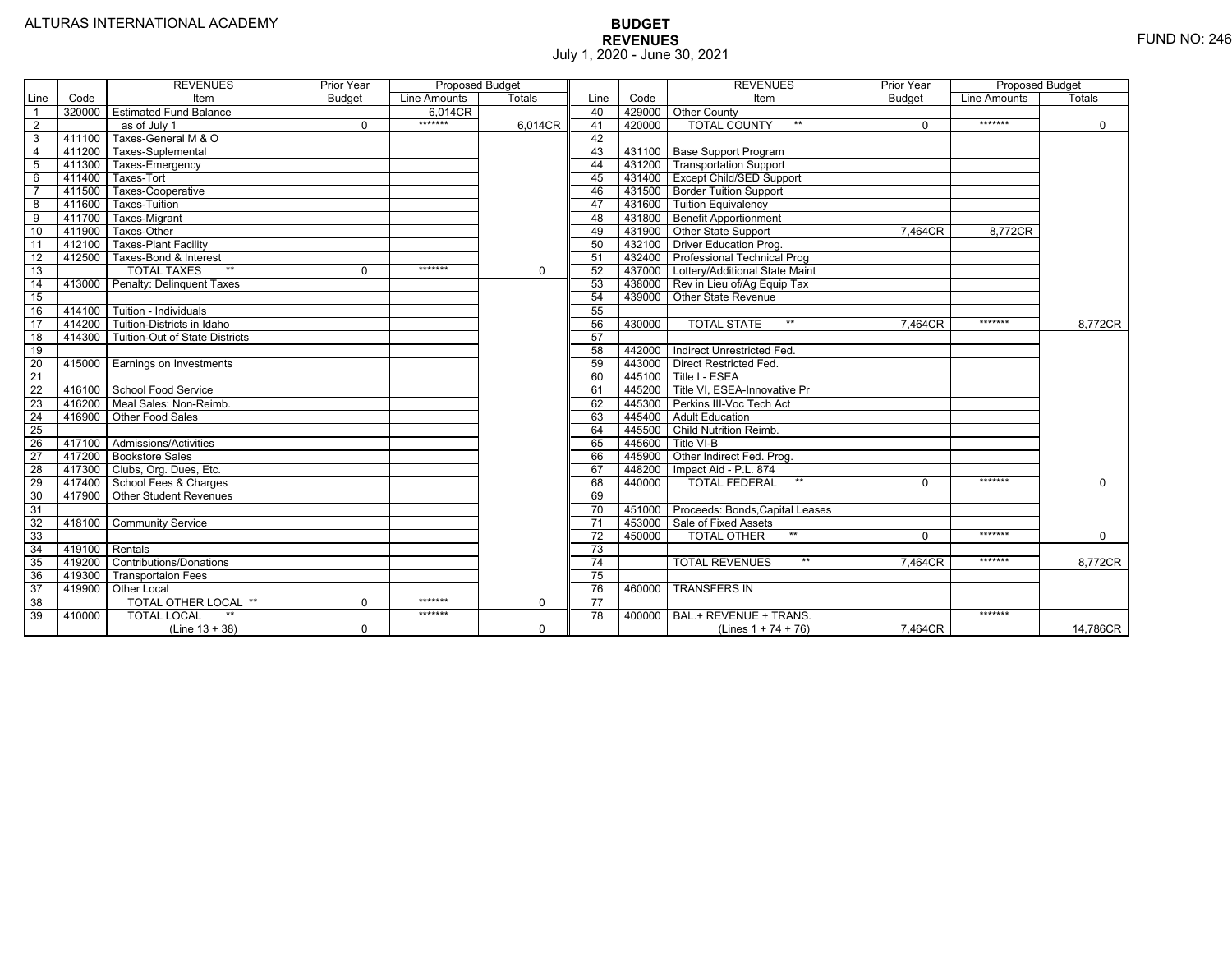|                 |                | <b>REVENUES</b>                   | Prior Year    | Proposed Budget |               |                 |        | <b>REVENUES</b>                        | Prior Year    | Proposed Budget |             |
|-----------------|----------------|-----------------------------------|---------------|-----------------|---------------|-----------------|--------|----------------------------------------|---------------|-----------------|-------------|
| Line            | Code           | Item                              | <b>Budget</b> | Line Amounts    | <b>Totals</b> | Line            | Code   | Item                                   | <b>Budget</b> | Line Amounts    | Totals      |
|                 | 320000         | <b>Estimated Fund Balance</b>     |               | 6.014CR         |               | 40              |        | 429000 Other County                    |               |                 |             |
| $\overline{2}$  |                | as of July 1                      | $\Omega$      | *******         | 6,014CR       | 41              | 420000 | <b>TOTAL COUNTY</b><br>$***$           | $\Omega$      | *******         | $\mathbf 0$ |
| 3               | 411100         | Taxes-General M & O               |               |                 |               | 42              |        |                                        |               |                 |             |
| $\overline{4}$  | 411200         | Taxes-Suplemental                 |               |                 |               | 43              |        | 431100   Base Support Program          |               |                 |             |
| 5               | 411300         | Taxes-Emergency                   |               |                 |               | 44              |        | 431200   Transportation Support        |               |                 |             |
| 6               | 411400         | Taxes-Tort                        |               |                 |               | 45              |        | 431400 Except Child/SED Support        |               |                 |             |
|                 | 411500         | Taxes-Cooperative                 |               |                 |               | 46              |        | 431500 Border Tuition Support          |               |                 |             |
| 8               | 411600         | <b>Taxes-Tuition</b>              |               |                 |               | 47              |        | 431600 Tuition Equivalency             |               |                 |             |
| 9               | 411700         | Taxes-Migrant                     |               |                 |               | 48              |        | 431800 Benefit Apportionment           |               |                 |             |
| 10              | 411900         | Taxes-Other                       |               |                 |               | 49              |        | 431900 Other State Support             | 7.464CR       | 8.772CR         |             |
| 11              | 412100         | <b>Taxes-Plant Facility</b>       |               |                 |               | 50              |        | 432100 Driver Education Prog.          |               |                 |             |
| 12              | 412500         | Taxes-Bond & Interest             |               |                 |               | 51              |        | 432400 Professional Technical Prog     |               |                 |             |
| 13              |                | $*$<br><b>TOTAL TAXES</b>         | 0             | *******         | $\mathbf 0$   | 52              |        | 437000 Lottery/Additional State Maint  |               |                 |             |
| 14              | 413000         | Penalty: Delinguent Taxes         |               |                 |               | 53              |        | 438000 Rev in Lieu of/Ag Equip Tax     |               |                 |             |
| 15              |                |                                   |               |                 |               | 54              |        | 439000 Other State Revenue             |               |                 |             |
| 16              |                | 414100 Tuition - Individuals      |               |                 |               | 55              |        |                                        |               |                 |             |
| $\overline{17}$ |                | 414200 Tuition-Districts in Idaho |               |                 |               | 56              | 430000 | $**$<br><b>TOTAL STATE</b>             | 7,464CR       | *******         | 8,772CR     |
| $\overline{18}$ | 414300         | Tuition-Out of State Districts    |               |                 |               | 57              |        |                                        |               |                 |             |
| 19              |                |                                   |               |                 |               | 58              |        | 442000   Indirect Unrestricted Fed.    |               |                 |             |
| 20              |                | 415000 Earnings on Investments    |               |                 |               | 59              |        | 443000 Direct Restricted Fed.          |               |                 |             |
| $\overline{21}$ |                |                                   |               |                 |               | 60              |        | 445100 Title I - ESEA                  |               |                 |             |
| 22              | 416100         | School Food Service               |               |                 |               | 61              | 445200 | Title VI. ESEA-Innovative Pr           |               |                 |             |
| 23              | 416200         | Meal Sales: Non-Reimb.            |               |                 |               | 62              |        | 445300 Perkins III-Voc Tech Act        |               |                 |             |
| 24              | 416900         | Other Food Sales                  |               |                 |               | 63              | 445400 | <b>Adult Education</b>                 |               |                 |             |
| $\overline{25}$ |                |                                   |               |                 |               | 64              | 445500 | <b>Child Nutrition Reimb.</b>          |               |                 |             |
| 26              | 417100         | Admissions/Activities             |               |                 |               | 65              | 445600 | Title VI-B                             |               |                 |             |
| $\overline{27}$ | 417200         | <b>Bookstore Sales</b>            |               |                 |               | 66              | 445900 | Other Indirect Fed. Prog.              |               |                 |             |
| $\overline{28}$ |                | 417300   Clubs, Org. Dues, Etc.   |               |                 |               | 67              | 448200 | Impact Aid - P.L. 874                  |               |                 |             |
| 29              | 417400         | School Fees & Charges             |               |                 |               | 68              | 440000 | $**$<br><b>TOTAL FEDERAL</b>           | $\Omega$      | *******         | $\Omega$    |
| 30              | 417900         | <b>Other Student Revenues</b>     |               |                 |               | 69              |        |                                        |               |                 |             |
| $\overline{31}$ |                |                                   |               |                 |               | $\overline{70}$ |        | 451000 Proceeds: Bonds, Capital Leases |               |                 |             |
| $\overline{32}$ | 418100         | <b>Community Service</b>          |               |                 |               | $\overline{71}$ |        | 453000 Sale of Fixed Assets            |               |                 |             |
| 33              |                |                                   |               |                 |               | $\overline{72}$ | 450000 | $**$<br><b>TOTAL OTHER</b>             | $\Omega$      | *******         | $\mathbf 0$ |
| $\overline{34}$ | 419100 Rentals |                                   |               |                 |               | 73              |        |                                        |               |                 |             |
| 35              | 419200         | <b>Contributions/Donations</b>    |               |                 |               | 74              |        | $**$<br><b>TOTAL REVENUES</b>          | 7.464CR       | *******         | 8,772CR     |
| 36              | 419300         | <b>Transportaion Fees</b>         |               |                 |               | 75              |        |                                        |               |                 |             |
| 37              | 419900         | <b>Other Local</b>                |               |                 |               | 76              | 460000 | <b>TRANSFERS IN</b>                    |               |                 |             |
| 38              |                | TOTAL OTHER LOCAL **              | $\mathbf 0$   | *******         | $\mathbf 0$   | $\overline{77}$ |        |                                        |               |                 |             |
| 39              | 410000         | <b>TOTAL LOCAL</b>                |               | *******         |               | 78              | 400000 | BAL.+ REVENUE + TRANS.                 |               | *******         |             |
|                 |                | $(Line 13 + 38)$                  | 0             |                 | $\Omega$      |                 |        | (Lines $1 + 74 + 76$ )                 | 7.464CR       |                 | 14,786CR    |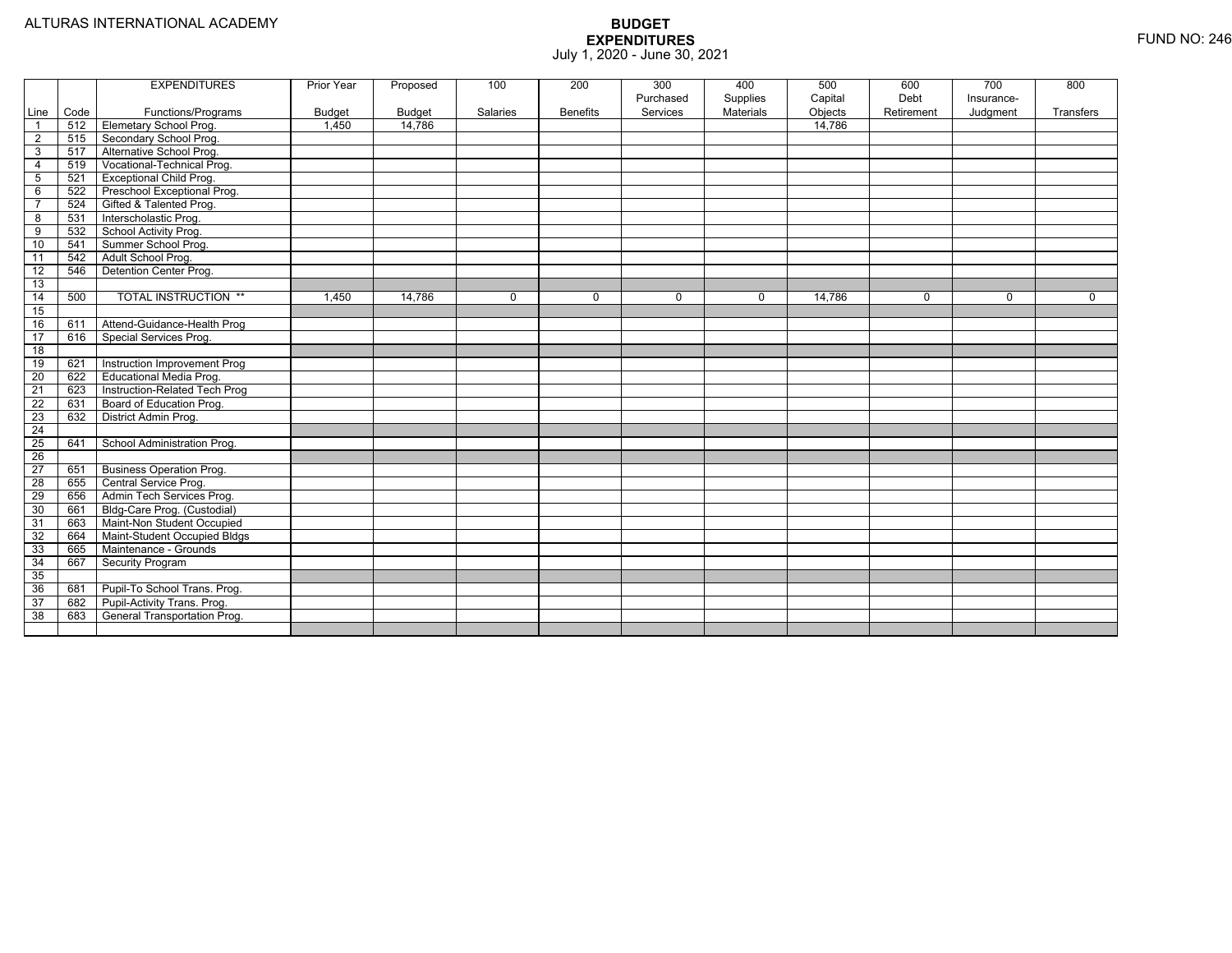|                         |      | <b>EXPENDITURES</b>             | Prior Year    | Proposed      | 100      | 200             | 300       | 400       | 500     | 600        | 700        | 800       |
|-------------------------|------|---------------------------------|---------------|---------------|----------|-----------------|-----------|-----------|---------|------------|------------|-----------|
|                         |      |                                 |               |               |          |                 | Purchased | Supplies  | Capital | Debt       | Insurance- |           |
| Line                    | Code | Functions/Programs              | <b>Budget</b> | <b>Budget</b> | Salaries | <b>Benefits</b> | Services  | Materials | Objects | Retirement | Judgment   | Transfers |
| $\overline{1}$          | 512  | Elemetary School Prog.          | 1,450         | 14,786        |          |                 |           |           | 14,786  |            |            |           |
| $\overline{2}$          | 515  | Secondary School Prog.          |               |               |          |                 |           |           |         |            |            |           |
| $\overline{3}$          | 517  | Alternative School Prog.        |               |               |          |                 |           |           |         |            |            |           |
| $\overline{a}$          | 519  | Vocational-Technical Prog.      |               |               |          |                 |           |           |         |            |            |           |
| $\overline{5}$          | 521  | <b>Exceptional Child Prog.</b>  |               |               |          |                 |           |           |         |            |            |           |
| 6                       | 522  | Preschool Exceptional Prog.     |               |               |          |                 |           |           |         |            |            |           |
| $\overline{7}$          | 524  | Gifted & Talented Prog.         |               |               |          |                 |           |           |         |            |            |           |
| $\overline{\mathbf{8}}$ | 531  | Interscholastic Prog.           |               |               |          |                 |           |           |         |            |            |           |
| 9                       | 532  | School Activity Prog.           |               |               |          |                 |           |           |         |            |            |           |
| 10                      | 541  | Summer School Prog.             |               |               |          |                 |           |           |         |            |            |           |
| $\overline{11}$         | 542  | Adult School Prog.              |               |               |          |                 |           |           |         |            |            |           |
| $\overline{12}$         | 546  | Detention Center Prog.          |               |               |          |                 |           |           |         |            |            |           |
| 13                      |      |                                 |               |               |          |                 |           |           |         |            |            |           |
| 14                      | 500  | <b>TOTAL INSTRUCTION **</b>     | 1,450         | 14,786        | $\Omega$ | $\mathbf 0$     | $\Omega$  | 0         | 14,786  | $\Omega$   | $\Omega$   | $\Omega$  |
| 15                      |      |                                 |               |               |          |                 |           |           |         |            |            |           |
| 16                      | 611  | Attend-Guidance-Health Prog     |               |               |          |                 |           |           |         |            |            |           |
| 17                      | 616  | Special Services Prog.          |               |               |          |                 |           |           |         |            |            |           |
| 18                      |      |                                 |               |               |          |                 |           |           |         |            |            |           |
| 19                      | 621  | Instruction Improvement Prog    |               |               |          |                 |           |           |         |            |            |           |
| $\overline{20}$         | 622  | <b>Educational Media Prog.</b>  |               |               |          |                 |           |           |         |            |            |           |
| 21                      | 623  | Instruction-Related Tech Prog   |               |               |          |                 |           |           |         |            |            |           |
| 22                      | 631  | Board of Education Prog.        |               |               |          |                 |           |           |         |            |            |           |
| 23                      | 632  | District Admin Prog.            |               |               |          |                 |           |           |         |            |            |           |
| $\overline{24}$         |      |                                 |               |               |          |                 |           |           |         |            |            |           |
| $\overline{25}$         | 641  | School Administration Prog.     |               |               |          |                 |           |           |         |            |            |           |
| $\overline{26}$         |      |                                 |               |               |          |                 |           |           |         |            |            |           |
| $\overline{27}$         | 651  | <b>Business Operation Prog.</b> |               |               |          |                 |           |           |         |            |            |           |
| 28                      | 655  | Central Service Prog.           |               |               |          |                 |           |           |         |            |            |           |
| 29                      | 656  | Admin Tech Services Prog.       |               |               |          |                 |           |           |         |            |            |           |
| 30                      | 661  | Bldg-Care Prog. (Custodial)     |               |               |          |                 |           |           |         |            |            |           |
| $\overline{31}$         | 663  | Maint-Non Student Occupied      |               |               |          |                 |           |           |         |            |            |           |
| 32                      | 664  | Maint-Student Occupied Bldgs    |               |               |          |                 |           |           |         |            |            |           |
| 33                      | 665  | Maintenance - Grounds           |               |               |          |                 |           |           |         |            |            |           |
| 34                      | 667  | <b>Security Program</b>         |               |               |          |                 |           |           |         |            |            |           |
| 35                      |      |                                 |               |               |          |                 |           |           |         |            |            |           |
| 36                      | 681  | Pupil-To School Trans. Prog.    |               |               |          |                 |           |           |         |            |            |           |
| 37                      | 682  | Pupil-Activity Trans. Prog.     |               |               |          |                 |           |           |         |            |            |           |
| 38                      | 683  | General Transportation Prog.    |               |               |          |                 |           |           |         |            |            |           |
|                         |      |                                 |               |               |          |                 |           |           |         |            |            |           |
|                         |      |                                 |               |               |          |                 |           |           |         |            |            |           |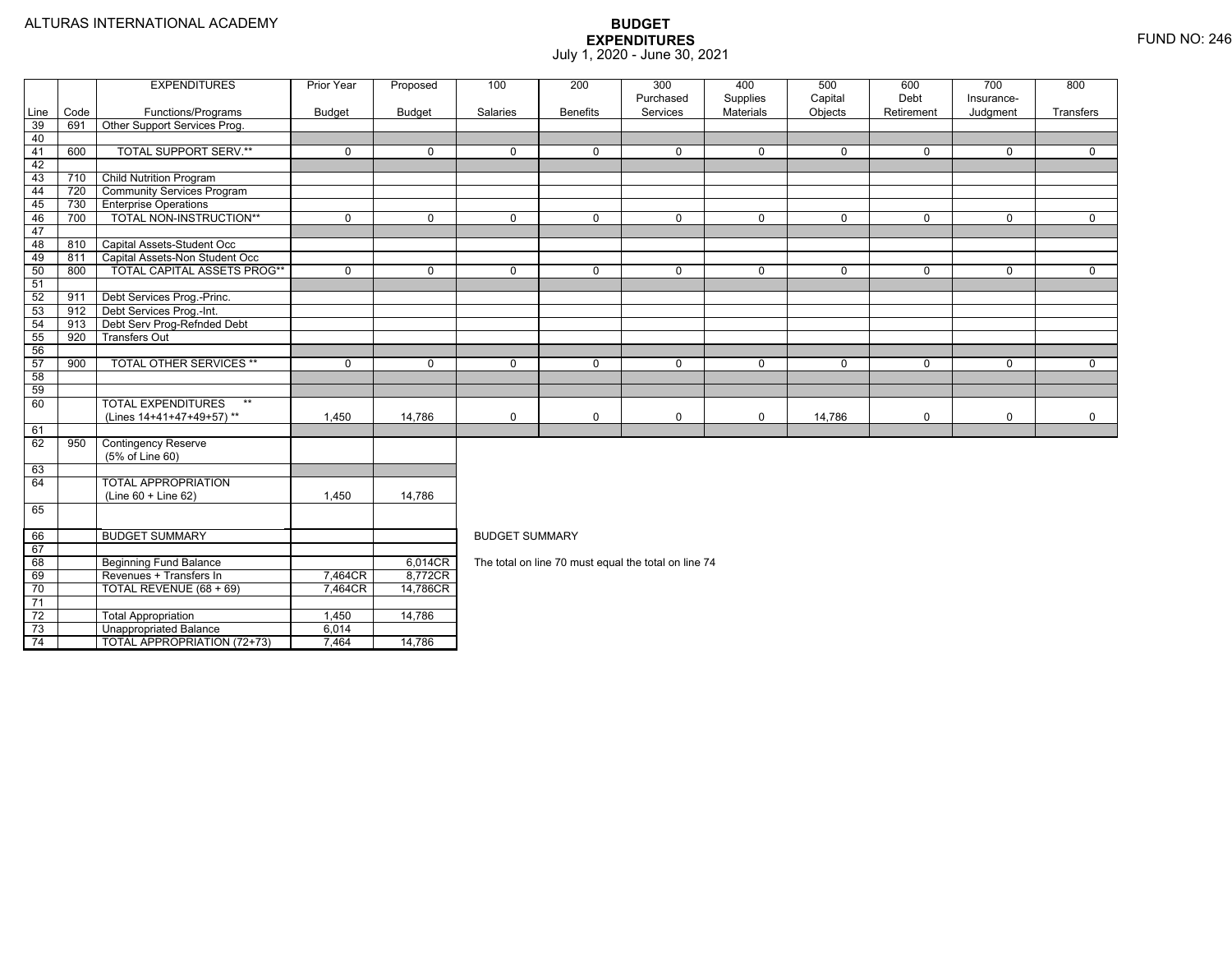4 | | TOTAL APPROPRIATION (72+73) | 7,464 | 14,786

|                 |      | <b>EXPENDITURES</b>                | Prior Year    | Proposed      | 100                   | 200             | 300                                                  | 400                   | 500                | 600                | 700                    | 800         |  |  |
|-----------------|------|------------------------------------|---------------|---------------|-----------------------|-----------------|------------------------------------------------------|-----------------------|--------------------|--------------------|------------------------|-------------|--|--|
| Line            | Code | Functions/Programs                 | <b>Budget</b> | <b>Budget</b> | Salaries              | <b>Benefits</b> | Purchased<br>Services                                | Supplies<br>Materials | Capital<br>Objects | Debt<br>Retirement | Insurance-<br>Judgment | Transfers   |  |  |
| 39              | 691  | Other Support Services Prog.       |               |               |                       |                 |                                                      |                       |                    |                    |                        |             |  |  |
| 40              |      |                                    |               |               |                       |                 |                                                      |                       |                    |                    |                        |             |  |  |
| 41              | 600  | <b>TOTAL SUPPORT SERV.**</b>       | $\mathbf 0$   | $\Omega$      | $\Omega$              | $\Omega$        | $\Omega$                                             | $\mathbf 0$           | $\Omega$           | $\Omega$           | $\Omega$               | $\Omega$    |  |  |
| 42              |      |                                    |               |               |                       |                 |                                                      |                       |                    |                    |                        |             |  |  |
| 43              | 710  | <b>Child Nutrition Program</b>     |               |               |                       |                 |                                                      |                       |                    |                    |                        |             |  |  |
| 44              | 720  | <b>Community Services Program</b>  |               |               |                       |                 |                                                      |                       |                    |                    |                        |             |  |  |
| 45              | 730  | <b>Enterprise Operations</b>       |               |               |                       |                 |                                                      |                       |                    |                    |                        |             |  |  |
| 46              | 700  | TOTAL NON-INSTRUCTION**            | $\mathbf{0}$  | $\Omega$      | $\Omega$              | $\Omega$        | $\mathbf 0$                                          | $\mathbf 0$           | $\Omega$           | $\Omega$           | $\Omega$               | $\Omega$    |  |  |
| 47              |      |                                    |               |               |                       |                 |                                                      |                       |                    |                    |                        |             |  |  |
| 48              | 810  | Capital Assets-Student Occ         |               |               |                       |                 |                                                      |                       |                    |                    |                        |             |  |  |
| 49              | 811  | Capital Assets-Non Student Occ     |               |               |                       |                 |                                                      |                       |                    |                    |                        |             |  |  |
| 50              | 800  | <b>TOTAL CAPITAL ASSETS PROG**</b> | $\mathbf 0$   | $\Omega$      | $\mathbf 0$           | $\Omega$        | $\mathbf 0$                                          | $\mathbf 0$           | 0                  | $\mathbf 0$        | 0                      | $\mathbf 0$ |  |  |
| 51              |      |                                    |               |               |                       |                 |                                                      |                       |                    |                    |                        |             |  |  |
| 52              | 911  | Debt Services Prog.-Princ.         |               |               |                       |                 |                                                      |                       |                    |                    |                        |             |  |  |
| 53              | 912  | Debt Services Prog.-Int.           |               |               |                       |                 |                                                      |                       |                    |                    |                        |             |  |  |
| 54              | 913  | Debt Serv Prog-Refnded Debt        |               |               |                       |                 |                                                      |                       |                    |                    |                        |             |  |  |
| 55              | 920  | <b>Transfers Out</b>               |               |               |                       |                 |                                                      |                       |                    |                    |                        |             |  |  |
| 56              |      |                                    |               |               |                       |                 |                                                      |                       |                    |                    |                        |             |  |  |
| 57              | 900  | <b>TOTAL OTHER SERVICES **</b>     | 0             | $\mathbf 0$   | $\mathbf 0$           | $\Omega$        | $\mathbf 0$                                          | $\mathbf 0$           | 0                  | $\mathbf 0$        | 0                      | $\mathbf 0$ |  |  |
| 58              |      |                                    |               |               |                       |                 |                                                      |                       |                    |                    |                        |             |  |  |
| 59              |      |                                    |               |               |                       |                 |                                                      |                       |                    |                    |                        |             |  |  |
| 60              |      | <b>TOTAL EXPENDITURES</b><br>$***$ |               |               |                       |                 |                                                      |                       |                    |                    |                        |             |  |  |
|                 |      | (Lines 14+41+47+49+57)**           | 1,450         | 14,786        | $\mathbf 0$           | $\mathbf 0$     | 0                                                    | 0                     | 14,786             | $\mathbf 0$        | 0                      | $\mathbf 0$ |  |  |
| 61              |      |                                    |               |               |                       |                 |                                                      |                       |                    |                    |                        |             |  |  |
| 62              | 950  | <b>Contingency Reserve</b>         |               |               |                       |                 |                                                      |                       |                    |                    |                        |             |  |  |
|                 |      | (5% of Line 60)                    |               |               |                       |                 |                                                      |                       |                    |                    |                        |             |  |  |
| 63              |      |                                    |               |               |                       |                 |                                                      |                       |                    |                    |                        |             |  |  |
| 64              |      | <b>TOTAL APPROPRIATION</b>         |               |               |                       |                 |                                                      |                       |                    |                    |                        |             |  |  |
|                 |      | $(Line 60 + Line 62)$              | 1,450         | 14,786        |                       |                 |                                                      |                       |                    |                    |                        |             |  |  |
| 65              |      |                                    |               |               |                       |                 |                                                      |                       |                    |                    |                        |             |  |  |
| 66              |      | <b>BUDGET SUMMARY</b>              |               |               | <b>BUDGET SUMMARY</b> |                 |                                                      |                       |                    |                    |                        |             |  |  |
| 67              |      |                                    |               |               |                       |                 |                                                      |                       |                    |                    |                        |             |  |  |
| 68              |      | <b>Beginning Fund Balance</b>      |               | 6,014CR       |                       |                 | The total on line 70 must equal the total on line 74 |                       |                    |                    |                        |             |  |  |
| 69              |      | Revenues + Transfers In            | 7,464CR       | 8,772CR       |                       |                 |                                                      |                       |                    |                    |                        |             |  |  |
| 70              |      | TOTAL REVENUE (68 + 69)            | 7.464CR       | 14,786CR      |                       |                 |                                                      |                       |                    |                    |                        |             |  |  |
| 71              |      |                                    |               |               |                       |                 |                                                      |                       |                    |                    |                        |             |  |  |
| $\overline{72}$ |      | <b>Total Appropriation</b>         | 1,450         | 14,786        |                       |                 |                                                      |                       |                    |                    |                        |             |  |  |
| 73              |      | Unappropriated Balance             | 6.014         |               |                       |                 |                                                      |                       |                    |                    |                        |             |  |  |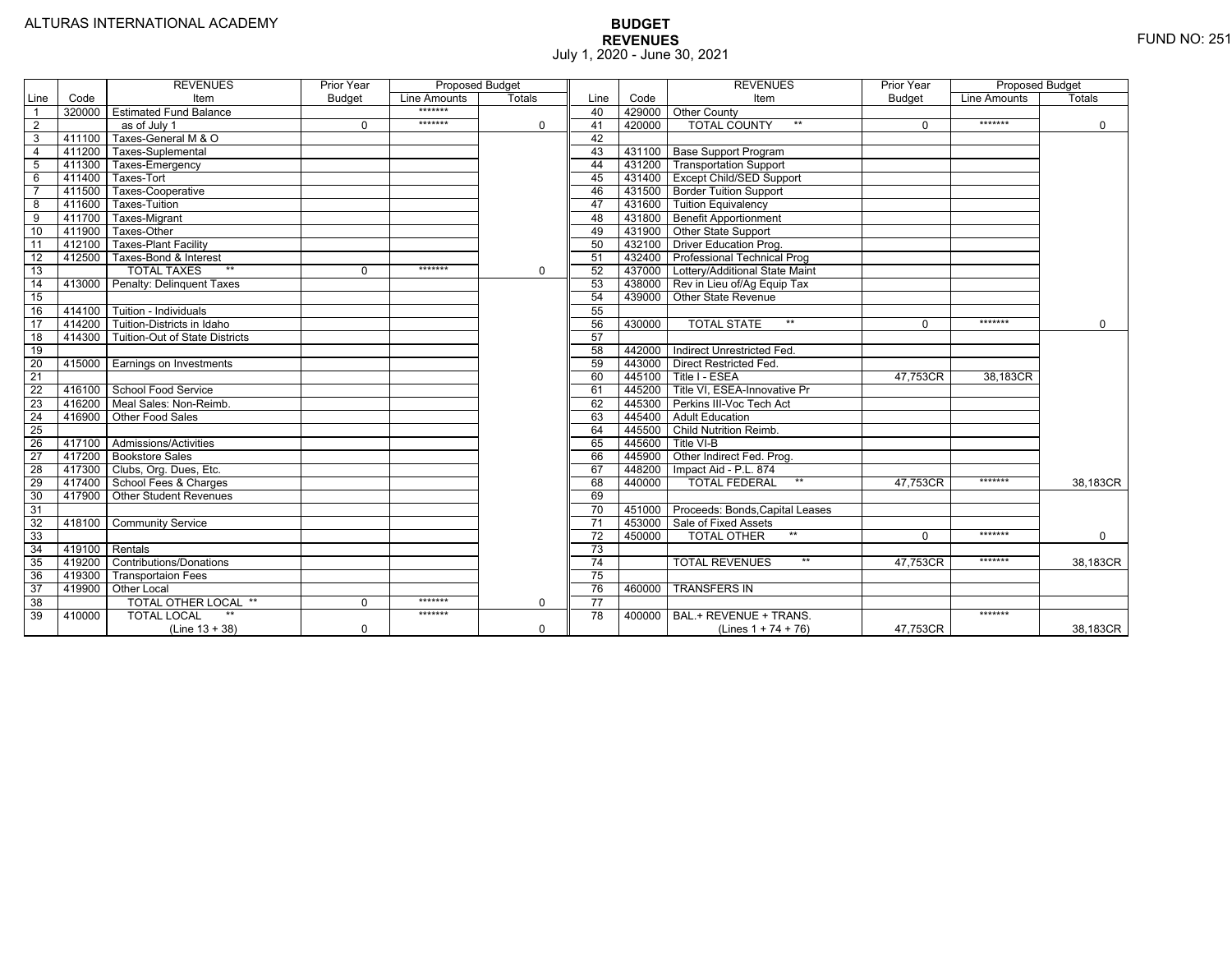|                 |                | <b>REVENUES</b>                         | Prior Year    | <b>Proposed Budget</b> |               |                 |        | <b>REVENUES</b>                          | Prior Year    | <b>Proposed Budget</b> |               |
|-----------------|----------------|-----------------------------------------|---------------|------------------------|---------------|-----------------|--------|------------------------------------------|---------------|------------------------|---------------|
| Line            | Code           | Item                                    | <b>Budget</b> | Line Amounts           | <b>Totals</b> | Line            | Code   | Item                                     | <b>Budget</b> | Line Amounts           | <b>Totals</b> |
|                 |                | 320000 Estimated Fund Balance           |               | $******$               |               | 40              |        | 429000 Other County                      |               |                        |               |
| $\overline{2}$  |                | as of July 1                            | $\Omega$      | *******                | $\mathbf 0$   | 41              | 420000 | <b>TOTAL COUNTY</b><br>$***$             | $\Omega$      | *******                | $\mathbf 0$   |
| 3               | 411100         | Taxes-General M & O                     |               |                        |               | 42              |        |                                          |               |                        |               |
| $\overline{4}$  | 411200         | Taxes-Suplemental                       |               |                        |               | 43              |        | 431100   Base Support Program            |               |                        |               |
| 5               | 411300         | Taxes-Emergency                         |               |                        |               | 44              |        | 431200   Transportation Support          |               |                        |               |
| 6               | 411400         | Taxes-Tort                              |               |                        |               | 45              |        | 431400 Except Child/SED Support          |               |                        |               |
|                 | 411500         | Taxes-Cooperative                       |               |                        |               | 46              |        | 431500   Border Tuition Support          |               |                        |               |
| 8               | 411600         | <b>Taxes-Tuition</b>                    |               |                        |               | 47              |        | 431600 Tuition Equivalency               |               |                        |               |
| 9               | 411700         | Taxes-Migrant                           |               |                        |               | 48              |        | 431800 Benefit Apportionment             |               |                        |               |
| 10              | 411900         | Taxes-Other                             |               |                        |               | 49              |        | 431900 Other State Support               |               |                        |               |
| 11              | 412100         | <b>Taxes-Plant Facility</b>             |               |                        |               | 50              | 432100 | <b>Driver Education Prog.</b>            |               |                        |               |
| 12              | 412500         | Taxes-Bond & Interest                   |               |                        |               | 51              |        | 432400 Professional Technical Prog       |               |                        |               |
| 13              |                | $**$<br><b>TOTAL TAXES</b>              | 0             | *******                | $\mathbf 0$   | 52              |        | 437000 Lottery/Additional State Maint    |               |                        |               |
| 14              |                | 413000 Penalty: Delinguent Taxes        |               |                        |               | 53              |        | 438000 Rev in Lieu of/Ag Equip Tax       |               |                        |               |
| 15              |                |                                         |               |                        |               | 54              | 439000 | Other State Revenue                      |               |                        |               |
| 16              |                | 414100 Tuition - Individuals            |               |                        |               | 55              |        |                                          |               |                        |               |
| 17              | 414200         | Tuition-Districts in Idaho              |               |                        |               | 56              | 430000 | $**$<br><b>TOTAL STATE</b>               | U             | *******                | $\Omega$      |
| 18              |                | 414300   Tuition-Out of State Districts |               |                        |               | 57              |        |                                          |               |                        |               |
| 19              |                |                                         |               |                        |               | 58              |        | 442000   Indirect Unrestricted Fed.      |               |                        |               |
| 20              |                | 415000 Earnings on Investments          |               |                        |               | 59              |        | 443000 Direct Restricted Fed.            |               |                        |               |
| 21              |                |                                         |               |                        |               | 60              |        | 445100 Title I - ESEA                    | 47,753CR      | 38,183CR               |               |
| 22              |                | 416100 School Food Service              |               |                        |               | 61              | 445200 | Title VI. ESEA-Innovative Pr             |               |                        |               |
| 23              |                | 416200   Meal Sales: Non-Reimb.         |               |                        |               | 62              |        | 445300 Perkins III-Voc Tech Act          |               |                        |               |
| 24              |                | 416900 Other Food Sales                 |               |                        |               | 63              |        | 445400 Adult Education                   |               |                        |               |
| $\overline{25}$ |                |                                         |               |                        |               | 64              | 445500 | <b>Child Nutrition Reimb.</b>            |               |                        |               |
| 26              |                | 417100 Admissions/Activities            |               |                        |               | 65              | 445600 | Title VI-B                               |               |                        |               |
| $\overline{27}$ |                | 417200 Bookstore Sales                  |               |                        |               | 66              | 445900 | Other Indirect Fed. Prog.                |               |                        |               |
| 28              |                | 417300 Clubs, Org. Dues, Etc.           |               |                        |               | 67              | 448200 | Impact Aid - P.L. 874                    |               |                        |               |
| $\overline{29}$ |                | 417400 School Fees & Charges            |               |                        |               | 68              | 440000 | $***$<br><b>TOTAL FEDERAL</b>            | 47.753CR      | *******                | 38.183CR      |
| 30              |                | 417900   Other Student Revenues         |               |                        |               | 69              |        |                                          |               |                        |               |
| 31              |                |                                         |               |                        |               | $\overline{70}$ |        | 451000   Proceeds: Bonds, Capital Leases |               |                        |               |
| $\overline{32}$ |                | 418100 Community Service                |               |                        |               | $\overline{71}$ |        | 453000 Sale of Fixed Assets              |               |                        |               |
| 33              |                |                                         |               |                        |               | $\overline{72}$ | 450000 | <b>TOTAL OTHER</b><br>$**$               | $\Omega$      | *******                | $\mathbf 0$   |
| 34              | 419100 Rentals |                                         |               |                        |               | 73              |        |                                          |               |                        |               |
| 35              |                | 419200 Contributions/Donations          |               |                        |               | 74              |        | <b>TOTAL REVENUES</b><br>$**$            | 47.753CR      | *******                | 38,183CR      |
| 36              | 419300         | <b>Transportaion Fees</b>               |               |                        |               | 75              |        |                                          |               |                        |               |
| 37              | 419900         | <b>Other Local</b>                      |               |                        |               | 76              | 460000 | <b>TRANSFERS IN</b>                      |               |                        |               |
| 38              |                | TOTAL OTHER LOCAL **                    | $\mathbf 0$   | *******                | $\mathbf 0$   | $\overline{77}$ |        |                                          |               |                        |               |
| 39              | 410000         | <b>TOTAL LOCAL</b>                      |               | *******                |               | 78              | 400000 | BAL.+ REVENUE + TRANS.                   |               | *******                |               |
|                 |                | $(Line 13 + 38)$                        | 0             |                        | $\Omega$      |                 |        | (Lines $1 + 74 + 76$ )                   | 47.753CR      |                        | 38.183CR      |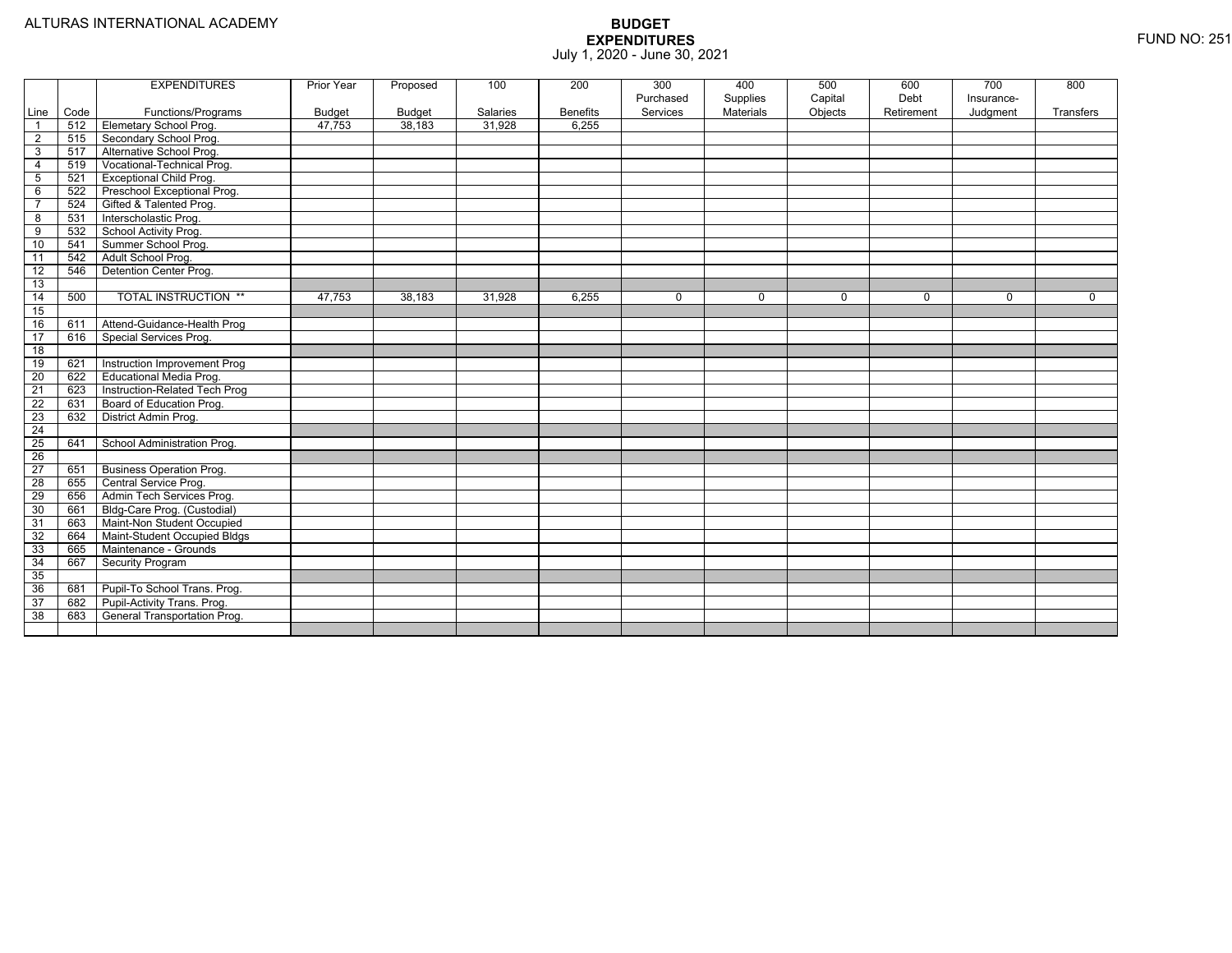|                 |      | <b>EXPENDITURES</b>             | Prior Year    | Proposed | 100      | 200             | 300       | 400       | 500         | 600         | 700        | 800         |
|-----------------|------|---------------------------------|---------------|----------|----------|-----------------|-----------|-----------|-------------|-------------|------------|-------------|
|                 |      |                                 |               |          |          |                 | Purchased | Supplies  | Capital     | Debt        | Insurance- |             |
| Line            | Code | Functions/Programs              | <b>Budget</b> | Budget   | Salaries | <b>Benefits</b> | Services  | Materials | Objects     | Retirement  | Judgment   | Transfers   |
| - 1             | 512  | <b>Elemetary School Prog.</b>   | 47,753        | 38,183   | 31,928   | 6,255           |           |           |             |             |            |             |
| $\overline{2}$  | 515  | Secondary School Prog.          |               |          |          |                 |           |           |             |             |            |             |
| 3               | 517  | Alternative School Prog.        |               |          |          |                 |           |           |             |             |            |             |
| 4               | 519  | Vocational-Technical Prog.      |               |          |          |                 |           |           |             |             |            |             |
| 5               | 521  | <b>Exceptional Child Prog.</b>  |               |          |          |                 |           |           |             |             |            |             |
| 6               | 522  | Preschool Exceptional Prog.     |               |          |          |                 |           |           |             |             |            |             |
| $\overline{7}$  | 524  | Gifted & Talented Prog.         |               |          |          |                 |           |           |             |             |            |             |
| $\overline{8}$  | 531  | Interscholastic Prog.           |               |          |          |                 |           |           |             |             |            |             |
| 9               | 532  | School Activity Prog.           |               |          |          |                 |           |           |             |             |            |             |
| 10              | 541  | Summer School Prog.             |               |          |          |                 |           |           |             |             |            |             |
| 11              | 542  | Adult School Prog.              |               |          |          |                 |           |           |             |             |            |             |
| $\overline{12}$ | 546  | Detention Center Prog.          |               |          |          |                 |           |           |             |             |            |             |
| 13              |      |                                 |               |          |          |                 |           |           |             |             |            |             |
| 14              | 500  | <b>TOTAL INSTRUCTION **</b>     | 47,753        | 38,183   | 31,928   | 6,255           | 0         | 0         | $\mathbf 0$ | $\mathbf 0$ | 0          | $\mathbf 0$ |
| 15              |      |                                 |               |          |          |                 |           |           |             |             |            |             |
| 16              | 611  | Attend-Guidance-Health Prog     |               |          |          |                 |           |           |             |             |            |             |
| 17              | 616  | Special Services Prog.          |               |          |          |                 |           |           |             |             |            |             |
| 18              |      |                                 |               |          |          |                 |           |           |             |             |            |             |
| 19              | 621  | Instruction Improvement Prog    |               |          |          |                 |           |           |             |             |            |             |
| $\overline{20}$ | 622  | <b>Educational Media Prog.</b>  |               |          |          |                 |           |           |             |             |            |             |
| $\overline{21}$ | 623  | Instruction-Related Tech Prog   |               |          |          |                 |           |           |             |             |            |             |
| 22              | 631  | Board of Education Prog.        |               |          |          |                 |           |           |             |             |            |             |
| 23              | 632  | District Admin Prog.            |               |          |          |                 |           |           |             |             |            |             |
| $\overline{24}$ |      |                                 |               |          |          |                 |           |           |             |             |            |             |
| $\overline{25}$ | 641  | School Administration Prog.     |               |          |          |                 |           |           |             |             |            |             |
| $\overline{26}$ |      |                                 |               |          |          |                 |           |           |             |             |            |             |
| $\overline{27}$ | 651  | <b>Business Operation Prog.</b> |               |          |          |                 |           |           |             |             |            |             |
| 28              | 655  | Central Service Prog.           |               |          |          |                 |           |           |             |             |            |             |
| 29              | 656  | Admin Tech Services Prog.       |               |          |          |                 |           |           |             |             |            |             |
| 30              | 661  | Bldg-Care Prog. (Custodial)     |               |          |          |                 |           |           |             |             |            |             |
| 31              | 663  | Maint-Non Student Occupied      |               |          |          |                 |           |           |             |             |            |             |
| 32              | 664  | Maint-Student Occupied Bldgs    |               |          |          |                 |           |           |             |             |            |             |
| 33              | 665  | Maintenance - Grounds           |               |          |          |                 |           |           |             |             |            |             |
| 34              | 667  | Security Program                |               |          |          |                 |           |           |             |             |            |             |
| 35              |      |                                 |               |          |          |                 |           |           |             |             |            |             |
| 36              | 681  | Pupil-To School Trans. Prog.    |               |          |          |                 |           |           |             |             |            |             |
| $\overline{37}$ | 682  | Pupil-Activity Trans. Prog.     |               |          |          |                 |           |           |             |             |            |             |
| 38              | 683  | General Transportation Prog.    |               |          |          |                 |           |           |             |             |            |             |
|                 |      |                                 |               |          |          |                 |           |           |             |             |            |             |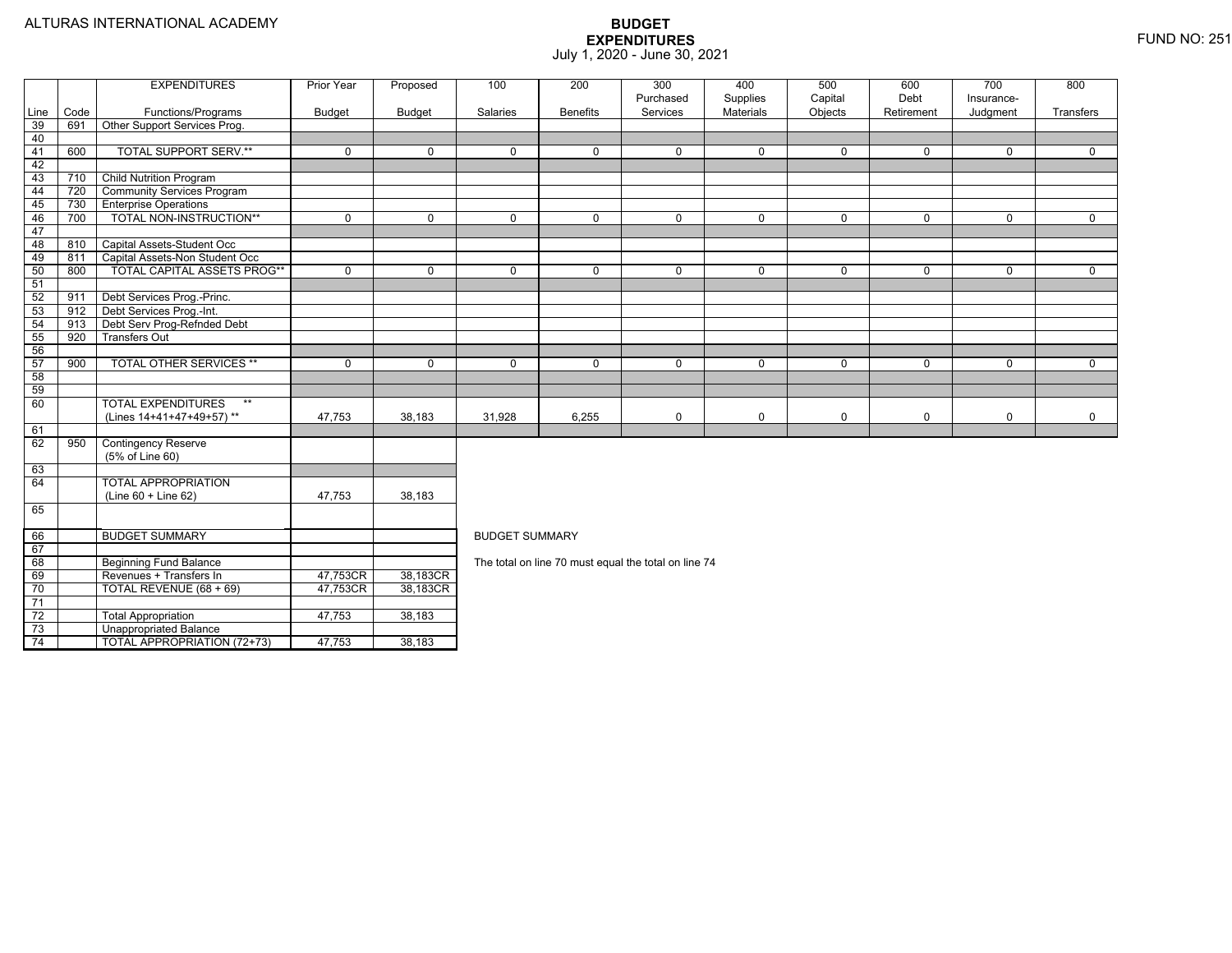4 | | TOTAL APPROPRIATION (72+73) | 47,753 | 38,183

|      |      | <b>EXPENDITURES</b>                | <b>Prior Year</b> | Proposed      | 100                   | 200             | 300                                                  | 400                   | 500                | 600                | 700                    | 800       |
|------|------|------------------------------------|-------------------|---------------|-----------------------|-----------------|------------------------------------------------------|-----------------------|--------------------|--------------------|------------------------|-----------|
| Line | Code | Functions/Programs                 | <b>Budget</b>     | <b>Budget</b> | Salaries              | <b>Benefits</b> | Purchased<br>Services                                | Supplies<br>Materials | Capital<br>Objects | Debt<br>Retirement | Insurance-<br>Judgment | Transfers |
| 39   | 691  | Other Support Services Prog.       |                   |               |                       |                 |                                                      |                       |                    |                    |                        |           |
| 40   |      |                                    |                   |               |                       |                 |                                                      |                       |                    |                    |                        |           |
| 41   | 600  | <b>TOTAL SUPPORT SERV.**</b>       | $\mathbf 0$       | $\Omega$      | $\Omega$              | $\Omega$        | $\mathbf 0$                                          | $\mathbf 0$           | $\Omega$           | $\Omega$           | $\Omega$               | $\Omega$  |
| 42   |      |                                    |                   |               |                       |                 |                                                      |                       |                    |                    |                        |           |
| 43   | 710  | <b>Child Nutrition Program</b>     |                   |               |                       |                 |                                                      |                       |                    |                    |                        |           |
| 44   | 720  | <b>Community Services Program</b>  |                   |               |                       |                 |                                                      |                       |                    |                    |                        |           |
| 45   | 730  | <b>Enterprise Operations</b>       |                   |               |                       |                 |                                                      |                       |                    |                    |                        |           |
| 46   | 700  | TOTAL NON-INSTRUCTION**            | $\Omega$          | $\Omega$      | $\Omega$              | $\Omega$        | $\mathbf 0$                                          | $\mathbf 0$           | $\mathbf 0$        | $\Omega$           | $\Omega$               | $\Omega$  |
| 47   |      |                                    |                   |               |                       |                 |                                                      |                       |                    |                    |                        |           |
| 48   | 810  | Capital Assets-Student Occ         |                   |               |                       |                 |                                                      |                       |                    |                    |                        |           |
| 49   | 811  | Capital Assets-Non Student Occ     |                   |               |                       |                 |                                                      |                       |                    |                    |                        |           |
| 50   | 800  | <b>TOTAL CAPITAL ASSETS PROG**</b> | $\Omega$          | $\Omega$      | $\Omega$              | $\Omega$        | $\mathbf 0$                                          | $\mathbf 0$           | $\mathbf 0$        | $\Omega$           | $\Omega$               | $\Omega$  |
| 51   |      |                                    |                   |               |                       |                 |                                                      |                       |                    |                    |                        |           |
| 52   | 911  | Debt Services Prog.-Princ.         |                   |               |                       |                 |                                                      |                       |                    |                    |                        |           |
| 53   | 912  | Debt Services Prog.-Int.           |                   |               |                       |                 |                                                      |                       |                    |                    |                        |           |
| 54   | 913  | Debt Serv Prog-Refnded Debt        |                   |               |                       |                 |                                                      |                       |                    |                    |                        |           |
| 55   | 920  | <b>Transfers Out</b>               |                   |               |                       |                 |                                                      |                       |                    |                    |                        |           |
| 56   |      |                                    |                   |               |                       |                 |                                                      |                       |                    |                    |                        |           |
| 57   | 900  | <b>TOTAL OTHER SERVICES **</b>     | $\Omega$          | $\Omega$      | $\mathbf 0$           | $\Omega$        | $\mathbf 0$                                          | 0                     | $\mathbf 0$        | $\Omega$           | $\Omega$               | $\Omega$  |
| 58   |      |                                    |                   |               |                       |                 |                                                      |                       |                    |                    |                        |           |
| 59   |      |                                    |                   |               |                       |                 |                                                      |                       |                    |                    |                        |           |
| 60   |      | <b>TOTAL EXPENDITURES</b><br>$***$ |                   |               |                       |                 |                                                      |                       |                    |                    |                        |           |
|      |      | (Lines 14+41+47+49+57)**           | 47,753            | 38,183        | 31,928                | 6,255           | 0                                                    | 0                     | $\mathbf 0$        | $\mathbf 0$        | 0                      | 0         |
| 61   |      |                                    |                   |               |                       |                 |                                                      |                       |                    |                    |                        |           |
| 62   | 950  | <b>Contingency Reserve</b>         |                   |               |                       |                 |                                                      |                       |                    |                    |                        |           |
|      |      | (5% of Line 60)                    |                   |               |                       |                 |                                                      |                       |                    |                    |                        |           |
| 63   |      |                                    |                   |               |                       |                 |                                                      |                       |                    |                    |                        |           |
| 64   |      | <b>TOTAL APPROPRIATION</b>         |                   |               |                       |                 |                                                      |                       |                    |                    |                        |           |
|      |      | $(Line 60 + Line 62)$              | 47,753            | 38,183        |                       |                 |                                                      |                       |                    |                    |                        |           |
| 65   |      |                                    |                   |               |                       |                 |                                                      |                       |                    |                    |                        |           |
| 66   |      | <b>BUDGET SUMMARY</b>              |                   |               | <b>BUDGET SUMMARY</b> |                 |                                                      |                       |                    |                    |                        |           |
| 67   |      |                                    |                   |               |                       |                 |                                                      |                       |                    |                    |                        |           |
| 68   |      | <b>Beginning Fund Balance</b>      |                   |               |                       |                 | The total on line 70 must equal the total on line 74 |                       |                    |                    |                        |           |
| 69   |      | Revenues + Transfers In            | 47,753CR          | 38,183CR      |                       |                 |                                                      |                       |                    |                    |                        |           |
| 70   |      | TOTAL REVENUE (68 + 69)            | 47,753CR          | 38,183CR      |                       |                 |                                                      |                       |                    |                    |                        |           |
| 71   |      |                                    |                   |               |                       |                 |                                                      |                       |                    |                    |                        |           |
| 72   |      | <b>Total Appropriation</b>         | 47,753            | 38,183        |                       |                 |                                                      |                       |                    |                    |                        |           |
| 73   |      | Unappropriated Balance             |                   |               |                       |                 |                                                      |                       |                    |                    |                        |           |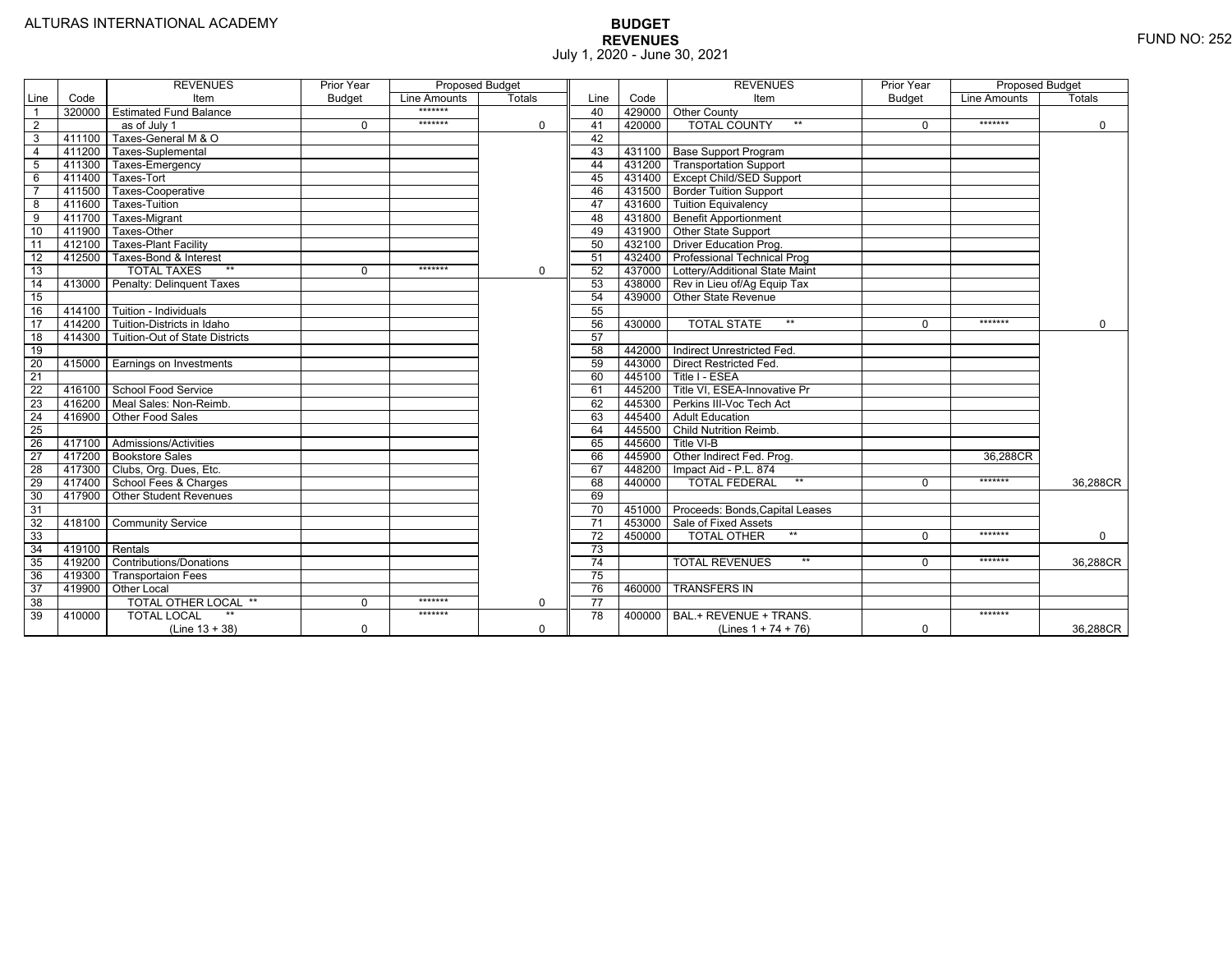|                 |        | <b>REVENUES</b>                   | Prior Year    | <b>Proposed Budget</b> |             |                 |        | <b>REVENUES</b>                        | Prior Year    | <b>Proposed Budget</b> |               |
|-----------------|--------|-----------------------------------|---------------|------------------------|-------------|-----------------|--------|----------------------------------------|---------------|------------------------|---------------|
| Line            | Code   | Item                              | <b>Budget</b> | Line Amounts           | Totals      | Line            | Code   | Item                                   | <b>Budget</b> | Line Amounts           | <b>Totals</b> |
|                 | 320000 | <b>Estimated Fund Balance</b>     |               | *******                |             | 40              |        | 429000 Other County                    |               |                        |               |
| 2               |        | as of July 1                      | $\Omega$      | *******                | 0           | 41              | 420000 | <b>TOTAL COUNTY</b>                    | $\Omega$      | *******                | $\mathbf 0$   |
| 3               | 411100 | Taxes-General M & O               |               |                        |             | 42              |        |                                        |               |                        |               |
| $\overline{4}$  | 411200 | Taxes-Suplemental                 |               |                        |             | 43              |        | 431100 Base Support Program            |               |                        |               |
| 5               | 411300 | Taxes-Emergency                   |               |                        |             | 44              |        | 431200   Transportation Support        |               |                        |               |
| 6               | 411400 | Taxes-Tort                        |               |                        |             | 45              |        | 431400 Except Child/SED Support        |               |                        |               |
|                 | 411500 | Taxes-Cooperative                 |               |                        |             | 46              |        | 431500 Border Tuition Support          |               |                        |               |
| 8               | 411600 | Taxes-Tuition                     |               |                        |             | 47              |        | 431600 Tuition Equivalency             |               |                        |               |
| $\overline{9}$  | 411700 | Taxes-Migrant                     |               |                        |             | 48              |        | 431800 Benefit Apportionment           |               |                        |               |
| 10              | 411900 | Taxes-Other                       |               |                        |             | 49              |        | 431900 Other State Support             |               |                        |               |
| 11              | 412100 | <b>Taxes-Plant Facility</b>       |               |                        |             | 50              | 432100 | <b>Driver Education Prog.</b>          |               |                        |               |
| $\overline{12}$ | 412500 | Taxes-Bond & Interest             |               |                        |             | 51              |        | 432400   Professional Technical Prog   |               |                        |               |
| 13              |        | <b>TOTAL TAXES</b><br>$**$        | 0             | *******                | $\mathbf 0$ | 52              |        | 437000 Lottery/Additional State Maint  |               |                        |               |
| 14              | 413000 | Penalty: Delinguent Taxes         |               |                        |             | 53              |        | 438000 Rev in Lieu of/Ag Equip Tax     |               |                        |               |
| 15              |        |                                   |               |                        |             | 54              | 439000 | Other State Revenue                    |               |                        |               |
| 16              | 414100 | Tuition - Individuals             |               |                        |             | 55              |        |                                        |               |                        |               |
| $\overline{17}$ |        | 414200 Tuition-Districts in Idaho |               |                        |             | 56              | 430000 | $**$<br><b>TOTAL STATE</b>             |               | *******                | $\mathbf 0$   |
| 18              | 414300 | Tuition-Out of State Districts    |               |                        |             | 57              |        |                                        |               |                        |               |
| 19              |        |                                   |               |                        |             | 58              |        | 442000   Indirect Unrestricted Fed.    |               |                        |               |
| 20              | 415000 | <b>Earnings on Investments</b>    |               |                        |             | 59              |        | 443000 Direct Restricted Fed.          |               |                        |               |
| $\overline{21}$ |        |                                   |               |                        |             | 60              |        | 445100 Title I - ESEA                  |               |                        |               |
| 22              | 416100 | School Food Service               |               |                        |             | 61              |        | 445200 Title VI. ESEA-Innovative Pr    |               |                        |               |
| 23              | 416200 | Meal Sales: Non-Reimb.            |               |                        |             | 62              |        | 445300 Perkins III-Voc Tech Act        |               |                        |               |
| $\overline{24}$ | 416900 | Other Food Sales                  |               |                        |             | 63              |        | 445400 Adult Education                 |               |                        |               |
| 25              |        |                                   |               |                        |             | 64              | 445500 | Child Nutrition Reimb.                 |               |                        |               |
| 26              |        | 417100 Admissions/Activities      |               |                        |             | 65              | 445600 | Title VI-B                             |               |                        |               |
| $\overline{27}$ | 417200 | <b>Bookstore Sales</b>            |               |                        |             | 66              | 445900 | Other Indirect Fed. Prog.              |               | 36.288CR               |               |
| $\overline{28}$ | 417300 | Clubs, Org. Dues, Etc.            |               |                        |             | 67              | 448200 | Impact Aid - P.L. 874                  |               |                        |               |
| 29              | 417400 | School Fees & Charges             |               |                        |             | 68              | 440000 | $**$<br><b>TOTAL FEDERAL</b>           | $\Omega$      | *******                | 36,288CR      |
| 30              | 417900 | Other Student Revenues            |               |                        |             | 69              |        |                                        |               |                        |               |
| 31              |        |                                   |               |                        |             | $\overline{70}$ |        | 451000 Proceeds: Bonds, Capital Leases |               |                        |               |
| 32              | 418100 | <b>Community Service</b>          |               |                        |             | $\overline{71}$ |        | 453000 Sale of Fixed Assets            |               |                        |               |
| 33              |        |                                   |               |                        |             | $\overline{72}$ | 450000 | <b>TOTAL OTHER</b><br>$***$            | $\Omega$      | *******                | $\mathbf 0$   |
| 34              | 419100 | Rentals                           |               |                        |             | $\overline{73}$ |        |                                        |               |                        |               |
| 35              | 419200 | <b>Contributions/Donations</b>    |               |                        |             | 74              |        | <b>TOTAL REVENUES</b><br>$***$         |               | *******                | 36.288CR      |
| 36              | 419300 | <b>Transportaion Fees</b>         |               |                        |             | 75              |        |                                        |               |                        |               |
| 37              | 419900 | <b>Other Local</b>                |               |                        |             | 76              | 460000 | <b>TRANSFERS IN</b>                    |               |                        |               |
| $\overline{38}$ |        | <b>TOTAL OTHER LOCAL **</b>       | $\Omega$      | *******                | $\mathbf 0$ | $\overline{77}$ |        |                                        |               |                        |               |
| 39              | 410000 | <b>TOTAL LOCAL</b>                |               | *******                |             | $\overline{78}$ | 400000 | BAL.+ REVENUE + TRANS.                 |               | *******                |               |
|                 |        | $(Line 13 + 38)$                  | 0             |                        | 0           |                 |        | (Lines $1 + 74 + 76$ )                 | 0             |                        | 36,288CR      |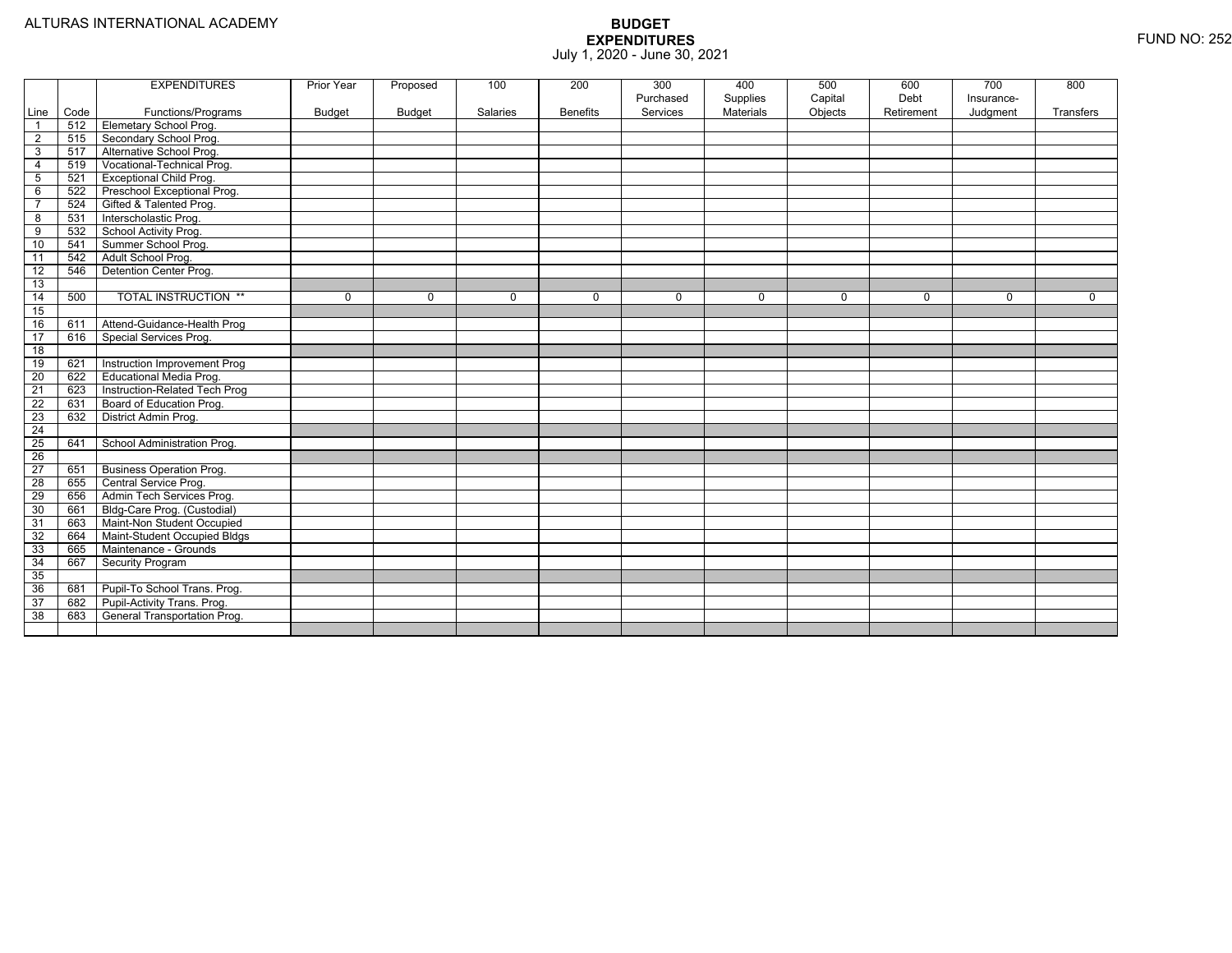|                 |      | <b>EXPENDITURES</b>             | Prior Year    | Proposed    | 100         | 200             | 300       | 400       | 500         | 600         | 700        | 800         |
|-----------------|------|---------------------------------|---------------|-------------|-------------|-----------------|-----------|-----------|-------------|-------------|------------|-------------|
|                 |      |                                 |               |             |             |                 | Purchased | Supplies  | Capital     | Debt        | Insurance- |             |
| Line            | Code | Functions/Programs              | <b>Budget</b> | Budget      | Salaries    | <b>Benefits</b> | Services  | Materials | Objects     | Retirement  | Judgment   | Transfers   |
| $\overline{1}$  | 512  | <b>Elemetary School Prog.</b>   |               |             |             |                 |           |           |             |             |            |             |
| $\overline{2}$  | 515  | Secondary School Prog.          |               |             |             |                 |           |           |             |             |            |             |
| 3               | 517  | Alternative School Prog.        |               |             |             |                 |           |           |             |             |            |             |
| 4               | 519  | Vocational-Technical Prog.      |               |             |             |                 |           |           |             |             |            |             |
| 5               | 521  | <b>Exceptional Child Prog.</b>  |               |             |             |                 |           |           |             |             |            |             |
| 6               | 522  | Preschool Exceptional Prog.     |               |             |             |                 |           |           |             |             |            |             |
| $\overline{7}$  | 524  | Gifted & Talented Prog.         |               |             |             |                 |           |           |             |             |            |             |
| 8               | 531  | Interscholastic Prog.           |               |             |             |                 |           |           |             |             |            |             |
| 9               | 532  | School Activity Prog.           |               |             |             |                 |           |           |             |             |            |             |
| 10              | 541  | Summer School Prog.             |               |             |             |                 |           |           |             |             |            |             |
| 11              | 542  | Adult School Prog.              |               |             |             |                 |           |           |             |             |            |             |
| 12              | 546  | Detention Center Prog.          |               |             |             |                 |           |           |             |             |            |             |
| 13              |      |                                 |               |             |             |                 |           |           |             |             |            |             |
| 14              | 500  | <b>TOTAL INSTRUCTION **</b>     | 0             | $\mathbf 0$ | $\mathbf 0$ | 0               | 0         | 0         | $\mathbf 0$ | $\mathbf 0$ | 0          | $\mathbf 0$ |
| 15              |      |                                 |               |             |             |                 |           |           |             |             |            |             |
| 16              | 611  | Attend-Guidance-Health Prog     |               |             |             |                 |           |           |             |             |            |             |
| 17              | 616  | Special Services Prog.          |               |             |             |                 |           |           |             |             |            |             |
| 18              |      |                                 |               |             |             |                 |           |           |             |             |            |             |
| 19              | 621  | Instruction Improvement Prog    |               |             |             |                 |           |           |             |             |            |             |
| 20              | 622  | <b>Educational Media Prog.</b>  |               |             |             |                 |           |           |             |             |            |             |
| 21              | 623  | Instruction-Related Tech Prog   |               |             |             |                 |           |           |             |             |            |             |
| 22              | 631  | Board of Education Prog.        |               |             |             |                 |           |           |             |             |            |             |
| 23              | 632  | District Admin Prog.            |               |             |             |                 |           |           |             |             |            |             |
| $\overline{24}$ |      |                                 |               |             |             |                 |           |           |             |             |            |             |
| 25              | 641  | School Administration Prog.     |               |             |             |                 |           |           |             |             |            |             |
| 26              |      |                                 |               |             |             |                 |           |           |             |             |            |             |
| $\overline{27}$ | 651  | <b>Business Operation Prog.</b> |               |             |             |                 |           |           |             |             |            |             |
| 28              | 655  | Central Service Prog.           |               |             |             |                 |           |           |             |             |            |             |
| 29              | 656  | Admin Tech Services Prog.       |               |             |             |                 |           |           |             |             |            |             |
| 30              | 661  | Bldg-Care Prog. (Custodial)     |               |             |             |                 |           |           |             |             |            |             |
| 31              | 663  | Maint-Non Student Occupied      |               |             |             |                 |           |           |             |             |            |             |
| 32              | 664  | Maint-Student Occupied Bldgs    |               |             |             |                 |           |           |             |             |            |             |
| 33              | 665  | Maintenance - Grounds           |               |             |             |                 |           |           |             |             |            |             |
| 34              | 667  | Security Program                |               |             |             |                 |           |           |             |             |            |             |
| 35              |      |                                 |               |             |             |                 |           |           |             |             |            |             |
| 36              | 681  | Pupil-To School Trans. Prog.    |               |             |             |                 |           |           |             |             |            |             |
| 37              | 682  | Pupil-Activity Trans. Prog.     |               |             |             |                 |           |           |             |             |            |             |
| 38              | 683  | General Transportation Prog.    |               |             |             |                 |           |           |             |             |            |             |
|                 |      |                                 |               |             |             |                 |           |           |             |             |            |             |
|                 |      |                                 |               |             |             |                 |           |           |             |             |            |             |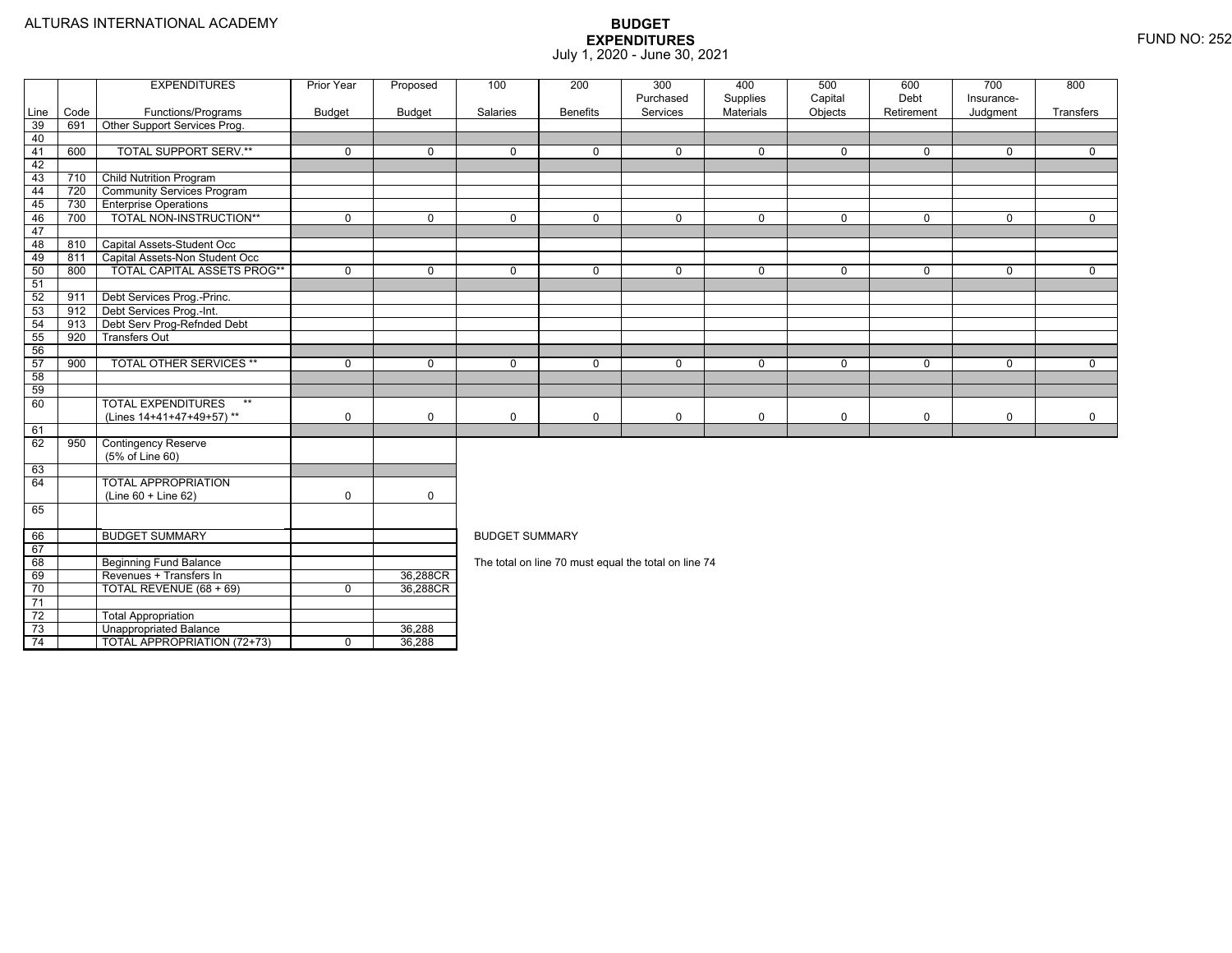74

Unappropriated Balance 36,288

4 | | TOTAL APPROPRIATION (72+73) | 0 | 36,288

|                 |      | <b>EXPENDITURES</b>               | <b>Prior Year</b> | Proposed    | 100                   | 200             | 300                                                  | 400         | 500          | 600          | 700         | 800          |  |  |  |
|-----------------|------|-----------------------------------|-------------------|-------------|-----------------------|-----------------|------------------------------------------------------|-------------|--------------|--------------|-------------|--------------|--|--|--|
|                 |      |                                   |                   |             |                       |                 | Purchased                                            | Supplies    | Capital      | Debt         | Insurance-  |              |  |  |  |
| Line            | Code | Functions/Programs                | <b>Budget</b>     | Budget      | Salaries              | <b>Benefits</b> | Services                                             | Materials   | Objects      | Retirement   | Judgment    | Transfers    |  |  |  |
| 39              | 691  | Other Support Services Prog.      |                   |             |                       |                 |                                                      |             |              |              |             |              |  |  |  |
| 40              |      |                                   |                   |             |                       |                 |                                                      |             |              |              |             |              |  |  |  |
| 41              | 600  | <b>TOTAL SUPPORT SERV.**</b>      | $\mathbf 0$       | $\mathbf 0$ | $\mathbf 0$           | $\mathbf 0$     | $\mathbf 0$                                          | $\mathbf 0$ | $\mathbf{0}$ | $\mathbf{0}$ | 0           | $\mathbf{0}$ |  |  |  |
| -42             |      |                                   |                   |             |                       |                 |                                                      |             |              |              |             |              |  |  |  |
| 43              | 710  | <b>Child Nutrition Program</b>    |                   |             |                       |                 |                                                      |             |              |              |             |              |  |  |  |
| 44              | 720  | <b>Community Services Program</b> |                   |             |                       |                 |                                                      |             |              |              |             |              |  |  |  |
| 45              | 730  | <b>Enterprise Operations</b>      |                   |             |                       |                 |                                                      |             |              |              |             |              |  |  |  |
| 46              | 700  | TOTAL NON-INSTRUCTION**           | 0                 | $\mathbf 0$ | $\mathbf{0}$          | $\mathbf 0$     | 0                                                    | $\mathbf 0$ | $\mathbf{0}$ | $\mathbf{0}$ | 0           | $\mathbf 0$  |  |  |  |
| 47              |      |                                   |                   |             |                       |                 |                                                      |             |              |              |             |              |  |  |  |
| 48              | 810  | Capital Assets-Student Occ        |                   |             |                       |                 |                                                      |             |              |              |             |              |  |  |  |
| 49              | 811  | Capital Assets-Non Student Occ    |                   |             |                       |                 |                                                      |             |              |              |             |              |  |  |  |
| 50              | 800  | TOTAL CAPITAL ASSETS PROG**       | $\mathbf 0$       | $\mathbf 0$ | $\mathbf 0$           | 0               | $\mathbf 0$                                          | $\mathbf 0$ | $\mathbf 0$  | 0            | $\mathbf 0$ | $\mathbf 0$  |  |  |  |
| 51              |      |                                   |                   |             |                       |                 |                                                      |             |              |              |             |              |  |  |  |
| 52              | 911  | Debt Services Prog.-Princ.        |                   |             |                       |                 |                                                      |             |              |              |             |              |  |  |  |
| 53              | 912  | Debt Services Prog.-Int.          |                   |             |                       |                 |                                                      |             |              |              |             |              |  |  |  |
| 54              | 913  | Debt Serv Prog-Refnded Debt       |                   |             |                       |                 |                                                      |             |              |              |             |              |  |  |  |
| 55              | 920  | <b>Transfers Out</b>              |                   |             |                       |                 |                                                      |             |              |              |             |              |  |  |  |
| 56              |      |                                   |                   |             |                       |                 |                                                      |             |              |              |             |              |  |  |  |
| 57              | 900  | <b>TOTAL OTHER SERVICES **</b>    | $\mathbf 0$       | $\mathbf 0$ | $\Omega$              | $\Omega$        | $\mathbf 0$                                          | $\mathbf 0$ | $\Omega$     | $\Omega$     | $\mathbf 0$ | $\Omega$     |  |  |  |
| 58              |      |                                   |                   |             |                       |                 |                                                      |             |              |              |             |              |  |  |  |
| 59              |      |                                   |                   |             |                       |                 |                                                      |             |              |              |             |              |  |  |  |
| - 60            |      | <b>TOTAL EXPENDITURES</b><br>$**$ |                   |             |                       |                 |                                                      |             |              |              |             |              |  |  |  |
|                 |      | (Lines 14+41+47+49+57)**          | $\mathbf 0$       | $\mathbf 0$ | 0                     | 0               | $\mathbf 0$                                          | $\mathbf 0$ | 0            | 0            | 0           | 0            |  |  |  |
| 61              |      |                                   |                   |             |                       |                 |                                                      |             |              |              |             |              |  |  |  |
| 62              | 950  | <b>Contingency Reserve</b>        |                   |             |                       |                 |                                                      |             |              |              |             |              |  |  |  |
|                 |      | (5% of Line 60)                   |                   |             |                       |                 |                                                      |             |              |              |             |              |  |  |  |
| 63              |      |                                   |                   |             |                       |                 |                                                      |             |              |              |             |              |  |  |  |
| 64              |      | <b>TOTAL APPROPRIATION</b>        |                   |             |                       |                 |                                                      |             |              |              |             |              |  |  |  |
|                 |      | (Line 60 + Line 62)               | $\mathbf 0$       | $\mathbf 0$ |                       |                 |                                                      |             |              |              |             |              |  |  |  |
| 65              |      |                                   |                   |             |                       |                 |                                                      |             |              |              |             |              |  |  |  |
|                 |      |                                   |                   |             |                       |                 |                                                      |             |              |              |             |              |  |  |  |
| 66              |      | <b>BUDGET SUMMARY</b>             |                   |             | <b>BUDGET SUMMARY</b> |                 |                                                      |             |              |              |             |              |  |  |  |
| 67              |      |                                   |                   |             |                       |                 |                                                      |             |              |              |             |              |  |  |  |
| 68              |      | <b>Beginning Fund Balance</b>     |                   |             |                       |                 | The total on line 70 must equal the total on line 74 |             |              |              |             |              |  |  |  |
| 69              |      | Revenues + Transfers In           |                   | 36,288CR    |                       |                 |                                                      |             |              |              |             |              |  |  |  |
| 70              |      | TOTAL REVENUE (68 + 69)           | $\mathbf 0$       | 36,288CR    |                       |                 |                                                      |             |              |              |             |              |  |  |  |
| 71              |      |                                   |                   |             |                       |                 |                                                      |             |              |              |             |              |  |  |  |
| $\overline{72}$ |      | <b>Total Appropriation</b>        |                   |             |                       |                 |                                                      |             |              |              |             |              |  |  |  |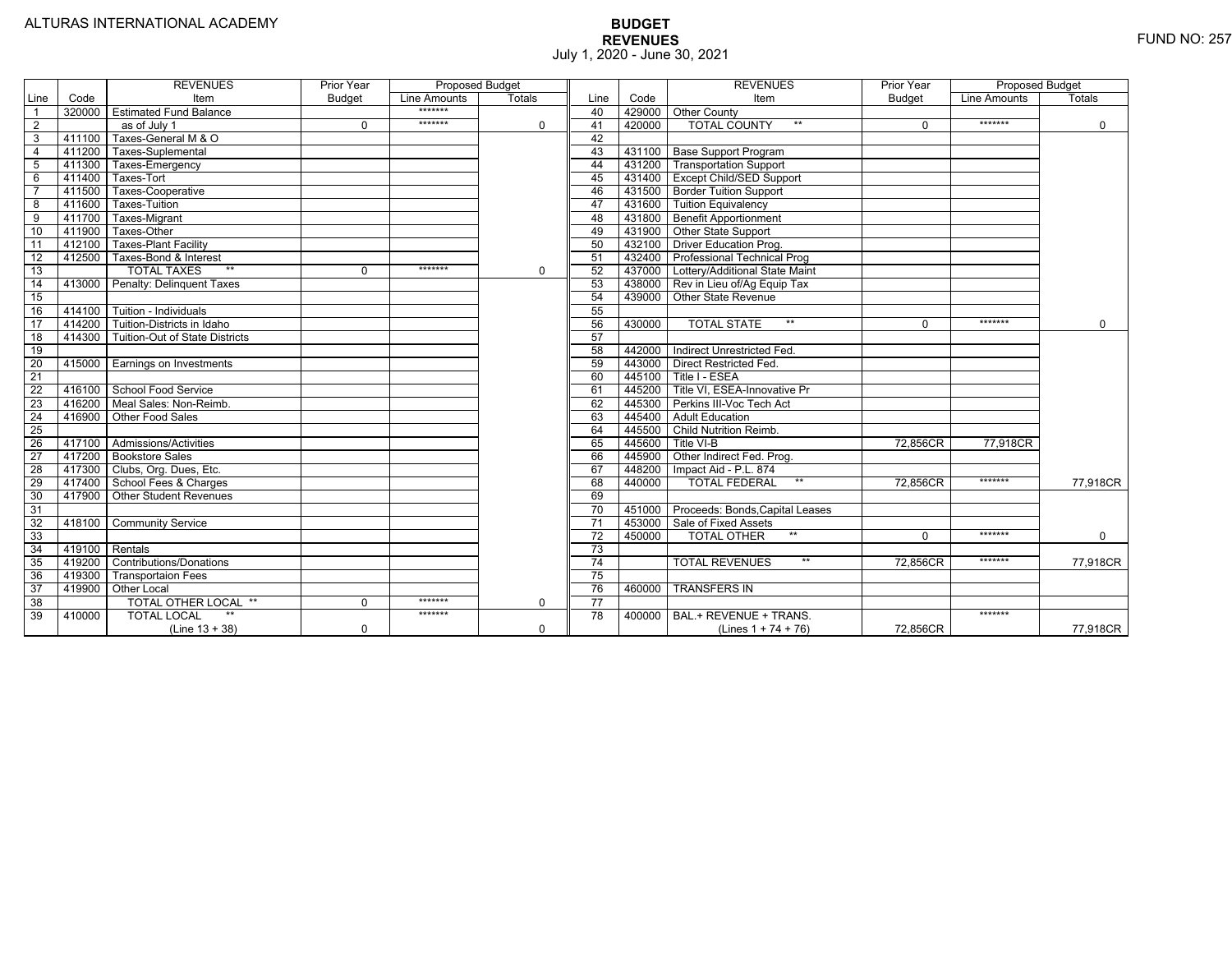|                 |                | <b>REVENUES</b>                         | Prior Year    | <b>Proposed Budget</b> |          |                 |        | <b>REVENUES</b>                       | Prior Year | <b>Proposed Budget</b> |             |
|-----------------|----------------|-----------------------------------------|---------------|------------------------|----------|-----------------|--------|---------------------------------------|------------|------------------------|-------------|
| Line            | Code           | Item                                    | <b>Budget</b> | Line Amounts           | Totals   | Line            | Code   | Item                                  | Budget     | Line Amounts           | Totals      |
|                 |                | 320000 Estimated Fund Balance           |               | *******                |          | 40              |        | 429000 Other County                   |            |                        |             |
| $\overline{2}$  |                | as of July 1                            | $\Omega$      | *******                | 0        | 41              | 420000 | <b>TOTAL COUNTY</b><br>$***$          | $\Omega$   | *******                | $\mathbf 0$ |
| 3               | 411100         | Taxes-General M & O                     |               |                        |          | 42              |        |                                       |            |                        |             |
| 4               | 411200         | Taxes-Suplemental                       |               |                        |          | 43              |        | 431100 Base Support Program           |            |                        |             |
| 5               |                | 411300 Taxes-Emergency                  |               |                        |          | 44              |        | 431200 Transportation Support         |            |                        |             |
| 6               | 411400         | Taxes-Tort                              |               |                        |          | 45              |        | 431400 Except Child/SED Support       |            |                        |             |
|                 | 411500         | Taxes-Cooperative                       |               |                        |          | 46              |        | 431500 Border Tuition Support         |            |                        |             |
| 8               | 411600         | Taxes-Tuition                           |               |                        |          | 47              |        | 431600 Tuition Equivalency            |            |                        |             |
| 9               | 411700         | Taxes-Migrant                           |               |                        |          | 48              |        | 431800 Benefit Apportionment          |            |                        |             |
| 10              | 411900         | Taxes-Other                             |               |                        |          | 49              |        | 431900 Other State Support            |            |                        |             |
| 11              | 412100         | <b>Taxes-Plant Facility</b>             |               |                        |          | 50              |        | 432100 Driver Education Prog.         |            |                        |             |
| 12              | 412500         | Taxes-Bond & Interest                   |               |                        |          | 51              |        | 432400   Professional Technical Prog  |            |                        |             |
| 13              |                | $**$<br><b>TOTAL TAXES</b>              | $\Omega$      | *******                | 0        | 52              |        | 437000 Lottery/Additional State Maint |            |                        |             |
| 14              |                | 413000 Penalty: Delinguent Taxes        |               |                        |          | 53              |        | 438000   Rev in Lieu of/Ag Equip Tax  |            |                        |             |
| 15              |                |                                         |               |                        |          | 54              | 439000 | <b>Other State Revenue</b>            |            |                        |             |
| 16              |                | 414100 Tuition - Individuals            |               |                        |          | 55              |        |                                       |            |                        |             |
| 17              | 414200         | Tuition-Districts in Idaho              |               |                        |          | 56              | 430000 | $***$<br><b>TOTAL STATE</b>           | $\Omega$   | *******                | $\Omega$    |
| $\overline{18}$ |                | 414300   Tuition-Out of State Districts |               |                        |          | 57              |        |                                       |            |                        |             |
| 19              |                |                                         |               |                        |          | 58              |        | 442000   Indirect Unrestricted Fed.   |            |                        |             |
| $\overline{20}$ |                | 415000 Earnings on Investments          |               |                        |          | 59              |        | 443000 Direct Restricted Fed.         |            |                        |             |
| 21              |                |                                         |               |                        |          | 60              |        | 445100 Title I - ESEA                 |            |                        |             |
| 22              |                | 416100 School Food Service              |               |                        |          | 61              |        | 445200 Title VI. ESEA-Innovative Pr   |            |                        |             |
| 23              |                | 416200   Meal Sales: Non-Reimb.         |               |                        |          | 62              |        | 445300 Perkins III-Voc Tech Act       |            |                        |             |
| $\overline{24}$ |                | 416900 Other Food Sales                 |               |                        |          | 63              |        | 445400 Adult Education                |            |                        |             |
| $\overline{25}$ |                |                                         |               |                        |          | 64              | 445500 | Child Nutrition Reimb.                |            |                        |             |
| 26              |                | 417100 Admissions/Activities            |               |                        |          | 65              | 445600 | Title VI-B                            | 72.856CR   | 77,918CR               |             |
| 27              |                | 417200 Bookstore Sales                  |               |                        |          | 66              | 445900 | Other Indirect Fed. Prog.             |            |                        |             |
| 28              |                | 417300 Clubs, Org. Dues, Etc.           |               |                        |          | 67              | 448200 | Impact Aid - P.L. 874                 |            |                        |             |
| $\overline{29}$ |                | 417400 School Fees & Charges            |               |                        |          | 68              | 440000 | <b>TOTAL FEDERAL</b><br>$**$          | 72.856CR   | *******                | 77,918CR    |
| 30              |                | 417900   Other Student Revenues         |               |                        |          | 69              |        |                                       |            |                        |             |
| 31              |                |                                         |               |                        |          | 70              | 451000 | Proceeds: Bonds, Capital Leases       |            |                        |             |
| $\overline{32}$ | 418100         | <b>Community Service</b>                |               |                        |          | $\overline{71}$ | 453000 | Sale of Fixed Assets                  |            |                        |             |
| 33              |                |                                         |               |                        |          | $\overline{72}$ | 450000 | $**$<br><b>TOTAL OTHER</b>            | $\Omega$   | *******                | $\mathbf 0$ |
| 34              | 419100 Rentals |                                         |               |                        |          | 73              |        |                                       |            |                        |             |
| 35              |                | 419200 Contributions/Donations          |               |                        |          | $\overline{74}$ |        | <b>TOTAL REVENUES</b><br>$\star\star$ | 72.856CR   | *******                | 77,918CR    |
| 36              | 419300         | <b>Transportaion Fees</b>               |               |                        |          | 75              |        |                                       |            |                        |             |
| 37              | 419900         | <b>Other Local</b>                      |               |                        |          | 76              | 460000 | <b>TRANSFERS IN</b>                   |            |                        |             |
| 38              |                | TOTAL OTHER LOCAL **                    | $\Omega$      | *******                | $\Omega$ | 77              |        |                                       |            |                        |             |
| 39              | 410000         | <b>TOTAL LOCAL</b>                      |               | *******                |          | $\overline{78}$ | 400000 | BAL.+ REVENUE + TRANS.                |            | *******                |             |
|                 |                | $(Line 13 + 38)$                        | $\mathbf 0$   |                        | 0        |                 |        | (Lines $1 + 74 + 76$ )                | 72.856CR   |                        | 77,918CR    |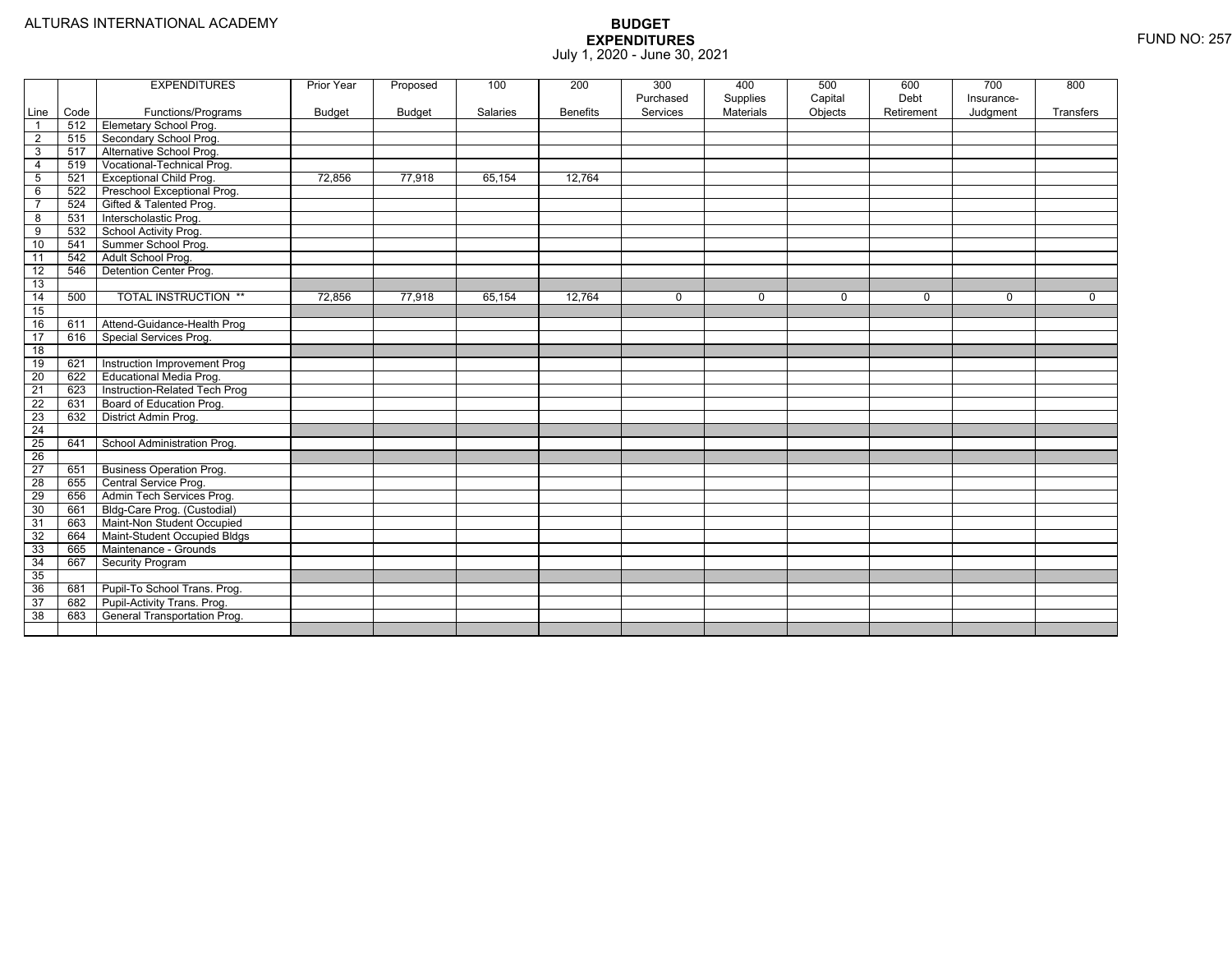|                          |      | <b>EXPENDITURES</b>             | Prior Year    | Proposed      | 100      | 200             | 300<br>Purchased | 400<br>Supplies | 500<br>Capital | 600<br>Debt | 700<br>Insurance- | 800       |
|--------------------------|------|---------------------------------|---------------|---------------|----------|-----------------|------------------|-----------------|----------------|-------------|-------------------|-----------|
| Line                     | Code | Functions/Programs              | <b>Budget</b> | <b>Budget</b> | Salaries | <b>Benefits</b> | Services         | Materials       | Objects        | Retirement  | Judgment          | Transfers |
| $\overline{\phantom{0}}$ | 512  | Elemetary School Prog.          |               |               |          |                 |                  |                 |                |             |                   |           |
| $\overline{2}$           | 515  | Secondary School Prog.          |               |               |          |                 |                  |                 |                |             |                   |           |
| $\mathbf{3}$             | 517  | Alternative School Prog.        |               |               |          |                 |                  |                 |                |             |                   |           |
| $\overline{4}$           | 519  | Vocational-Technical Prog.      |               |               |          |                 |                  |                 |                |             |                   |           |
| $5\phantom{.0}$          | 521  | <b>Exceptional Child Prog.</b>  | 72,856        | 77,918        | 65,154   | 12,764          |                  |                 |                |             |                   |           |
| 6                        | 522  | Preschool Exceptional Prog.     |               |               |          |                 |                  |                 |                |             |                   |           |
| $\overline{7}$           | 524  | Gifted & Talented Prog.         |               |               |          |                 |                  |                 |                |             |                   |           |
| 8                        | 531  | Interscholastic Prog.           |               |               |          |                 |                  |                 |                |             |                   |           |
| 9                        | 532  | School Activity Prog.           |               |               |          |                 |                  |                 |                |             |                   |           |
| 10                       | 541  | Summer School Prog.             |               |               |          |                 |                  |                 |                |             |                   |           |
| $-11$                    | 542  | Adult School Prog.              |               |               |          |                 |                  |                 |                |             |                   |           |
| $\overline{12}$          | 546  | Detention Center Prog.          |               |               |          |                 |                  |                 |                |             |                   |           |
| 13                       |      |                                 |               |               |          |                 |                  |                 |                |             |                   |           |
| 14                       | 500  | <b>TOTAL INSTRUCTION **</b>     | 72,856        | 77,918        | 65,154   | 12,764          | $\mathbf 0$      | $\mathbf 0$     | $\mathbf 0$    | $\Omega$    | $\mathbf 0$       | $\Omega$  |
| 15                       |      |                                 |               |               |          |                 |                  |                 |                |             |                   |           |
| 16                       | 611  | Attend-Guidance-Health Prog     |               |               |          |                 |                  |                 |                |             |                   |           |
| 17                       | 616  | Special Services Prog.          |               |               |          |                 |                  |                 |                |             |                   |           |
| $\overline{18}$          |      |                                 |               |               |          |                 |                  |                 |                |             |                   |           |
| 19                       | 621  | Instruction Improvement Prog    |               |               |          |                 |                  |                 |                |             |                   |           |
| $\overline{20}$          | 622  | <b>Educational Media Prog.</b>  |               |               |          |                 |                  |                 |                |             |                   |           |
| 21                       | 623  | Instruction-Related Tech Prog   |               |               |          |                 |                  |                 |                |             |                   |           |
| 22                       | 631  | Board of Education Prog.        |               |               |          |                 |                  |                 |                |             |                   |           |
| 23                       | 632  | District Admin Prog.            |               |               |          |                 |                  |                 |                |             |                   |           |
| $\overline{24}$          |      |                                 |               |               |          |                 |                  |                 |                |             |                   |           |
| $\overline{25}$          | 641  | School Administration Prog.     |               |               |          |                 |                  |                 |                |             |                   |           |
| $\overline{26}$          |      |                                 |               |               |          |                 |                  |                 |                |             |                   |           |
| $\overline{27}$          | 651  | <b>Business Operation Prog.</b> |               |               |          |                 |                  |                 |                |             |                   |           |
| 28                       | 655  | Central Service Prog.           |               |               |          |                 |                  |                 |                |             |                   |           |
| 29                       | 656  | Admin Tech Services Prog.       |               |               |          |                 |                  |                 |                |             |                   |           |
| 30                       | 661  | Bldg-Care Prog. (Custodial)     |               |               |          |                 |                  |                 |                |             |                   |           |
| $\overline{31}$          | 663  | Maint-Non Student Occupied      |               |               |          |                 |                  |                 |                |             |                   |           |
| 32                       | 664  | Maint-Student Occupied Bldgs    |               |               |          |                 |                  |                 |                |             |                   |           |
| 33                       | 665  | Maintenance - Grounds           |               |               |          |                 |                  |                 |                |             |                   |           |
| 34                       | 667  | <b>Security Program</b>         |               |               |          |                 |                  |                 |                |             |                   |           |
| 35                       |      |                                 |               |               |          |                 |                  |                 |                |             |                   |           |
| 36                       | 681  | Pupil-To School Trans. Prog.    |               |               |          |                 |                  |                 |                |             |                   |           |
| $\overline{37}$          | 682  | Pupil-Activity Trans. Prog.     |               |               |          |                 |                  |                 |                |             |                   |           |
| 38                       | 683  | General Transportation Prog.    |               |               |          |                 |                  |                 |                |             |                   |           |
|                          |      |                                 |               |               |          |                 |                  |                 |                |             |                   |           |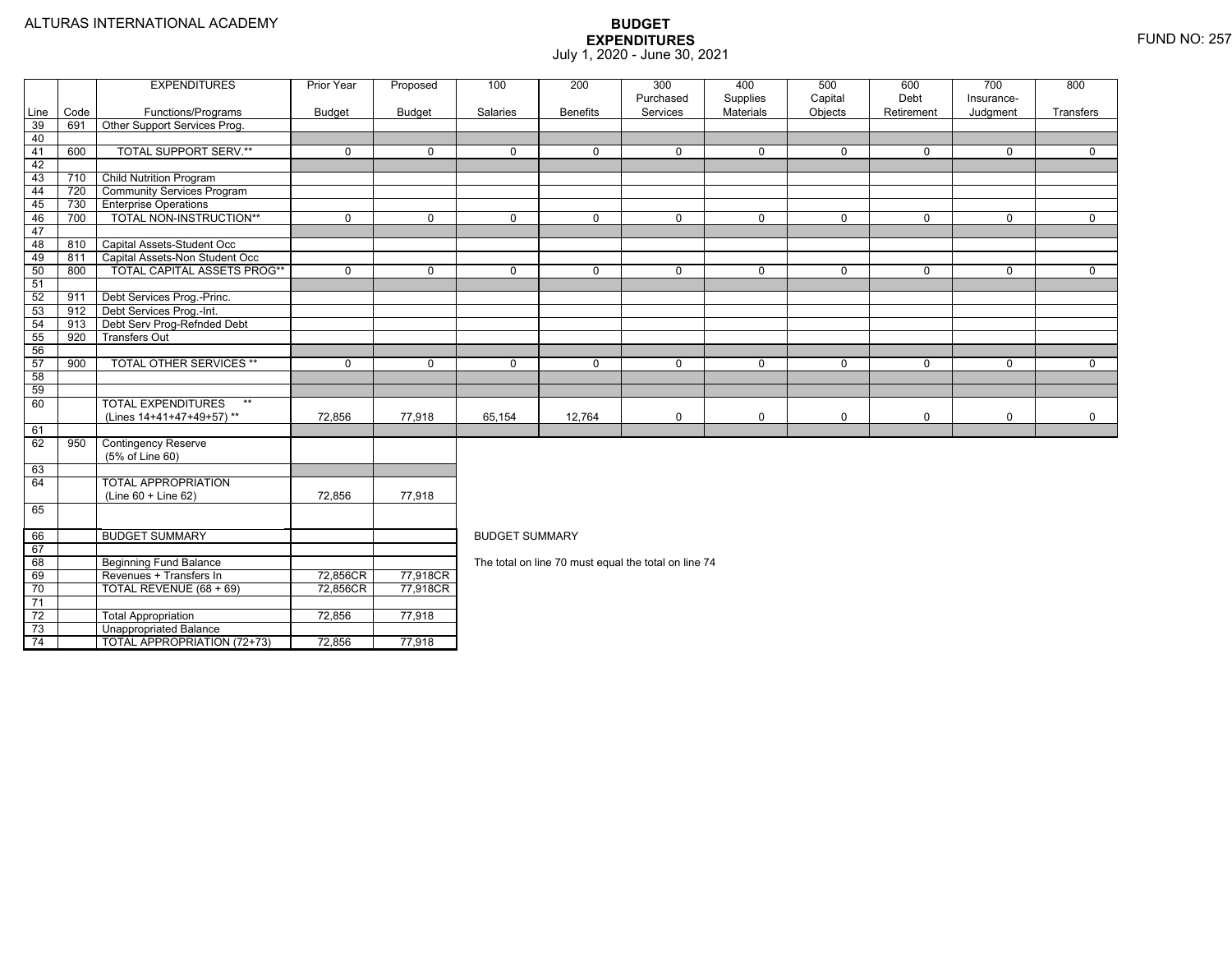TOTAL APPROPRIATION (72+73) 72,856 77,918

|      |      | <b>EXPENDITURES</b>                | Prior Year    | Proposed      | 100                   | 200             | 300<br>Purchased                                     | 400<br>Supplies | 500<br>Capital | 600<br>Debt | 700<br>Insurance- | 800         |  |  |  |
|------|------|------------------------------------|---------------|---------------|-----------------------|-----------------|------------------------------------------------------|-----------------|----------------|-------------|-------------------|-------------|--|--|--|
| Line | Code | Functions/Programs                 | <b>Budget</b> | <b>Budget</b> | Salaries              | <b>Benefits</b> | Services                                             | Materials       | Objects        | Retirement  | Judgment          | Transfers   |  |  |  |
| 39   | 691  | Other Support Services Prog.       |               |               |                       |                 |                                                      |                 |                |             |                   |             |  |  |  |
| 40   |      |                                    |               |               |                       |                 |                                                      |                 |                |             |                   |             |  |  |  |
| 41   | 600  | <b>TOTAL SUPPORT SERV.**</b>       | $\Omega$      | $\Omega$      | $\Omega$              | $\Omega$        | $\mathbf 0$                                          | 0               | $\mathbf{0}$   | $\Omega$    | $\Omega$          | $\Omega$    |  |  |  |
| 42   |      |                                    |               |               |                       |                 |                                                      |                 |                |             |                   |             |  |  |  |
| 43   | 710  | <b>Child Nutrition Program</b>     |               |               |                       |                 |                                                      |                 |                |             |                   |             |  |  |  |
| 44   | 720  | <b>Community Services Program</b>  |               |               |                       |                 |                                                      |                 |                |             |                   |             |  |  |  |
| 45   | 730  | <b>Enterprise Operations</b>       |               |               |                       |                 |                                                      |                 |                |             |                   |             |  |  |  |
| 46   | 700  | TOTAL NON-INSTRUCTION**            | $\Omega$      | $\Omega$      | $\mathbf 0$           | $\Omega$        | $\mathbf 0$                                          | 0               | $\mathbf 0$    | $\Omega$    | $\Omega$          | $\Omega$    |  |  |  |
| 47   |      |                                    |               |               |                       |                 |                                                      |                 |                |             |                   |             |  |  |  |
| 48   | 810  | Capital Assets-Student Occ         |               |               |                       |                 |                                                      |                 |                |             |                   |             |  |  |  |
| 49   | 811  | Capital Assets-Non Student Occ     |               |               |                       |                 |                                                      |                 |                |             |                   |             |  |  |  |
| 50   | 800  | <b>TOTAL CAPITAL ASSETS PROG**</b> | $\mathbf 0$   | $\mathbf 0$   | 0                     | $\mathbf 0$     | 0                                                    | 0               | $\mathbf 0$    | $\mathbf 0$ | 0                 | $\mathbf 0$ |  |  |  |
| 51   |      |                                    |               |               |                       |                 |                                                      |                 |                |             |                   |             |  |  |  |
| 52   | 911  | Debt Services Prog.-Princ.         |               |               |                       |                 |                                                      |                 |                |             |                   |             |  |  |  |
| 53   | 912  | Debt Services Prog.-Int.           |               |               |                       |                 |                                                      |                 |                |             |                   |             |  |  |  |
| 54   | 913  | Debt Serv Prog-Refnded Debt        |               |               |                       |                 |                                                      |                 |                |             |                   |             |  |  |  |
| 55   | 920  | <b>Transfers Out</b>               |               |               |                       |                 |                                                      |                 |                |             |                   |             |  |  |  |
| 56   |      |                                    |               |               |                       |                 |                                                      |                 |                |             |                   |             |  |  |  |
| 57   | 900  | <b>TOTAL OTHER SERVICES **</b>     | $\Omega$      | $\Omega$      | $\mathbf 0$           | $\Omega$        | $\mathbf 0$                                          | $\mathbf 0$     | $\mathbf 0$    | $\Omega$    | $\Omega$          | $\Omega$    |  |  |  |
| 58   |      |                                    |               |               |                       |                 |                                                      |                 |                |             |                   |             |  |  |  |
| 59   |      |                                    |               |               |                       |                 |                                                      |                 |                |             |                   |             |  |  |  |
| 60   |      | <b>TOTAL EXPENDITURES</b><br>$***$ |               |               |                       |                 |                                                      |                 |                |             |                   |             |  |  |  |
|      |      | (Lines 14+41+47+49+57)**           | 72,856        | 77,918        | 65,154                | 12,764          | 0                                                    | 0               | $\mathbf 0$    | $\mathbf 0$ | 0                 | $\mathbf 0$ |  |  |  |
| 61   |      |                                    |               |               |                       |                 |                                                      |                 |                |             |                   |             |  |  |  |
| 62   | 950  | <b>Contingency Reserve</b>         |               |               |                       |                 |                                                      |                 |                |             |                   |             |  |  |  |
|      |      | (5% of Line 60)                    |               |               |                       |                 |                                                      |                 |                |             |                   |             |  |  |  |
| 63   |      |                                    |               |               |                       |                 |                                                      |                 |                |             |                   |             |  |  |  |
| 64   |      | <b>TOTAL APPROPRIATION</b>         |               |               |                       |                 |                                                      |                 |                |             |                   |             |  |  |  |
|      |      | $(Line 60 + Line 62)$              | 72,856        | 77,918        |                       |                 |                                                      |                 |                |             |                   |             |  |  |  |
| 65   |      |                                    |               |               |                       |                 |                                                      |                 |                |             |                   |             |  |  |  |
| 66   |      | <b>BUDGET SUMMARY</b>              |               |               | <b>BUDGET SUMMARY</b> |                 |                                                      |                 |                |             |                   |             |  |  |  |
| 67   |      |                                    |               |               |                       |                 |                                                      |                 |                |             |                   |             |  |  |  |
| 68   |      | <b>Beginning Fund Balance</b>      |               |               |                       |                 | The total on line 70 must equal the total on line 74 |                 |                |             |                   |             |  |  |  |
| 69   |      | Revenues + Transfers In            | 72,856CR      | 77,918CR      |                       |                 |                                                      |                 |                |             |                   |             |  |  |  |
| 70   |      | TOTAL REVENUE (68 + 69)            | 72,856CR      | 77,918CR      |                       |                 |                                                      |                 |                |             |                   |             |  |  |  |
| 71   |      |                                    |               |               |                       |                 |                                                      |                 |                |             |                   |             |  |  |  |
| 72   |      | <b>Total Appropriation</b>         | 72,856        | 77,918        |                       |                 |                                                      |                 |                |             |                   |             |  |  |  |
| 73   |      | Unappropriated Balance             |               |               |                       |                 |                                                      |                 |                |             |                   |             |  |  |  |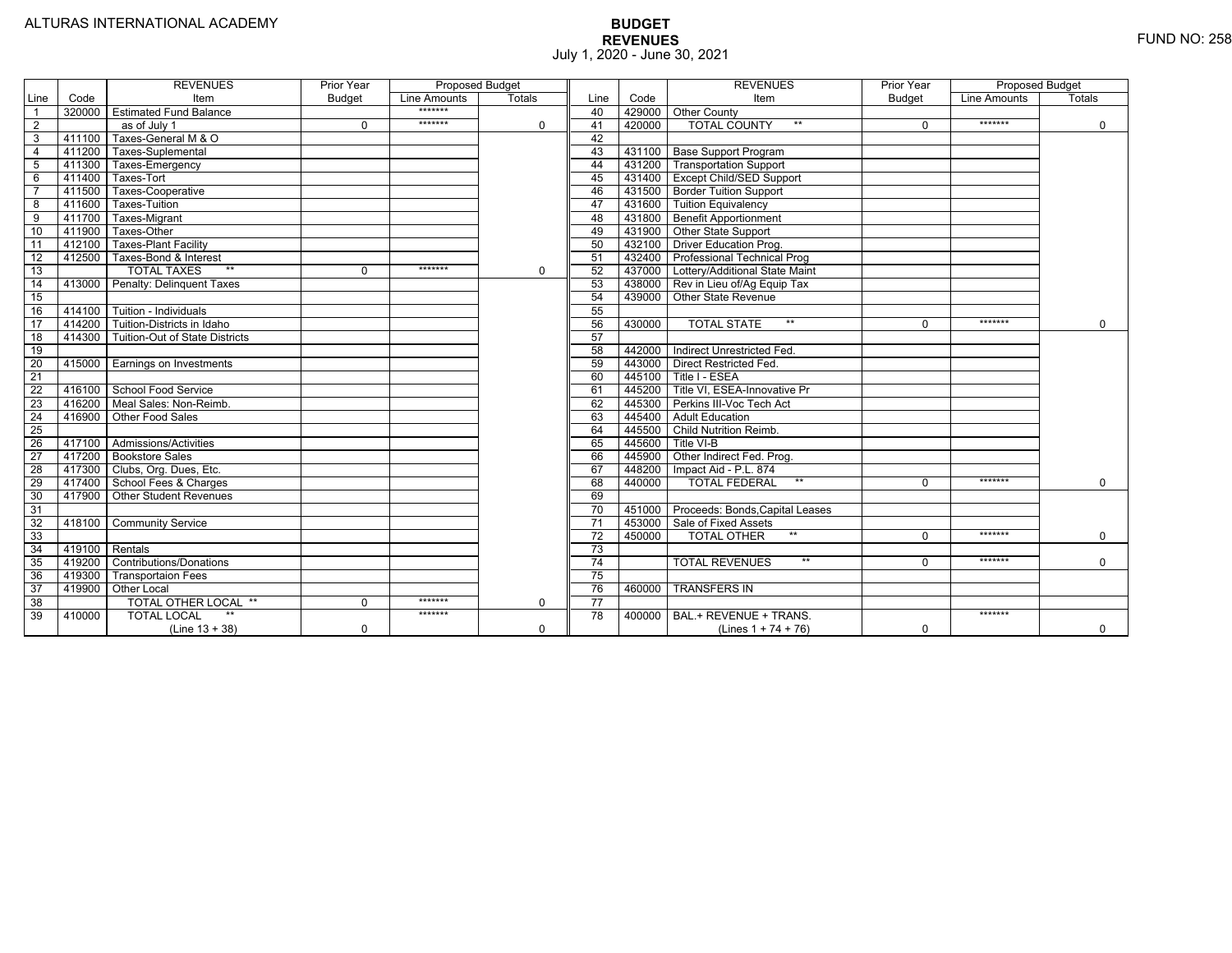|                 |        | <b>REVENUES</b>                   | Prior Year    | <b>Proposed Budget</b> |               |                 |        | <b>REVENUES</b>                    | Prior Year    | <b>Proposed Budget</b> |               |
|-----------------|--------|-----------------------------------|---------------|------------------------|---------------|-----------------|--------|------------------------------------|---------------|------------------------|---------------|
| Line            | Code   | Item                              | <b>Budget</b> | Line Amounts           | <b>Totals</b> | Line            | Code   | Item                               | <b>Budget</b> | Line Amounts           | <b>Totals</b> |
|                 | 320000 | <b>Estimated Fund Balance</b>     |               | *******                |               | 40              |        | 429000 Other County                |               |                        |               |
| 2               |        | as of July 1                      | $\Omega$      | *******                | 0             | 41              | 420000 | <b>TOTAL COUNTY</b>                | $\Omega$      | *******                | 0             |
| 3               | 411100 | Taxes-General M & O               |               |                        |               | 42              |        |                                    |               |                        |               |
| $\overline{4}$  | 411200 | Taxes-Suplemental                 |               |                        |               | 43              |        | 431100 Base Support Program        |               |                        |               |
| 5               | 411300 | Taxes-Emergency                   |               |                        |               | 44              |        | 431200 Transportation Support      |               |                        |               |
| 6               | 411400 | Taxes-Tort                        |               |                        |               | 45              |        | 431400 Except Child/SED Support    |               |                        |               |
|                 | 411500 | Taxes-Cooperative                 |               |                        |               | 46              |        | 431500   Border Tuition Support    |               |                        |               |
| 8               | 411600 | Taxes-Tuition                     |               |                        |               | 47              |        | 431600 Tuition Equivalency         |               |                        |               |
| $\overline{9}$  | 411700 | Taxes-Migrant                     |               |                        |               | 48              |        | 431800 Benefit Apportionment       |               |                        |               |
| 10              | 411900 | Taxes-Other                       |               |                        |               | 49              | 431900 | Other State Support                |               |                        |               |
| 11              | 412100 | <b>Taxes-Plant Facility</b>       |               |                        |               | 50              | 432100 | Driver Education Prog.             |               |                        |               |
| $\overline{12}$ | 412500 | Taxes-Bond & Interest             |               |                        |               | 51              | 432400 | <b>Professional Technical Prog</b> |               |                        |               |
| 13              |        | $**$<br><b>TOTAL TAXES</b>        | 0             | *******                | 0             | 52              | 437000 | Lottery/Additional State Maint     |               |                        |               |
| 14              | 413000 | Penalty: Delinguent Taxes         |               |                        |               | 53              | 438000 | Rev in Lieu of/Ag Equip Tax        |               |                        |               |
| 15              |        |                                   |               |                        |               | 54              | 439000 | Other State Revenue                |               |                        |               |
| 16              | 414100 | Tuition - Individuals             |               |                        |               | 55              |        |                                    |               |                        |               |
| $\overline{17}$ |        | 414200 Tuition-Districts in Idaho |               |                        |               | 56              | 430000 | $**$<br><b>TOTAL STATE</b>         | $\Omega$      | *******                | $\Omega$      |
| 18              | 414300 | Tuition-Out of State Districts    |               |                        |               | 57              |        |                                    |               |                        |               |
| 19              |        |                                   |               |                        |               | 58              | 442000 | Indirect Unrestricted Fed.         |               |                        |               |
| 20              | 415000 | <b>Earnings on Investments</b>    |               |                        |               | 59              | 443000 | <b>Direct Restricted Fed.</b>      |               |                        |               |
| $\overline{21}$ |        |                                   |               |                        |               | 60              | 445100 | Title I - ESEA                     |               |                        |               |
| 22              | 416100 | School Food Service               |               |                        |               | 61              | 445200 | Title VI, ESEA-Innovative Pr       |               |                        |               |
| 23              | 416200 | Meal Sales: Non-Reimb.            |               |                        |               | 62              | 445300 | Perkins III-Voc Tech Act           |               |                        |               |
| $\overline{24}$ | 416900 | Other Food Sales                  |               |                        |               | 63              | 445400 | <b>Adult Education</b>             |               |                        |               |
| 25              |        |                                   |               |                        |               | 64              | 445500 | <b>Child Nutrition Reimb.</b>      |               |                        |               |
| 26              |        | 417100 Admissions/Activities      |               |                        |               | 65              | 445600 | Title VI-B                         |               |                        |               |
| $\overline{27}$ | 417200 | <b>Bookstore Sales</b>            |               |                        |               | 66              | 445900 | Other Indirect Fed. Prog.          |               |                        |               |
| $\overline{28}$ | 417300 | Clubs, Org. Dues, Etc.            |               |                        |               | 67              | 448200 | Impact Aid - P.L. 874              |               |                        |               |
| 29              | 417400 | School Fees & Charges             |               |                        |               | 68              | 440000 | $**$<br><b>TOTAL FEDERAL</b>       | $\Omega$      | *******                | 0             |
| 30              | 417900 | Other Student Revenues            |               |                        |               | 69              |        |                                    |               |                        |               |
| 31              |        |                                   |               |                        |               | 70              | 451000 | Proceeds: Bonds, Capital Leases    |               |                        |               |
| $\overline{32}$ | 418100 | <b>Community Service</b>          |               |                        |               | $\overline{71}$ | 453000 | Sale of Fixed Assets               |               |                        |               |
| 33              |        |                                   |               |                        |               | $\overline{72}$ | 450000 | <b>TOTAL OTHER</b><br>$***$        | $\Omega$      | *******                | 0             |
| 34              | 419100 | Rentals                           |               |                        |               | 73              |        |                                    |               |                        |               |
| 35              | 419200 | Contributions/Donations           |               |                        |               | 74              |        | <b>TOTAL REVENUES</b><br>$***$     | U             | *******                | $\Omega$      |
| 36              | 419300 | <b>Transportaion Fees</b>         |               |                        |               | 75              |        |                                    |               |                        |               |
| 37              | 419900 | <b>Other Local</b>                |               |                        |               | 76              | 460000 | <b>TRANSFERS IN</b>                |               |                        |               |
| $\overline{38}$ |        | <b>TOTAL OTHER LOCAL **</b>       | $\Omega$      | *******                | 0             | $\overline{77}$ |        |                                    |               |                        |               |
| 39              | 410000 | <b>TOTAL LOCAL</b>                |               | *******                |               | $\overline{78}$ | 400000 | BAL.+ REVENUE + TRANS.             |               | *******                |               |
|                 |        | $(Line 13 + 38)$                  | $\Omega$      |                        | 0             |                 |        | (Lines $1 + 74 + 76$ )             | $\Omega$      |                        | 0             |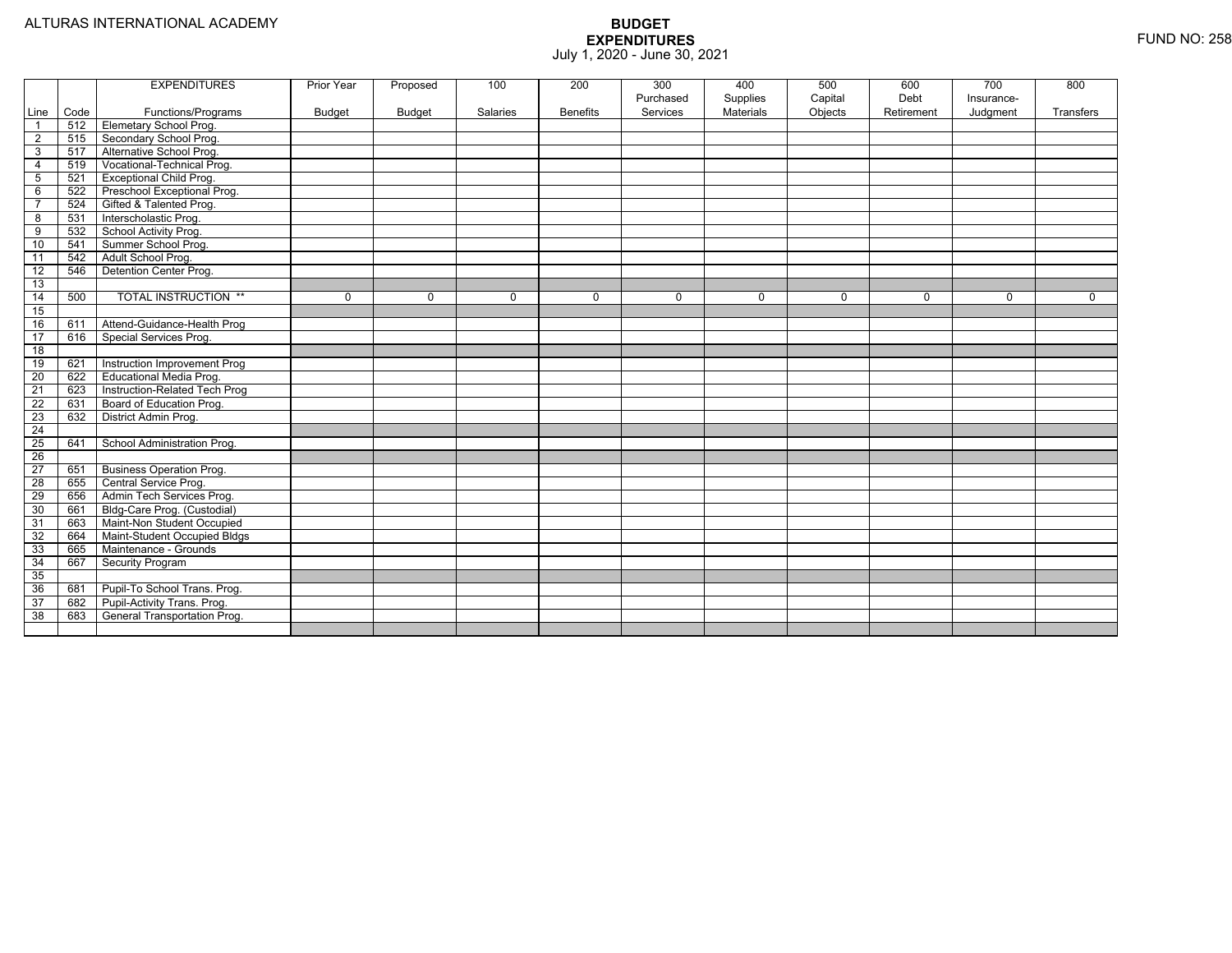|                        |             | <b>EXPENDITURES</b>                                 | Prior Year    | Proposed      | 100      | 200             | 300                   | 400                          | 500     | 600        | 700        | 800       |
|------------------------|-------------|-----------------------------------------------------|---------------|---------------|----------|-----------------|-----------------------|------------------------------|---------|------------|------------|-----------|
|                        |             |                                                     |               |               |          |                 | Purchased<br>Services | Supplies<br><b>Materials</b> | Capital | Debt       | Insurance- |           |
| Line<br>$\overline{1}$ | Code<br>512 | Functions/Programs<br><b>Elemetary School Prog.</b> | <b>Budget</b> | <b>Budget</b> | Salaries | <b>Benefits</b> |                       |                              | Objects | Retirement | Judgment   | Transfers |
|                        | 515         |                                                     |               |               |          |                 |                       |                              |         |            |            |           |
| $\overline{2}$         |             | Secondary School Prog.                              |               |               |          |                 |                       |                              |         |            |            |           |
| 3                      | 517         | Alternative School Prog.                            |               |               |          |                 |                       |                              |         |            |            |           |
| $\overline{4}$         | 519         | Vocational-Technical Prog.                          |               |               |          |                 |                       |                              |         |            |            |           |
| 5                      | 521         | <b>Exceptional Child Prog.</b>                      |               |               |          |                 |                       |                              |         |            |            |           |
| 6                      | 522         | Preschool Exceptional Prog.                         |               |               |          |                 |                       |                              |         |            |            |           |
| $\overline{7}$         | 524         | Gifted & Talented Prog.                             |               |               |          |                 |                       |                              |         |            |            |           |
| 8                      | 531         | Interscholastic Prog.                               |               |               |          |                 |                       |                              |         |            |            |           |
| 9                      | 532         | School Activity Prog.                               |               |               |          |                 |                       |                              |         |            |            |           |
| 10                     | 541         | Summer School Prog.                                 |               |               |          |                 |                       |                              |         |            |            |           |
| 11                     | 542         | Adult School Prog.                                  |               |               |          |                 |                       |                              |         |            |            |           |
| 12                     | 546         | Detention Center Prog.                              |               |               |          |                 |                       |                              |         |            |            |           |
| 13                     |             |                                                     |               |               |          |                 |                       |                              |         |            |            |           |
| 14                     | 500         | <b>TOTAL INSTRUCTION **</b>                         | 0             | $\Omega$      | $\Omega$ | $\Omega$        | $\Omega$              | 0                            | 0       | $\Omega$   | $\Omega$   | $\Omega$  |
| 15                     |             |                                                     |               |               |          |                 |                       |                              |         |            |            |           |
| 16                     | 611         | Attend-Guidance-Health Prog                         |               |               |          |                 |                       |                              |         |            |            |           |
| 17                     | 616         | <b>Special Services Prog.</b>                       |               |               |          |                 |                       |                              |         |            |            |           |
| $\overline{18}$        |             |                                                     |               |               |          |                 |                       |                              |         |            |            |           |
| 19                     | 621         | Instruction Improvement Prog                        |               |               |          |                 |                       |                              |         |            |            |           |
| 20                     | 622         | <b>Educational Media Prog.</b>                      |               |               |          |                 |                       |                              |         |            |            |           |
| $\overline{21}$        | 623         | Instruction-Related Tech Prog                       |               |               |          |                 |                       |                              |         |            |            |           |
| 22                     | 631         | Board of Education Prog.                            |               |               |          |                 |                       |                              |         |            |            |           |
| 23                     | 632         | District Admin Prog.                                |               |               |          |                 |                       |                              |         |            |            |           |
| $\overline{24}$        |             |                                                     |               |               |          |                 |                       |                              |         |            |            |           |
| 25                     | 641         | School Administration Prog.                         |               |               |          |                 |                       |                              |         |            |            |           |
| $\overline{26}$        |             |                                                     |               |               |          |                 |                       |                              |         |            |            |           |
| 27                     | 651         | <b>Business Operation Prog.</b>                     |               |               |          |                 |                       |                              |         |            |            |           |
| $\overline{28}$        | 655         | Central Service Prog.                               |               |               |          |                 |                       |                              |         |            |            |           |
| 29                     | 656         | Admin Tech Services Prog.                           |               |               |          |                 |                       |                              |         |            |            |           |
| 30                     | 661         | Bldg-Care Prog. (Custodial)                         |               |               |          |                 |                       |                              |         |            |            |           |
| 31                     | 663         | Maint-Non Student Occupied                          |               |               |          |                 |                       |                              |         |            |            |           |
| 32                     | 664         | Maint-Student Occupied Bldgs                        |               |               |          |                 |                       |                              |         |            |            |           |
| 33                     | 665         | Maintenance - Grounds                               |               |               |          |                 |                       |                              |         |            |            |           |
| 34                     | 667         | Security Program                                    |               |               |          |                 |                       |                              |         |            |            |           |
| 35                     |             |                                                     |               |               |          |                 |                       |                              |         |            |            |           |
| 36                     | 681         | Pupil-To School Trans. Prog.                        |               |               |          |                 |                       |                              |         |            |            |           |
| 37                     | 682         | Pupil-Activity Trans. Prog.                         |               |               |          |                 |                       |                              |         |            |            |           |
| 38                     | 683         | General Transportation Prog.                        |               |               |          |                 |                       |                              |         |            |            |           |
|                        |             |                                                     |               |               |          |                 |                       |                              |         |            |            |           |
|                        |             |                                                     |               |               |          |                 |                       |                              |         |            |            |           |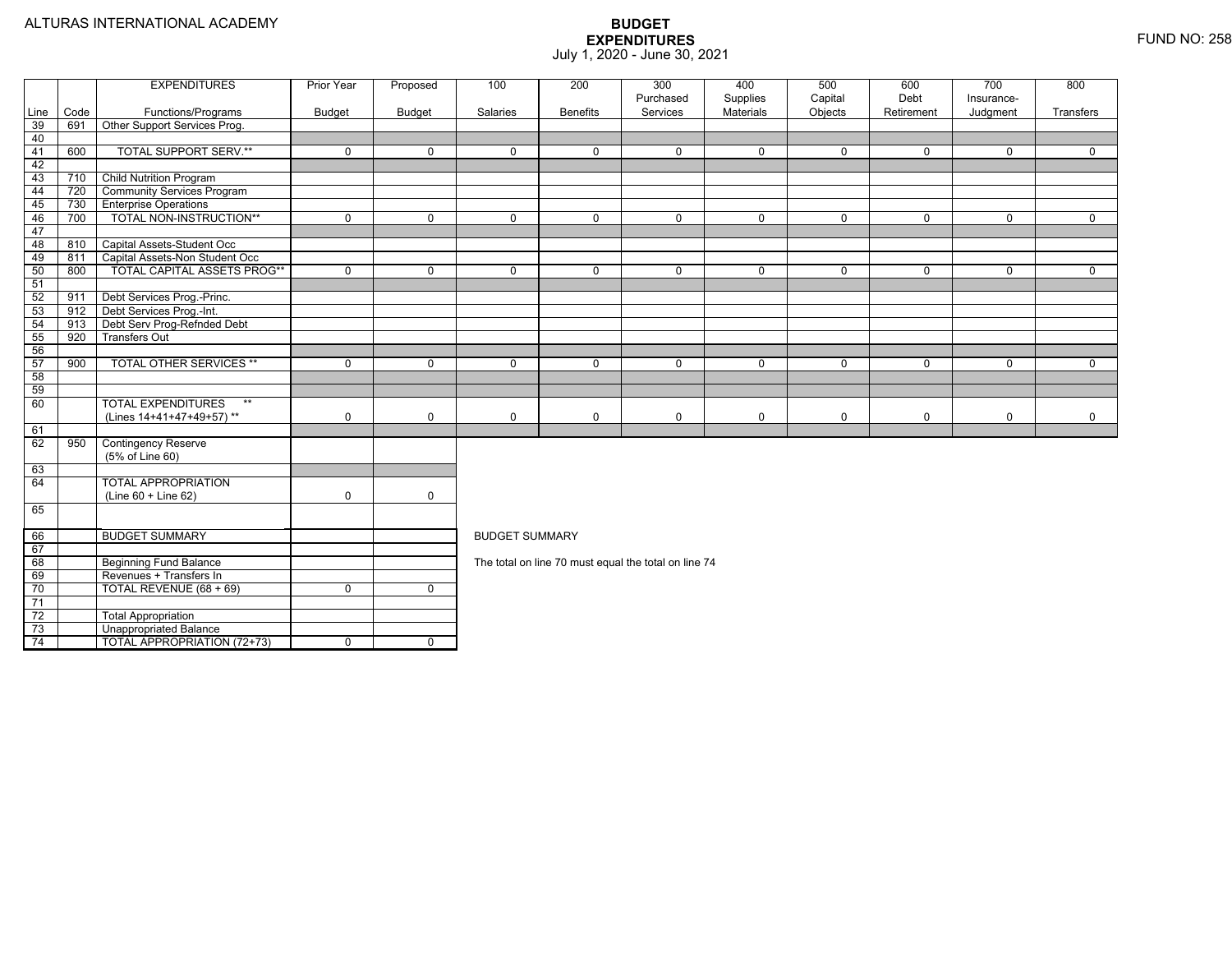|       |      | <b>EXPENDITURES</b>                | <b>Prior Year</b> | Proposed       | 100                                                                                                   | 200             | 300                                                  | 400                   | 500                | 600                | 700                    | 800            |  |  |  |
|-------|------|------------------------------------|-------------------|----------------|-------------------------------------------------------------------------------------------------------|-----------------|------------------------------------------------------|-----------------------|--------------------|--------------------|------------------------|----------------|--|--|--|
| Line  | Code | Functions/Programs                 | <b>Budget</b>     | <b>Budget</b>  | Salaries                                                                                              | <b>Benefits</b> | Purchased<br>Services                                | Supplies<br>Materials | Capital<br>Objects | Debt<br>Retirement | Insurance-<br>Judgment | Transfers      |  |  |  |
| 39    | 691  | Other Support Services Prog.       |                   |                |                                                                                                       |                 |                                                      |                       |                    |                    |                        |                |  |  |  |
| 40    |      |                                    |                   |                |                                                                                                       |                 |                                                      |                       |                    |                    |                        |                |  |  |  |
| $-41$ | 600  | <b>TOTAL SUPPORT SERV.**</b>       | $\mathbf 0$       | $\mathbf 0$    | $\Omega$                                                                                              | $\Omega$        | $\mathbf 0$                                          | $\mathbf 0$           | $\mathbf 0$        | 0                  | $\Omega$               | $\mathbf{0}$   |  |  |  |
| 42    |      |                                    |                   |                |                                                                                                       |                 |                                                      |                       |                    |                    |                        |                |  |  |  |
| 43    | 710  | <b>Child Nutrition Program</b>     |                   |                |                                                                                                       |                 |                                                      |                       |                    |                    |                        |                |  |  |  |
| 44    | 720  | <b>Community Services Program</b>  |                   |                |                                                                                                       |                 |                                                      |                       |                    |                    |                        |                |  |  |  |
| 45    | 730  | <b>Enterprise Operations</b>       |                   |                |                                                                                                       |                 |                                                      |                       |                    |                    |                        |                |  |  |  |
| 46    | 700  | <b>TOTAL NON-INSTRUCTION**</b>     | $\overline{0}$    | $\overline{0}$ | $\overline{0}$                                                                                        | $\overline{0}$  | $\overline{0}$                                       | $\overline{0}$        | $\overline{0}$     | $\overline{0}$     | $\overline{0}$         | $\overline{0}$ |  |  |  |
| 47    |      |                                    |                   |                |                                                                                                       |                 |                                                      |                       |                    |                    |                        |                |  |  |  |
| 48    | 810  | Capital Assets-Student Occ         |                   |                |                                                                                                       |                 |                                                      |                       |                    |                    |                        |                |  |  |  |
| 49    | 811  | Capital Assets-Non Student Occ     |                   |                |                                                                                                       |                 |                                                      |                       |                    |                    |                        |                |  |  |  |
| 50    | 800  | <b>TOTAL CAPITAL ASSETS PROG**</b> | $\mathbf 0$       | $\mathbf 0$    | 0                                                                                                     | $\mathbf 0$     | $\mathbf 0$                                          | $\mathbf 0$           | $\mathbf 0$        | 0                  | $\mathbf 0$            | $\mathbf{0}$   |  |  |  |
| 51    |      |                                    |                   |                |                                                                                                       |                 |                                                      |                       |                    |                    |                        |                |  |  |  |
| 52    | 911  | Debt Services Prog.-Princ.         |                   |                |                                                                                                       |                 |                                                      |                       |                    |                    |                        |                |  |  |  |
| 53    | 912  | Debt Services Prog.-Int.           |                   |                |                                                                                                       |                 |                                                      |                       |                    |                    |                        |                |  |  |  |
| 54    | 913  | Debt Serv Prog-Refnded Debt        |                   |                |                                                                                                       |                 |                                                      |                       |                    |                    |                        |                |  |  |  |
| 55    | 920  | <b>Transfers Out</b>               |                   |                | $\mathbf 0$<br>0<br>$\mathbf 0$<br>$\mathbf 0$<br>$\mathbf 0$<br>$\Omega$<br>$\Omega$<br>$\mathbf{0}$ |                 |                                                      |                       |                    |                    |                        |                |  |  |  |
| 56    |      |                                    |                   |                |                                                                                                       |                 |                                                      |                       |                    |                    |                        |                |  |  |  |
| 57    | 900  | <b>TOTAL OTHER SERVICES **</b>     | $\mathbf 0$       | $\mathbf 0$    |                                                                                                       |                 |                                                      |                       |                    |                    |                        |                |  |  |  |
| 58    |      |                                    |                   |                |                                                                                                       |                 |                                                      |                       |                    |                    |                        |                |  |  |  |
| 59    |      |                                    |                   |                |                                                                                                       |                 |                                                      |                       |                    |                    |                        |                |  |  |  |
| 60    |      | <b>TOTAL EXPENDITURES</b><br>$***$ |                   |                |                                                                                                       |                 |                                                      |                       |                    |                    |                        |                |  |  |  |
|       |      | (Lines 14+41+47+49+57)**           | $\mathbf 0$       | $\mathbf 0$    | $\mathbf 0$                                                                                           | $\mathbf 0$     | $\mathbf 0$                                          | 0                     | $\mathbf 0$        | 0                  | $\mathbf 0$            | $\mathbf 0$    |  |  |  |
| 61    |      |                                    |                   |                |                                                                                                       |                 |                                                      |                       |                    |                    |                        |                |  |  |  |
| 62    | 950  | <b>Contingency Reserve</b>         |                   |                |                                                                                                       |                 |                                                      |                       |                    |                    |                        |                |  |  |  |
|       |      | (5% of Line 60)                    |                   |                |                                                                                                       |                 |                                                      |                       |                    |                    |                        |                |  |  |  |
| 63    |      |                                    |                   |                |                                                                                                       |                 |                                                      |                       |                    |                    |                        |                |  |  |  |
| 64    |      | <b>TOTAL APPROPRIATION</b>         |                   |                |                                                                                                       |                 |                                                      |                       |                    |                    |                        |                |  |  |  |
|       |      | (Line 60 + Line 62)                | $\mathbf 0$       | $\mathbf 0$    |                                                                                                       |                 |                                                      |                       |                    |                    |                        |                |  |  |  |
| 65    |      |                                    |                   |                |                                                                                                       |                 |                                                      |                       |                    |                    |                        |                |  |  |  |
| 66    |      | <b>BUDGET SUMMARY</b>              |                   |                | <b>BUDGET SUMMARY</b>                                                                                 |                 |                                                      |                       |                    |                    |                        |                |  |  |  |
| 67    |      |                                    |                   |                |                                                                                                       |                 |                                                      |                       |                    |                    |                        |                |  |  |  |
| 68    |      | <b>Beginning Fund Balance</b>      |                   |                |                                                                                                       |                 | The total on line 70 must equal the total on line 74 |                       |                    |                    |                        |                |  |  |  |
| 69    |      | Revenues + Transfers In            |                   |                |                                                                                                       |                 |                                                      |                       |                    |                    |                        |                |  |  |  |
| 70    |      | TOTAL REVENUE (68 + 69)            | $\Omega$          | $\mathbf 0$    |                                                                                                       |                 |                                                      |                       |                    |                    |                        |                |  |  |  |
| 71    |      |                                    |                   |                |                                                                                                       |                 |                                                      |                       |                    |                    |                        |                |  |  |  |
| 72    |      | <b>Total Appropriation</b>         |                   |                |                                                                                                       |                 |                                                      |                       |                    |                    |                        |                |  |  |  |
| 73    |      | <b>Unappropriated Balance</b>      |                   |                |                                                                                                       |                 |                                                      |                       |                    |                    |                        |                |  |  |  |
| 74    |      | <b>TOTAL APPROPRIATION (72+73)</b> | $\overline{0}$    | $\mathbf 0$    |                                                                                                       |                 |                                                      |                       |                    |                    |                        |                |  |  |  |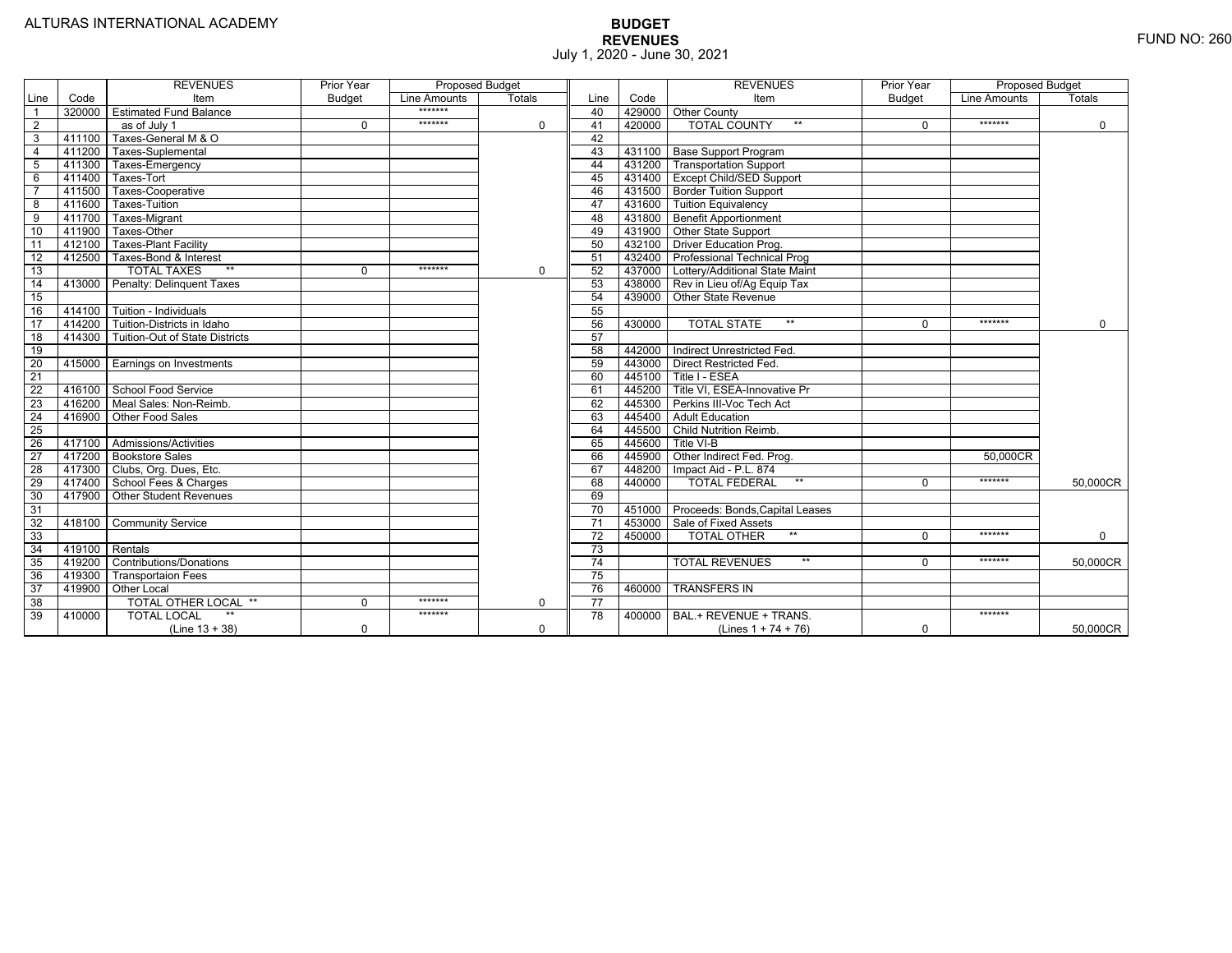|                 |                  | <b>REVENUES</b>                   | Prior Year    | <b>Proposed Budget</b> |               |                 |        | <b>REVENUES</b>                        | Prior Year    | <b>Proposed Budget</b> |               |
|-----------------|------------------|-----------------------------------|---------------|------------------------|---------------|-----------------|--------|----------------------------------------|---------------|------------------------|---------------|
| Line            | Code             | Item                              | <b>Budget</b> | Line Amounts           | <b>Totals</b> | Line            | Code   | Item                                   | <b>Budget</b> | Line Amounts           | <b>Totals</b> |
|                 | 320000           | <b>Estimated Fund Balance</b>     |               | *******                |               | 40              |        | 429000 Other County                    |               |                        |               |
| $\overline{2}$  |                  | as of July 1                      | $\Omega$      | *******                | 0             | 41              | 420000 | <b>TOTAL COUNTY</b><br>$***$           |               | *******                | $\mathbf 0$   |
| $\overline{3}$  | 411100           | Taxes-General M & O               |               |                        |               | 42              |        |                                        |               |                        |               |
| $\overline{4}$  | 411200           | Taxes-Suplemental                 |               |                        |               | 43              |        | 431100   Base Support Program          |               |                        |               |
| $\overline{5}$  | 411300           | Taxes-Emergency                   |               |                        |               | 44              |        | 431200   Transportation Support        |               |                        |               |
| 6               | 411400           | Taxes-Tort                        |               |                        |               | 45              |        | 431400 Except Child/SED Support        |               |                        |               |
|                 | 411500           | Taxes-Cooperative                 |               |                        |               | 46              |        | 431500 Border Tuition Support          |               |                        |               |
| 8               | 411600           | Taxes-Tuition                     |               |                        |               | 47              |        | 431600 Tuition Equivalency             |               |                        |               |
| 9               | 411700           | Taxes-Migrant                     |               |                        |               | 48              |        | 431800 Benefit Apportionment           |               |                        |               |
| 10              | 411900           | Taxes-Other                       |               |                        |               | 49              |        | 431900 Other State Support             |               |                        |               |
| 11              | 412100           | <b>Taxes-Plant Facility</b>       |               |                        |               | 50              | 432100 | <b>Driver Education Prog.</b>          |               |                        |               |
| 12              | 412500           | Taxes-Bond & Interest             |               |                        |               | 51              |        | 432400   Professional Technical Prog   |               |                        |               |
| 13              |                  | $**$<br><b>TOTAL TAXES</b>        | 0             | *******                | $\Omega$      | 52              |        | 437000 Lottery/Additional State Maint  |               |                        |               |
| 14              | 413000           | Penalty: Delinguent Taxes         |               |                        |               | 53              |        | 438000 Rev in Lieu of/Ag Equip Tax     |               |                        |               |
| 15              |                  |                                   |               |                        |               | 54              | 439000 | Other State Revenue                    |               |                        |               |
| 16              | 414100           | Tuition - Individuals             |               |                        |               | 55              |        |                                        |               |                        |               |
| $\overline{17}$ |                  | 414200 Tuition-Districts in Idaho |               |                        |               | 56              | 430000 | $**$<br><b>TOTAL STATE</b>             | 0             | *******                | $\Omega$      |
| $\overline{18}$ | 414300           | Tuition-Out of State Districts    |               |                        |               | 57              |        |                                        |               |                        |               |
| 19              |                  |                                   |               |                        |               | 58              |        | 442000   Indirect Unrestricted Fed.    |               |                        |               |
| 20              |                  | 415000 Earnings on Investments    |               |                        |               | 59              |        | 443000 Direct Restricted Fed.          |               |                        |               |
| 21              |                  |                                   |               |                        |               | 60              |        | 445100 Title I - ESEA                  |               |                        |               |
| 22              | 416100           | School Food Service               |               |                        |               | 61              |        | 445200   Title VI, ESEA-Innovative Pr  |               |                        |               |
| 23              |                  | 416200   Meal Sales: Non-Reimb.   |               |                        |               | 62              |        | 445300 Perkins III-Voc Tech Act        |               |                        |               |
| 24              | 416900           | Other Food Sales                  |               |                        |               | 63              |        | 445400 Adult Education                 |               |                        |               |
| 25              |                  |                                   |               |                        |               | 64              |        | 445500 Child Nutrition Reimb.          |               |                        |               |
| 26              | 417100           | Admissions/Activities             |               |                        |               | 65              | 445600 | Title VI-B                             |               |                        |               |
| $\overline{27}$ | 417200           | <b>Bookstore Sales</b>            |               |                        |               | 66              | 445900 | Other Indirect Fed. Prog.              |               | 50.000CR               |               |
| $\overline{28}$ |                  | 417300   Clubs, Org. Dues, Etc.   |               |                        |               | 67              | 448200 | Impact Aid - P.L. 874                  |               |                        |               |
| 29              | 417400           | School Fees & Charges             |               |                        |               | 68              | 440000 | <b>TOTAL FEDERAL</b><br>$***$          | $\Omega$      | *******                | 50,000CR      |
| 30              | 417900           | <b>Other Student Revenues</b>     |               |                        |               | 69              |        |                                        |               |                        |               |
| 31              |                  |                                   |               |                        |               | $\overline{70}$ |        | 451000 Proceeds: Bonds, Capital Leases |               |                        |               |
| $\overline{32}$ | 418100           | <b>Community Service</b>          |               |                        |               | $\overline{71}$ | 453000 | Sale of Fixed Assets                   |               |                        |               |
| 33              |                  |                                   |               |                        |               | $\overline{72}$ | 450000 | $**$<br><b>TOTAL OTHER</b>             | $\Omega$      | *******                | $\mathbf 0$   |
| 34              | $419100$ Rentals |                                   |               |                        |               | $\overline{73}$ |        |                                        |               |                        |               |
| 35              | 419200           | <b>Contributions/Donations</b>    |               |                        |               | 74              |        | <b>TOTAL REVENUES</b><br>$***$         |               | *******                | 50,000CR      |
| 36              | 419300           | <b>Transportaion Fees</b>         |               |                        |               | 75              |        |                                        |               |                        |               |
| 37              | 419900           | <b>Other Local</b>                |               |                        |               | 76              | 460000 | <b>TRANSFERS IN</b>                    |               |                        |               |
| 38              |                  | TOTAL OTHER LOCAL **              | $\Omega$      | *******                | 0             | 77              |        |                                        |               |                        |               |
| 39              | 410000           | $**$<br><b>TOTAL LOCAL</b>        |               | *******                |               | 78              | 400000 | BAL.+ REVENUE + TRANS.                 |               | *******                |               |
|                 |                  | $(Line 13 + 38)$                  | 0             |                        | $\mathbf 0$   |                 |        | (Lines $1 + 74 + 76$ )                 | $\mathbf 0$   |                        | 50,000CR      |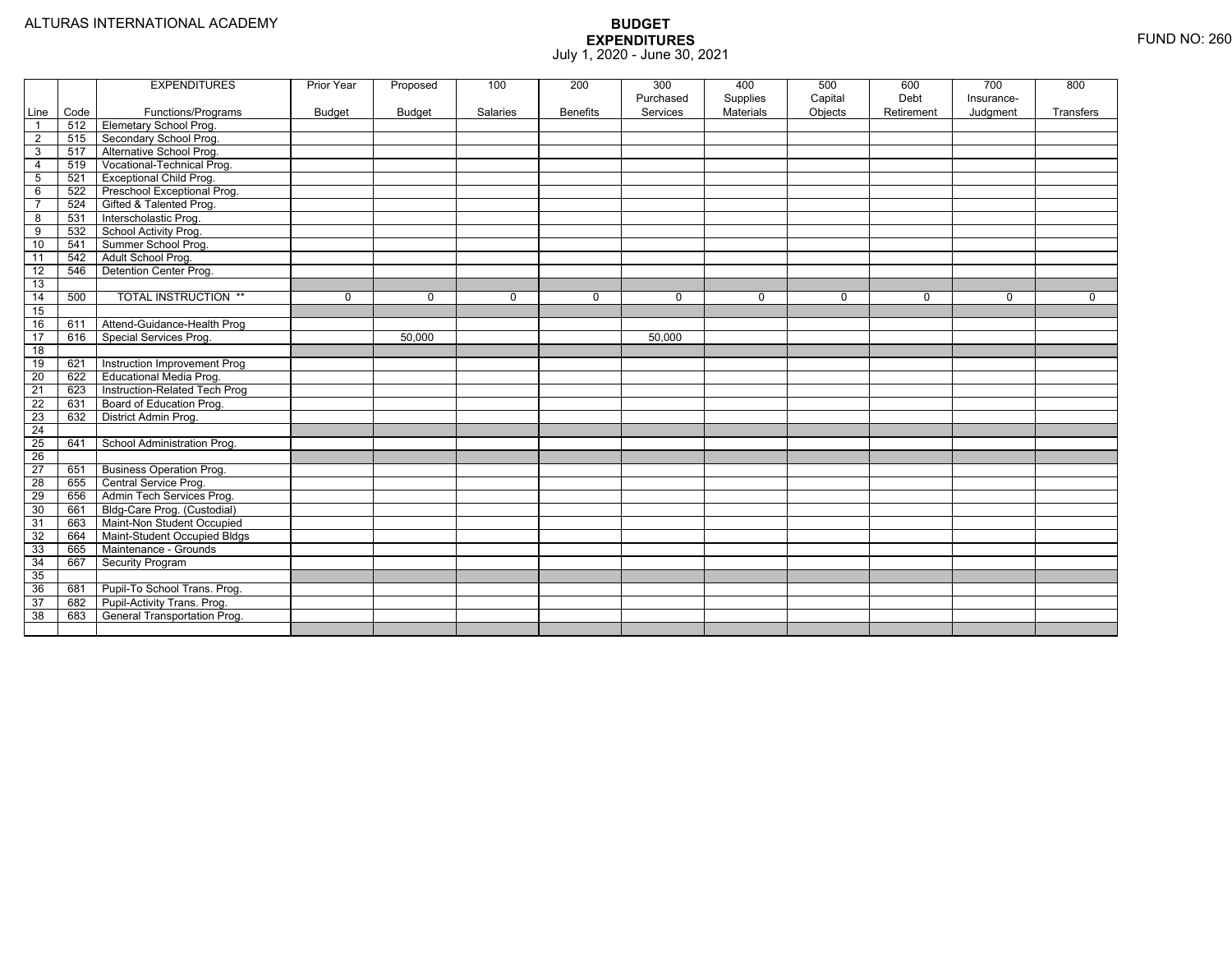|                 |      | <b>EXPENDITURES</b>             | Prior Year    | Proposed      | 100         | 200             | 300         | 400              | 500     | 600        | 700         | 800         |
|-----------------|------|---------------------------------|---------------|---------------|-------------|-----------------|-------------|------------------|---------|------------|-------------|-------------|
|                 |      |                                 |               |               |             |                 | Purchased   | Supplies         | Capital | Debt       | Insurance-  |             |
| Line            | Code | Functions/Programs              | <b>Budget</b> | <b>Budget</b> | Salaries    | <b>Benefits</b> | Services    | <b>Materials</b> | Objects | Retirement | Judgment    | Transfers   |
| $\overline{1}$  | 512  | Elemetary School Prog.          |               |               |             |                 |             |                  |         |            |             |             |
| 2               | 515  | Secondary School Prog.          |               |               |             |                 |             |                  |         |            |             |             |
| 3               | 517  | Alternative School Prog.        |               |               |             |                 |             |                  |         |            |             |             |
| $\overline{4}$  | 519  | Vocational-Technical Prog.      |               |               |             |                 |             |                  |         |            |             |             |
| 5               | 521  | Exceptional Child Prog.         |               |               |             |                 |             |                  |         |            |             |             |
| 6               | 522  | Preschool Exceptional Prog.     |               |               |             |                 |             |                  |         |            |             |             |
| $\overline{7}$  | 524  | Gifted & Talented Prog.         |               |               |             |                 |             |                  |         |            |             |             |
| $\overline{8}$  | 531  | Interscholastic Prog.           |               |               |             |                 |             |                  |         |            |             |             |
| 9               | 532  | School Activity Prog.           |               |               |             |                 |             |                  |         |            |             |             |
| 10              | 541  | Summer School Prog.             |               |               |             |                 |             |                  |         |            |             |             |
| 11              | 542  | Adult School Prog.              |               |               |             |                 |             |                  |         |            |             |             |
| $\overline{12}$ | 546  | Detention Center Prog.          |               |               |             |                 |             |                  |         |            |             |             |
| 13              |      |                                 |               |               |             |                 |             |                  |         |            |             |             |
| 14              | 500  | <b>TOTAL INSTRUCTION **</b>     | 0             | $\mathbf 0$   | $\mathbf 0$ | 0               | $\mathbf 0$ | 0                | 0       | 0          | $\mathbf 0$ | $\mathbf 0$ |
| 15              |      |                                 |               |               |             |                 |             |                  |         |            |             |             |
| 16              | 611  | Attend-Guidance-Health Prog     |               |               |             |                 |             |                  |         |            |             |             |
| 17              | 616  | Special Services Prog.          |               | 50,000        |             |                 | 50,000      |                  |         |            |             |             |
| 18              |      |                                 |               |               |             |                 |             |                  |         |            |             |             |
| 19              | 621  | Instruction Improvement Prog    |               |               |             |                 |             |                  |         |            |             |             |
| 20              | 622  | Educational Media Prog.         |               |               |             |                 |             |                  |         |            |             |             |
| $\overline{21}$ | 623  | Instruction-Related Tech Prog   |               |               |             |                 |             |                  |         |            |             |             |
| 22              | 631  | Board of Education Prog.        |               |               |             |                 |             |                  |         |            |             |             |
| $\overline{23}$ | 632  | District Admin Prog.            |               |               |             |                 |             |                  |         |            |             |             |
| $\overline{24}$ |      |                                 |               |               |             |                 |             |                  |         |            |             |             |
| $\overline{25}$ | 641  | School Administration Prog.     |               |               |             |                 |             |                  |         |            |             |             |
| $\overline{26}$ |      |                                 |               |               |             |                 |             |                  |         |            |             |             |
| $\overline{27}$ | 651  | <b>Business Operation Prog.</b> |               |               |             |                 |             |                  |         |            |             |             |
| 28              | 655  | Central Service Prog.           |               |               |             |                 |             |                  |         |            |             |             |
| 29              | 656  | Admin Tech Services Prog.       |               |               |             |                 |             |                  |         |            |             |             |
| 30              | 661  | Bldg-Care Prog. (Custodial)     |               |               |             |                 |             |                  |         |            |             |             |
| 31              | 663  | Maint-Non Student Occupied      |               |               |             |                 |             |                  |         |            |             |             |
| 32              | 664  | Maint-Student Occupied Bldgs    |               |               |             |                 |             |                  |         |            |             |             |
| 33              | 665  | Maintenance - Grounds           |               |               |             |                 |             |                  |         |            |             |             |
| $\overline{34}$ | 667  | <b>Security Program</b>         |               |               |             |                 |             |                  |         |            |             |             |
| 35              |      |                                 |               |               |             |                 |             |                  |         |            |             |             |
| 36              | 681  | Pupil-To School Trans. Prog.    |               |               |             |                 |             |                  |         |            |             |             |
| 37              | 682  | Pupil-Activity Trans. Prog.     |               |               |             |                 |             |                  |         |            |             |             |
| 38              | 683  | General Transportation Prog.    |               |               |             |                 |             |                  |         |            |             |             |
|                 |      |                                 |               |               |             |                 |             |                  |         |            |             |             |
|                 |      |                                 |               |               |             |                 |             |                  |         |            |             |             |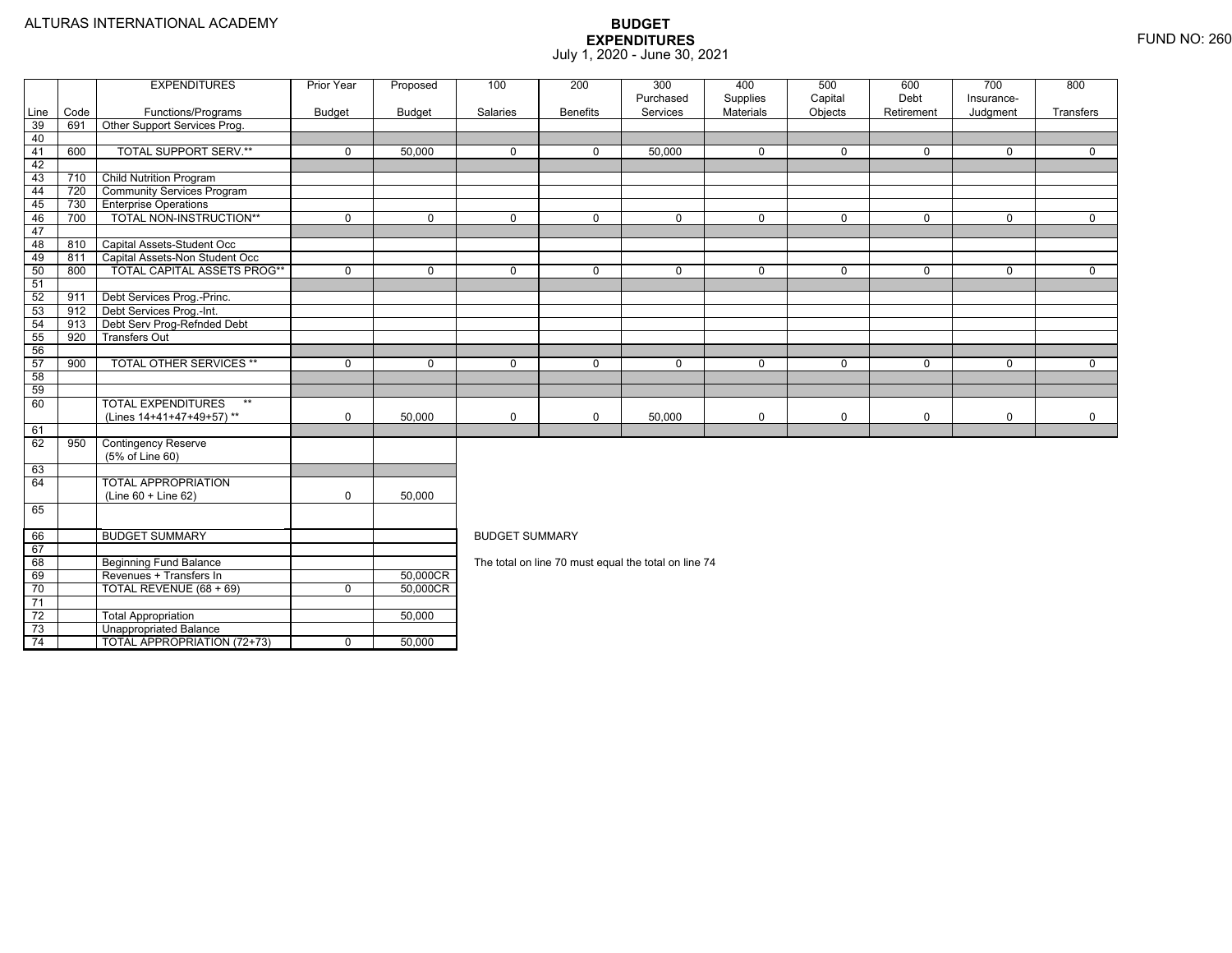74

Unappropriated Balance

TOTAL APPROPRIATION (72+73) 0 50,000

|                 |      | <b>EXPENDITURES</b>                | <b>Prior Year</b> | Proposed    | 100                   | 200             | 300                                                  | 400         | 500         | 600          | 700          | 800         |  |  |  |
|-----------------|------|------------------------------------|-------------------|-------------|-----------------------|-----------------|------------------------------------------------------|-------------|-------------|--------------|--------------|-------------|--|--|--|
|                 |      |                                    |                   |             |                       |                 | Purchased                                            | Supplies    | Capital     | Debt         | Insurance-   |             |  |  |  |
| Line            | Code | Functions/Programs                 | <b>Budget</b>     | Budget      | Salaries              | <b>Benefits</b> | Services                                             | Materials   | Objects     | Retirement   | Judgment     | Transfers   |  |  |  |
| 39              | 691  | Other Support Services Prog.       |                   |             |                       |                 |                                                      |             |             |              |              |             |  |  |  |
| 40              |      |                                    |                   |             |                       |                 |                                                      |             |             |              |              |             |  |  |  |
| 41              | 600  | <b>TOTAL SUPPORT SERV.**</b>       | $\mathbf 0$       | 50,000      | $\mathbf 0$           | $\Omega$        | 50,000                                               | $\mathbf 0$ | $\mathbf 0$ | $\mathbf 0$  | $\mathbf 0$  | $\mathbf 0$ |  |  |  |
| 42              |      |                                    |                   |             |                       |                 |                                                      |             |             |              |              |             |  |  |  |
| 43              | 710  | <b>Child Nutrition Program</b>     |                   |             |                       |                 |                                                      |             |             |              |              |             |  |  |  |
| 44              | 720  | <b>Community Services Program</b>  |                   |             |                       |                 |                                                      |             |             |              |              |             |  |  |  |
| 45              | 730  | <b>Enterprise Operations</b>       |                   |             |                       |                 |                                                      |             |             |              |              |             |  |  |  |
| 46              | 700  | TOTAL NON-INSTRUCTION**            | $\mathbf{0}$      | $\mathbf 0$ | 0                     | $\mathbf{0}$    | 0                                                    | 0           | $\mathbf 0$ | $\mathbf{0}$ | $\mathbf{0}$ | $\mathbf 0$ |  |  |  |
| 47              |      |                                    |                   |             |                       |                 |                                                      |             |             |              |              |             |  |  |  |
| 48              | 810  | Capital Assets-Student Occ         |                   |             |                       |                 |                                                      |             |             |              |              |             |  |  |  |
| 49              | 811  | Capital Assets-Non Student Occ     |                   |             |                       |                 |                                                      |             |             |              |              |             |  |  |  |
| 50              | 800  | TOTAL CAPITAL ASSETS PROG**        | $\mathbf 0$       | $\Omega$    | 0                     | $\Omega$        | 0                                                    | $\mathbf 0$ | $\mathbf 0$ | $\mathbf 0$  | $\mathbf 0$  | $\mathbf 0$ |  |  |  |
| 51              |      |                                    |                   |             |                       |                 |                                                      |             |             |              |              |             |  |  |  |
| 52              | 911  | Debt Services Prog.-Princ.         |                   |             |                       |                 |                                                      |             |             |              |              |             |  |  |  |
| 53              | 912  | Debt Services Prog.-Int.           |                   |             |                       |                 |                                                      |             |             |              |              |             |  |  |  |
| 54              | 913  | Debt Serv Prog-Refnded Debt        |                   |             |                       |                 |                                                      |             |             |              |              |             |  |  |  |
| 55              | 920  | <b>Transfers Out</b>               |                   |             |                       |                 |                                                      |             |             |              |              |             |  |  |  |
| 56              |      |                                    |                   |             |                       |                 |                                                      |             |             |              |              |             |  |  |  |
| 57              | 900  | <b>TOTAL OTHER SERVICES **</b>     | $\Omega$          | $\Omega$    | $\Omega$              | $\Omega$        | 0                                                    | $\mathbf 0$ | $\Omega$    | $\Omega$     | $\mathbf 0$  | $\mathbf 0$ |  |  |  |
| 58              |      |                                    |                   |             |                       |                 |                                                      |             |             |              |              |             |  |  |  |
| 59              |      |                                    |                   |             |                       |                 |                                                      |             |             |              |              |             |  |  |  |
| 60              |      | <b>TOTAL EXPENDITURES</b><br>$***$ |                   |             |                       |                 |                                                      |             |             |              |              |             |  |  |  |
|                 |      | (Lines 14+41+47+49+57)**           | 0                 | 50,000      | 0                     | $\mathbf 0$     | 50,000                                               | $\mathbf 0$ | 0           | $\mathbf 0$  | 0            | $\mathbf 0$ |  |  |  |
| 61              |      |                                    |                   |             |                       |                 |                                                      |             |             |              |              |             |  |  |  |
| 62              | 950  | <b>Contingency Reserve</b>         |                   |             |                       |                 |                                                      |             |             |              |              |             |  |  |  |
|                 |      | (5% of Line 60)                    |                   |             |                       |                 |                                                      |             |             |              |              |             |  |  |  |
| 63              |      |                                    |                   |             |                       |                 |                                                      |             |             |              |              |             |  |  |  |
| 64              |      | <b>TOTAL APPROPRIATION</b>         |                   |             |                       |                 |                                                      |             |             |              |              |             |  |  |  |
|                 |      | (Line 60 + Line 62)                | 0                 | 50,000      |                       |                 |                                                      |             |             |              |              |             |  |  |  |
| 65              |      |                                    |                   |             |                       |                 |                                                      |             |             |              |              |             |  |  |  |
|                 |      |                                    |                   |             |                       |                 |                                                      |             |             |              |              |             |  |  |  |
| 66              |      | <b>BUDGET SUMMARY</b>              |                   |             | <b>BUDGET SUMMARY</b> |                 |                                                      |             |             |              |              |             |  |  |  |
| 67              |      |                                    |                   |             |                       |                 |                                                      |             |             |              |              |             |  |  |  |
| 68              |      | <b>Beginning Fund Balance</b>      |                   |             |                       |                 | The total on line 70 must equal the total on line 74 |             |             |              |              |             |  |  |  |
| 69              |      | Revenues + Transfers In            |                   | 50,000CR    |                       |                 |                                                      |             |             |              |              |             |  |  |  |
| 70              |      | TOTAL REVENUE (68 + 69)            | 0                 | 50,000CR    |                       |                 |                                                      |             |             |              |              |             |  |  |  |
| $\overline{71}$ |      |                                    |                   |             |                       |                 |                                                      |             |             |              |              |             |  |  |  |
| $\overline{72}$ |      | <b>Total Appropriation</b>         |                   | 50,000      |                       |                 |                                                      |             |             |              |              |             |  |  |  |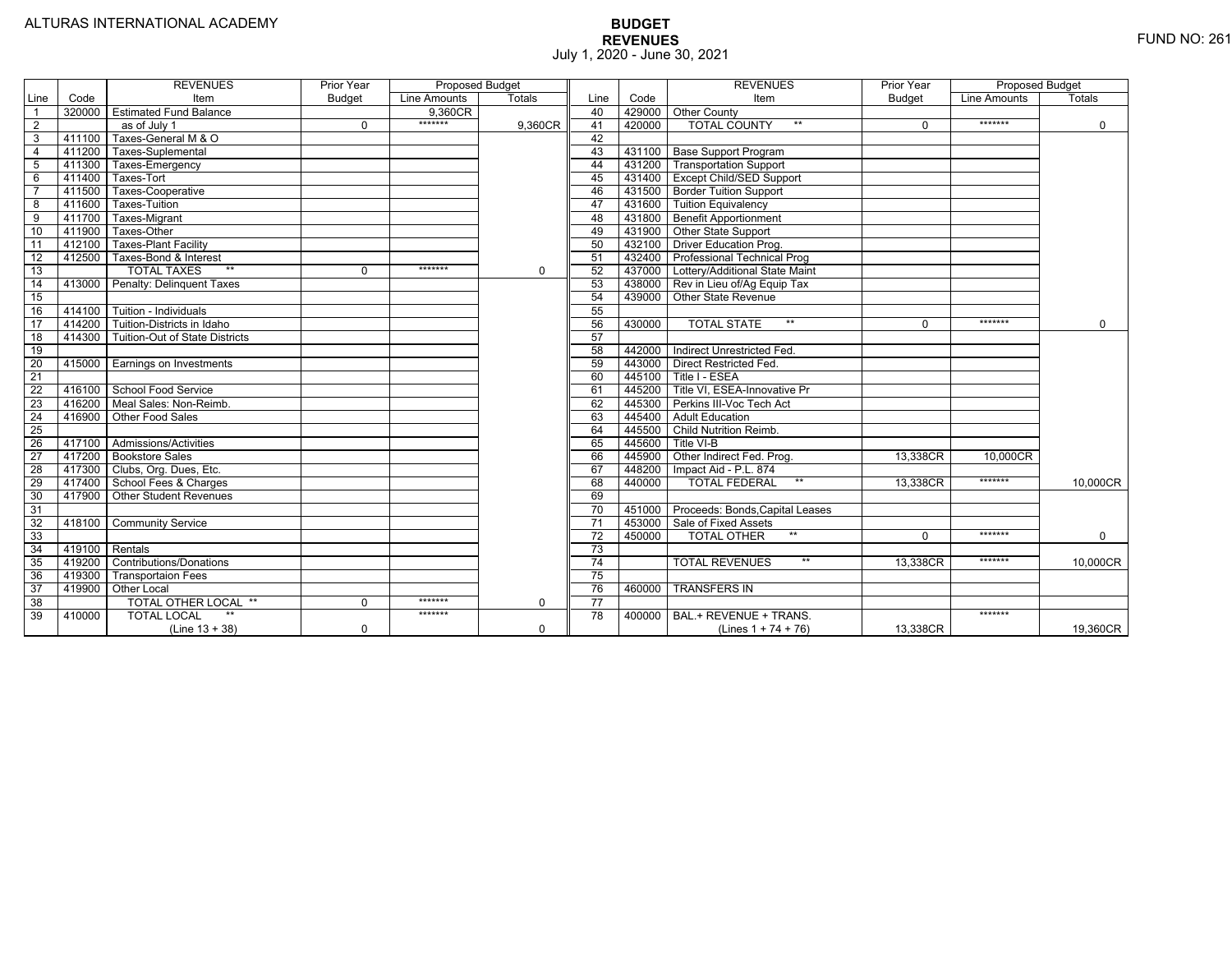|                 |                | <b>REVENUES</b>                   | Prior Year    | <b>Proposed Budget</b> |          |                 |        | <b>REVENUES</b>                        | Prior Year    | <b>Proposed Budget</b> |               |
|-----------------|----------------|-----------------------------------|---------------|------------------------|----------|-----------------|--------|----------------------------------------|---------------|------------------------|---------------|
| Line            | Code           | Item                              | <b>Budget</b> | Line Amounts           | Totals   | Line            | Code   | Item                                   | <b>Budget</b> | Line Amounts           | <b>Totals</b> |
|                 | 320000         | <b>Estimated Fund Balance</b>     |               | 9.360CR                |          | 40              |        | 429000 Other County                    |               |                        |               |
| $\overline{2}$  |                | as of July 1                      | $\Omega$      | *******                | 9,360CR  | 41              | 420000 | <b>TOTAL COUNTY</b><br>$***$           | U             | *******                | $\mathbf 0$   |
| 3               | 411100         | Taxes-General M & O               |               |                        |          | 42              |        |                                        |               |                        |               |
| $\overline{4}$  | 411200         | Taxes-Suplemental                 |               |                        |          | 43              |        | 431100   Base Support Program          |               |                        |               |
| 5               | 411300         | Taxes-Emergency                   |               |                        |          | 44              |        | 431200   Transportation Support        |               |                        |               |
| 6               | 411400         | Taxes-Tort                        |               |                        |          | 45              |        | 431400 Except Child/SED Support        |               |                        |               |
|                 | 411500         | Taxes-Cooperative                 |               |                        |          | 46              |        | 431500 Border Tuition Support          |               |                        |               |
| 8               | 411600         | Taxes-Tuition                     |               |                        |          | 47              |        | 431600 Tuition Equivalency             |               |                        |               |
| 9               | 411700         | Taxes-Migrant                     |               |                        |          | 48              |        | 431800 Benefit Apportionment           |               |                        |               |
| 10              | 411900         | Taxes-Other                       |               |                        |          | 49              |        | 431900 Other State Support             |               |                        |               |
| 11              | 412100         | <b>Taxes-Plant Facility</b>       |               |                        |          | 50              | 432100 | <b>Driver Education Prog.</b>          |               |                        |               |
| 12              | 412500         | Taxes-Bond & Interest             |               |                        |          | 51              | 432400 | Professional Technical Prog            |               |                        |               |
| 13              |                | $**$<br><b>TOTAL TAXES</b>        | $\Omega$      | *******                | 0        | 52              |        | 437000 Lottery/Additional State Maint  |               |                        |               |
| 14              | 413000         | Penalty: Delinguent Taxes         |               |                        |          | 53              |        | 438000 Rev in Lieu of/Ag Equip Tax     |               |                        |               |
| 15              |                |                                   |               |                        |          | 54              |        | 439000 Other State Revenue             |               |                        |               |
| 16              |                | 414100 Tuition - Individuals      |               |                        |          | 55              |        |                                        |               |                        |               |
| $\overline{17}$ |                | 414200 Tuition-Districts in Idaho |               |                        |          | 56              | 430000 | $**$<br><b>TOTAL STATE</b>             |               | *******                | $\mathbf 0$   |
| $\overline{18}$ | 414300         | Tuition-Out of State Districts    |               |                        |          | 57              |        |                                        |               |                        |               |
| 19              |                |                                   |               |                        |          | 58              |        | 442000   Indirect Unrestricted Fed.    |               |                        |               |
| 20              |                | 415000 Earnings on Investments    |               |                        |          | 59              |        | 443000 Direct Restricted Fed.          |               |                        |               |
| $\overline{21}$ |                |                                   |               |                        |          | 60              |        | 445100 Title I - ESEA                  |               |                        |               |
| 22              | 416100         | School Food Service               |               |                        |          | 61              |        | 445200 Title VI. ESEA-Innovative Pr    |               |                        |               |
| 23              | 416200         | Meal Sales: Non-Reimb.            |               |                        |          | 62              |        | 445300 Perkins III-Voc Tech Act        |               |                        |               |
| 24              | 416900         | Other Food Sales                  |               |                        |          | 63              |        | 445400 Adult Education                 |               |                        |               |
| $\overline{25}$ |                |                                   |               |                        |          | 64              | 445500 | Child Nutrition Reimb.                 |               |                        |               |
| 26              | 417100         | Admissions/Activities             |               |                        |          | 65              | 445600 | Title VI-B                             |               |                        |               |
| $\overline{27}$ | 417200         | <b>Bookstore Sales</b>            |               |                        |          | 66              | 445900 | Other Indirect Fed. Prog.              | 13.338CR      | 10.000CR               |               |
| $\overline{28}$ |                | 417300   Clubs, Org. Dues, Etc.   |               |                        |          | 67              | 448200 | Impact Aid - P.L. 874                  |               |                        |               |
| 29              | 417400         | School Fees & Charges             |               |                        |          | 68              | 440000 | $**$<br><b>TOTAL FEDERAL</b>           | 13,338CR      | *******                | 10,000CR      |
| 30              | 417900         | <b>Other Student Revenues</b>     |               |                        |          | 69              |        |                                        |               |                        |               |
| $\overline{31}$ |                |                                   |               |                        |          | $\overline{70}$ |        | 451000 Proceeds: Bonds, Capital Leases |               |                        |               |
| $\overline{32}$ | 418100         | <b>Community Service</b>          |               |                        |          | $\overline{71}$ | 453000 | Sale of Fixed Assets                   |               |                        |               |
| 33              |                |                                   |               |                        |          | 72              | 450000 | $**$<br><b>TOTAL OTHER</b>             | $\Omega$      | *******                | $\mathbf 0$   |
| 34              | 419100 Rentals |                                   |               |                        |          | 73              |        |                                        |               |                        |               |
| 35              | 419200         | Contributions/Donations           |               |                        |          | 74              |        | <b>TOTAL REVENUES</b><br>$***$         | 13.338CR      | *******                | 10,000CR      |
| 36              | 419300         | <b>Transportaion Fees</b>         |               |                        |          | 75              |        |                                        |               |                        |               |
| 37              | 419900         | <b>Other Local</b>                |               |                        |          | 76              | 460000 | <b>TRANSFERS IN</b>                    |               |                        |               |
| 38              |                | TOTAL OTHER LOCAL **              | $\Omega$      | *******                | 0        | 77              |        |                                        |               |                        |               |
| 39              | 410000         | <b>TOTAL LOCAL</b>                |               | *******                |          | $\overline{78}$ | 400000 | BAL.+ REVENUE + TRANS.                 |               | *******                |               |
|                 |                | $(Line 13 + 38)$                  | $\Omega$      |                        | $\Omega$ |                 |        | (Lines $1 + 74 + 76$ )                 | 13.338CR      |                        | 19,360CR      |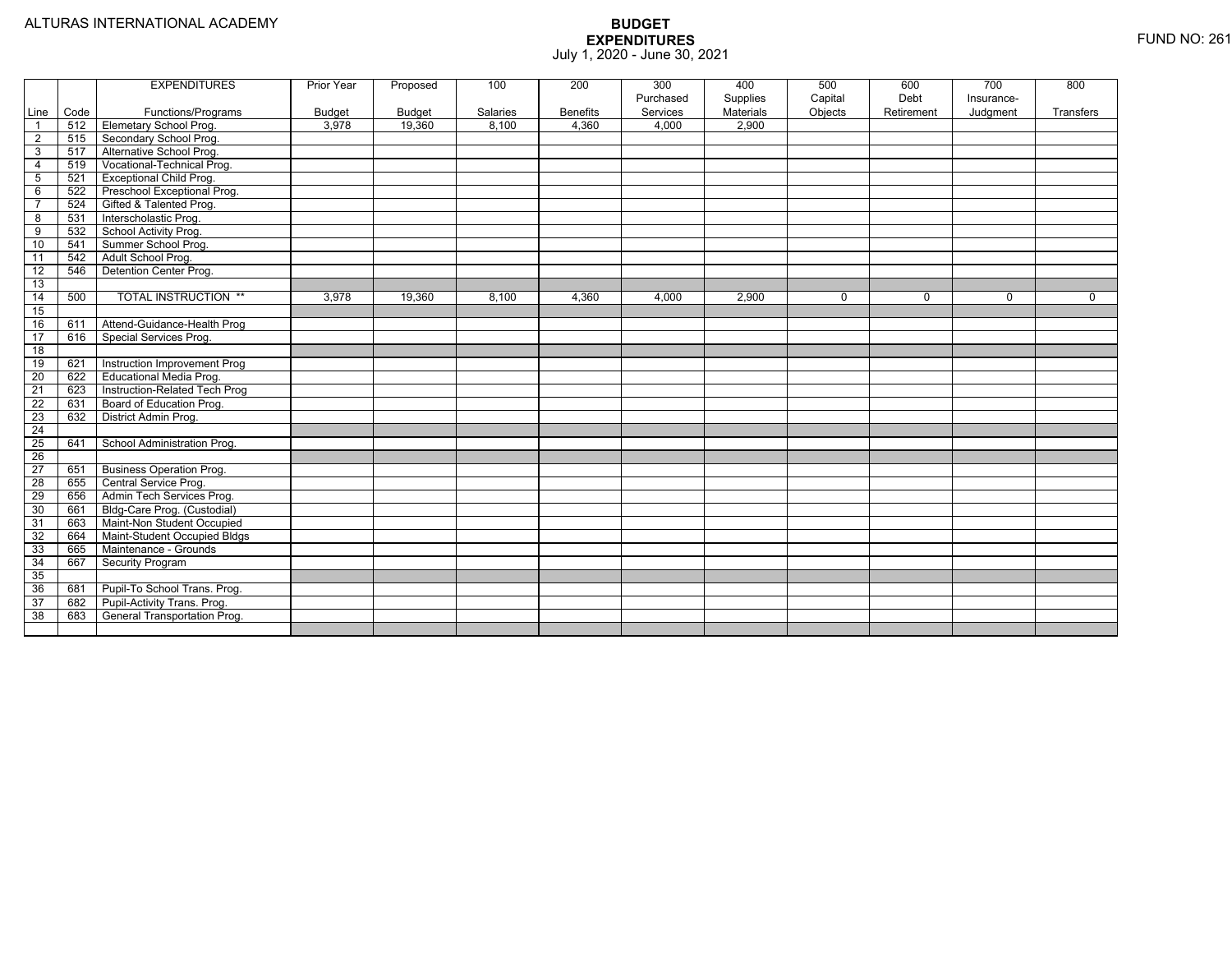|                     |      | <b>EXPENDITURES</b>             | Prior Year      | Proposed                | 100      | 200             | 300                   | 400                   | 500                | 600                | 700         | 800         |
|---------------------|------|---------------------------------|-----------------|-------------------------|----------|-----------------|-----------------------|-----------------------|--------------------|--------------------|-------------|-------------|
| Line                | Code | Functions/Programs              |                 |                         | Salaries | <b>Benefits</b> | Purchased<br>Services | Supplies<br>Materials | Capital<br>Objects | Debt<br>Retirement | Insurance-  | Transfers   |
| $\overline{1}$      | 512  | <b>Elemetary School Prog.</b>   | Budget<br>3,978 | <b>Budget</b><br>19,360 | 8,100    | 4.360           | 4,000                 | 2,900                 |                    |                    | Judgment    |             |
| $\overline{2}$      | 515  | Secondary School Prog.          |                 |                         |          |                 |                       |                       |                    |                    |             |             |
| 3                   | 517  | Alternative School Prog.        |                 |                         |          |                 |                       |                       |                    |                    |             |             |
| 4                   | 519  | Vocational-Technical Prog.      |                 |                         |          |                 |                       |                       |                    |                    |             |             |
| $5\phantom{.0}$     | 521  | <b>Exceptional Child Prog.</b>  |                 |                         |          |                 |                       |                       |                    |                    |             |             |
|                     |      |                                 |                 |                         |          |                 |                       |                       |                    |                    |             |             |
| 6<br>$\overline{7}$ | 522  | Preschool Exceptional Prog.     |                 |                         |          |                 |                       |                       |                    |                    |             |             |
|                     | 524  | Gifted & Talented Prog.         |                 |                         |          |                 |                       |                       |                    |                    |             |             |
| 8                   | 531  | Interscholastic Prog.           |                 |                         |          |                 |                       |                       |                    |                    |             |             |
| 9                   | 532  | School Activity Prog.           |                 |                         |          |                 |                       |                       |                    |                    |             |             |
| 10                  | 541  | Summer School Prog.             |                 |                         |          |                 |                       |                       |                    |                    |             |             |
| 11                  | 542  | Adult School Prog.              |                 |                         |          |                 |                       |                       |                    |                    |             |             |
| 12                  | 546  | Detention Center Prog.          |                 |                         |          |                 |                       |                       |                    |                    |             |             |
| 13                  |      |                                 |                 |                         |          |                 |                       |                       |                    |                    |             |             |
| 14                  | 500  | <b>TOTAL INSTRUCTION **</b>     | 3,978           | 19,360                  | 8,100    | 4,360           | 4,000                 | 2,900                 | $\mathbf 0$        | $\mathbf 0$        | $\mathbf 0$ | $\mathbf 0$ |
| 15                  |      |                                 |                 |                         |          |                 |                       |                       |                    |                    |             |             |
| 16                  | 611  | Attend-Guidance-Health Prog     |                 |                         |          |                 |                       |                       |                    |                    |             |             |
| 17                  | 616  | Special Services Prog.          |                 |                         |          |                 |                       |                       |                    |                    |             |             |
| 18                  |      |                                 |                 |                         |          |                 |                       |                       |                    |                    |             |             |
| 19                  | 621  | Instruction Improvement Prog    |                 |                         |          |                 |                       |                       |                    |                    |             |             |
| $\overline{20}$     | 622  | Educational Media Prog.         |                 |                         |          |                 |                       |                       |                    |                    |             |             |
| $\overline{21}$     | 623  | Instruction-Related Tech Prog   |                 |                         |          |                 |                       |                       |                    |                    |             |             |
| 22                  | 631  | Board of Education Prog.        |                 |                         |          |                 |                       |                       |                    |                    |             |             |
| $\overline{23}$     | 632  | District Admin Prog.            |                 |                         |          |                 |                       |                       |                    |                    |             |             |
| $\overline{24}$     |      |                                 |                 |                         |          |                 |                       |                       |                    |                    |             |             |
| $\overline{25}$     | 641  | School Administration Prog.     |                 |                         |          |                 |                       |                       |                    |                    |             |             |
| $\overline{26}$     |      |                                 |                 |                         |          |                 |                       |                       |                    |                    |             |             |
| $\overline{27}$     | 651  | <b>Business Operation Prog.</b> |                 |                         |          |                 |                       |                       |                    |                    |             |             |
| 28                  | 655  | Central Service Prog.           |                 |                         |          |                 |                       |                       |                    |                    |             |             |
| 29                  | 656  | Admin Tech Services Prog.       |                 |                         |          |                 |                       |                       |                    |                    |             |             |
| 30                  | 661  | Bldg-Care Prog. (Custodial)     |                 |                         |          |                 |                       |                       |                    |                    |             |             |
| 31                  | 663  | Maint-Non Student Occupied      |                 |                         |          |                 |                       |                       |                    |                    |             |             |
| 32                  | 664  | Maint-Student Occupied Bldgs    |                 |                         |          |                 |                       |                       |                    |                    |             |             |
| 33                  | 665  | Maintenance - Grounds           |                 |                         |          |                 |                       |                       |                    |                    |             |             |
| 34                  | 667  | <b>Security Program</b>         |                 |                         |          |                 |                       |                       |                    |                    |             |             |
| 35                  |      |                                 |                 |                         |          |                 |                       |                       |                    |                    |             |             |
| 36                  | 681  | Pupil-To School Trans. Prog.    |                 |                         |          |                 |                       |                       |                    |                    |             |             |
| $\overline{37}$     | 682  | Pupil-Activity Trans. Prog.     |                 |                         |          |                 |                       |                       |                    |                    |             |             |
| 38                  | 683  | General Transportation Prog.    |                 |                         |          |                 |                       |                       |                    |                    |             |             |
|                     |      |                                 |                 |                         |          |                 |                       |                       |                    |                    |             |             |
|                     |      |                                 |                 |                         |          |                 |                       |                       |                    |                    |             |             |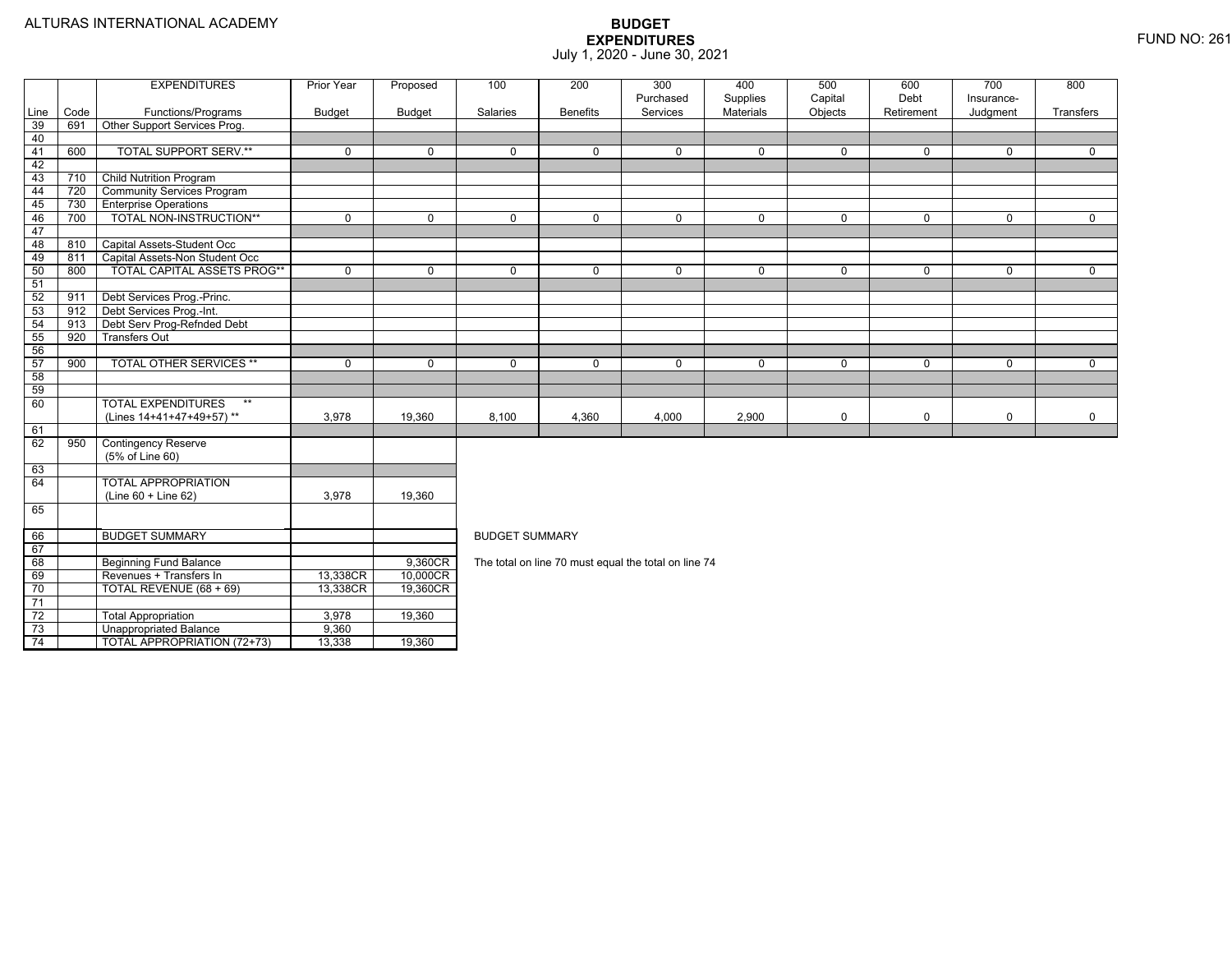74

3 Contract Unappropriated Balance The State of the Unappropriated Balance

4 | | TOTAL APPROPRIATION (72+73) | 13,338 | 19,360

|                 |      | <b>EXPENDITURES</b>                           | <b>Prior Year</b> | Proposed      | 100                   | 200             | 300                                                  | 400                   | 500                | 600                | 700                    | 800         |  |  |  |
|-----------------|------|-----------------------------------------------|-------------------|---------------|-----------------------|-----------------|------------------------------------------------------|-----------------------|--------------------|--------------------|------------------------|-------------|--|--|--|
| Line            | Code | Functions/Programs                            | <b>Budget</b>     | <b>Budget</b> | Salaries              | <b>Benefits</b> | Purchased<br>Services                                | Supplies<br>Materials | Capital<br>Objects | Debt<br>Retirement | Insurance-<br>Judgment | Transfers   |  |  |  |
| 39              | 691  | Other Support Services Prog.                  |                   |               |                       |                 |                                                      |                       |                    |                    |                        |             |  |  |  |
| 40              |      |                                               |                   |               |                       |                 |                                                      |                       |                    |                    |                        |             |  |  |  |
| 41              | 600  | <b>TOTAL SUPPORT SERV.**</b>                  | $\mathbf 0$       | $\Omega$      | $\mathbf{0}$          | $\Omega$        | $\mathbf 0$                                          | $\mathbf 0$           | $\mathbf 0$        | $\mathbf 0$        | $\mathbf 0$            | $\Omega$    |  |  |  |
| 42              |      |                                               |                   |               |                       |                 |                                                      |                       |                    |                    |                        |             |  |  |  |
| 43              | 710  | <b>Child Nutrition Program</b>                |                   |               |                       |                 |                                                      |                       |                    |                    |                        |             |  |  |  |
| 44              | 720  | <b>Community Services Program</b>             |                   |               |                       |                 |                                                      |                       |                    |                    |                        |             |  |  |  |
| 45              | 730  | <b>Enterprise Operations</b>                  |                   |               |                       |                 |                                                      |                       |                    |                    |                        |             |  |  |  |
| 46              | 700  | TOTAL NON-INSTRUCTION**                       | $\mathbf 0$       | $\mathbf 0$   | $\mathbf 0$           | $\mathbf 0$     | $\mathbf 0$                                          | $\mathbf 0$           | $\mathbf 0$        | $\mathbf 0$        | $\mathbf 0$            | $\mathbf 0$ |  |  |  |
| 47              |      |                                               |                   |               |                       |                 |                                                      |                       |                    |                    |                        |             |  |  |  |
| 48              | 810  | Capital Assets-Student Occ                    |                   |               |                       |                 |                                                      |                       |                    |                    |                        |             |  |  |  |
| 49              | 811  | Capital Assets-Non Student Occ                |                   |               |                       |                 |                                                      |                       |                    |                    |                        |             |  |  |  |
| 50              | 800  | TOTAL CAPITAL ASSETS PROG**                   | $\mathbf 0$       | $\mathbf 0$   | $\mathbf 0$           | $\mathbf 0$     | $\mathbf 0$                                          | $\mathsf{O}$          | $\mathbf 0$        | $\mathbf 0$        | $\Omega$               | $\mathbf 0$ |  |  |  |
| 51              |      |                                               |                   |               |                       |                 |                                                      |                       |                    |                    |                        |             |  |  |  |
| 52              | 911  | Debt Services Prog.-Princ.                    |                   |               |                       |                 |                                                      |                       |                    |                    |                        |             |  |  |  |
| 53              | 912  | Debt Services Prog.-Int.                      |                   |               |                       |                 |                                                      |                       |                    |                    |                        |             |  |  |  |
| 54              | 913  | Debt Serv Prog-Refnded Debt                   |                   |               |                       |                 |                                                      |                       |                    |                    |                        |             |  |  |  |
| 55              | 920  | <b>Transfers Out</b>                          |                   |               |                       |                 |                                                      |                       |                    |                    |                        |             |  |  |  |
| 56              |      |                                               |                   |               |                       |                 |                                                      |                       |                    |                    |                        |             |  |  |  |
| 57              | 900  | <b>TOTAL OTHER SERVICES **</b>                | $\Omega$          | $\Omega$      | $\mathbf 0$           | $\Omega$        | $\mathbf 0$                                          | 0                     | $\mathbf 0$        | $\Omega$           | 0                      | 0           |  |  |  |
| 58              |      |                                               |                   |               |                       |                 |                                                      |                       |                    |                    |                        |             |  |  |  |
| 59              |      |                                               |                   |               |                       |                 |                                                      |                       |                    |                    |                        |             |  |  |  |
| 60              |      | <b>TOTAL EXPENDITURES</b><br>$***$            |                   |               |                       |                 |                                                      |                       |                    |                    |                        |             |  |  |  |
|                 |      | (Lines 14+41+47+49+57)**                      | 3,978             | 19,360        | 8,100                 | 4,360           | 4,000                                                | 2,900                 | 0                  | $\mathbf 0$        | 0                      | 0           |  |  |  |
| 61              |      |                                               |                   |               |                       |                 |                                                      |                       |                    |                    |                        |             |  |  |  |
| 62              | 950  | <b>Contingency Reserve</b><br>(5% of Line 60) |                   |               |                       |                 |                                                      |                       |                    |                    |                        |             |  |  |  |
| 63              |      |                                               |                   |               |                       |                 |                                                      |                       |                    |                    |                        |             |  |  |  |
| 64              |      | <b>TOTAL APPROPRIATION</b>                    |                   |               |                       |                 |                                                      |                       |                    |                    |                        |             |  |  |  |
|                 |      | $(Line 60 + Line 62)$                         | 3,978             | 19,360        |                       |                 |                                                      |                       |                    |                    |                        |             |  |  |  |
| 65              |      |                                               |                   |               |                       |                 |                                                      |                       |                    |                    |                        |             |  |  |  |
| 66              |      | <b>BUDGET SUMMARY</b>                         |                   |               | <b>BUDGET SUMMARY</b> |                 |                                                      |                       |                    |                    |                        |             |  |  |  |
| 67              |      |                                               |                   |               |                       |                 |                                                      |                       |                    |                    |                        |             |  |  |  |
| 68              |      | <b>Beginning Fund Balance</b>                 |                   | 9,360CR       |                       |                 | The total on line 70 must equal the total on line 74 |                       |                    |                    |                        |             |  |  |  |
| 69              |      | Revenues + Transfers In                       | 13,338CR          | 10,000CR      |                       |                 |                                                      |                       |                    |                    |                        |             |  |  |  |
| 70              |      | TOTAL REVENUE (68 + 69)                       | 13,338CR          | 19,360CR      |                       |                 |                                                      |                       |                    |                    |                        |             |  |  |  |
| 71              |      |                                               |                   |               |                       |                 |                                                      |                       |                    |                    |                        |             |  |  |  |
| $\overline{72}$ |      | <b>Total Appropriation</b>                    | 3,978             | 19,360        |                       |                 |                                                      |                       |                    |                    |                        |             |  |  |  |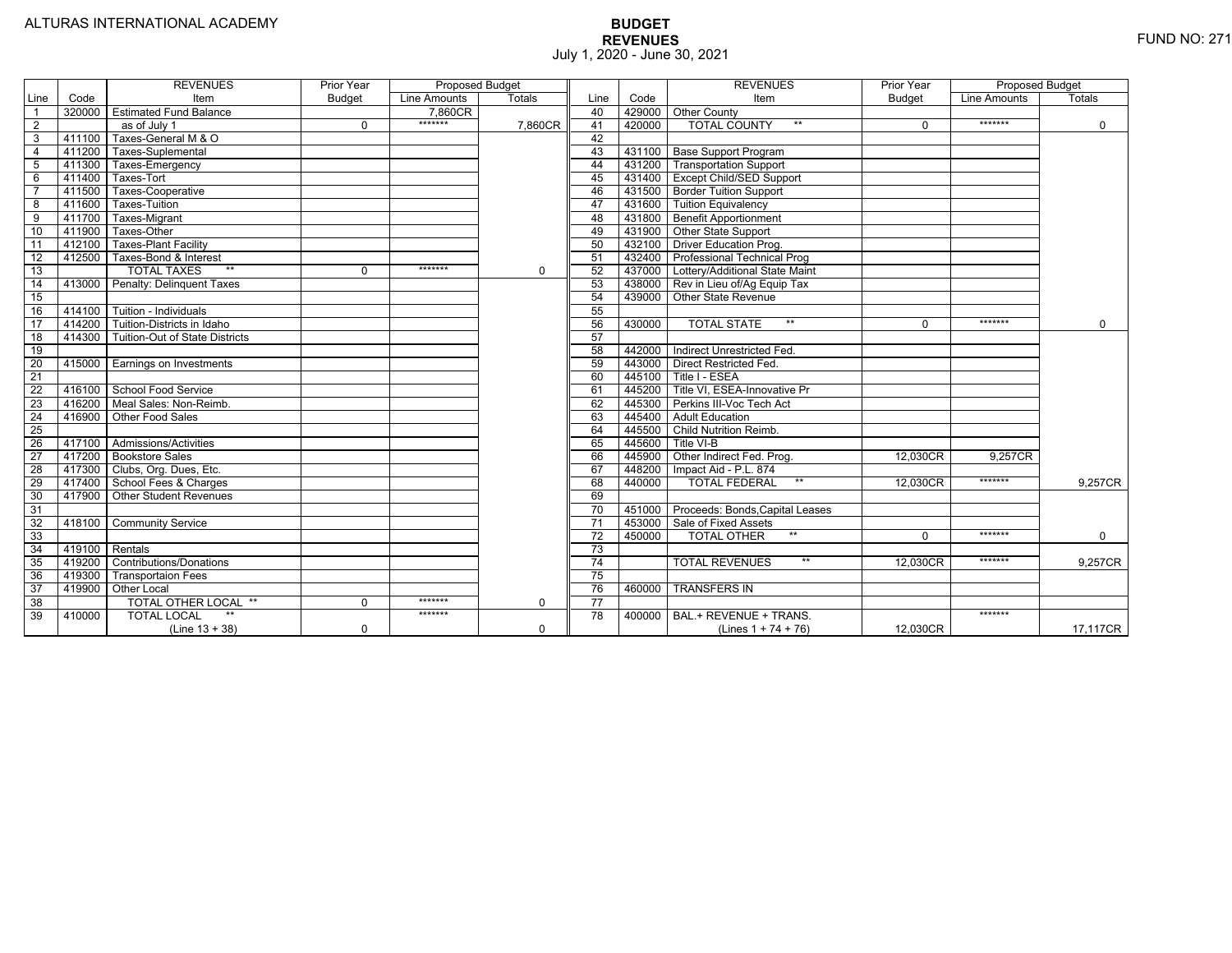|                 |                  | <b>REVENUES</b>                  | Prior Year    | <b>Proposed Budget</b> |               |                 |        | <b>REVENUES</b>                        | Prior Year    | <b>Proposed Budget</b> |               |
|-----------------|------------------|----------------------------------|---------------|------------------------|---------------|-----------------|--------|----------------------------------------|---------------|------------------------|---------------|
| Line            | Code             | Item                             | <b>Budget</b> | Line Amounts           | <b>Totals</b> | Line            | Code   | Item                                   | <b>Budget</b> | Line Amounts           | <b>Totals</b> |
|                 | 320000           | <b>Estimated Fund Balance</b>    |               | 7.860CR                |               | 40              |        | 429000 Other County                    |               |                        |               |
| $\overline{2}$  |                  | as of July 1                     | $\Omega$      | *******                | 7,860CR       | 41              | 420000 | <b>TOTAL COUNTY</b><br>$***$           | U             | *******                | $\mathbf 0$   |
| 3               | 411100           | Taxes-General M & O              |               |                        |               | 42              |        |                                        |               |                        |               |
| $\overline{4}$  | 411200           | Taxes-Suplemental                |               |                        |               | 43              |        | 431100   Base Support Program          |               |                        |               |
| 5               | 411300           | Taxes-Emergency                  |               |                        |               | 44              |        | 431200   Transportation Support        |               |                        |               |
| 6               | 411400           | Taxes-Tort                       |               |                        |               | 45              |        | 431400 Except Child/SED Support        |               |                        |               |
|                 | 411500           | Taxes-Cooperative                |               |                        |               | 46              |        | 431500 Border Tuition Support          |               |                        |               |
| 8               | 411600           | Taxes-Tuition                    |               |                        |               | 47              |        | 431600 Tuition Equivalency             |               |                        |               |
| 9               | 411700           | Taxes-Migrant                    |               |                        |               | 48              |        | 431800 Benefit Apportionment           |               |                        |               |
| 10              | 411900           | Taxes-Other                      |               |                        |               | 49              |        | 431900 Other State Support             |               |                        |               |
| 11              | 412100           | <b>Taxes-Plant Facility</b>      |               |                        |               | 50              | 432100 | <b>Driver Education Prog.</b>          |               |                        |               |
| 12              | 412500           | Taxes-Bond & Interest            |               |                        |               | 51              | 432400 | Professional Technical Prog            |               |                        |               |
| 13              |                  | $**$<br><b>TOTAL TAXES</b>       | 0             | *******                | $\mathbf 0$   | 52              |        | 437000 Lottery/Additional State Maint  |               |                        |               |
| 14              | 413000           | <b>Penalty: Delinquent Taxes</b> |               |                        |               | 53              |        | 438000 Rev in Lieu of/Ag Equip Tax     |               |                        |               |
| 15              |                  |                                  |               |                        |               | 54              | 439000 | Other State Revenue                    |               |                        |               |
| 16              | 414100           | Tuition - Individuals            |               |                        |               | 55              |        |                                        |               |                        |               |
| $\overline{17}$ | 414200           | Tuition-Districts in Idaho       |               |                        |               | 56              | 430000 | $**$<br><b>TOTAL STATE</b>             | 0             | *******                | $\Omega$      |
| $\overline{18}$ | 414300           | Tuition-Out of State Districts   |               |                        |               | 57              |        |                                        |               |                        |               |
| 19              |                  |                                  |               |                        |               | 58              |        | 442000   Indirect Unrestricted Fed.    |               |                        |               |
| 20              |                  | 415000 Earnings on Investments   |               |                        |               | 59              |        | 443000 Direct Restricted Fed.          |               |                        |               |
| 21              |                  |                                  |               |                        |               | 60              |        | 445100 Title I - ESEA                  |               |                        |               |
| 22              | 416100           | School Food Service              |               |                        |               | 61              |        | 445200   Title VI, ESEA-Innovative Pr  |               |                        |               |
| 23              |                  | 416200   Meal Sales: Non-Reimb.  |               |                        |               | 62              |        | 445300 Perkins III-Voc Tech Act        |               |                        |               |
| 24              | 416900           | Other Food Sales                 |               |                        |               | 63              |        | 445400 Adult Education                 |               |                        |               |
| 25              |                  |                                  |               |                        |               | 64              | 445500 | Child Nutrition Reimb.                 |               |                        |               |
| 26              | 417100           | Admissions/Activities            |               |                        |               | 65              | 445600 | Title VI-B                             |               |                        |               |
| $\overline{27}$ | 417200           | <b>Bookstore Sales</b>           |               |                        |               | 66              | 445900 | Other Indirect Fed. Prog.              | 12.030CR      | 9.257CR                |               |
| $\overline{28}$ |                  | 417300   Clubs, Org. Dues, Etc.  |               |                        |               | 67              | 448200 | Impact Aid - P.L. 874                  |               |                        |               |
| 29              | 417400           | School Fees & Charges            |               |                        |               | 68              | 440000 | $***$<br><b>TOTAL FEDERAL</b>          | 12,030CR      | *******                | 9,257CR       |
| 30              | 417900           | <b>Other Student Revenues</b>    |               |                        |               | 69              |        |                                        |               |                        |               |
| 31              |                  |                                  |               |                        |               | $\overline{70}$ |        | 451000 Proceeds: Bonds, Capital Leases |               |                        |               |
| $\overline{32}$ | 418100           | <b>Community Service</b>         |               |                        |               | $\overline{71}$ | 453000 | Sale of Fixed Assets                   |               |                        |               |
| 33              |                  |                                  |               |                        |               | $\overline{72}$ | 450000 | $**$<br><b>TOTAL OTHER</b>             | $\Omega$      | *******                | $\mathbf 0$   |
| 34              | $419100$ Rentals |                                  |               |                        |               | $\overline{73}$ |        |                                        |               |                        |               |
| 35              | 419200           | <b>Contributions/Donations</b>   |               |                        |               | 74              |        | <b>TOTAL REVENUES</b><br>$\star\star$  | 12.030CR      | *******                | 9,257CR       |
| 36              | 419300           | <b>Transportaion Fees</b>        |               |                        |               | 75              |        |                                        |               |                        |               |
| 37              | 419900           | <b>Other Local</b>               |               |                        |               | 76              | 460000 | <b>TRANSFERS IN</b>                    |               |                        |               |
| 38              |                  | TOTAL OTHER LOCAL **             | $\Omega$      | *******                | 0             | 77              |        |                                        |               |                        |               |
| 39              | 410000           | $**$<br><b>TOTAL LOCAL</b>       |               | *******                |               | 78              | 400000 | BAL.+ REVENUE + TRANS.                 |               | *******                |               |
|                 |                  | $(Line 13 + 38)$                 | 0             |                        | $\mathbf 0$   |                 |        | (Lines $1 + 74 + 76$ )                 | 12.030CR      |                        | 17,117CR      |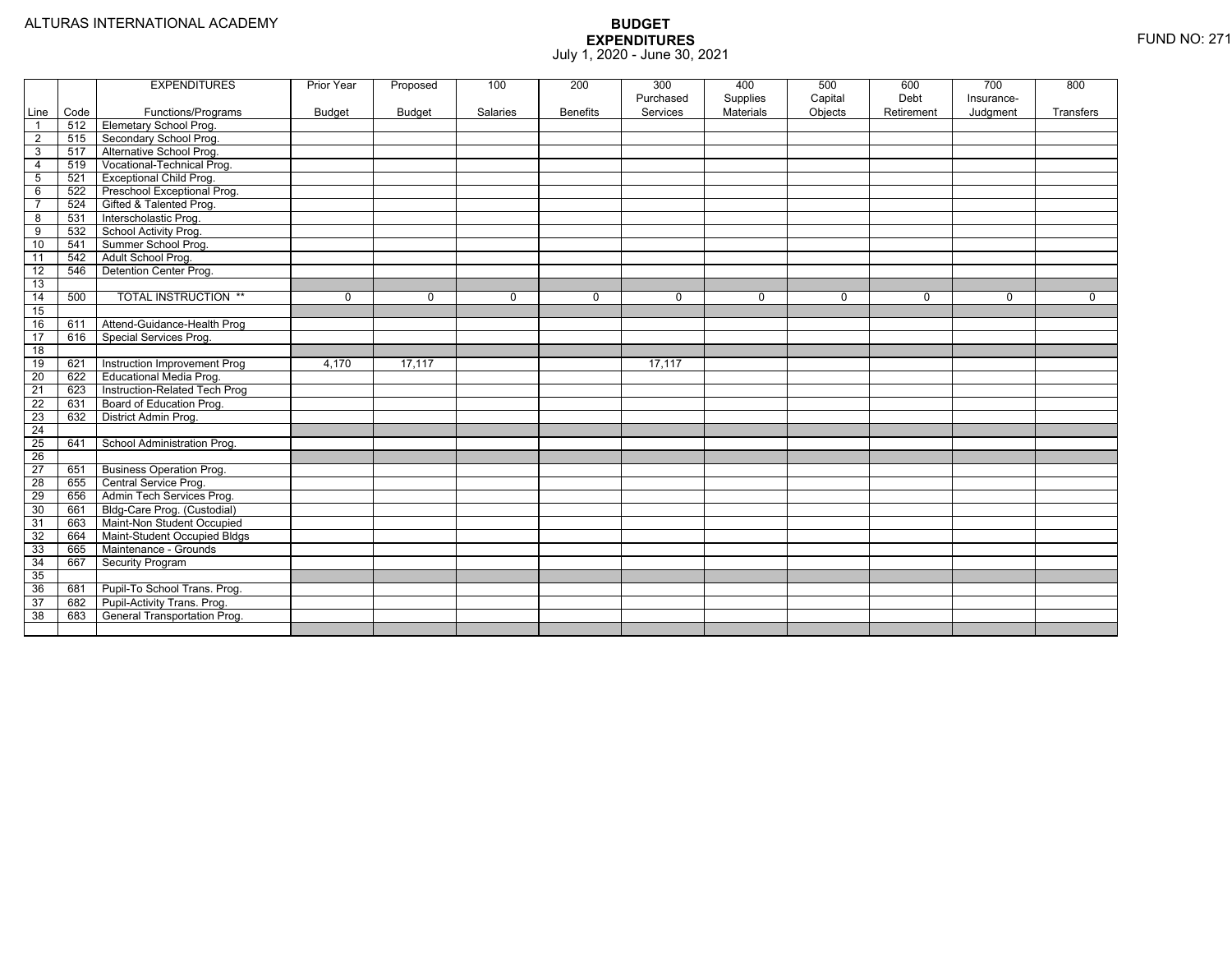|                 |      | <b>EXPENDITURES</b>             | Prior Year    | Proposed    | 100         | 200             | 300       | 400              | 500     | 600         | 700        | 800         |
|-----------------|------|---------------------------------|---------------|-------------|-------------|-----------------|-----------|------------------|---------|-------------|------------|-------------|
|                 |      |                                 |               |             |             |                 | Purchased | Supplies         | Capital | Debt        | Insurance- |             |
| Line            | Code | Functions/Programs              | <b>Budget</b> | Budget      | Salaries    | <b>Benefits</b> | Services  | <b>Materials</b> | Objects | Retirement  | Judgment   | Transfers   |
| $\overline{1}$  | 512  | Elemetary School Prog.          |               |             |             |                 |           |                  |         |             |            |             |
| 2               | 515  | Secondary School Prog.          |               |             |             |                 |           |                  |         |             |            |             |
| 3               | 517  | Alternative School Prog.        |               |             |             |                 |           |                  |         |             |            |             |
| $\overline{4}$  | 519  | Vocational-Technical Prog.      |               |             |             |                 |           |                  |         |             |            |             |
| 5               | 521  | <b>Exceptional Child Prog.</b>  |               |             |             |                 |           |                  |         |             |            |             |
| 6               | 522  | Preschool Exceptional Prog.     |               |             |             |                 |           |                  |         |             |            |             |
| $\overline{7}$  | 524  | Gifted & Talented Prog.         |               |             |             |                 |           |                  |         |             |            |             |
| $\overline{8}$  | 531  | Interscholastic Prog.           |               |             |             |                 |           |                  |         |             |            |             |
| 9               | 532  | School Activity Prog.           |               |             |             |                 |           |                  |         |             |            |             |
| 10              | 541  | Summer School Prog.             |               |             |             |                 |           |                  |         |             |            |             |
| 11              | 542  | Adult School Prog.              |               |             |             |                 |           |                  |         |             |            |             |
| 12              | 546  | Detention Center Prog.          |               |             |             |                 |           |                  |         |             |            |             |
| $\overline{13}$ |      |                                 |               |             |             |                 |           |                  |         |             |            |             |
| 14              | 500  | <b>TOTAL INSTRUCTION **</b>     | 0             | $\mathbf 0$ | $\mathbf 0$ | 0               | 0         | 0                | 0       | $\mathbf 0$ | 0          | $\mathbf 0$ |
| 15              |      |                                 |               |             |             |                 |           |                  |         |             |            |             |
| 16              | 611  | Attend-Guidance-Health Prog     |               |             |             |                 |           |                  |         |             |            |             |
| 17              | 616  | Special Services Prog.          |               |             |             |                 |           |                  |         |             |            |             |
| $\overline{18}$ |      |                                 |               |             |             |                 |           |                  |         |             |            |             |
| 19              | 621  | Instruction Improvement Prog    | 4,170         | 17,117      |             |                 | 17,117    |                  |         |             |            |             |
| 20              | 622  | <b>Educational Media Prog.</b>  |               |             |             |                 |           |                  |         |             |            |             |
| $\overline{21}$ | 623  | Instruction-Related Tech Prog   |               |             |             |                 |           |                  |         |             |            |             |
| 22              | 631  | Board of Education Prog.        |               |             |             |                 |           |                  |         |             |            |             |
| 23              | 632  | District Admin Prog.            |               |             |             |                 |           |                  |         |             |            |             |
| $\overline{24}$ |      |                                 |               |             |             |                 |           |                  |         |             |            |             |
| 25              | 641  | School Administration Prog.     |               |             |             |                 |           |                  |         |             |            |             |
| $\overline{26}$ |      |                                 |               |             |             |                 |           |                  |         |             |            |             |
| 27              | 651  | <b>Business Operation Prog.</b> |               |             |             |                 |           |                  |         |             |            |             |
| 28              | 655  | Central Service Prog.           |               |             |             |                 |           |                  |         |             |            |             |
| 29              | 656  | Admin Tech Services Prog.       |               |             |             |                 |           |                  |         |             |            |             |
| 30              | 661  | Bldg-Care Prog. (Custodial)     |               |             |             |                 |           |                  |         |             |            |             |
| 31              | 663  | Maint-Non Student Occupied      |               |             |             |                 |           |                  |         |             |            |             |
| 32              | 664  | Maint-Student Occupied Bldgs    |               |             |             |                 |           |                  |         |             |            |             |
| 33              | 665  | Maintenance - Grounds           |               |             |             |                 |           |                  |         |             |            |             |
| $\overline{34}$ | 667  | Security Program                |               |             |             |                 |           |                  |         |             |            |             |
| 35              |      |                                 |               |             |             |                 |           |                  |         |             |            |             |
| 36              | 681  | Pupil-To School Trans. Prog.    |               |             |             |                 |           |                  |         |             |            |             |
| 37              | 682  | Pupil-Activity Trans. Prog.     |               |             |             |                 |           |                  |         |             |            |             |
| 38              | 683  | General Transportation Prog.    |               |             |             |                 |           |                  |         |             |            |             |
|                 |      |                                 |               |             |             |                 |           |                  |         |             |            |             |
|                 |      |                                 |               |             |             |                 |           |                  |         |             |            |             |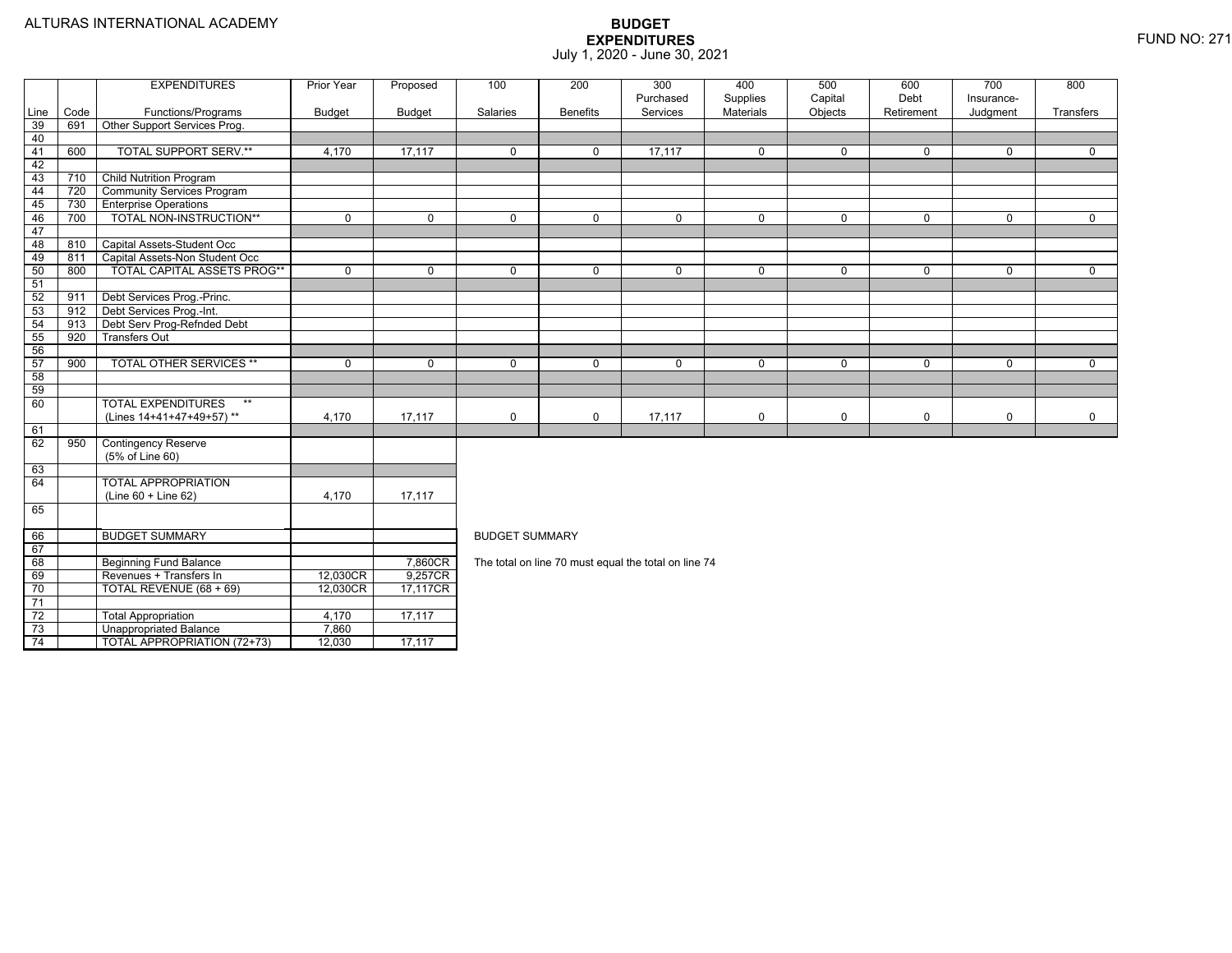4 | | TOTAL APPROPRIATION (72+73) | 12,030 | 17,117

|                 |      | <b>EXPENDITURES</b>                | <b>Prior Year</b> | Proposed       | 100                   | 200             | 300                                                  | 400            | 500            | 600            | 700            | 800            |
|-----------------|------|------------------------------------|-------------------|----------------|-----------------------|-----------------|------------------------------------------------------|----------------|----------------|----------------|----------------|----------------|
|                 |      |                                    |                   |                |                       |                 | Purchased                                            | Supplies       | Capital        | Debt           | Insurance-     |                |
| Line            | Code | Functions/Programs                 | <b>Budget</b>     | <b>Budget</b>  | Salaries              | <b>Benefits</b> | Services                                             | Materials      | Objects        | Retirement     | Judgment       | Transfers      |
| 39              | 691  | Other Support Services Prog.       |                   |                |                       |                 |                                                      |                |                |                |                |                |
| 40              |      |                                    |                   |                |                       |                 |                                                      |                |                |                |                |                |
| 41              | 600  | <b>TOTAL SUPPORT SERV.**</b>       | 4.170             | 17,117         | $\mathbf{0}$          | $\mathbf{0}$    | 17,117                                               | $\mathbf 0$    | $\mathbf{0}$   | $\mathbf{0}$   | $\mathbf{0}$   | $\mathbf 0$    |
| 42              |      |                                    |                   |                |                       |                 |                                                      |                |                |                |                |                |
| 43              | 710  | <b>Child Nutrition Program</b>     |                   |                |                       |                 |                                                      |                |                |                |                |                |
| 44              | 720  | <b>Community Services Program</b>  |                   |                |                       |                 |                                                      |                |                |                |                |                |
| 45              | 730  | <b>Enterprise Operations</b>       |                   |                |                       |                 |                                                      |                |                |                |                |                |
| 46              | 700  | TOTAL NON-INSTRUCTION**            | $\overline{0}$    | $\overline{0}$ | $\overline{0}$        | $\overline{0}$  | $\overline{0}$                                       | $\overline{0}$ | $\overline{0}$ | $\overline{0}$ | $\overline{0}$ | $\overline{0}$ |
| 47              |      |                                    |                   |                |                       |                 |                                                      |                |                |                |                |                |
| 48              | 810  | Capital Assets-Student Occ         |                   |                |                       |                 |                                                      |                |                |                |                |                |
| 49              | 811  | Capital Assets-Non Student Occ     |                   |                |                       |                 |                                                      |                |                |                |                |                |
| 50              | 800  | <b>TOTAL CAPITAL ASSETS PROG**</b> | $\Omega$          | $\Omega$       | $\Omega$              | $\Omega$        | $\Omega$                                             | $\mathbf 0$    | $\mathbf{0}$   | $\Omega$       | $\Omega$       | $\Omega$       |
| 51              |      |                                    |                   |                |                       |                 |                                                      |                |                |                |                |                |
| 52              | 911  | Debt Services Prog.-Princ.         |                   |                |                       |                 |                                                      |                |                |                |                |                |
| 53              | 912  | Debt Services Prog.-Int.           |                   |                |                       |                 |                                                      |                |                |                |                |                |
| 54              | 913  | Debt Serv Prog-Refnded Debt        |                   |                |                       |                 |                                                      |                |                |                |                |                |
| 55              | 920  | <b>Transfers Out</b>               |                   |                |                       |                 |                                                      |                |                |                |                |                |
| 56              |      |                                    |                   |                |                       |                 |                                                      |                |                |                |                |                |
| 57              | 900  | <b>TOTAL OTHER SERVICES **</b>     | $\Omega$          | $\Omega$       | $\Omega$              | $\Omega$        | $\mathbf 0$                                          | $\mathbf 0$    | $\mathbf 0$    | $\Omega$       | $\Omega$       | $\Omega$       |
| 58              |      |                                    |                   |                |                       |                 |                                                      |                |                |                |                |                |
| 59              |      |                                    |                   |                |                       |                 |                                                      |                |                |                |                |                |
| 60              |      | <b>TOTAL EXPENDITURES</b><br>$***$ |                   |                |                       |                 |                                                      |                |                |                |                |                |
|                 |      | (Lines 14+41+47+49+57)**           | 4,170             | 17,117         | $\mathbf 0$           | $\mathbf 0$     | 17,117                                               | $\mathbf 0$    | $\mathbf 0$    | $\mathbf 0$    | $\mathbf 0$    | $\mathbf 0$    |
| 61              |      |                                    |                   |                |                       |                 |                                                      |                |                |                |                |                |
| 62              | 950  | <b>Contingency Reserve</b>         |                   |                |                       |                 |                                                      |                |                |                |                |                |
|                 |      | (5% of Line 60)                    |                   |                |                       |                 |                                                      |                |                |                |                |                |
| 63              |      |                                    |                   |                |                       |                 |                                                      |                |                |                |                |                |
| 64              |      | <b>TOTAL APPROPRIATION</b>         |                   |                |                       |                 |                                                      |                |                |                |                |                |
|                 |      | (Line 60 + Line 62)                | 4,170             | 17,117         |                       |                 |                                                      |                |                |                |                |                |
| 65              |      |                                    |                   |                |                       |                 |                                                      |                |                |                |                |                |
| 66              |      | <b>BUDGET SUMMARY</b>              |                   |                | <b>BUDGET SUMMARY</b> |                 |                                                      |                |                |                |                |                |
| 67              |      |                                    |                   |                |                       |                 |                                                      |                |                |                |                |                |
| 68              |      | <b>Beginning Fund Balance</b>      |                   | 7,860CR        |                       |                 | The total on line 70 must equal the total on line 74 |                |                |                |                |                |
| 69              |      | Revenues + Transfers In            | 12,030CR          | 9,257CR        |                       |                 |                                                      |                |                |                |                |                |
| 70              |      | TOTAL REVENUE (68 + 69)            | 12,030CR          | 17,117CR       |                       |                 |                                                      |                |                |                |                |                |
| $\overline{71}$ |      |                                    |                   |                |                       |                 |                                                      |                |                |                |                |                |
| 72              |      | <b>Total Appropriation</b>         | 4,170             | 17,117         |                       |                 |                                                      |                |                |                |                |                |
| $\overline{73}$ |      | <b>Unappropriated Balance</b>      | 7.860             |                |                       |                 |                                                      |                |                |                |                |                |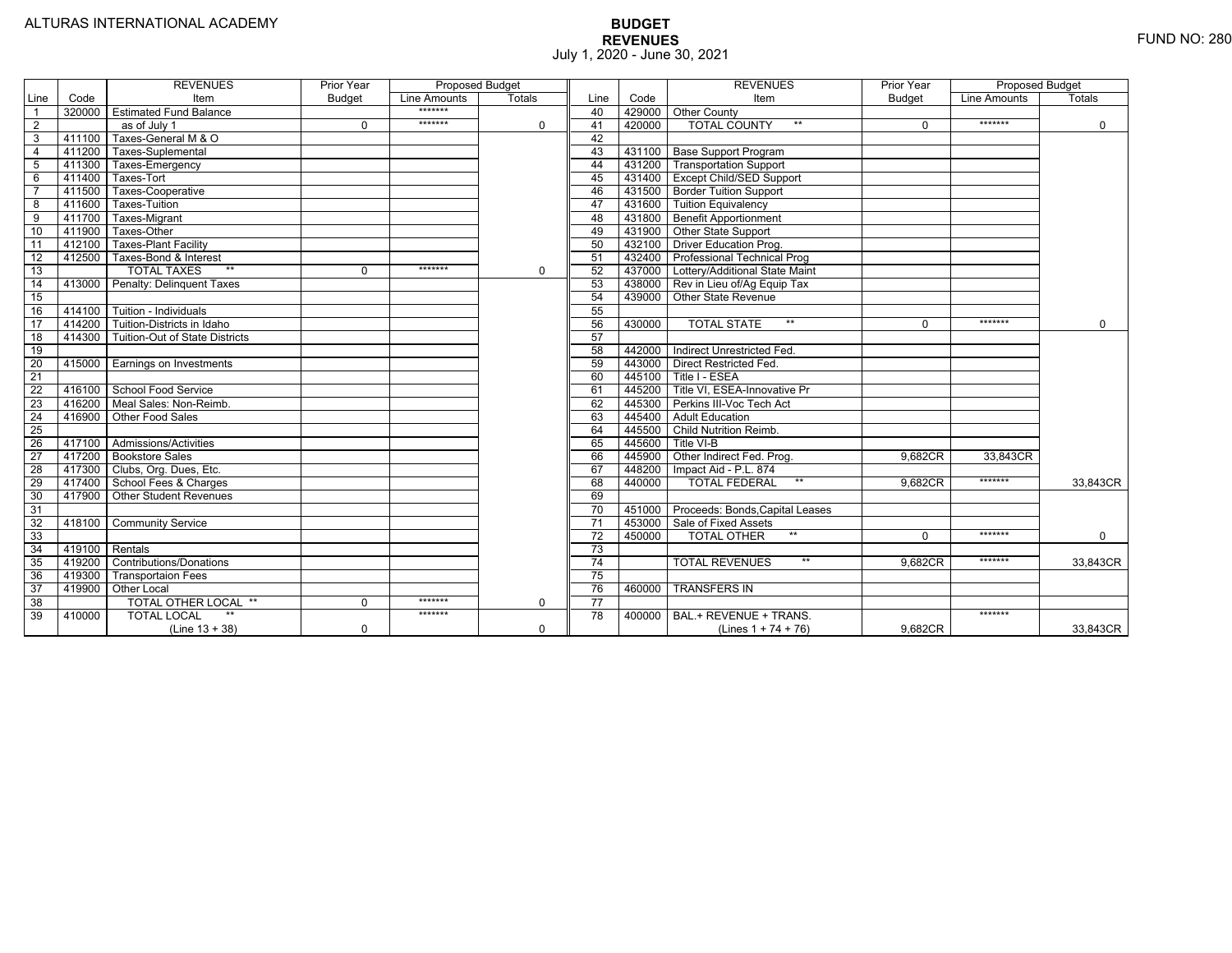|                 |                | <b>REVENUES</b>                         | Prior Year    | <b>Proposed Budget</b> |          |                 |        | <b>REVENUES</b>                        | Prior Year    | <b>Proposed Budget</b> |             |
|-----------------|----------------|-----------------------------------------|---------------|------------------------|----------|-----------------|--------|----------------------------------------|---------------|------------------------|-------------|
| Line            | Code           | Item                                    | <b>Budget</b> | Line Amounts           | Totals   | Line            | Code   | Item                                   | <b>Budget</b> | Line Amounts           | Totals      |
|                 |                | 320000 Estimated Fund Balance           |               | *******                |          | 40              |        | 429000 Other County                    |               |                        |             |
| $\overline{2}$  |                | as of July 1                            | $\Omega$      | *******                | 0        | 41              | 420000 | <b>TOTAL COUNTY</b><br>$***$           | $\Omega$      | *******                | $\mathbf 0$ |
| 3               | 411100         | Taxes-General M & O                     |               |                        |          | 42              |        |                                        |               |                        |             |
| $\overline{4}$  | 411200         | Taxes-Suplemental                       |               |                        |          | 43              |        | 431100 Base Support Program            |               |                        |             |
| 5               |                | 411300 Taxes-Emergency                  |               |                        |          | 44              |        | 431200 Transportation Support          |               |                        |             |
| 6               | 411400         | Taxes-Tort                              |               |                        |          | 45              |        | 431400 Except Child/SED Support        |               |                        |             |
|                 | 411500         | Taxes-Cooperative                       |               |                        |          | 46              |        | 431500   Border Tuition Support        |               |                        |             |
| 8               | 411600         | <b>Taxes-Tuition</b>                    |               |                        |          | 47              |        | 431600 Tuition Equivalency             |               |                        |             |
| 9               | 411700         | Taxes-Migrant                           |               |                        |          | 48              |        | 431800 Benefit Apportionment           |               |                        |             |
| 10              | 411900         | Taxes-Other                             |               |                        |          | 49              |        | 431900 Other State Support             |               |                        |             |
| 11              | 412100         | <b>Taxes-Plant Facility</b>             |               |                        |          | 50              |        | 432100 Driver Education Prog.          |               |                        |             |
| 12              | 412500         | Taxes-Bond & Interest                   |               |                        |          | 51              | 432400 | <b>Professional Technical Prog</b>     |               |                        |             |
| 13              |                | $**$<br><b>TOTAL TAXES</b>              | $\Omega$      | *******                | 0        | 52              |        | 437000 Lottery/Additional State Maint  |               |                        |             |
| 14              |                | 413000 Penalty: Delinquent Taxes        |               |                        |          | 53              |        | 438000 Rev in Lieu of/Ag Equip Tax     |               |                        |             |
| 15              |                |                                         |               |                        |          | 54              |        | 439000 Other State Revenue             |               |                        |             |
| 16              |                | 414100 Tuition - Individuals            |               |                        |          | 55              |        |                                        |               |                        |             |
| 17              |                | 414200 Tuition-Districts in Idaho       |               |                        |          | 56              | 430000 | $***$<br><b>TOTAL STATE</b>            | $\Omega$      | *******                | $\Omega$    |
| 18              |                | 414300   Tuition-Out of State Districts |               |                        |          | 57              |        |                                        |               |                        |             |
| 19              |                |                                         |               |                        |          | 58              |        | 442000 Indirect Unrestricted Fed.      |               |                        |             |
| $\overline{20}$ |                | 415000 Earnings on Investments          |               |                        |          | 59              |        | 443000 Direct Restricted Fed.          |               |                        |             |
| $\overline{21}$ |                |                                         |               |                        |          | 60              | 445100 | Title I - ESEA                         |               |                        |             |
| 22              |                | 416100 School Food Service              |               |                        |          | 61              | 445200 | Title VI. ESEA-Innovative Pr           |               |                        |             |
| 23              |                | 416200   Meal Sales: Non-Reimb.         |               |                        |          | 62              | 445300 | Perkins III-Voc Tech Act               |               |                        |             |
| $\overline{24}$ |                | 416900 Other Food Sales                 |               |                        |          | 63              | 445400 | <b>Adult Education</b>                 |               |                        |             |
| $\overline{25}$ |                |                                         |               |                        |          | 64              | 445500 | <b>Child Nutrition Reimb.</b>          |               |                        |             |
| $\overline{26}$ |                | 417100 Admissions/Activities            |               |                        |          | 65              | 445600 | Title VI-B                             |               |                        |             |
| $\overline{27}$ |                | 417200 Bookstore Sales                  |               |                        |          | 66              | 445900 | Other Indirect Fed. Prog.              | 9.682CR       | 33,843CR               |             |
| $\overline{28}$ |                | 417300 Clubs, Org. Dues, Etc.           |               |                        |          | 67              | 448200 | Impact Aid - P.L. 874                  |               |                        |             |
| 29              |                | 417400 School Fees & Charges            |               |                        |          | 68              | 440000 | $**$<br><b>TOTAL FEDERAL</b>           | 9,682CR       | *******                | 33,843CR    |
| 30              |                | 417900   Other Student Revenues         |               |                        |          | 69              |        |                                        |               |                        |             |
| 31              |                |                                         |               |                        |          | $\overline{70}$ |        | 451000 Proceeds: Bonds, Capital Leases |               |                        |             |
| $\overline{32}$ | 418100         | <b>Community Service</b>                |               |                        |          | $\overline{71}$ |        | 453000   Sale of Fixed Assets          |               |                        |             |
| 33              |                |                                         |               |                        |          | $\overline{72}$ | 450000 | <b>TOTAL OTHER</b><br>$***$            | $\Omega$      | *******                | $\mathbf 0$ |
| $\overline{34}$ | 419100 Rentals |                                         |               |                        |          | $\overline{73}$ |        |                                        |               |                        |             |
| 35              | 419200         | <b>Contributions/Donations</b>          |               |                        |          | 74              |        | <b>TOTAL REVENUES</b><br>$\star\star$  | 9.682CR       | *******                | 33,843CR    |
| 36              | 419300         | <b>Transportaion Fees</b>               |               |                        |          | $\overline{75}$ |        |                                        |               |                        |             |
| 37              | 419900         | <b>Other Local</b>                      |               |                        |          | 76              | 460000 | <b>TRANSFERS IN</b>                    |               |                        |             |
| $\overline{38}$ |                | <b>TOTAL OTHER LOCAL **</b>             | $\Omega$      | *******                | 0        | $\overline{77}$ |        |                                        |               |                        |             |
| 39              | 410000         | <b>TOTAL LOCAL</b>                      |               | *******                |          | 78              | 400000 | BAL.+ REVENUE + TRANS.                 |               | *******                |             |
|                 |                | $(Line 13 + 38)$                        | 0             |                        | $\Omega$ |                 |        | (Lines $1 + 74 + 76$ )                 | 9,682CR       |                        | 33,843CR    |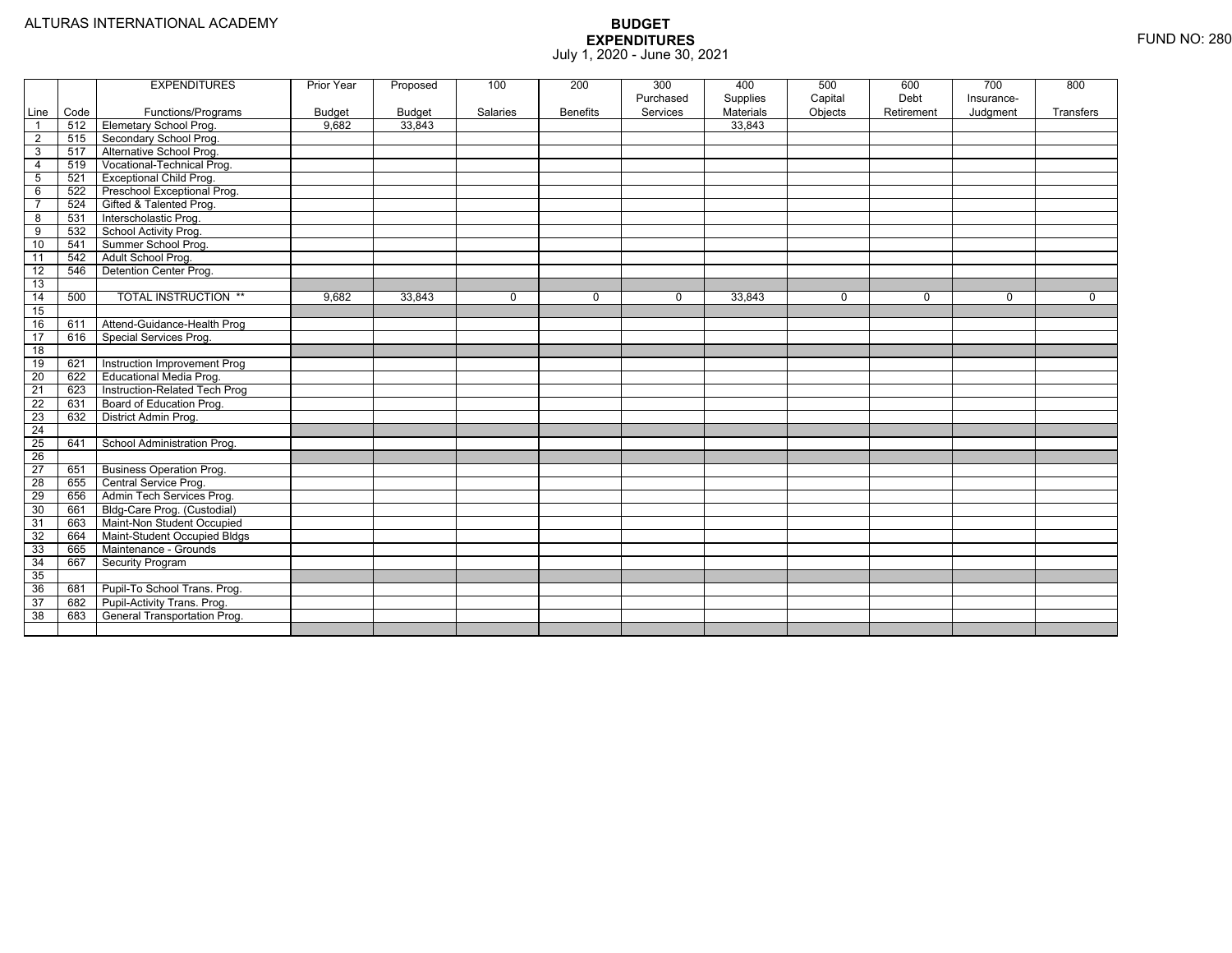|                 |      | <b>EXPENDITURES</b>             | Prior Year    | Proposed      | 100      | 200             | 300       | 400       | 500         | 600         | 700        | 800         |
|-----------------|------|---------------------------------|---------------|---------------|----------|-----------------|-----------|-----------|-------------|-------------|------------|-------------|
|                 |      |                                 |               |               |          |                 | Purchased | Supplies  | Capital     | Debt        | Insurance- |             |
| Line            | Code | Functions/Programs              | <b>Budget</b> | <b>Budget</b> | Salaries | <b>Benefits</b> | Services  | Materials | Objects     | Retirement  | Judgment   | Transfers   |
| $\overline{1}$  | 512  | Elemetary School Prog.          | 9,682         | 33,843        |          |                 |           | 33,843    |             |             |            |             |
| $\overline{2}$  | 515  | Secondary School Prog.          |               |               |          |                 |           |           |             |             |            |             |
| $\mathbf{3}$    | 517  | Alternative School Prog.        |               |               |          |                 |           |           |             |             |            |             |
| $\overline{4}$  | 519  | Vocational-Technical Prog.      |               |               |          |                 |           |           |             |             |            |             |
| $5\phantom{.0}$ | 521  | <b>Exceptional Child Prog.</b>  |               |               |          |                 |           |           |             |             |            |             |
| 6               | 522  | Preschool Exceptional Prog.     |               |               |          |                 |           |           |             |             |            |             |
| $\overline{7}$  | 524  | Gifted & Talented Prog.         |               |               |          |                 |           |           |             |             |            |             |
| 8               | 531  | Interscholastic Prog.           |               |               |          |                 |           |           |             |             |            |             |
| 9               | 532  | School Activity Prog.           |               |               |          |                 |           |           |             |             |            |             |
| 10              | 541  | Summer School Prog.             |               |               |          |                 |           |           |             |             |            |             |
| $\overline{11}$ | 542  | Adult School Prog.              |               |               |          |                 |           |           |             |             |            |             |
| $\overline{12}$ | 546  | Detention Center Prog.          |               |               |          |                 |           |           |             |             |            |             |
| 13              |      |                                 |               |               |          |                 |           |           |             |             |            |             |
| $\overline{14}$ | 500  | <b>TOTAL INSTRUCTION **</b>     | 9,682         | 33,843        | 0        | 0               | 0         | 33,843    | $\mathbf 0$ | $\mathbf 0$ | 0          | $\mathbf 0$ |
| 15              |      |                                 |               |               |          |                 |           |           |             |             |            |             |
| 16              | 611  | Attend-Guidance-Health Prog     |               |               |          |                 |           |           |             |             |            |             |
| 17              | 616  | Special Services Prog.          |               |               |          |                 |           |           |             |             |            |             |
| 18              |      |                                 |               |               |          |                 |           |           |             |             |            |             |
| 19              | 621  | Instruction Improvement Prog    |               |               |          |                 |           |           |             |             |            |             |
| 20              | 622  | Educational Media Prog.         |               |               |          |                 |           |           |             |             |            |             |
| 21              | 623  | Instruction-Related Tech Prog   |               |               |          |                 |           |           |             |             |            |             |
| 22              | 631  | Board of Education Prog.        |               |               |          |                 |           |           |             |             |            |             |
| 23              | 632  | District Admin Prog.            |               |               |          |                 |           |           |             |             |            |             |
| 24              |      |                                 |               |               |          |                 |           |           |             |             |            |             |
| 25              | 641  | School Administration Prog.     |               |               |          |                 |           |           |             |             |            |             |
| 26              |      |                                 |               |               |          |                 |           |           |             |             |            |             |
| 27              | 651  | <b>Business Operation Prog.</b> |               |               |          |                 |           |           |             |             |            |             |
| 28              | 655  | Central Service Prog.           |               |               |          |                 |           |           |             |             |            |             |
| 29              | 656  | Admin Tech Services Prog.       |               |               |          |                 |           |           |             |             |            |             |
| 30              | 661  | Bldg-Care Prog. (Custodial)     |               |               |          |                 |           |           |             |             |            |             |
| $\overline{31}$ | 663  | Maint-Non Student Occupied      |               |               |          |                 |           |           |             |             |            |             |
| 32              | 664  | Maint-Student Occupied Bldgs    |               |               |          |                 |           |           |             |             |            |             |
| 33              | 665  | Maintenance - Grounds           |               |               |          |                 |           |           |             |             |            |             |
| 34              | 667  | <b>Security Program</b>         |               |               |          |                 |           |           |             |             |            |             |
| 35              |      |                                 |               |               |          |                 |           |           |             |             |            |             |
| 36              | 681  | Pupil-To School Trans. Prog.    |               |               |          |                 |           |           |             |             |            |             |
| $\overline{37}$ | 682  | Pupil-Activity Trans. Prog.     |               |               |          |                 |           |           |             |             |            |             |
| 38              | 683  | General Transportation Prog.    |               |               |          |                 |           |           |             |             |            |             |
|                 |      |                                 |               |               |          |                 |           |           |             |             |            |             |
|                 |      |                                 |               |               |          |                 |           |           |             |             |            |             |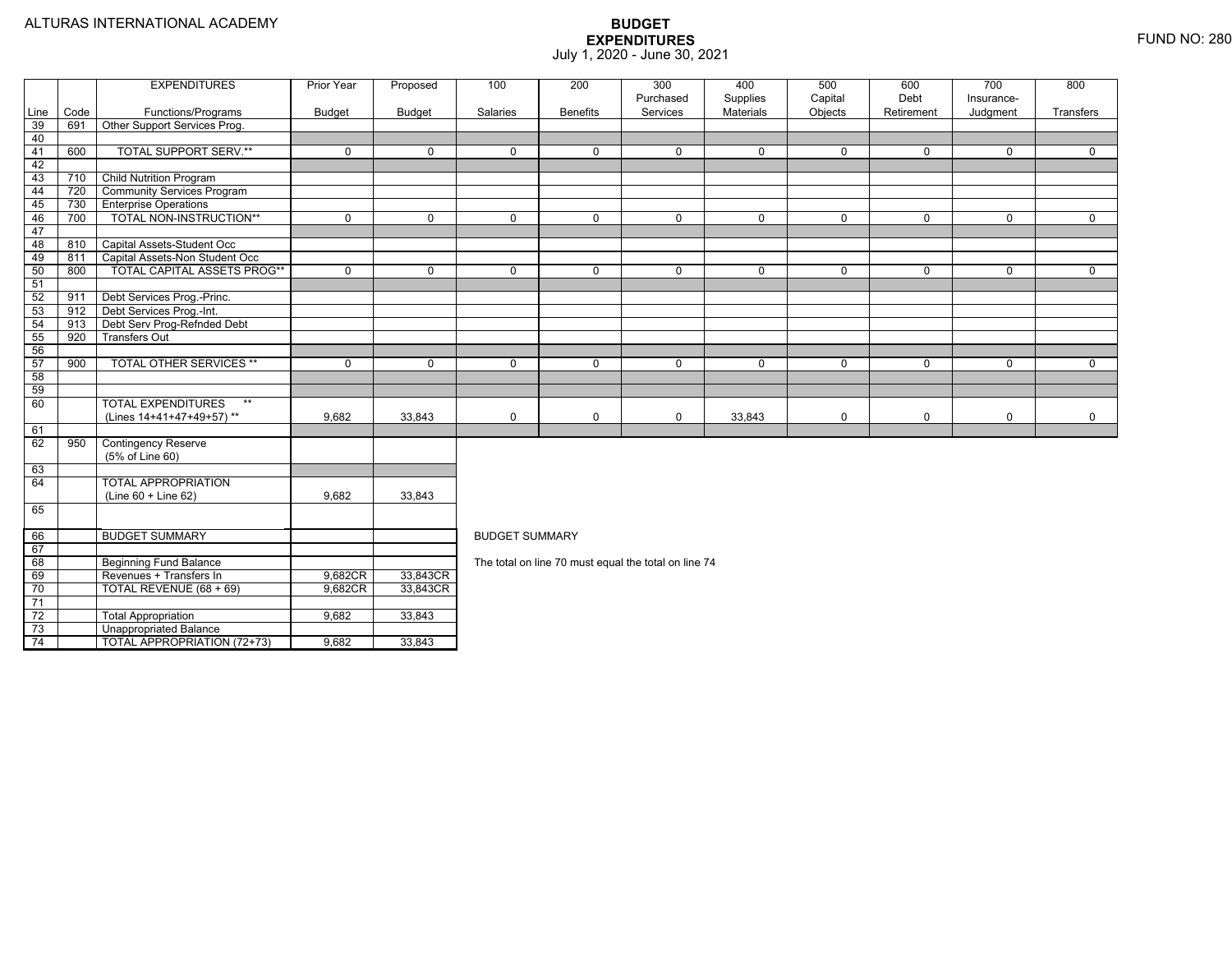74

Unappropriated Balance

TOTAL APPROPRIATION (72+73) 9,682 33,843

|                 |      | <b>EXPENDITURES</b>                | <b>Prior Year</b> | Proposed      | 100                   | 200             | 300<br>Purchased                                     | 400<br>Supplies | 500<br>Capital | 600<br>Debt  | 700<br>Insurance- | 800         |  |
|-----------------|------|------------------------------------|-------------------|---------------|-----------------------|-----------------|------------------------------------------------------|-----------------|----------------|--------------|-------------------|-------------|--|
| Line            | Code | Functions/Programs                 | <b>Budget</b>     | <b>Budget</b> | Salaries              | <b>Benefits</b> | Services                                             | Materials       | Objects        | Retirement   | Judgment          | Transfers   |  |
| 39              | 691  | Other Support Services Prog.       |                   |               |                       |                 |                                                      |                 |                |              |                   |             |  |
| 40              |      |                                    |                   |               |                       |                 |                                                      |                 |                |              |                   |             |  |
| 41              | 600  | <b>TOTAL SUPPORT SERV.**</b>       | $\mathbf 0$       | $\mathbf 0$   | $\mathbf 0$           | $\Omega$        | $\mathbf 0$                                          | 0               | $\mathbf{0}$   | $\mathbf 0$  | 0                 | 0           |  |
| 42              |      |                                    |                   |               |                       |                 |                                                      |                 |                |              |                   |             |  |
| 43              | 710  | <b>Child Nutrition Program</b>     |                   |               |                       |                 |                                                      |                 |                |              |                   |             |  |
| 44              | 720  | <b>Community Services Program</b>  |                   |               |                       |                 |                                                      |                 |                |              |                   |             |  |
| 45              | 730  | <b>Enterprise Operations</b>       |                   |               |                       |                 |                                                      |                 |                |              |                   |             |  |
| 46              | 700  | TOTAL NON-INSTRUCTION**            | $\mathbf 0$       | $\mathbf 0$   | $\mathbf 0$           | $\mathbf 0$     | $\mathbf 0$                                          | 0               | $\mathbf 0$    | $\mathbf 0$  | 0                 | $\mathbf 0$ |  |
| 47              |      |                                    |                   |               |                       |                 |                                                      |                 |                |              |                   |             |  |
| 48              | 810  | Capital Assets-Student Occ         |                   |               |                       |                 |                                                      |                 |                |              |                   |             |  |
| 49              | 811  | Capital Assets-Non Student Occ     |                   |               |                       |                 |                                                      |                 |                |              |                   |             |  |
| 50              | 800  | TOTAL CAPITAL ASSETS PROG**        | $\mathbf 0$       | $\Omega$      | $\mathbf 0$           | $\Omega$        | $\mathbf 0$                                          | $\mathbf 0$     | $\mathbf 0$    | $\mathbf{0}$ | $\Omega$          | $\mathbf 0$ |  |
| 51              |      |                                    |                   |               |                       |                 |                                                      |                 |                |              |                   |             |  |
| 52              | 911  | Debt Services Prog.-Princ.         |                   |               |                       |                 |                                                      |                 |                |              |                   |             |  |
| 53              | 912  | Debt Services Prog.-Int.           |                   |               |                       |                 |                                                      |                 |                |              |                   |             |  |
| 54              | 913  | Debt Serv Prog-Refnded Debt        |                   |               |                       |                 |                                                      |                 |                |              |                   |             |  |
| 55              | 920  | <b>Transfers Out</b>               |                   |               |                       |                 |                                                      |                 |                |              |                   |             |  |
| 56              |      |                                    |                   |               |                       |                 |                                                      |                 |                |              |                   |             |  |
| 57              | 900  | <b>TOTAL OTHER SERVICES **</b>     | $\mathbf 0$       | $\mathbf 0$   | $\mathbf 0$           | $\mathbf 0$     | $\mathbf 0$                                          | $\mathbf{0}$    | $\mathbf 0$    | $\mathbf 0$  | $\mathbf 0$       | 0           |  |
| 58              |      |                                    |                   |               |                       |                 |                                                      |                 |                |              |                   |             |  |
| 59              |      |                                    |                   |               |                       |                 |                                                      |                 |                |              |                   |             |  |
| 60              |      | <b>TOTAL EXPENDITURES</b><br>$***$ |                   |               |                       |                 |                                                      |                 |                |              |                   |             |  |
|                 |      | (Lines 14+41+47+49+57)**           | 9,682             | 33,843        | $\mathbf 0$           | $\mathsf 0$     | 0                                                    | 33,843          | 0              | 0            | 0                 | 0           |  |
| 61              |      |                                    |                   |               |                       |                 |                                                      |                 |                |              |                   |             |  |
| 62              | 950  | <b>Contingency Reserve</b>         |                   |               |                       |                 |                                                      |                 |                |              |                   |             |  |
|                 |      | (5% of Line 60)                    |                   |               |                       |                 |                                                      |                 |                |              |                   |             |  |
| 63              |      |                                    |                   |               |                       |                 |                                                      |                 |                |              |                   |             |  |
| 64              |      | <b>TOTAL APPROPRIATION</b>         |                   |               |                       |                 |                                                      |                 |                |              |                   |             |  |
|                 |      | (Line 60 + Line 62)                | 9,682             | 33,843        |                       |                 |                                                      |                 |                |              |                   |             |  |
| 65              |      |                                    |                   |               |                       |                 |                                                      |                 |                |              |                   |             |  |
|                 |      |                                    |                   |               |                       |                 |                                                      |                 |                |              |                   |             |  |
| 66              |      | <b>BUDGET SUMMARY</b>              |                   |               | <b>BUDGET SUMMARY</b> |                 |                                                      |                 |                |              |                   |             |  |
| 67              |      |                                    |                   |               |                       |                 |                                                      |                 |                |              |                   |             |  |
| 68              |      | <b>Beginning Fund Balance</b>      |                   |               |                       |                 | The total on line 70 must equal the total on line 74 |                 |                |              |                   |             |  |
| 69              |      | Revenues + Transfers In            | 9,682CR           | 33,843CR      |                       |                 |                                                      |                 |                |              |                   |             |  |
| 70              |      | TOTAL REVENUE (68 + 69)            | 9,682CR           | 33,843CR      |                       |                 |                                                      |                 |                |              |                   |             |  |
| 71              |      |                                    |                   |               |                       |                 |                                                      |                 |                |              |                   |             |  |
| $\overline{72}$ |      | <b>Total Appropriation</b>         | 9,682             | 33,843        |                       |                 |                                                      |                 |                |              |                   |             |  |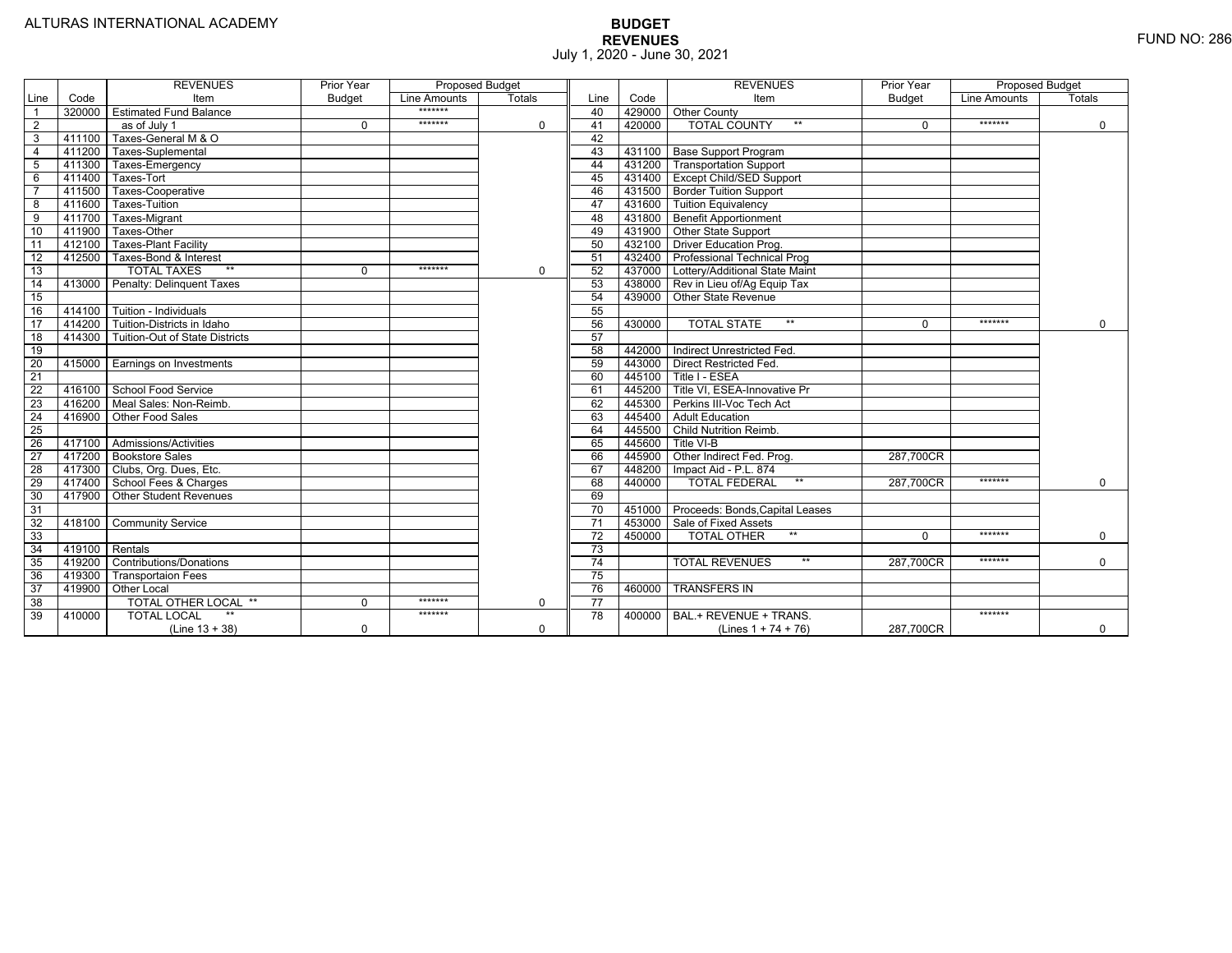|                 |        | <b>REVENUES</b>                         | Prior Year    | <b>Proposed Budget</b> |               |                 |        | <b>REVENUES</b>                        | Prior Year    | <b>Proposed Budget</b> |               |
|-----------------|--------|-----------------------------------------|---------------|------------------------|---------------|-----------------|--------|----------------------------------------|---------------|------------------------|---------------|
| Line            | Code   | Item                                    | <b>Budget</b> | Line Amounts           | <b>Totals</b> | Line            | Code   | Item                                   | <b>Budget</b> | Line Amounts           | <b>Totals</b> |
|                 |        | 320000 Estimated Fund Balance           |               | *******                |               | 40              |        | 429000 Other County                    |               |                        |               |
| $\overline{2}$  |        | as of July 1                            | $\Omega$      | *******                | $\mathbf 0$   | 41              | 420000 | <b>TOTAL COUNTY</b><br>$***$           | $\Omega$      | *******                | $\mathbf 0$   |
| 3               | 411100 | Taxes-General M & O                     |               |                        |               | 42              |        |                                        |               |                        |               |
| $\overline{4}$  | 411200 | Taxes-Suplemental                       |               |                        |               | 43              |        | 431100 Base Support Program            |               |                        |               |
| 5               |        | 411300 Taxes-Emergency                  |               |                        |               | 44              |        | 431200   Transportation Support        |               |                        |               |
| 6               | 411400 | Taxes-Tort                              |               |                        |               | 45              |        | 431400 Except Child/SED Support        |               |                        |               |
|                 | 411500 | Taxes-Cooperative                       |               |                        |               | 46              |        | 431500   Border Tuition Support        |               |                        |               |
| 8               | 411600 | Taxes-Tuition                           |               |                        |               | 47              |        | 431600 Tuition Equivalency             |               |                        |               |
| 9               | 411700 | Taxes-Migrant                           |               |                        |               | 48              |        | 431800 Benefit Apportionment           |               |                        |               |
| 10              | 411900 | Taxes-Other                             |               |                        |               | 49              |        | 431900 Other State Support             |               |                        |               |
| 11              | 412100 | <b>Taxes-Plant Facility</b>             |               |                        |               | 50              |        | 432100 Driver Education Prog.          |               |                        |               |
| $\overline{12}$ | 412500 | Taxes-Bond & Interest                   |               |                        |               | 51              |        | 432400 Professional Technical Prog     |               |                        |               |
| 13              |        | $**$<br><b>TOTAL TAXES</b>              | $\Omega$      | *******                | $\mathbf 0$   | 52              |        | 437000 Lottery/Additional State Maint  |               |                        |               |
| 14              |        | 413000 Penalty: Delinquent Taxes        |               |                        |               | 53              |        | 438000 Rev in Lieu of/Ag Equip Tax     |               |                        |               |
| 15              |        |                                         |               |                        |               | 54              |        | 439000 Other State Revenue             |               |                        |               |
| 16              |        | 414100 Tuition - Individuals            |               |                        |               | 55              |        |                                        |               |                        |               |
| 17              |        | 414200 Tuition-Districts in Idaho       |               |                        |               | 56              | 430000 | $**$<br><b>TOTAL STATE</b>             |               | *******                | $\mathbf 0$   |
| 18              |        | 414300   Tuition-Out of State Districts |               |                        |               | 57              |        |                                        |               |                        |               |
| $\overline{19}$ |        |                                         |               |                        |               | 58              |        | 442000   Indirect Unrestricted Fed.    |               |                        |               |
| $\overline{20}$ |        | 415000 Earnings on Investments          |               |                        |               | 59              |        | 443000 Direct Restricted Fed.          |               |                        |               |
| $\overline{21}$ |        |                                         |               |                        |               | 60              | 445100 | Title I - ESEA                         |               |                        |               |
| 22              |        | 416100 School Food Service              |               |                        |               | 61              | 445200 | Title VI. ESEA-Innovative Pr           |               |                        |               |
| 23              |        | 416200   Meal Sales: Non-Reimb.         |               |                        |               | 62              | 445300 | Perkins III-Voc Tech Act               |               |                        |               |
| $\overline{24}$ |        | 416900 Other Food Sales                 |               |                        |               | 63              |        | 445400 Adult Education                 |               |                        |               |
| $\overline{25}$ |        |                                         |               |                        |               | 64              | 445500 | <b>Child Nutrition Reimb.</b>          |               |                        |               |
| $\overline{26}$ |        | 417100 Admissions/Activities            |               |                        |               | 65              | 445600 | Title VI-B                             |               |                        |               |
| $\overline{27}$ |        | 417200 Bookstore Sales                  |               |                        |               | 66              | 445900 | Other Indirect Fed. Prog.              | 287.700CR     |                        |               |
| $\overline{28}$ |        | 417300 Clubs, Org. Dues, Etc.           |               |                        |               | 67              | 448200 | Impact Aid - P.L. 874                  |               |                        |               |
| 29              |        | 417400 School Fees & Charges            |               |                        |               | 68              | 440000 | $**$<br><b>TOTAL FEDERAL</b>           | 287,700CR     | *******                | $\mathbf 0$   |
| 30              |        | 417900   Other Student Revenues         |               |                        |               | 69              |        |                                        |               |                        |               |
| 31              |        |                                         |               |                        |               | $\overline{70}$ |        | 451000 Proceeds: Bonds, Capital Leases |               |                        |               |
| $\overline{32}$ | 418100 | <b>Community Service</b>                |               |                        |               | $\overline{71}$ |        | 453000 Sale of Fixed Assets            |               |                        |               |
| 33              |        |                                         |               |                        |               | $\overline{72}$ | 450000 | <b>TOTAL OTHER</b><br>$***$            | $\Omega$      | *******                | $\mathbf 0$   |
| $\overline{34}$ |        | 419100 Rentals                          |               |                        |               | $\overline{73}$ |        |                                        |               |                        |               |
| 35              | 419200 | <b>Contributions/Donations</b>          |               |                        |               | 74              |        | <b>TOTAL REVENUES</b><br>$***$         | 287.700CR     | *******                | $\Omega$      |
| 36              | 419300 | <b>Transportaion Fees</b>               |               |                        |               | $\overline{75}$ |        |                                        |               |                        |               |
| 37              | 419900 | <b>Other Local</b>                      |               |                        |               | 76              | 460000 | <b>TRANSFERS IN</b>                    |               |                        |               |
| $\overline{38}$ |        | <b>TOTAL OTHER LOCAL **</b>             | 0             | *******                | $\mathbf 0$   | $\overline{77}$ |        |                                        |               |                        |               |
| 39              | 410000 | <b>TOTAL LOCAL</b>                      |               | *******                |               | 78              | 400000 | BAL.+ REVENUE + TRANS.                 |               | *******                |               |
|                 |        | $(Line 13 + 38)$                        | 0             |                        | $\Omega$      |                 |        | (Lines $1 + 74 + 76$ )                 | 287,700CR     |                        | $\mathbf 0$   |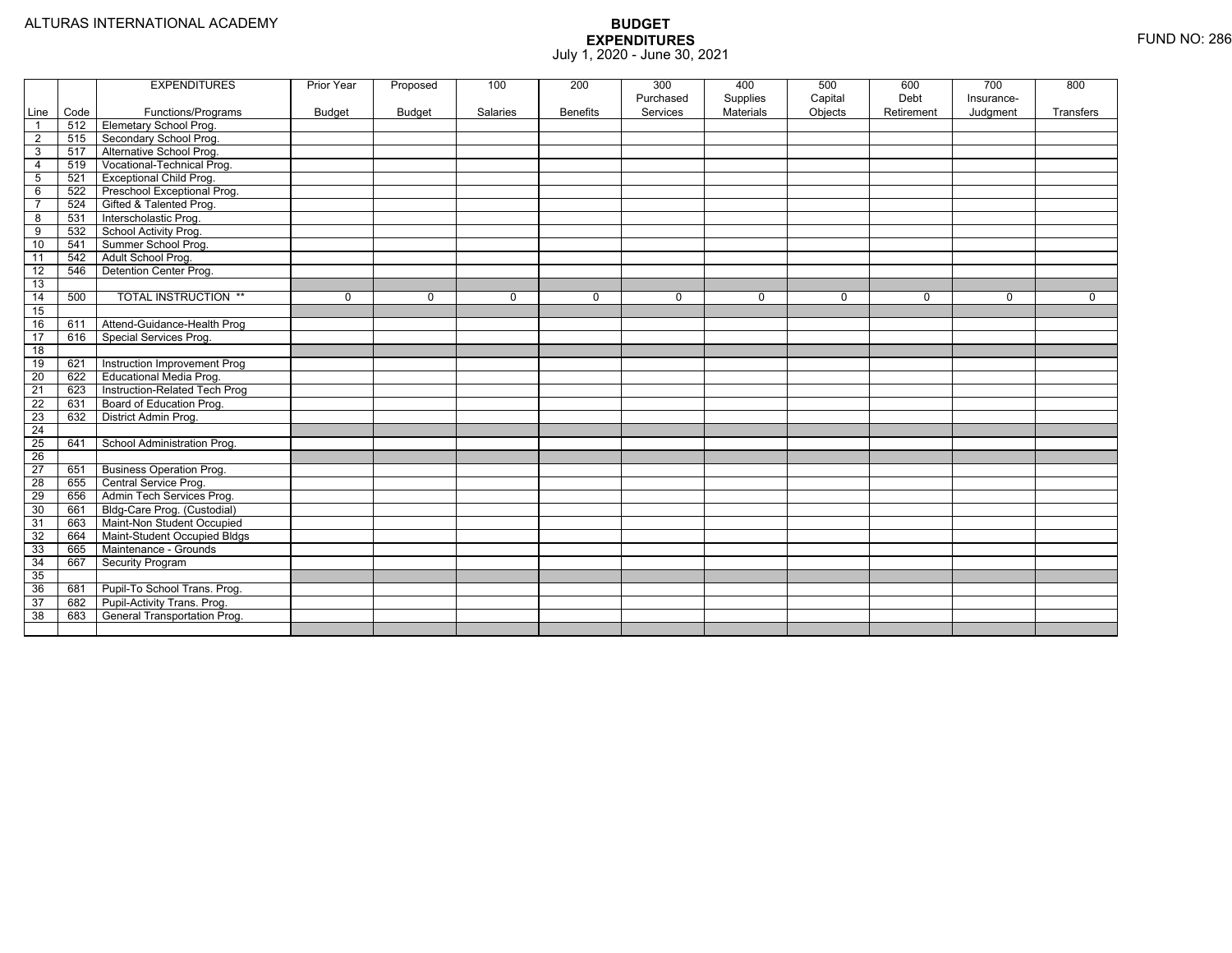|                 |      | <b>EXPENDITURES</b>             | Prior Year    | Proposed      | 100         | 200             | 300         | 400              | 500     | 600        | 700         | 800         |
|-----------------|------|---------------------------------|---------------|---------------|-------------|-----------------|-------------|------------------|---------|------------|-------------|-------------|
|                 |      |                                 |               |               |             |                 | Purchased   | Supplies         | Capital | Debt       | Insurance-  |             |
| Line            | Code | Functions/Programs              | <b>Budget</b> | <b>Budget</b> | Salaries    | <b>Benefits</b> | Services    | <b>Materials</b> | Objects | Retirement | Judgment    | Transfers   |
| $\overline{1}$  | 512  | <b>Elemetary School Prog.</b>   |               |               |             |                 |             |                  |         |            |             |             |
| 2               | 515  | Secondary School Prog.          |               |               |             |                 |             |                  |         |            |             |             |
| 3               | 517  | Alternative School Prog.        |               |               |             |                 |             |                  |         |            |             |             |
| $\overline{4}$  | 519  | Vocational-Technical Prog.      |               |               |             |                 |             |                  |         |            |             |             |
| 5               | 521  | Exceptional Child Prog.         |               |               |             |                 |             |                  |         |            |             |             |
| 6               | 522  | Preschool Exceptional Prog.     |               |               |             |                 |             |                  |         |            |             |             |
| $\overline{7}$  | 524  | Gifted & Talented Prog.         |               |               |             |                 |             |                  |         |            |             |             |
| $\overline{8}$  | 531  | Interscholastic Prog.           |               |               |             |                 |             |                  |         |            |             |             |
| 9               | 532  | School Activity Prog.           |               |               |             |                 |             |                  |         |            |             |             |
| 10              | 541  | Summer School Prog.             |               |               |             |                 |             |                  |         |            |             |             |
| 11              | 542  | Adult School Prog.              |               |               |             |                 |             |                  |         |            |             |             |
| $\overline{12}$ | 546  | Detention Center Prog.          |               |               |             |                 |             |                  |         |            |             |             |
| 13              |      |                                 |               |               |             |                 |             |                  |         |            |             |             |
| 14              | 500  | <b>TOTAL INSTRUCTION **</b>     | 0             | $\mathbf 0$   | $\mathbf 0$ | 0               | $\mathbf 0$ | 0                | 0       | 0          | $\mathbf 0$ | $\mathbf 0$ |
| 15              |      |                                 |               |               |             |                 |             |                  |         |            |             |             |
| 16              | 611  | Attend-Guidance-Health Prog     |               |               |             |                 |             |                  |         |            |             |             |
| 17              | 616  | Special Services Prog.          |               |               |             |                 |             |                  |         |            |             |             |
| 18              |      |                                 |               |               |             |                 |             |                  |         |            |             |             |
| 19              | 621  | Instruction Improvement Prog    |               |               |             |                 |             |                  |         |            |             |             |
| 20              | 622  | Educational Media Prog.         |               |               |             |                 |             |                  |         |            |             |             |
| $\overline{21}$ | 623  | Instruction-Related Tech Prog   |               |               |             |                 |             |                  |         |            |             |             |
| 22              | 631  | Board of Education Prog.        |               |               |             |                 |             |                  |         |            |             |             |
| $\overline{23}$ | 632  | District Admin Prog.            |               |               |             |                 |             |                  |         |            |             |             |
| $\overline{24}$ |      |                                 |               |               |             |                 |             |                  |         |            |             |             |
| $\overline{25}$ | 641  | School Administration Prog.     |               |               |             |                 |             |                  |         |            |             |             |
| $\overline{26}$ |      |                                 |               |               |             |                 |             |                  |         |            |             |             |
| $\overline{27}$ | 651  | <b>Business Operation Prog.</b> |               |               |             |                 |             |                  |         |            |             |             |
| 28              | 655  | Central Service Prog.           |               |               |             |                 |             |                  |         |            |             |             |
| 29              | 656  | Admin Tech Services Prog.       |               |               |             |                 |             |                  |         |            |             |             |
| 30              | 661  | Bldg-Care Prog. (Custodial)     |               |               |             |                 |             |                  |         |            |             |             |
| 31              | 663  | Maint-Non Student Occupied      |               |               |             |                 |             |                  |         |            |             |             |
| 32              | 664  | Maint-Student Occupied Bldgs    |               |               |             |                 |             |                  |         |            |             |             |
| 33              | 665  | Maintenance - Grounds           |               |               |             |                 |             |                  |         |            |             |             |
| $\overline{34}$ | 667  | Security Program                |               |               |             |                 |             |                  |         |            |             |             |
| 35              |      |                                 |               |               |             |                 |             |                  |         |            |             |             |
| 36              | 681  | Pupil-To School Trans. Prog.    |               |               |             |                 |             |                  |         |            |             |             |
| 37              | 682  | Pupil-Activity Trans. Prog.     |               |               |             |                 |             |                  |         |            |             |             |
| 38              | 683  | General Transportation Prog.    |               |               |             |                 |             |                  |         |            |             |             |
|                 |      |                                 |               |               |             |                 |             |                  |         |            |             |             |
|                 |      |                                 |               |               |             |                 |             |                  |         |            |             |             |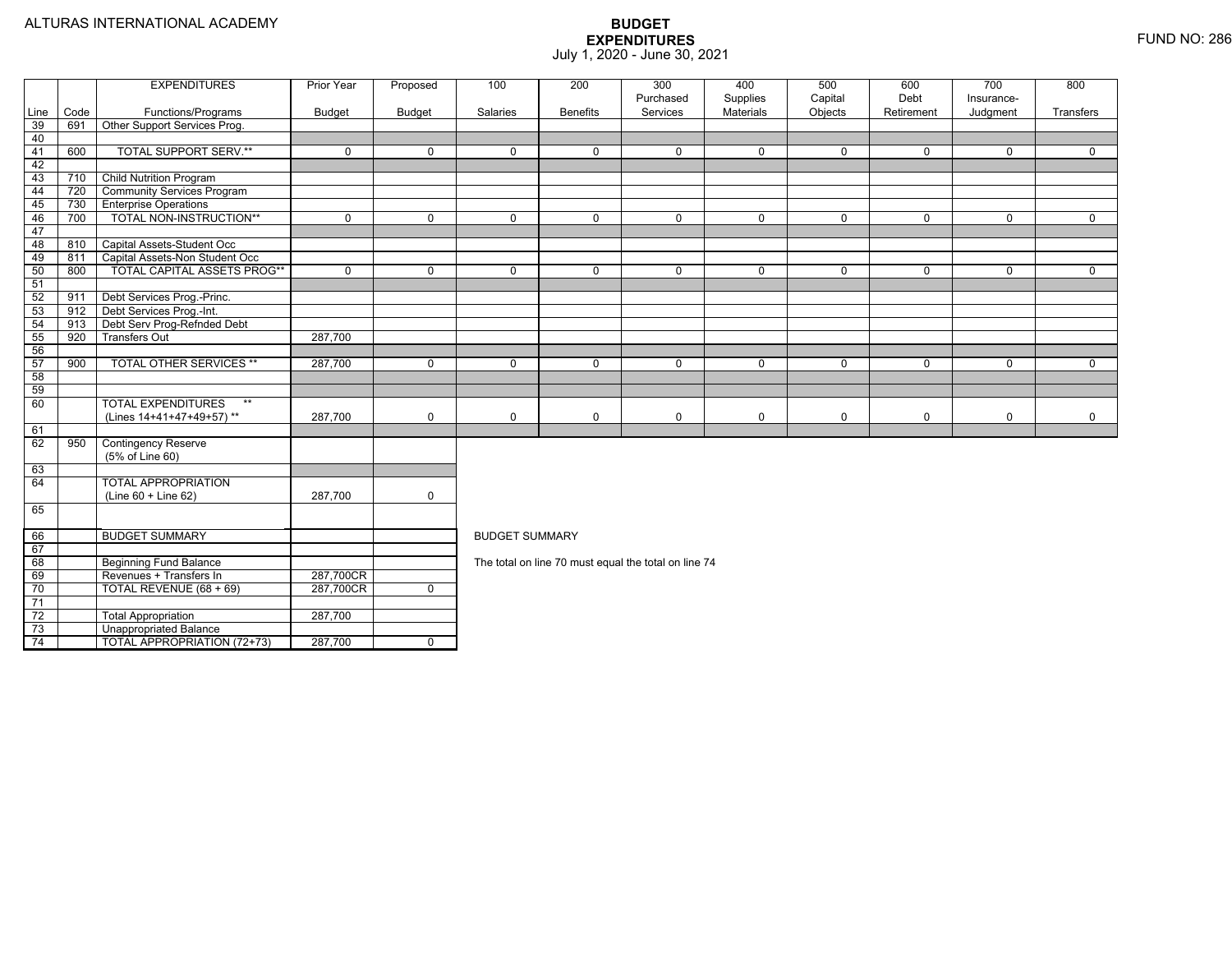$\frac{1}{74}$ 

4 | | TOTAL APPROPRIATION (72+73) | 287,700 | 0

|      |      | <b>EXPENDITURES</b>                | <b>Prior Year</b> | Proposed       | 100                   | 200             | 300                                                  | 400                          | 500                | 600                | 700                    | 800         |
|------|------|------------------------------------|-------------------|----------------|-----------------------|-----------------|------------------------------------------------------|------------------------------|--------------------|--------------------|------------------------|-------------|
| Line | Code | Functions/Programs                 | <b>Budget</b>     | <b>Budget</b>  | Salaries              | <b>Benefits</b> | Purchased<br>Services                                | Supplies<br><b>Materials</b> | Capital<br>Objects | Debt<br>Retirement | Insurance-<br>Judgment | Transfers   |
| 39   | 691  | Other Support Services Prog.       |                   |                |                       |                 |                                                      |                              |                    |                    |                        |             |
| 40   |      |                                    |                   |                |                       |                 |                                                      |                              |                    |                    |                        |             |
| 41   | 600  | <b>TOTAL SUPPORT SERV.**</b>       | $\mathbf{0}$      | $\Omega$       | $\Omega$              | $\Omega$        | $\Omega$                                             | $\mathbf 0$                  | $\Omega$           | $\Omega$           | $\Omega$               | $\Omega$    |
| 42   |      |                                    |                   |                |                       |                 |                                                      |                              |                    |                    |                        |             |
| 43   | 710  | <b>Child Nutrition Program</b>     |                   |                |                       |                 |                                                      |                              |                    |                    |                        |             |
| 44   | 720  | <b>Community Services Program</b>  |                   |                |                       |                 |                                                      |                              |                    |                    |                        |             |
| 45   | 730  | <b>Enterprise Operations</b>       |                   |                |                       |                 |                                                      |                              |                    |                    |                        |             |
| 46   | 700  | TOTAL NON-INSTRUCTION**            | $\Omega$          | $\Omega$       | $\Omega$              | $\Omega$        | $\mathbf 0$                                          | $\mathbf 0$                  | 0                  | $\Omega$           | $\Omega$               | $\Omega$    |
| 47   |      |                                    |                   |                |                       |                 |                                                      |                              |                    |                    |                        |             |
| 48   | 810  | Capital Assets-Student Occ         |                   |                |                       |                 |                                                      |                              |                    |                    |                        |             |
| 49   | 811  | Capital Assets-Non Student Occ     |                   |                |                       |                 |                                                      |                              |                    |                    |                        |             |
| 50   | 800  | <b>TOTAL CAPITAL ASSETS PROG**</b> | $\mathbf 0$       | $\Omega$       | $\Omega$              | $\Omega$        | $\Omega$                                             | $\mathbf 0$                  | 0                  | $\Omega$           | $\Omega$               | $\Omega$    |
| 51   |      |                                    |                   |                |                       |                 |                                                      |                              |                    |                    |                        |             |
| 52   | 911  | Debt Services Prog.-Princ.         |                   |                |                       |                 |                                                      |                              |                    |                    |                        |             |
| 53   | 912  | Debt Services Prog.-Int.           |                   |                |                       |                 |                                                      |                              |                    |                    |                        |             |
| 54   | 913  | Debt Serv Prog-Refnded Debt        |                   |                |                       |                 |                                                      |                              |                    |                    |                        |             |
| 55   | 920  | <b>Transfers Out</b>               | 287,700           |                |                       |                 |                                                      |                              |                    |                    |                        |             |
| 56   |      |                                    |                   |                |                       |                 |                                                      |                              |                    |                    |                        |             |
| 57   | 900  | <b>TOTAL OTHER SERVICES **</b>     | 287,700           | $\mathbf 0$    | $\mathbf 0$           | $\Omega$        | $\Omega$                                             | $\mathbf 0$                  | $\Omega$           | $\Omega$           | $\Omega$               | $\Omega$    |
| 58   |      |                                    |                   |                |                       |                 |                                                      |                              |                    |                    |                        |             |
| 59   |      |                                    |                   |                |                       |                 |                                                      |                              |                    |                    |                        |             |
| 60   |      | <b>TOTAL EXPENDITURES</b><br>$***$ |                   |                |                       |                 |                                                      |                              |                    |                    |                        |             |
|      |      | (Lines 14+41+47+49+57)**           | 287,700           | $\mathbf 0$    | $\mathbf 0$           | $\mathbf 0$     | 0                                                    | 0                            | 0                  | $\mathbf 0$        | 0                      | $\mathbf 0$ |
| 61   |      |                                    |                   |                |                       |                 |                                                      |                              |                    |                    |                        |             |
| 62   | 950  | <b>Contingency Reserve</b>         |                   |                |                       |                 |                                                      |                              |                    |                    |                        |             |
|      |      | (5% of Line 60)                    |                   |                |                       |                 |                                                      |                              |                    |                    |                        |             |
| 63   |      |                                    |                   |                |                       |                 |                                                      |                              |                    |                    |                        |             |
| 64   |      | <b>TOTAL APPROPRIATION</b>         |                   |                |                       |                 |                                                      |                              |                    |                    |                        |             |
|      |      | (Line 60 + Line 62)                | 287,700           | $\mathbf 0$    |                       |                 |                                                      |                              |                    |                    |                        |             |
| 65   |      |                                    |                   |                |                       |                 |                                                      |                              |                    |                    |                        |             |
| 66   |      | <b>BUDGET SUMMARY</b>              |                   |                | <b>BUDGET SUMMARY</b> |                 |                                                      |                              |                    |                    |                        |             |
| 67   |      |                                    |                   |                |                       |                 |                                                      |                              |                    |                    |                        |             |
| 68   |      | <b>Beginning Fund Balance</b>      |                   |                |                       |                 | The total on line 70 must equal the total on line 74 |                              |                    |                    |                        |             |
| 69   |      | Revenues + Transfers In            | 287,700CR         |                |                       |                 |                                                      |                              |                    |                    |                        |             |
| 70   |      | TOTAL REVENUE (68 + 69)            | 287,700CR         | $\overline{0}$ |                       |                 |                                                      |                              |                    |                    |                        |             |
| 71   |      |                                    |                   |                |                       |                 |                                                      |                              |                    |                    |                        |             |
| 72   |      | <b>Total Appropriation</b>         | 287,700           |                |                       |                 |                                                      |                              |                    |                    |                        |             |
| 73   |      | Unappropriated Balance             |                   |                |                       |                 |                                                      |                              |                    |                    |                        |             |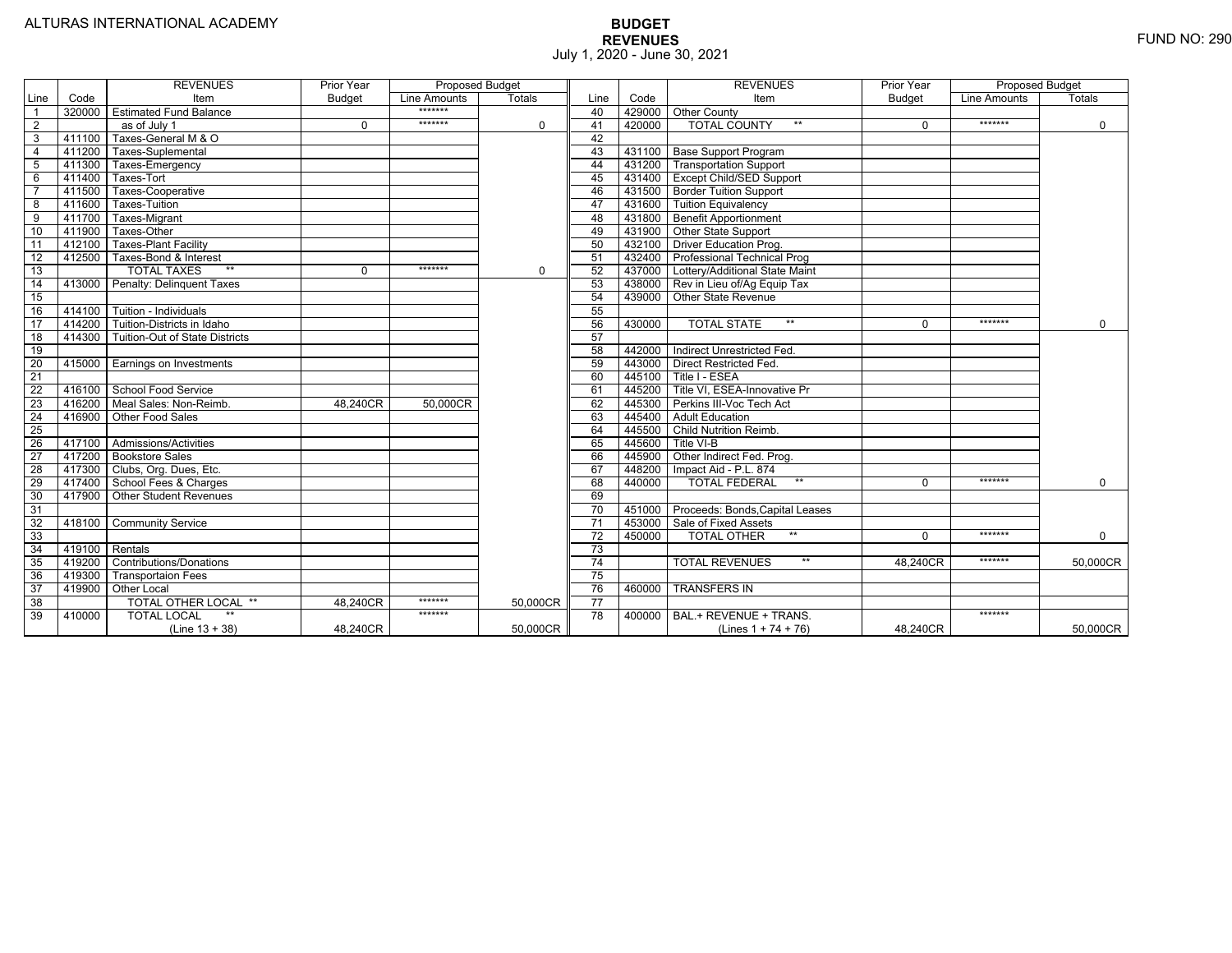|                 |                | <b>REVENUES</b>                   | Prior Year    | <b>Proposed Budget</b> |               |                 |        | <b>REVENUES</b>                    | Prior Year    | <b>Proposed Budget</b> |             |
|-----------------|----------------|-----------------------------------|---------------|------------------------|---------------|-----------------|--------|------------------------------------|---------------|------------------------|-------------|
| Line            | Code           | Item                              | <b>Budget</b> | Line Amounts           | <b>Totals</b> | Line            | Code   | Item                               | <b>Budget</b> | Line Amounts           | Totals      |
|                 | 320000         | <b>Estimated Fund Balance</b>     |               | *******                |               | 40              |        | 429000 Other County                |               |                        |             |
| $\overline{2}$  |                | as of July 1                      | $\Omega$      | *******                | 0             | 41              | 420000 | <b>TOTAL COUNTY</b>                | $\Omega$      | *******                | $\mathbf 0$ |
| 3               | 411100         | Taxes-General M & O               |               |                        |               | 42              |        |                                    |               |                        |             |
| $\overline{4}$  | 411200         | Taxes-Suplemental                 |               |                        |               | 43              |        | 431100   Base Support Program      |               |                        |             |
| 5               | 411300         | Taxes-Emergency                   |               |                        |               | 44              |        | 431200 Transportation Support      |               |                        |             |
| 6               | 411400         | Taxes-Tort                        |               |                        |               | 45              |        | 431400 Except Child/SED Support    |               |                        |             |
|                 | 411500         | Taxes-Cooperative                 |               |                        |               | 46              |        | 431500   Border Tuition Support    |               |                        |             |
| 8               | 411600         | Taxes-Tuition                     |               |                        |               | 47              | 431600 | <b>Tuition Equivalency</b>         |               |                        |             |
| 9               | 411700         | Taxes-Migrant                     |               |                        |               | -48             |        | 431800 Benefit Apportionment       |               |                        |             |
| 10              | 411900         | Taxes-Other                       |               |                        |               | 49              | 431900 | Other State Support                |               |                        |             |
| 11              | 412100         | <b>Taxes-Plant Facility</b>       |               |                        |               | 50              | 432100 | <b>Driver Education Prog.</b>      |               |                        |             |
| 12              | 412500         | Taxes-Bond & Interest             |               |                        |               | 51              | 432400 | <b>Professional Technical Prog</b> |               |                        |             |
| 13              |                | $**$<br><b>TOTAL TAXES</b>        | 0             | *******                | 0             | 52              | 437000 | Lottery/Additional State Maint     |               |                        |             |
| 14              | 413000         | Penalty: Delinguent Taxes         |               |                        |               | 53              | 438000 | Rev in Lieu of/Ag Equip Tax        |               |                        |             |
| 15              |                |                                   |               |                        |               | 54              | 439000 | <b>Other State Revenue</b>         |               |                        |             |
| 16              |                | 414100 Tuition - Individuals      |               |                        |               | 55              |        |                                    |               |                        |             |
| 17              |                | 414200 Tuition-Districts in Idaho |               |                        |               | 56              | 430000 | $**$<br><b>TOTAL STATE</b>         | $\Omega$      | *******                | $\Omega$    |
| $\overline{18}$ | 414300         | Tuition-Out of State Districts    |               |                        |               | 57              |        |                                    |               |                        |             |
| 19              |                |                                   |               |                        |               | 58              | 442000 | Indirect Unrestricted Fed.         |               |                        |             |
| 20              |                | 415000 Earnings on Investments    |               |                        |               | 59              | 443000 | <b>Direct Restricted Fed.</b>      |               |                        |             |
| $\overline{21}$ |                |                                   |               |                        |               | 60              | 445100 | Title I - ESEA                     |               |                        |             |
| 22              | 416100         | School Food Service               |               |                        |               | 61              | 445200 | Title VI. ESEA-Innovative Pr       |               |                        |             |
| 23              | 416200         | Meal Sales: Non-Reimb.            | 48.240CR      | 50.000CR               |               | 62              | 445300 | Perkins III-Voc Tech Act           |               |                        |             |
| 24              | 416900         | Other Food Sales                  |               |                        |               | 63              | 445400 | <b>Adult Education</b>             |               |                        |             |
| $\overline{25}$ |                |                                   |               |                        |               | 64              | 445500 | <b>Child Nutrition Reimb.</b>      |               |                        |             |
| 26              | 417100         | Admissions/Activities             |               |                        |               | 65              | 445600 | Title VI-B                         |               |                        |             |
| $\overline{27}$ | 417200         | <b>Bookstore Sales</b>            |               |                        |               | 66              | 445900 | Other Indirect Fed. Prog.          |               |                        |             |
| $\overline{28}$ | 417300         | Clubs, Org. Dues, Etc.            |               |                        |               | 67              | 448200 | Impact Aid - P.L. 874              |               |                        |             |
| 29              | 417400         | School Fees & Charges             |               |                        |               | 68              | 440000 | $**$<br><b>TOTAL FEDERAL</b>       | $\Omega$      | *******                | $\Omega$    |
| 30              | 417900         | <b>Other Student Revenues</b>     |               |                        |               | 69              |        |                                    |               |                        |             |
| $\overline{31}$ |                |                                   |               |                        |               | $\overline{70}$ | 451000 | Proceeds: Bonds, Capital Leases    |               |                        |             |
| $\overline{32}$ | 418100         | <b>Community Service</b>          |               |                        |               | $\overline{71}$ | 453000 | Sale of Fixed Assets               |               |                        |             |
| 33              |                |                                   |               |                        |               | 72              | 450000 | $**$<br><b>TOTAL OTHER</b>         | $\Omega$      | *******                | 0           |
| $\overline{34}$ | 419100 Rentals |                                   |               |                        |               | 73              |        |                                    |               |                        |             |
| 35              | 419200         | <b>Contributions/Donations</b>    |               |                        |               | 74              |        | <b>TOTAL REVENUES</b><br>$***$     | 48,240CR      | *******                | 50,000CR    |
| 36              | 419300         | <b>Transportaion Fees</b>         |               |                        |               | 75              |        |                                    |               |                        |             |
| 37              | 419900         | <b>Other Local</b>                |               |                        |               | 76              | 460000 | <b>TRANSFERS IN</b>                |               |                        |             |
| 38              |                | TOTAL OTHER LOCAL **              | 48.240CR      | *******                | 50,000CR      | $\overline{77}$ |        |                                    |               |                        |             |
| 39              | 410000         | <b>TOTAL LOCAL</b>                |               | *******                |               | $\overline{78}$ | 400000 | BAL.+ REVENUE + TRANS.             |               | *******                |             |
|                 |                | $(Line 13 + 38)$                  | 48.240CR      |                        | 50.000CR      |                 |        | (Lines $1 + 74 + 76$ )             | 48.240CR      |                        | 50.000CR    |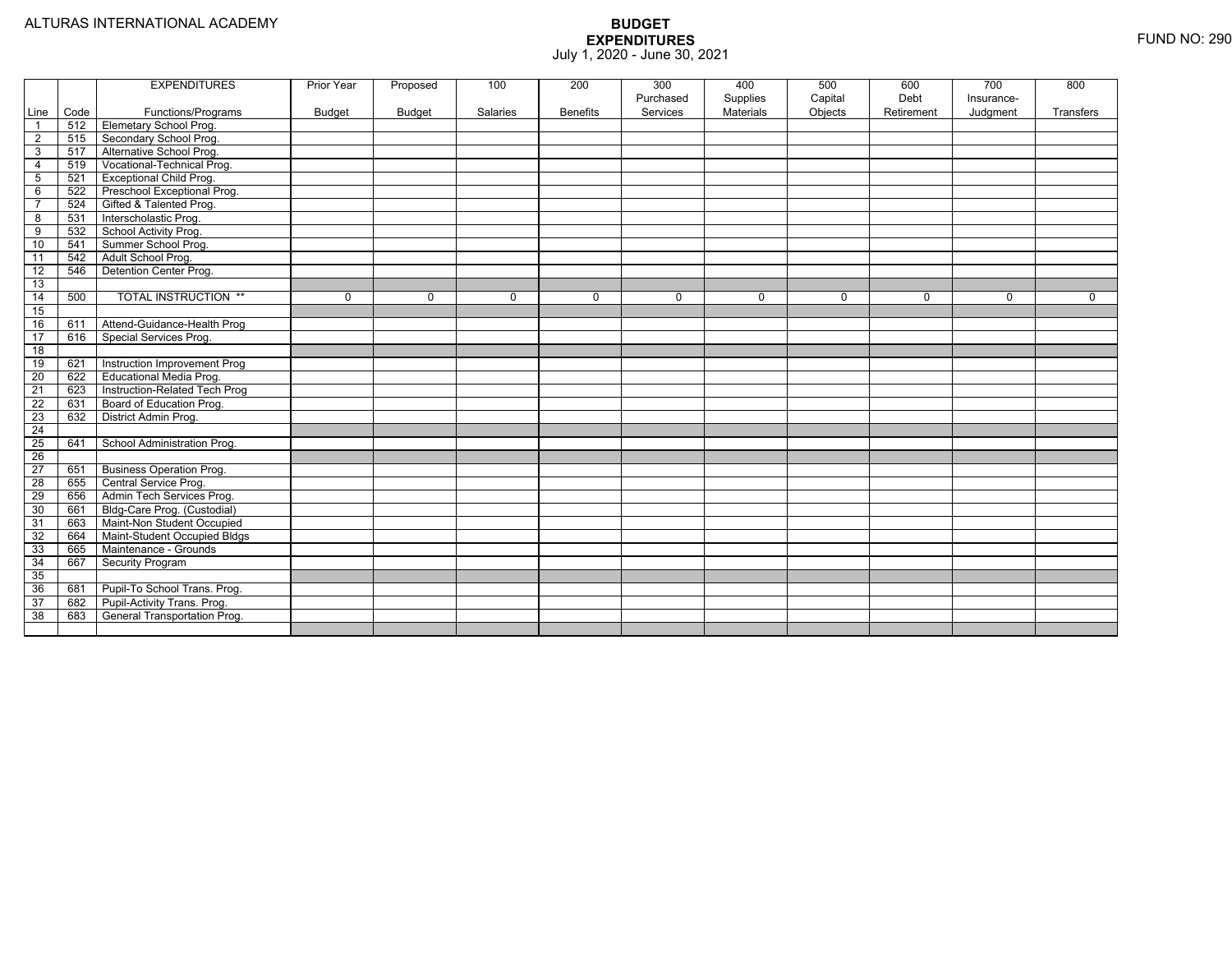|                 |      | <b>EXPENDITURES</b>             | Prior Year    | Proposed | 100      | 200             | 300       | 400              | 500     | 600        | 700        | 800       |
|-----------------|------|---------------------------------|---------------|----------|----------|-----------------|-----------|------------------|---------|------------|------------|-----------|
|                 |      |                                 |               |          |          |                 | Purchased | Supplies         | Capital | Debt       | Insurance- |           |
| Line            | Code | Functions/Programs              | <b>Budget</b> | Budget   | Salaries | <b>Benefits</b> | Services  | <b>Materials</b> | Objects | Retirement | Judgment   | Transfers |
| $\overline{1}$  | 512  | Elemetary School Prog.          |               |          |          |                 |           |                  |         |            |            |           |
| 2               | 515  | Secondary School Prog.          |               |          |          |                 |           |                  |         |            |            |           |
| 3               | 517  | Alternative School Prog.        |               |          |          |                 |           |                  |         |            |            |           |
| $\overline{4}$  | 519  | Vocational-Technical Prog.      |               |          |          |                 |           |                  |         |            |            |           |
| 5               | 521  | <b>Exceptional Child Prog.</b>  |               |          |          |                 |           |                  |         |            |            |           |
| 6               | 522  | Preschool Exceptional Prog.     |               |          |          |                 |           |                  |         |            |            |           |
| $\overline{7}$  | 524  | Gifted & Talented Prog.         |               |          |          |                 |           |                  |         |            |            |           |
| 8               | 531  | Interscholastic Prog.           |               |          |          |                 |           |                  |         |            |            |           |
| 9               | 532  | School Activity Prog.           |               |          |          |                 |           |                  |         |            |            |           |
| 10              | 541  | Summer School Prog.             |               |          |          |                 |           |                  |         |            |            |           |
| 11              | 542  | Adult School Prog.              |               |          |          |                 |           |                  |         |            |            |           |
| 12              | 546  | Detention Center Prog.          |               |          |          |                 |           |                  |         |            |            |           |
| 13              |      |                                 |               |          |          |                 |           |                  |         |            |            |           |
| 14              | 500  | <b>TOTAL INSTRUCTION **</b>     | 0             | $\Omega$ | $\Omega$ | 0               | $\Omega$  | $\Omega$         | 0       | $\Omega$   | $\Omega$   | $\Omega$  |
| 15              |      |                                 |               |          |          |                 |           |                  |         |            |            |           |
| 16              | 611  | Attend-Guidance-Health Prog     |               |          |          |                 |           |                  |         |            |            |           |
| 17              | 616  | Special Services Prog.          |               |          |          |                 |           |                  |         |            |            |           |
| $\overline{18}$ |      |                                 |               |          |          |                 |           |                  |         |            |            |           |
| 19              | 621  | Instruction Improvement Prog    |               |          |          |                 |           |                  |         |            |            |           |
| 20              | 622  | Educational Media Prog.         |               |          |          |                 |           |                  |         |            |            |           |
| $\overline{21}$ | 623  | Instruction-Related Tech Prog   |               |          |          |                 |           |                  |         |            |            |           |
| 22              | 631  | Board of Education Prog.        |               |          |          |                 |           |                  |         |            |            |           |
| 23              | 632  | District Admin Prog.            |               |          |          |                 |           |                  |         |            |            |           |
| $\overline{24}$ |      |                                 |               |          |          |                 |           |                  |         |            |            |           |
| 25              | 641  | School Administration Prog.     |               |          |          |                 |           |                  |         |            |            |           |
| $\overline{26}$ |      |                                 |               |          |          |                 |           |                  |         |            |            |           |
| 27              | 651  | <b>Business Operation Prog.</b> |               |          |          |                 |           |                  |         |            |            |           |
| $\overline{28}$ | 655  | Central Service Prog.           |               |          |          |                 |           |                  |         |            |            |           |
| 29              | 656  | Admin Tech Services Prog.       |               |          |          |                 |           |                  |         |            |            |           |
| 30              | 661  | Bldg-Care Prog. (Custodial)     |               |          |          |                 |           |                  |         |            |            |           |
| 31              | 663  | Maint-Non Student Occupied      |               |          |          |                 |           |                  |         |            |            |           |
| 32              | 664  | Maint-Student Occupied Bldgs    |               |          |          |                 |           |                  |         |            |            |           |
| 33              | 665  | Maintenance - Grounds           |               |          |          |                 |           |                  |         |            |            |           |
| 34              | 667  | Security Program                |               |          |          |                 |           |                  |         |            |            |           |
| 35              |      |                                 |               |          |          |                 |           |                  |         |            |            |           |
| 36              | 681  | Pupil-To School Trans. Prog.    |               |          |          |                 |           |                  |         |            |            |           |
| 37              | 682  | Pupil-Activity Trans. Prog.     |               |          |          |                 |           |                  |         |            |            |           |
| 38              | 683  | General Transportation Prog.    |               |          |          |                 |           |                  |         |            |            |           |
|                 |      |                                 |               |          |          |                 |           |                  |         |            |            |           |